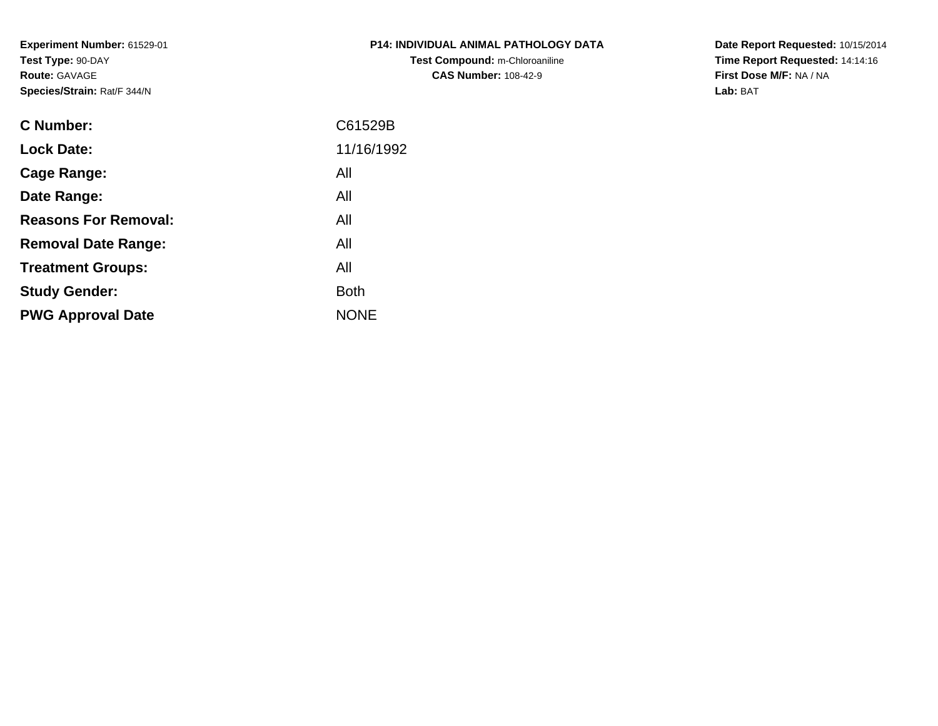**Experiment Number:** 61529-01**Test Type:** 90-DAY**Route:** GAVAGE**Species/Strain:** Rat/F 344/N

| <b>P14: INDIVIDUAL ANIMAL PATHOLOGY DATA</b> |
|----------------------------------------------|
| Test Compound: m-Chloroaniline               |
| <b>CAS Number: 108-42-9</b>                  |

**Date Report Requested:** 10/15/2014 **Time Report Requested:** 14:14:16**First Dose M/F:** NA / NA**Lab:** BAT

| <b>C</b> Number:            | C61529B     |
|-----------------------------|-------------|
| <b>Lock Date:</b>           | 11/16/1992  |
| Cage Range:                 | All         |
| Date Range:                 | All         |
| <b>Reasons For Removal:</b> | All         |
| <b>Removal Date Range:</b>  | All         |
| <b>Treatment Groups:</b>    | All         |
| <b>Study Gender:</b>        | <b>Both</b> |
| <b>PWG Approval Date</b>    | <b>NONE</b> |
|                             |             |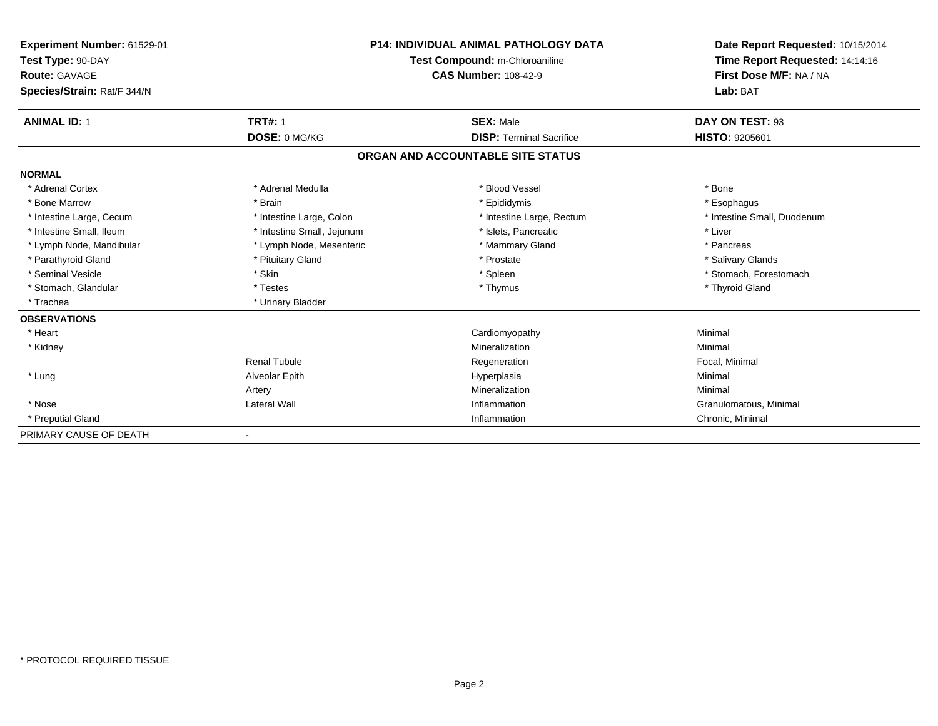| Experiment Number: 61529-01 | P14: INDIVIDUAL ANIMAL PATHOLOGY DATA<br>Test Compound: m-Chloroaniline |                                   | Date Report Requested: 10/15/2014<br>Time Report Requested: 14:14:16 |
|-----------------------------|-------------------------------------------------------------------------|-----------------------------------|----------------------------------------------------------------------|
| Test Type: 90-DAY           |                                                                         |                                   |                                                                      |
| Route: GAVAGE               |                                                                         | <b>CAS Number: 108-42-9</b>       | First Dose M/F: NA / NA                                              |
| Species/Strain: Rat/F 344/N |                                                                         |                                   | Lab: BAT                                                             |
| <b>ANIMAL ID: 1</b>         | <b>TRT#: 1</b>                                                          | <b>SEX: Male</b>                  | DAY ON TEST: 93                                                      |
|                             | DOSE: 0 MG/KG                                                           | <b>DISP: Terminal Sacrifice</b>   | <b>HISTO: 9205601</b>                                                |
|                             |                                                                         | ORGAN AND ACCOUNTABLE SITE STATUS |                                                                      |
| <b>NORMAL</b>               |                                                                         |                                   |                                                                      |
| * Adrenal Cortex            | * Adrenal Medulla                                                       | * Blood Vessel                    | * Bone                                                               |
| * Bone Marrow               | * Brain                                                                 | * Epididymis                      | * Esophagus                                                          |
| * Intestine Large, Cecum    | * Intestine Large, Colon                                                | * Intestine Large, Rectum         | * Intestine Small, Duodenum                                          |
| * Intestine Small. Ileum    | * Intestine Small, Jejunum                                              | * Islets, Pancreatic              | * Liver                                                              |
| * Lymph Node, Mandibular    | * Lymph Node, Mesenteric                                                | * Mammary Gland                   | * Pancreas                                                           |
| * Parathyroid Gland         | * Pituitary Gland                                                       | * Prostate                        | * Salivary Glands                                                    |
| * Seminal Vesicle           | * Skin                                                                  | * Spleen                          | * Stomach, Forestomach                                               |
| * Stomach, Glandular        | * Testes                                                                | * Thymus                          | * Thyroid Gland                                                      |
| * Trachea                   | * Urinary Bladder                                                       |                                   |                                                                      |
| <b>OBSERVATIONS</b>         |                                                                         |                                   |                                                                      |
| * Heart                     |                                                                         | Cardiomyopathy                    | Minimal                                                              |
| * Kidney                    |                                                                         | Mineralization                    | Minimal                                                              |
|                             | <b>Renal Tubule</b>                                                     | Regeneration                      | Focal, Minimal                                                       |
| * Lung                      | Alveolar Epith                                                          | Hyperplasia                       | Minimal                                                              |
|                             | Artery                                                                  | Mineralization                    | Minimal                                                              |
| * Nose                      | <b>Lateral Wall</b>                                                     | Inflammation                      | Granulomatous, Minimal                                               |
| * Preputial Gland           |                                                                         | Inflammation                      | Chronic, Minimal                                                     |
| PRIMARY CAUSE OF DEATH      |                                                                         |                                   |                                                                      |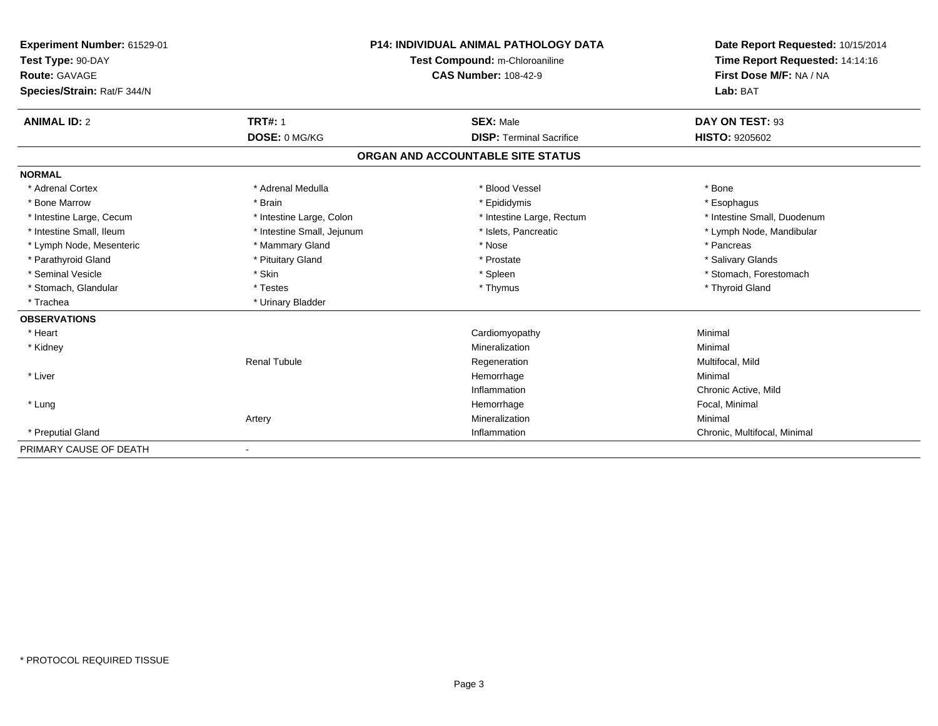| Experiment Number: 61529-01<br>Test Type: 90-DAY<br>Route: GAVAGE<br>Species/Strain: Rat/F 344/N |                                 | <b>P14: INDIVIDUAL ANIMAL PATHOLOGY DATA</b><br>Test Compound: m-Chloroaniline<br><b>CAS Number: 108-42-9</b> | Date Report Requested: 10/15/2014<br>Time Report Requested: 14:14:16<br>First Dose M/F: NA / NA<br>Lab: BAT |
|--------------------------------------------------------------------------------------------------|---------------------------------|---------------------------------------------------------------------------------------------------------------|-------------------------------------------------------------------------------------------------------------|
| <b>ANIMAL ID: 2</b>                                                                              | <b>TRT#: 1</b><br>DOSE: 0 MG/KG | <b>SEX: Male</b><br><b>DISP: Terminal Sacrifice</b>                                                           | DAY ON TEST: 93<br><b>HISTO: 9205602</b>                                                                    |
|                                                                                                  |                                 |                                                                                                               |                                                                                                             |
|                                                                                                  |                                 | ORGAN AND ACCOUNTABLE SITE STATUS                                                                             |                                                                                                             |
| <b>NORMAL</b>                                                                                    |                                 |                                                                                                               |                                                                                                             |
| * Adrenal Cortex                                                                                 | * Adrenal Medulla               | * Blood Vessel                                                                                                | * Bone                                                                                                      |
| * Bone Marrow                                                                                    | * Brain                         | * Epididymis                                                                                                  | * Esophagus                                                                                                 |
| * Intestine Large, Cecum                                                                         | * Intestine Large, Colon        | * Intestine Large, Rectum                                                                                     | * Intestine Small, Duodenum                                                                                 |
| * Intestine Small, Ileum                                                                         | * Intestine Small, Jejunum      | * Islets, Pancreatic                                                                                          | * Lymph Node, Mandibular                                                                                    |
| * Lymph Node, Mesenteric                                                                         | * Mammary Gland                 | * Nose                                                                                                        | * Pancreas                                                                                                  |
| * Parathyroid Gland                                                                              | * Pituitary Gland               | * Prostate                                                                                                    | * Salivary Glands                                                                                           |
| * Seminal Vesicle                                                                                | * Skin                          | * Spleen                                                                                                      | * Stomach, Forestomach                                                                                      |
| * Stomach, Glandular                                                                             | * Testes                        | * Thymus                                                                                                      | * Thyroid Gland                                                                                             |
| * Trachea                                                                                        | * Urinary Bladder               |                                                                                                               |                                                                                                             |
| <b>OBSERVATIONS</b>                                                                              |                                 |                                                                                                               |                                                                                                             |
| * Heart                                                                                          |                                 | Cardiomyopathy                                                                                                | Minimal                                                                                                     |
| * Kidney                                                                                         |                                 | Mineralization                                                                                                | Minimal                                                                                                     |
|                                                                                                  | <b>Renal Tubule</b>             | Regeneration                                                                                                  | Multifocal, Mild                                                                                            |
| * Liver                                                                                          |                                 | Hemorrhage                                                                                                    | Minimal                                                                                                     |
|                                                                                                  |                                 | Inflammation                                                                                                  | Chronic Active, Mild                                                                                        |
| * Lung                                                                                           |                                 | Hemorrhage                                                                                                    | Focal, Minimal                                                                                              |
|                                                                                                  | Artery                          | Mineralization                                                                                                | Minimal                                                                                                     |
| * Preputial Gland                                                                                |                                 | Inflammation                                                                                                  | Chronic, Multifocal, Minimal                                                                                |
| PRIMARY CAUSE OF DEATH                                                                           | $\overline{\phantom{a}}$        |                                                                                                               |                                                                                                             |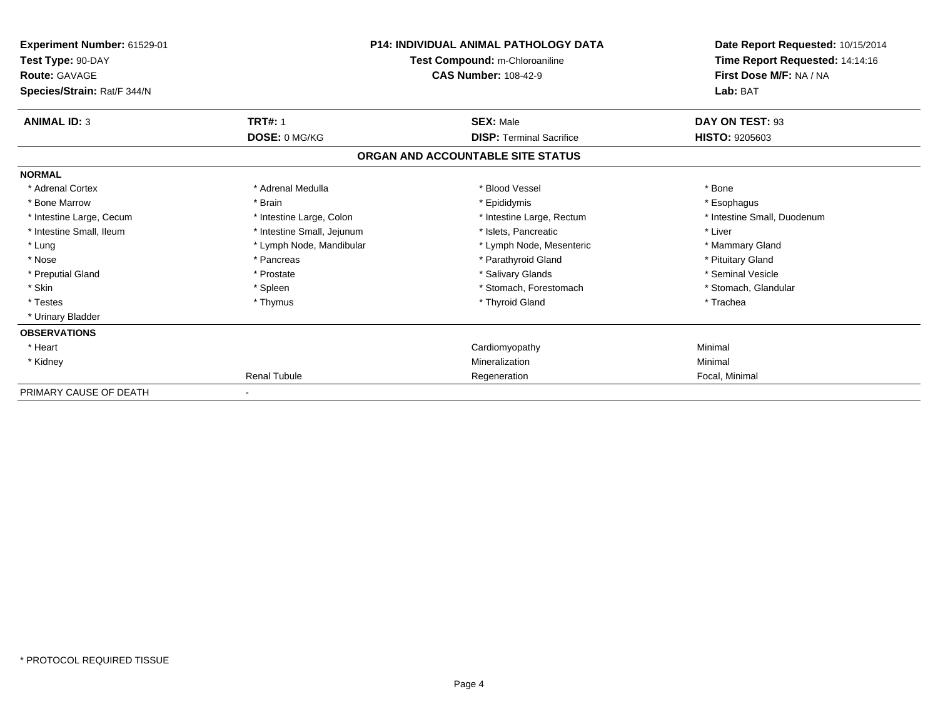| Experiment Number: 61529-01<br>Test Type: 90-DAY<br><b>Route: GAVAGE</b><br>Species/Strain: Rat/F 344/N | <b>P14: INDIVIDUAL ANIMAL PATHOLOGY DATA</b><br>Test Compound: m-Chloroaniline<br><b>CAS Number: 108-42-9</b> |                                   | Date Report Requested: 10/15/2014<br>Time Report Requested: 14:14:16<br>First Dose M/F: NA / NA<br>Lab: BAT |
|---------------------------------------------------------------------------------------------------------|---------------------------------------------------------------------------------------------------------------|-----------------------------------|-------------------------------------------------------------------------------------------------------------|
| <b>ANIMAL ID: 3</b>                                                                                     | <b>TRT#: 1</b>                                                                                                | <b>SEX: Male</b>                  | DAY ON TEST: 93                                                                                             |
|                                                                                                         | DOSE: 0 MG/KG                                                                                                 | <b>DISP:</b> Terminal Sacrifice   | <b>HISTO: 9205603</b>                                                                                       |
|                                                                                                         |                                                                                                               | ORGAN AND ACCOUNTABLE SITE STATUS |                                                                                                             |
| <b>NORMAL</b>                                                                                           |                                                                                                               |                                   |                                                                                                             |
| * Adrenal Cortex                                                                                        | * Adrenal Medulla                                                                                             | * Blood Vessel                    | * Bone                                                                                                      |
| * Bone Marrow                                                                                           | * Brain                                                                                                       | * Epididymis                      | * Esophagus                                                                                                 |
| * Intestine Large, Cecum                                                                                | * Intestine Large, Colon                                                                                      | * Intestine Large, Rectum         | * Intestine Small, Duodenum                                                                                 |
| * Intestine Small, Ileum                                                                                | * Intestine Small, Jejunum                                                                                    | * Islets, Pancreatic              | * Liver                                                                                                     |
| * Lung                                                                                                  | * Lymph Node, Mandibular                                                                                      | * Lymph Node, Mesenteric          | * Mammary Gland                                                                                             |
| * Nose                                                                                                  | * Pancreas                                                                                                    | * Parathyroid Gland               | * Pituitary Gland                                                                                           |
| * Preputial Gland                                                                                       | * Prostate                                                                                                    | * Salivary Glands                 | * Seminal Vesicle                                                                                           |
| * Skin                                                                                                  | * Spleen                                                                                                      | * Stomach, Forestomach            | * Stomach, Glandular                                                                                        |
| * Testes                                                                                                | * Thymus                                                                                                      | * Thyroid Gland                   | * Trachea                                                                                                   |
| * Urinary Bladder                                                                                       |                                                                                                               |                                   |                                                                                                             |
| <b>OBSERVATIONS</b>                                                                                     |                                                                                                               |                                   |                                                                                                             |
| * Heart                                                                                                 |                                                                                                               | Cardiomyopathy                    | Minimal                                                                                                     |
| * Kidney                                                                                                |                                                                                                               | Mineralization                    | Minimal                                                                                                     |
|                                                                                                         | <b>Renal Tubule</b>                                                                                           | Regeneration                      | Focal, Minimal                                                                                              |
| PRIMARY CAUSE OF DEATH                                                                                  |                                                                                                               |                                   |                                                                                                             |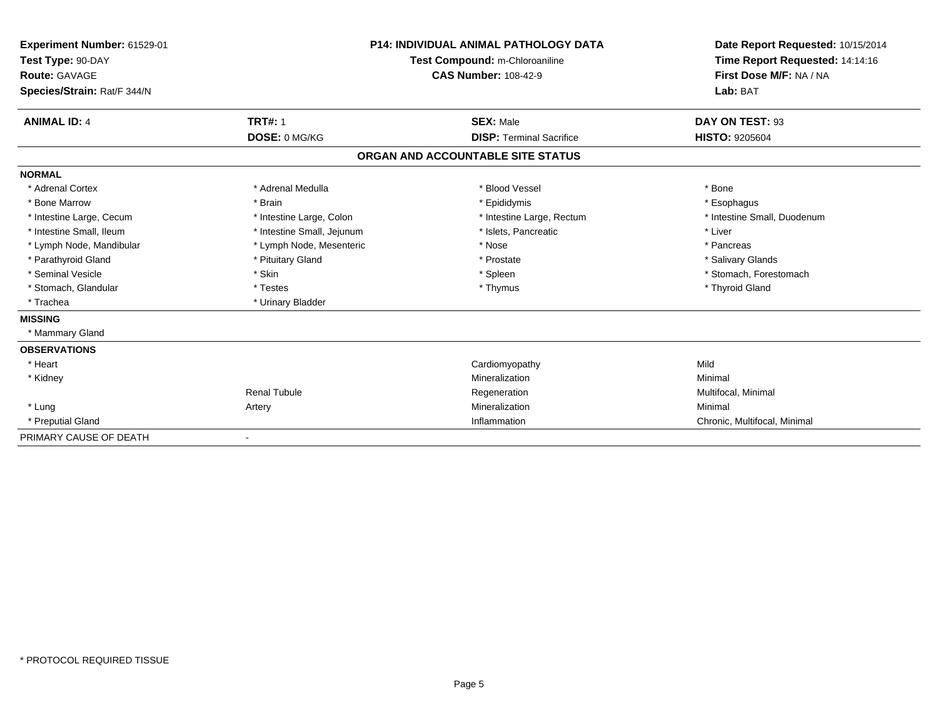| Experiment Number: 61529-01<br>Test Type: 90-DAY<br>Route: GAVAGE<br>Species/Strain: Rat/F 344/N |                            | <b>P14: INDIVIDUAL ANIMAL PATHOLOGY DATA</b><br>Test Compound: m-Chloroaniline<br><b>CAS Number: 108-42-9</b> | Date Report Requested: 10/15/2014<br>Time Report Requested: 14:14:16<br>First Dose M/F: NA / NA<br>Lab: BAT |
|--------------------------------------------------------------------------------------------------|----------------------------|---------------------------------------------------------------------------------------------------------------|-------------------------------------------------------------------------------------------------------------|
| <b>ANIMAL ID: 4</b>                                                                              | <b>TRT#: 1</b>             | <b>SEX: Male</b>                                                                                              | DAY ON TEST: 93                                                                                             |
|                                                                                                  | DOSE: 0 MG/KG              | <b>DISP: Terminal Sacrifice</b>                                                                               | HISTO: 9205604                                                                                              |
|                                                                                                  |                            | ORGAN AND ACCOUNTABLE SITE STATUS                                                                             |                                                                                                             |
| <b>NORMAL</b>                                                                                    |                            |                                                                                                               |                                                                                                             |
| * Adrenal Cortex                                                                                 | * Adrenal Medulla          | * Blood Vessel                                                                                                | * Bone                                                                                                      |
| * Bone Marrow                                                                                    | * Brain                    | * Epididymis                                                                                                  | * Esophagus                                                                                                 |
| * Intestine Large, Cecum                                                                         | * Intestine Large, Colon   | * Intestine Large, Rectum                                                                                     | * Intestine Small, Duodenum                                                                                 |
| * Intestine Small. Ileum                                                                         | * Intestine Small, Jejunum | * Islets, Pancreatic                                                                                          | * Liver                                                                                                     |
| * Lymph Node, Mandibular                                                                         | * Lymph Node, Mesenteric   | * Nose                                                                                                        | * Pancreas                                                                                                  |
| * Parathyroid Gland                                                                              | * Pituitary Gland          | * Prostate                                                                                                    | * Salivary Glands                                                                                           |
| * Seminal Vesicle                                                                                | * Skin                     | * Spleen                                                                                                      | * Stomach, Forestomach                                                                                      |
| * Stomach, Glandular                                                                             | * Testes                   | * Thymus                                                                                                      | * Thyroid Gland                                                                                             |
| * Trachea                                                                                        | * Urinary Bladder          |                                                                                                               |                                                                                                             |
| <b>MISSING</b>                                                                                   |                            |                                                                                                               |                                                                                                             |
| * Mammary Gland                                                                                  |                            |                                                                                                               |                                                                                                             |
| <b>OBSERVATIONS</b>                                                                              |                            |                                                                                                               |                                                                                                             |
| * Heart                                                                                          |                            | Cardiomyopathy                                                                                                | Mild                                                                                                        |
| * Kidney                                                                                         |                            | Mineralization                                                                                                | Minimal                                                                                                     |
|                                                                                                  | <b>Renal Tubule</b>        | Regeneration                                                                                                  | Multifocal, Minimal                                                                                         |
| * Lung                                                                                           | Artery                     | Mineralization                                                                                                | Minimal                                                                                                     |
| * Preputial Gland                                                                                |                            | Inflammation                                                                                                  | Chronic, Multifocal, Minimal                                                                                |
| PRIMARY CAUSE OF DEATH                                                                           |                            |                                                                                                               |                                                                                                             |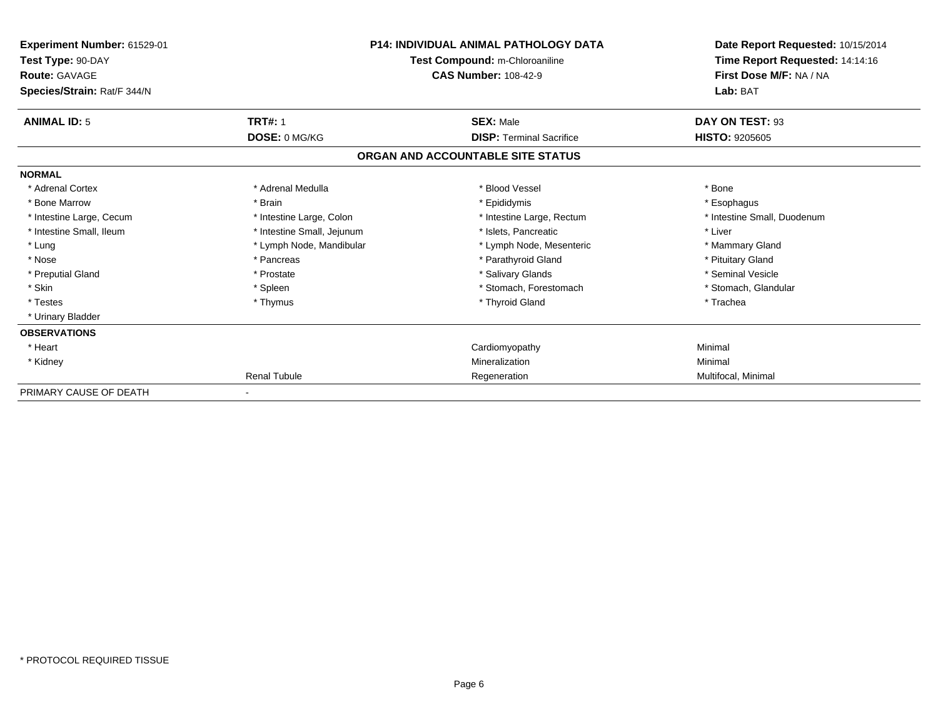| Experiment Number: 61529-01<br>Test Type: 90-DAY<br><b>Route: GAVAGE</b><br>Species/Strain: Rat/F 344/N | <b>P14: INDIVIDUAL ANIMAL PATHOLOGY DATA</b><br>Test Compound: m-Chloroaniline<br><b>CAS Number: 108-42-9</b> |                                   | Date Report Requested: 10/15/2014<br>Time Report Requested: 14:14:16<br>First Dose M/F: NA / NA<br>Lab: BAT |
|---------------------------------------------------------------------------------------------------------|---------------------------------------------------------------------------------------------------------------|-----------------------------------|-------------------------------------------------------------------------------------------------------------|
| <b>ANIMAL ID: 5</b>                                                                                     | <b>TRT#: 1</b>                                                                                                | <b>SEX: Male</b>                  | DAY ON TEST: 93                                                                                             |
|                                                                                                         | DOSE: 0 MG/KG                                                                                                 | <b>DISP:</b> Terminal Sacrifice   | <b>HISTO: 9205605</b>                                                                                       |
|                                                                                                         |                                                                                                               | ORGAN AND ACCOUNTABLE SITE STATUS |                                                                                                             |
| <b>NORMAL</b>                                                                                           |                                                                                                               |                                   |                                                                                                             |
| * Adrenal Cortex                                                                                        | * Adrenal Medulla                                                                                             | * Blood Vessel                    | * Bone                                                                                                      |
| * Bone Marrow                                                                                           | * Brain                                                                                                       | * Epididymis                      | * Esophagus                                                                                                 |
| * Intestine Large, Cecum                                                                                | * Intestine Large, Colon                                                                                      | * Intestine Large, Rectum         | * Intestine Small, Duodenum                                                                                 |
| * Intestine Small, Ileum                                                                                | * Intestine Small, Jejunum                                                                                    | * Islets, Pancreatic              | * Liver                                                                                                     |
| * Lung                                                                                                  | * Lymph Node, Mandibular                                                                                      | * Lymph Node, Mesenteric          | * Mammary Gland                                                                                             |
| * Nose                                                                                                  | * Pancreas                                                                                                    | * Parathyroid Gland               | * Pituitary Gland                                                                                           |
| * Preputial Gland                                                                                       | * Prostate                                                                                                    | * Salivary Glands                 | * Seminal Vesicle                                                                                           |
| * Skin                                                                                                  | * Spleen                                                                                                      | * Stomach, Forestomach            | * Stomach, Glandular                                                                                        |
| * Testes                                                                                                | * Thymus                                                                                                      | * Thyroid Gland                   | * Trachea                                                                                                   |
| * Urinary Bladder                                                                                       |                                                                                                               |                                   |                                                                                                             |
| <b>OBSERVATIONS</b>                                                                                     |                                                                                                               |                                   |                                                                                                             |
| * Heart                                                                                                 |                                                                                                               | Cardiomyopathy                    | Minimal                                                                                                     |
| * Kidney                                                                                                |                                                                                                               | Mineralization                    | Minimal                                                                                                     |
|                                                                                                         | <b>Renal Tubule</b>                                                                                           | Regeneration                      | Multifocal, Minimal                                                                                         |
| PRIMARY CAUSE OF DEATH                                                                                  |                                                                                                               |                                   |                                                                                                             |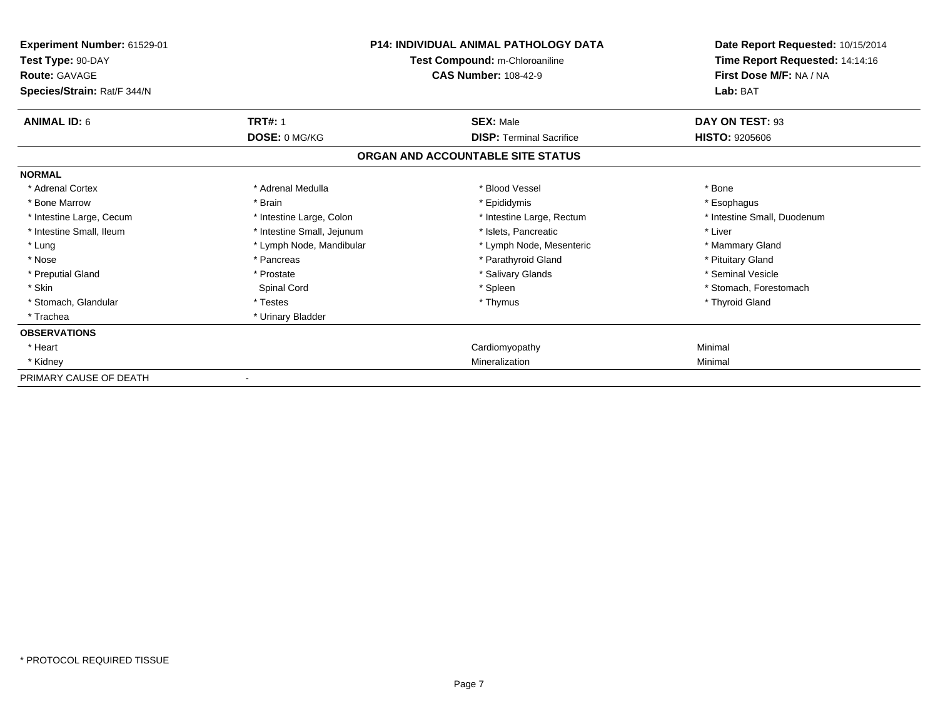| Experiment Number: 61529-01<br>Test Type: 90-DAY<br><b>Route: GAVAGE</b><br>Species/Strain: Rat/F 344/N |                            | P14: INDIVIDUAL ANIMAL PATHOLOGY DATA<br>Test Compound: m-Chloroaniline<br><b>CAS Number: 108-42-9</b> | Date Report Requested: 10/15/2014<br>Time Report Requested: 14:14:16<br>First Dose M/F: NA / NA<br>Lab: BAT |
|---------------------------------------------------------------------------------------------------------|----------------------------|--------------------------------------------------------------------------------------------------------|-------------------------------------------------------------------------------------------------------------|
| <b>ANIMAL ID: 6</b>                                                                                     | <b>TRT#: 1</b>             | <b>SEX: Male</b>                                                                                       | DAY ON TEST: 93                                                                                             |
|                                                                                                         | DOSE: 0 MG/KG              | <b>DISP: Terminal Sacrifice</b>                                                                        | <b>HISTO: 9205606</b>                                                                                       |
|                                                                                                         |                            | ORGAN AND ACCOUNTABLE SITE STATUS                                                                      |                                                                                                             |
| <b>NORMAL</b>                                                                                           |                            |                                                                                                        |                                                                                                             |
| * Adrenal Cortex                                                                                        | * Adrenal Medulla          | * Blood Vessel                                                                                         | * Bone                                                                                                      |
| * Bone Marrow                                                                                           | * Brain                    | * Epididymis                                                                                           | * Esophagus                                                                                                 |
| * Intestine Large, Cecum                                                                                | * Intestine Large, Colon   | * Intestine Large, Rectum                                                                              | * Intestine Small, Duodenum                                                                                 |
| * Intestine Small. Ileum                                                                                | * Intestine Small, Jejunum | * Islets. Pancreatic                                                                                   | * Liver                                                                                                     |
| * Lung                                                                                                  | * Lymph Node, Mandibular   | * Lymph Node, Mesenteric                                                                               | * Mammary Gland                                                                                             |
| * Nose                                                                                                  | * Pancreas                 | * Parathyroid Gland                                                                                    | * Pituitary Gland                                                                                           |
| * Preputial Gland                                                                                       | * Prostate                 | * Salivary Glands                                                                                      | * Seminal Vesicle                                                                                           |
| * Skin                                                                                                  | Spinal Cord                | * Spleen                                                                                               | * Stomach, Forestomach                                                                                      |
| * Stomach, Glandular                                                                                    | * Testes                   | * Thymus                                                                                               | * Thyroid Gland                                                                                             |
| * Trachea                                                                                               | * Urinary Bladder          |                                                                                                        |                                                                                                             |
| <b>OBSERVATIONS</b>                                                                                     |                            |                                                                                                        |                                                                                                             |
| * Heart                                                                                                 |                            | Cardiomyopathy                                                                                         | Minimal                                                                                                     |
| * Kidney                                                                                                |                            | Mineralization                                                                                         | Minimal                                                                                                     |
| PRIMARY CAUSE OF DEATH                                                                                  |                            |                                                                                                        |                                                                                                             |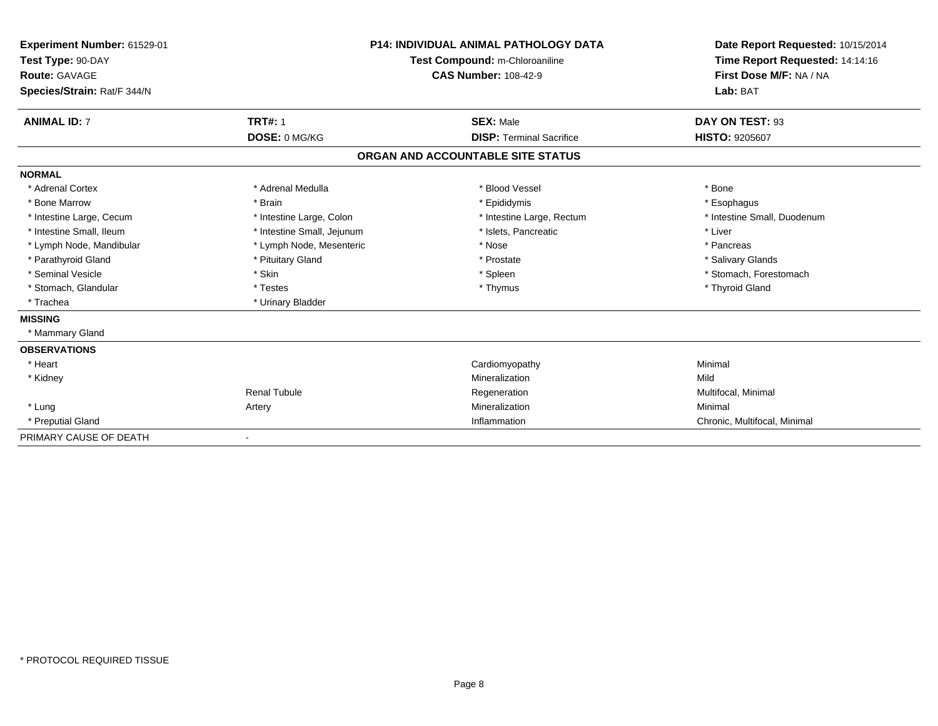| Experiment Number: 61529-01<br>Test Type: 90-DAY<br>Route: GAVAGE<br>Species/Strain: Rat/F 344/N |                            | <b>P14: INDIVIDUAL ANIMAL PATHOLOGY DATA</b><br>Test Compound: m-Chloroaniline<br><b>CAS Number: 108-42-9</b> | Date Report Requested: 10/15/2014<br>Time Report Requested: 14:14:16<br>First Dose M/F: NA / NA<br>Lab: BAT |
|--------------------------------------------------------------------------------------------------|----------------------------|---------------------------------------------------------------------------------------------------------------|-------------------------------------------------------------------------------------------------------------|
| <b>ANIMAL ID: 7</b>                                                                              | <b>TRT#: 1</b>             | <b>SEX: Male</b>                                                                                              | DAY ON TEST: 93                                                                                             |
|                                                                                                  | DOSE: 0 MG/KG              | <b>DISP: Terminal Sacrifice</b>                                                                               | HISTO: 9205607                                                                                              |
|                                                                                                  |                            | ORGAN AND ACCOUNTABLE SITE STATUS                                                                             |                                                                                                             |
| <b>NORMAL</b>                                                                                    |                            |                                                                                                               |                                                                                                             |
| * Adrenal Cortex                                                                                 | * Adrenal Medulla          | * Blood Vessel                                                                                                | * Bone                                                                                                      |
| * Bone Marrow                                                                                    | * Brain                    | * Epididymis                                                                                                  | * Esophagus                                                                                                 |
| * Intestine Large, Cecum                                                                         | * Intestine Large, Colon   | * Intestine Large, Rectum                                                                                     | * Intestine Small, Duodenum                                                                                 |
| * Intestine Small. Ileum                                                                         | * Intestine Small, Jejunum | * Islets, Pancreatic                                                                                          | * Liver                                                                                                     |
| * Lymph Node, Mandibular                                                                         | * Lymph Node, Mesenteric   | * Nose                                                                                                        | * Pancreas                                                                                                  |
| * Parathyroid Gland                                                                              | * Pituitary Gland          | * Prostate                                                                                                    | * Salivary Glands                                                                                           |
| * Seminal Vesicle                                                                                | * Skin                     | * Spleen                                                                                                      | * Stomach, Forestomach                                                                                      |
| * Stomach, Glandular                                                                             | * Testes                   | * Thymus                                                                                                      | * Thyroid Gland                                                                                             |
| * Trachea                                                                                        | * Urinary Bladder          |                                                                                                               |                                                                                                             |
| <b>MISSING</b>                                                                                   |                            |                                                                                                               |                                                                                                             |
| * Mammary Gland                                                                                  |                            |                                                                                                               |                                                                                                             |
| <b>OBSERVATIONS</b>                                                                              |                            |                                                                                                               |                                                                                                             |
| * Heart                                                                                          |                            | Cardiomyopathy                                                                                                | Minimal                                                                                                     |
| * Kidney                                                                                         |                            | Mineralization                                                                                                | Mild                                                                                                        |
|                                                                                                  | <b>Renal Tubule</b>        | Regeneration                                                                                                  | Multifocal, Minimal                                                                                         |
| * Lung                                                                                           | Artery                     | Mineralization                                                                                                | Minimal                                                                                                     |
| * Preputial Gland                                                                                |                            | Inflammation                                                                                                  | Chronic, Multifocal, Minimal                                                                                |
| PRIMARY CAUSE OF DEATH                                                                           |                            |                                                                                                               |                                                                                                             |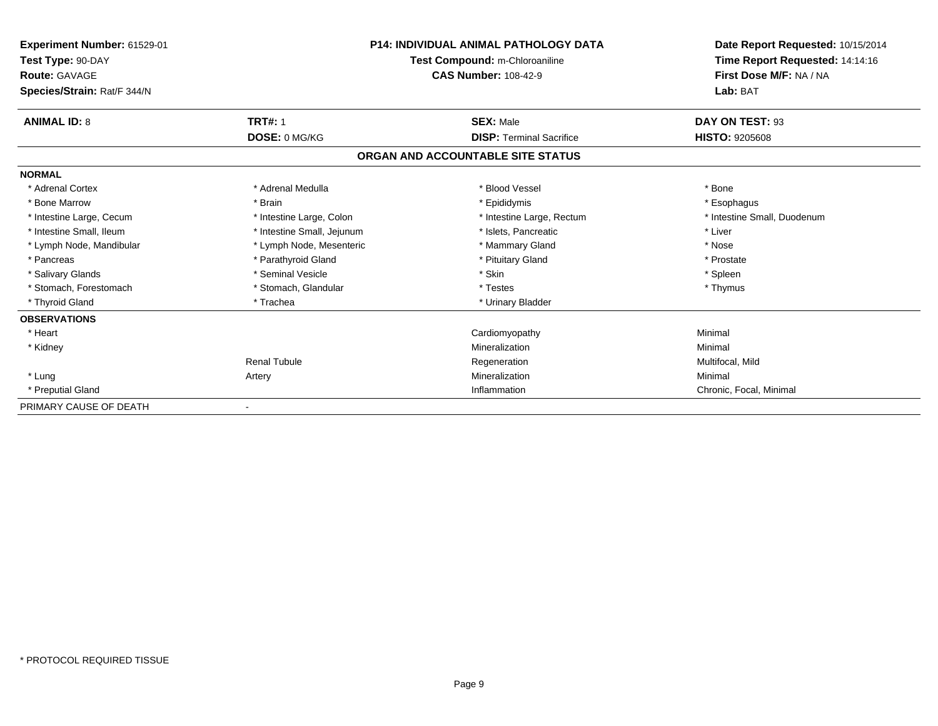| Experiment Number: 61529-01<br>Test Type: 90-DAY<br><b>Route: GAVAGE</b> | <b>P14: INDIVIDUAL ANIMAL PATHOLOGY DATA</b><br>Test Compound: m-Chloroaniline<br><b>CAS Number: 108-42-9</b> |                                   | Date Report Requested: 10/15/2014<br>Time Report Requested: 14:14:16<br>First Dose M/F: NA / NA |
|--------------------------------------------------------------------------|---------------------------------------------------------------------------------------------------------------|-----------------------------------|-------------------------------------------------------------------------------------------------|
| Species/Strain: Rat/F 344/N                                              |                                                                                                               |                                   | Lab: BAT                                                                                        |
| <b>ANIMAL ID: 8</b>                                                      | <b>TRT#: 1</b>                                                                                                | <b>SEX: Male</b>                  | DAY ON TEST: 93                                                                                 |
|                                                                          | DOSE: 0 MG/KG                                                                                                 | <b>DISP: Terminal Sacrifice</b>   | <b>HISTO: 9205608</b>                                                                           |
|                                                                          |                                                                                                               | ORGAN AND ACCOUNTABLE SITE STATUS |                                                                                                 |
| <b>NORMAL</b>                                                            |                                                                                                               |                                   |                                                                                                 |
| * Adrenal Cortex                                                         | * Adrenal Medulla                                                                                             | * Blood Vessel                    | * Bone                                                                                          |
| * Bone Marrow                                                            | * Brain                                                                                                       | * Epididymis                      | * Esophagus                                                                                     |
| * Intestine Large, Cecum                                                 | * Intestine Large, Colon                                                                                      | * Intestine Large, Rectum         | * Intestine Small, Duodenum                                                                     |
| * Intestine Small, Ileum                                                 | * Intestine Small, Jejunum                                                                                    | * Islets, Pancreatic              | * Liver                                                                                         |
| * Lymph Node, Mandibular                                                 | * Lymph Node, Mesenteric                                                                                      | * Mammary Gland                   | * Nose                                                                                          |
| * Pancreas                                                               | * Parathyroid Gland                                                                                           | * Pituitary Gland                 | * Prostate                                                                                      |
| * Salivary Glands                                                        | * Seminal Vesicle                                                                                             | * Skin                            | * Spleen                                                                                        |
| * Stomach, Forestomach                                                   | * Stomach, Glandular                                                                                          | * Testes                          | * Thymus                                                                                        |
| * Thyroid Gland                                                          | * Trachea                                                                                                     | * Urinary Bladder                 |                                                                                                 |
| <b>OBSERVATIONS</b>                                                      |                                                                                                               |                                   |                                                                                                 |
| * Heart                                                                  |                                                                                                               | Cardiomyopathy                    | Minimal                                                                                         |
| * Kidney                                                                 |                                                                                                               | Mineralization                    | Minimal                                                                                         |
|                                                                          | <b>Renal Tubule</b>                                                                                           | Regeneration                      | Multifocal, Mild                                                                                |
| * Lung                                                                   | Artery                                                                                                        | Mineralization                    | Minimal                                                                                         |
| * Preputial Gland                                                        |                                                                                                               | Inflammation                      | Chronic, Focal, Minimal                                                                         |
| PRIMARY CAUSE OF DEATH                                                   |                                                                                                               |                                   |                                                                                                 |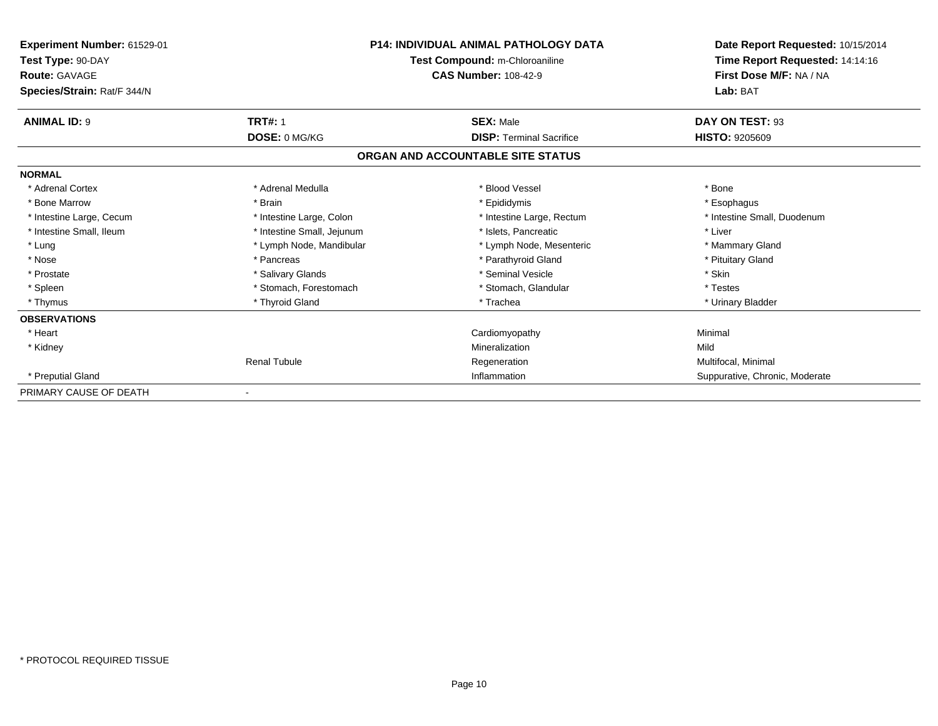| Experiment Number: 61529-01<br>Test Type: 90-DAY<br>Route: GAVAGE | <b>P14: INDIVIDUAL ANIMAL PATHOLOGY DATA</b><br>Test Compound: m-Chloroaniline<br><b>CAS Number: 108-42-9</b> |                                   | Date Report Requested: 10/15/2014<br>Time Report Requested: 14:14:16<br>First Dose M/F: NA / NA |
|-------------------------------------------------------------------|---------------------------------------------------------------------------------------------------------------|-----------------------------------|-------------------------------------------------------------------------------------------------|
| Species/Strain: Rat/F 344/N                                       |                                                                                                               |                                   | Lab: BAT                                                                                        |
| <b>ANIMAL ID: 9</b>                                               | <b>TRT#: 1</b>                                                                                                | <b>SEX: Male</b>                  | DAY ON TEST: 93                                                                                 |
|                                                                   | DOSE: 0 MG/KG                                                                                                 | <b>DISP: Terminal Sacrifice</b>   | <b>HISTO: 9205609</b>                                                                           |
|                                                                   |                                                                                                               | ORGAN AND ACCOUNTABLE SITE STATUS |                                                                                                 |
| <b>NORMAL</b>                                                     |                                                                                                               |                                   |                                                                                                 |
| * Adrenal Cortex                                                  | * Adrenal Medulla                                                                                             | * Blood Vessel                    | * Bone                                                                                          |
| * Bone Marrow                                                     | * Brain                                                                                                       | * Epididymis                      | * Esophagus                                                                                     |
| * Intestine Large, Cecum                                          | * Intestine Large, Colon                                                                                      | * Intestine Large, Rectum         | * Intestine Small, Duodenum                                                                     |
| * Intestine Small, Ileum                                          | * Intestine Small, Jejunum                                                                                    | * Islets. Pancreatic              | * Liver                                                                                         |
| * Lung                                                            | * Lymph Node, Mandibular                                                                                      | * Lymph Node, Mesenteric          | * Mammary Gland                                                                                 |
| * Nose                                                            | * Pancreas                                                                                                    | * Parathyroid Gland               | * Pituitary Gland                                                                               |
| * Prostate                                                        | * Salivary Glands                                                                                             | * Seminal Vesicle                 | * Skin                                                                                          |
| * Spleen                                                          | * Stomach, Forestomach                                                                                        | * Stomach, Glandular              | * Testes                                                                                        |
| * Thymus                                                          | * Thyroid Gland                                                                                               | * Trachea                         | * Urinary Bladder                                                                               |
| <b>OBSERVATIONS</b>                                               |                                                                                                               |                                   |                                                                                                 |
| * Heart                                                           |                                                                                                               | Cardiomyopathy                    | Minimal                                                                                         |
| * Kidney                                                          |                                                                                                               | Mineralization                    | Mild                                                                                            |
|                                                                   | <b>Renal Tubule</b>                                                                                           | Regeneration                      | Multifocal, Minimal                                                                             |
| * Preputial Gland                                                 |                                                                                                               | Inflammation                      | Suppurative, Chronic, Moderate                                                                  |
| PRIMARY CAUSE OF DEATH                                            |                                                                                                               |                                   |                                                                                                 |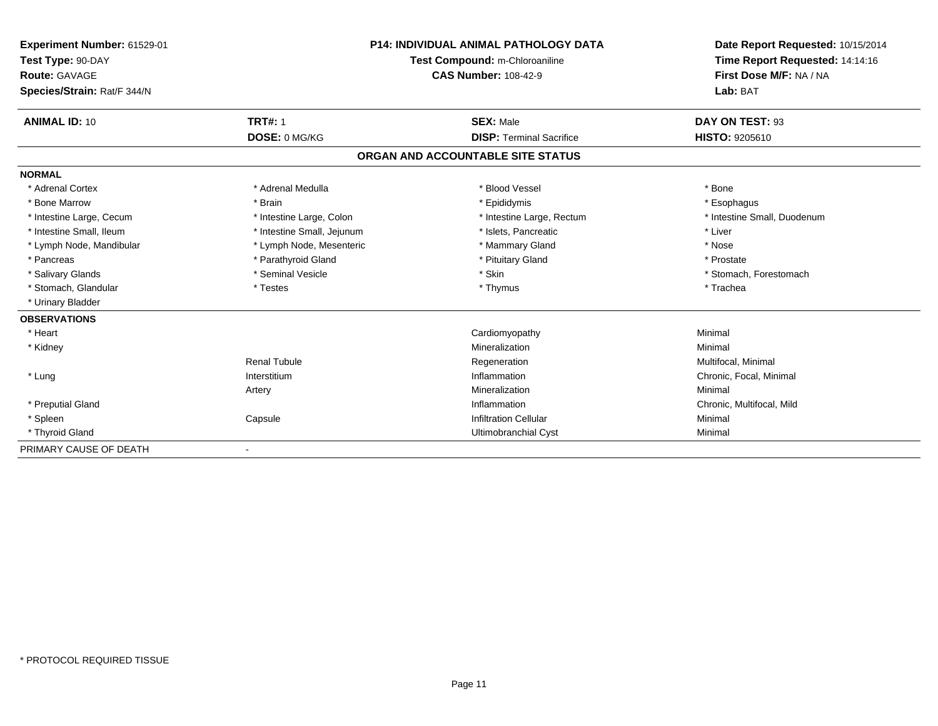| Experiment Number: 61529-01<br>Test Type: 90-DAY<br>Route: GAVAGE | <b>P14: INDIVIDUAL ANIMAL PATHOLOGY DATA</b><br>Test Compound: m-Chloroaniline<br><b>CAS Number: 108-42-9</b> |                                   | Date Report Requested: 10/15/2014<br>Time Report Requested: 14:14:16<br>First Dose M/F: NA / NA |
|-------------------------------------------------------------------|---------------------------------------------------------------------------------------------------------------|-----------------------------------|-------------------------------------------------------------------------------------------------|
| Species/Strain: Rat/F 344/N                                       |                                                                                                               |                                   | Lab: BAT                                                                                        |
| <b>ANIMAL ID: 10</b>                                              | <b>TRT#: 1</b>                                                                                                | <b>SEX: Male</b>                  | DAY ON TEST: 93                                                                                 |
|                                                                   | DOSE: 0 MG/KG                                                                                                 | <b>DISP: Terminal Sacrifice</b>   | <b>HISTO: 9205610</b>                                                                           |
|                                                                   |                                                                                                               | ORGAN AND ACCOUNTABLE SITE STATUS |                                                                                                 |
| <b>NORMAL</b>                                                     |                                                                                                               |                                   |                                                                                                 |
| * Adrenal Cortex                                                  | * Adrenal Medulla                                                                                             | * Blood Vessel                    | * Bone                                                                                          |
| * Bone Marrow                                                     | * Brain                                                                                                       | * Epididymis                      | * Esophagus                                                                                     |
| * Intestine Large, Cecum                                          | * Intestine Large, Colon                                                                                      | * Intestine Large, Rectum         | * Intestine Small, Duodenum                                                                     |
| * Intestine Small, Ileum                                          | * Intestine Small, Jejunum                                                                                    | * Islets, Pancreatic              | * Liver                                                                                         |
| * Lymph Node, Mandibular                                          | * Lymph Node, Mesenteric                                                                                      | * Mammary Gland                   | * Nose                                                                                          |
| * Pancreas                                                        | * Parathyroid Gland                                                                                           | * Pituitary Gland                 | * Prostate                                                                                      |
| * Salivary Glands                                                 | * Seminal Vesicle                                                                                             | * Skin                            | * Stomach, Forestomach                                                                          |
| * Stomach, Glandular                                              | * Testes                                                                                                      | * Thymus                          | * Trachea                                                                                       |
| * Urinary Bladder                                                 |                                                                                                               |                                   |                                                                                                 |
| <b>OBSERVATIONS</b>                                               |                                                                                                               |                                   |                                                                                                 |
| * Heart                                                           |                                                                                                               | Cardiomyopathy                    | Minimal                                                                                         |
| * Kidney                                                          |                                                                                                               | Mineralization                    | Minimal                                                                                         |
|                                                                   | <b>Renal Tubule</b>                                                                                           | Regeneration                      | Multifocal, Minimal                                                                             |
| * Lung                                                            | Interstitium                                                                                                  | Inflammation                      | Chronic, Focal, Minimal                                                                         |
|                                                                   | Artery                                                                                                        | Mineralization                    | Minimal                                                                                         |
| * Preputial Gland                                                 |                                                                                                               | Inflammation                      | Chronic, Multifocal, Mild                                                                       |
| * Spleen                                                          | Capsule                                                                                                       | <b>Infiltration Cellular</b>      | Minimal                                                                                         |
| * Thyroid Gland                                                   |                                                                                                               | Ultimobranchial Cyst              | Minimal                                                                                         |
| PRIMARY CAUSE OF DEATH                                            | $\blacksquare$                                                                                                |                                   |                                                                                                 |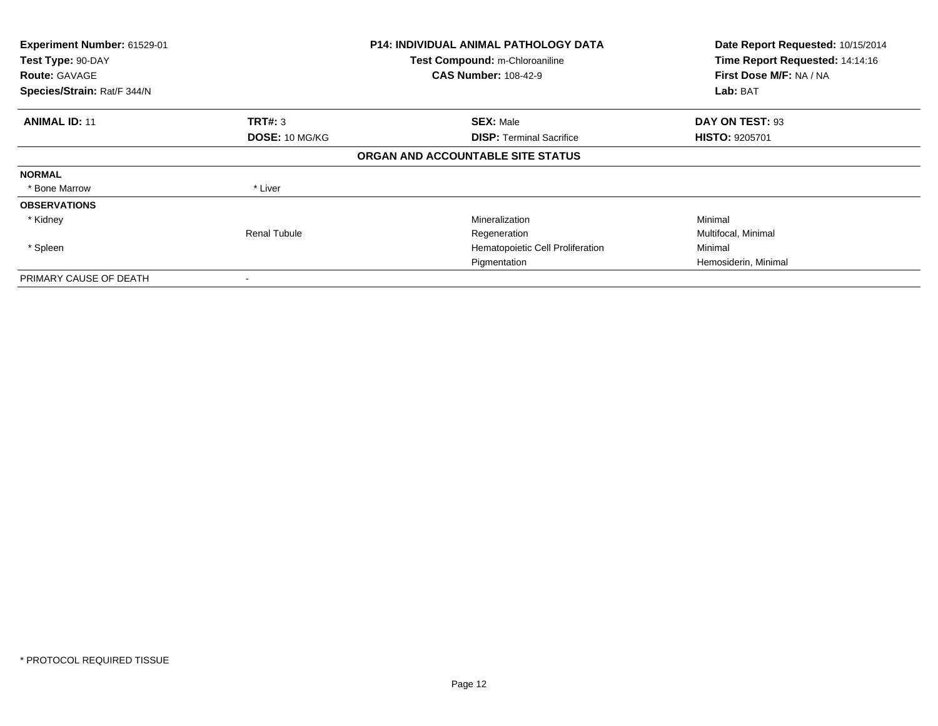| Experiment Number: 61529-01<br>Test Type: 90-DAY<br><b>Route: GAVAGE</b><br>Species/Strain: Rat/F 344/N |                                         | <b>P14: INDIVIDUAL ANIMAL PATHOLOGY DATA</b><br>Test Compound: m-Chloroaniline<br><b>CAS Number: 108-42-9</b> | Date Report Requested: 10/15/2014<br>Time Report Requested: 14:14:16<br>First Dose M/F: NA / NA<br>Lab: BAT |
|---------------------------------------------------------------------------------------------------------|-----------------------------------------|---------------------------------------------------------------------------------------------------------------|-------------------------------------------------------------------------------------------------------------|
|                                                                                                         |                                         |                                                                                                               |                                                                                                             |
| <b>ANIMAL ID: 11</b>                                                                                    | <b>TRT#: 3</b><br><b>DOSE: 10 MG/KG</b> | <b>SEX: Male</b><br><b>DISP: Terminal Sacrifice</b>                                                           | DAY ON TEST: 93<br><b>HISTO: 9205701</b>                                                                    |
|                                                                                                         |                                         | ORGAN AND ACCOUNTABLE SITE STATUS                                                                             |                                                                                                             |
| <b>NORMAL</b>                                                                                           |                                         |                                                                                                               |                                                                                                             |
| * Bone Marrow                                                                                           | * Liver                                 |                                                                                                               |                                                                                                             |
| <b>OBSERVATIONS</b>                                                                                     |                                         |                                                                                                               |                                                                                                             |
| * Kidney                                                                                                |                                         | Mineralization                                                                                                | Minimal                                                                                                     |
|                                                                                                         | <b>Renal Tubule</b>                     | Regeneration                                                                                                  | Multifocal, Minimal                                                                                         |
| * Spleen                                                                                                |                                         | Hematopoietic Cell Proliferation                                                                              | Minimal                                                                                                     |
|                                                                                                         |                                         | Pigmentation                                                                                                  | Hemosiderin, Minimal                                                                                        |
| PRIMARY CAUSE OF DEATH                                                                                  |                                         |                                                                                                               |                                                                                                             |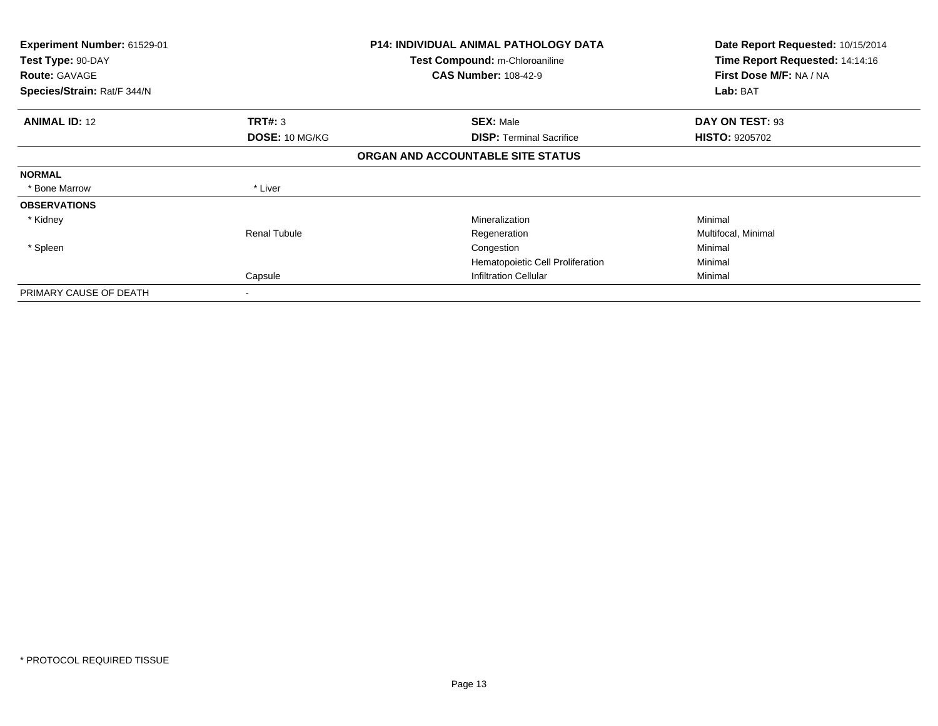| <b>Experiment Number: 61529-01</b><br>Test Type: 90-DAY<br><b>Route: GAVAGE</b><br>Species/Strain: Rat/F 344/N |                       | <b>P14: INDIVIDUAL ANIMAL PATHOLOGY DATA</b><br>Test Compound: m-Chloroaniline<br><b>CAS Number: 108-42-9</b> | Date Report Requested: 10/15/2014<br>Time Report Requested: 14:14:16<br>First Dose M/F: NA / NA<br>Lab: BAT |
|----------------------------------------------------------------------------------------------------------------|-----------------------|---------------------------------------------------------------------------------------------------------------|-------------------------------------------------------------------------------------------------------------|
|                                                                                                                |                       |                                                                                                               |                                                                                                             |
| <b>ANIMAL ID: 12</b>                                                                                           | TRT#: 3               | <b>SEX: Male</b>                                                                                              | DAY ON TEST: 93                                                                                             |
|                                                                                                                | <b>DOSE: 10 MG/KG</b> | <b>DISP: Terminal Sacrifice</b>                                                                               | <b>HISTO: 9205702</b>                                                                                       |
|                                                                                                                |                       | ORGAN AND ACCOUNTABLE SITE STATUS                                                                             |                                                                                                             |
| <b>NORMAL</b>                                                                                                  |                       |                                                                                                               |                                                                                                             |
| * Bone Marrow                                                                                                  | * Liver               |                                                                                                               |                                                                                                             |
| <b>OBSERVATIONS</b>                                                                                            |                       |                                                                                                               |                                                                                                             |
| * Kidney                                                                                                       |                       | Mineralization                                                                                                | Minimal                                                                                                     |
|                                                                                                                | Renal Tubule          | Regeneration                                                                                                  | Multifocal, Minimal                                                                                         |
| * Spleen                                                                                                       |                       | Congestion                                                                                                    | Minimal                                                                                                     |
|                                                                                                                |                       | Hematopoietic Cell Proliferation                                                                              | Minimal                                                                                                     |
|                                                                                                                | Capsule               | <b>Infiltration Cellular</b>                                                                                  | Minimal                                                                                                     |
| PRIMARY CAUSE OF DEATH                                                                                         | ۰                     |                                                                                                               |                                                                                                             |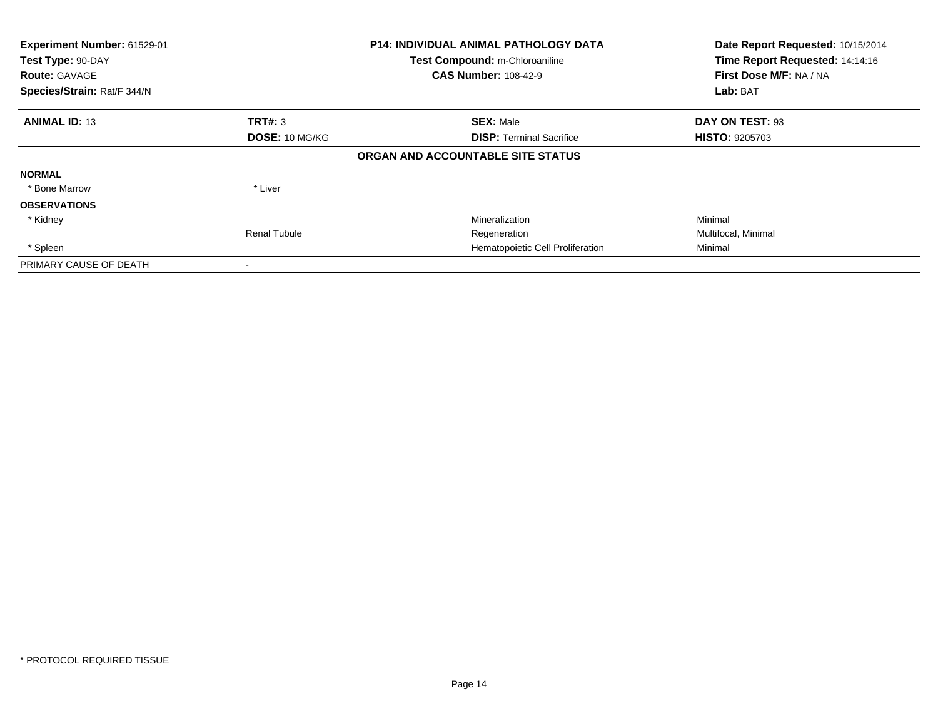| Experiment Number: 61529-01<br>Test Type: 90-DAY<br><b>Route: GAVAGE</b><br>Species/Strain: Rat/F 344/N |                     | <b>P14: INDIVIDUAL ANIMAL PATHOLOGY DATA</b><br>Test Compound: m-Chloroaniline<br><b>CAS Number: 108-42-9</b> | Date Report Requested: 10/15/2014<br>Time Report Requested: 14:14:16<br>First Dose M/F: NA / NA<br>Lab: BAT |
|---------------------------------------------------------------------------------------------------------|---------------------|---------------------------------------------------------------------------------------------------------------|-------------------------------------------------------------------------------------------------------------|
|                                                                                                         |                     |                                                                                                               |                                                                                                             |
| <b>ANIMAL ID: 13</b>                                                                                    | TRT#: 3             | <b>SEX: Male</b>                                                                                              | DAY ON TEST: 93                                                                                             |
|                                                                                                         | DOSE: 10 MG/KG      | <b>DISP:</b> Terminal Sacrifice                                                                               | <b>HISTO: 9205703</b>                                                                                       |
|                                                                                                         |                     | ORGAN AND ACCOUNTABLE SITE STATUS                                                                             |                                                                                                             |
| <b>NORMAL</b>                                                                                           |                     |                                                                                                               |                                                                                                             |
| * Bone Marrow                                                                                           | * Liver             |                                                                                                               |                                                                                                             |
| <b>OBSERVATIONS</b>                                                                                     |                     |                                                                                                               |                                                                                                             |
| * Kidney                                                                                                |                     | Mineralization                                                                                                | Minimal                                                                                                     |
|                                                                                                         | <b>Renal Tubule</b> | Regeneration                                                                                                  | Multifocal, Minimal                                                                                         |
| * Spleen                                                                                                |                     | Hematopoietic Cell Proliferation                                                                              | Minimal                                                                                                     |
| PRIMARY CAUSE OF DEATH                                                                                  |                     |                                                                                                               |                                                                                                             |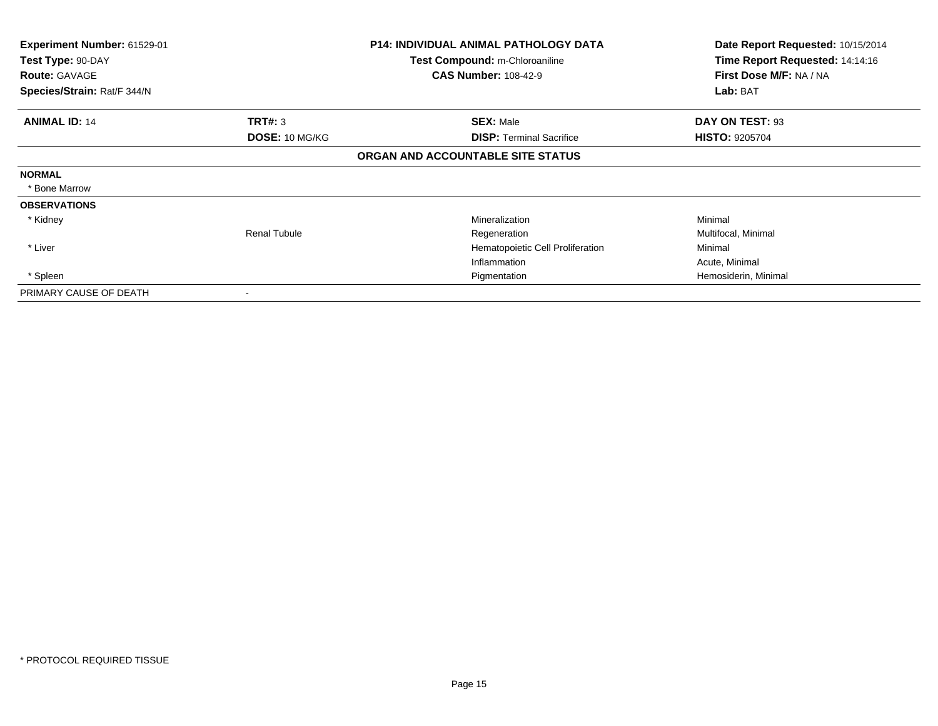| <b>Experiment Number: 61529-01</b> |                     | <b>P14: INDIVIDUAL ANIMAL PATHOLOGY DATA</b> | Date Report Requested: 10/15/2014 |
|------------------------------------|---------------------|----------------------------------------------|-----------------------------------|
| Test Type: 90-DAY                  |                     | <b>Test Compound: m-Chloroaniline</b>        | Time Report Requested: 14:14:16   |
| <b>Route: GAVAGE</b>               |                     | <b>CAS Number: 108-42-9</b>                  | First Dose M/F: NA / NA           |
| Species/Strain: Rat/F 344/N        |                     |                                              | Lab: BAT                          |
| <b>ANIMAL ID: 14</b>               | TRT#: 3             | <b>SEX: Male</b>                             | DAY ON TEST: 93                   |
|                                    | DOSE: 10 MG/KG      | <b>DISP: Terminal Sacrifice</b>              | <b>HISTO: 9205704</b>             |
|                                    |                     | ORGAN AND ACCOUNTABLE SITE STATUS            |                                   |
| <b>NORMAL</b>                      |                     |                                              |                                   |
| * Bone Marrow                      |                     |                                              |                                   |
| <b>OBSERVATIONS</b>                |                     |                                              |                                   |
| * Kidney                           |                     | Mineralization                               | Minimal                           |
|                                    | <b>Renal Tubule</b> | Regeneration                                 | Multifocal, Minimal               |
| * Liver                            |                     | Hematopoietic Cell Proliferation             | Minimal                           |
|                                    |                     | Inflammation                                 | Acute, Minimal                    |
| * Spleen                           |                     | Pigmentation                                 | Hemosiderin, Minimal              |
| PRIMARY CAUSE OF DEATH             | ۰                   |                                              |                                   |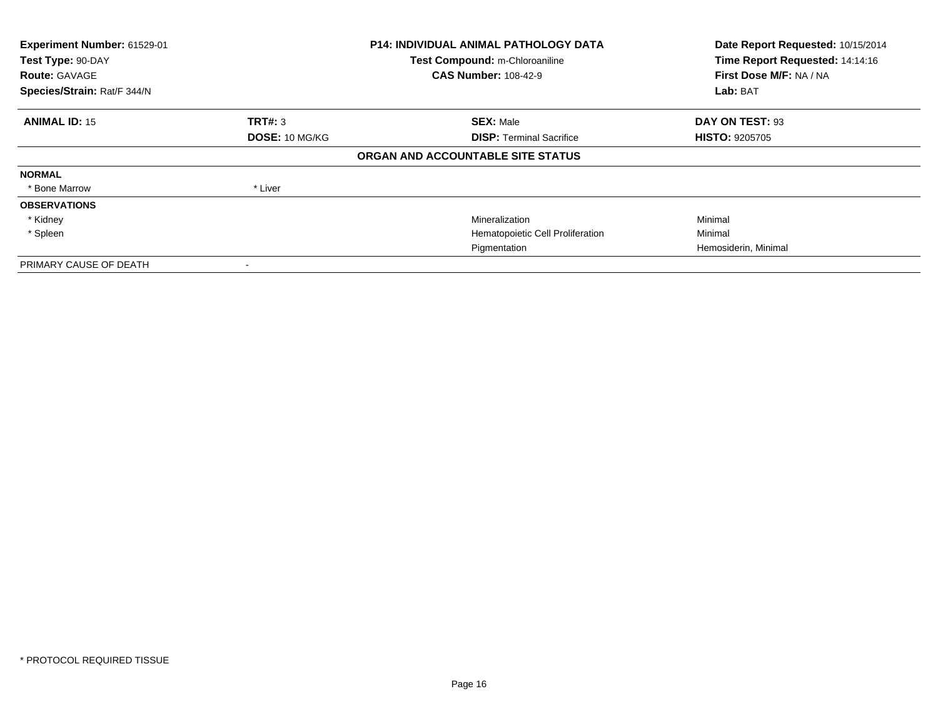| Experiment Number: 61529-01<br>Test Type: 90-DAY<br><b>Route: GAVAGE</b><br>Species/Strain: Rat/F 344/N |                       | <b>P14: INDIVIDUAL ANIMAL PATHOLOGY DATA</b><br>Test Compound: m-Chloroaniline<br><b>CAS Number: 108-42-9</b> | Date Report Requested: 10/15/2014<br>Time Report Requested: 14:14:16<br>First Dose M/F: NA / NA<br>Lab: BAT |
|---------------------------------------------------------------------------------------------------------|-----------------------|---------------------------------------------------------------------------------------------------------------|-------------------------------------------------------------------------------------------------------------|
| <b>ANIMAL ID: 15</b>                                                                                    | <b>TRT#: 3</b>        | <b>SEX: Male</b>                                                                                              | DAY ON TEST: 93                                                                                             |
|                                                                                                         | <b>DOSE: 10 MG/KG</b> | <b>DISP:</b> Terminal Sacrifice                                                                               | <b>HISTO: 9205705</b>                                                                                       |
|                                                                                                         |                       | ORGAN AND ACCOUNTABLE SITE STATUS                                                                             |                                                                                                             |
| <b>NORMAL</b>                                                                                           |                       |                                                                                                               |                                                                                                             |
| * Bone Marrow                                                                                           | * Liver               |                                                                                                               |                                                                                                             |
| <b>OBSERVATIONS</b>                                                                                     |                       |                                                                                                               |                                                                                                             |
| * Kidney                                                                                                |                       | Mineralization                                                                                                | Minimal                                                                                                     |
| * Spleen                                                                                                |                       | Hematopoietic Cell Proliferation                                                                              | Minimal                                                                                                     |
|                                                                                                         |                       | Pigmentation                                                                                                  | Hemosiderin, Minimal                                                                                        |
| PRIMARY CAUSE OF DEATH                                                                                  |                       |                                                                                                               |                                                                                                             |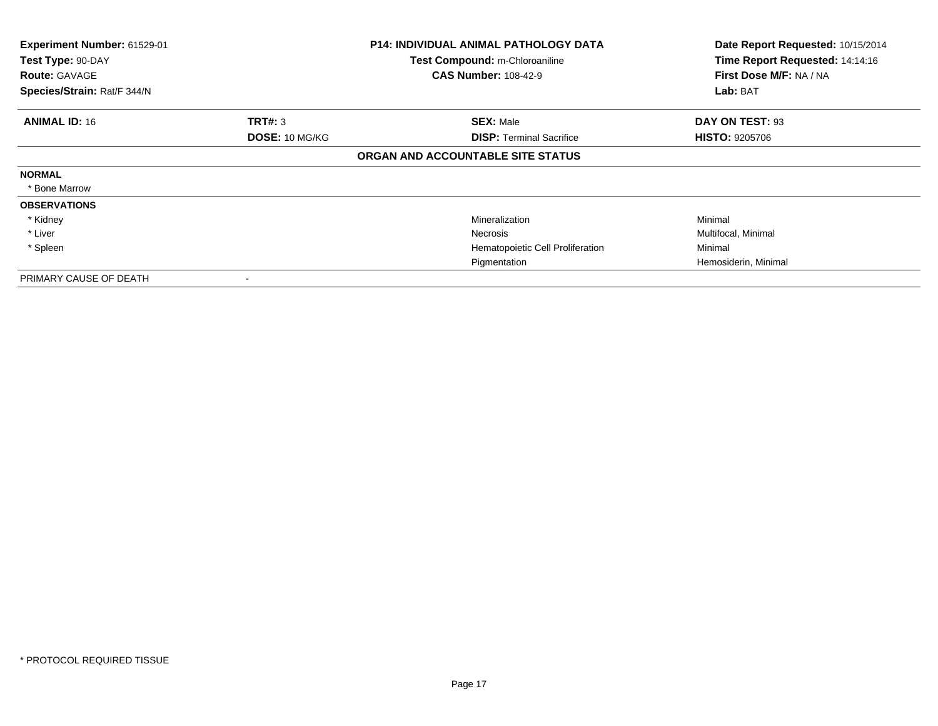| Experiment Number: 61529-01<br>Test Type: 90-DAY<br><b>Route: GAVAGE</b><br>Species/Strain: Rat/F 344/N |                | <b>P14: INDIVIDUAL ANIMAL PATHOLOGY DATA</b><br>Test Compound: m-Chloroaniline<br><b>CAS Number: 108-42-9</b> | Date Report Requested: 10/15/2014<br>Time Report Requested: 14:14:16<br>First Dose M/F: NA / NA<br>Lab: BAT |
|---------------------------------------------------------------------------------------------------------|----------------|---------------------------------------------------------------------------------------------------------------|-------------------------------------------------------------------------------------------------------------|
| <b>ANIMAL ID: 16</b>                                                                                    | TRT#: 3        | <b>SEX: Male</b>                                                                                              | DAY ON TEST: 93                                                                                             |
|                                                                                                         | DOSE: 10 MG/KG | <b>DISP:</b> Terminal Sacrifice<br>ORGAN AND ACCOUNTABLE SITE STATUS                                          | <b>HISTO: 9205706</b>                                                                                       |
| <b>NORMAL</b><br>* Bone Marrow                                                                          |                |                                                                                                               |                                                                                                             |
| <b>OBSERVATIONS</b>                                                                                     |                |                                                                                                               |                                                                                                             |
| * Kidney                                                                                                |                | Mineralization                                                                                                | Minimal                                                                                                     |
| * Liver                                                                                                 |                | Necrosis                                                                                                      | Multifocal, Minimal                                                                                         |
| * Spleen                                                                                                |                | Hematopoietic Cell Proliferation                                                                              | Minimal                                                                                                     |
|                                                                                                         |                | Pigmentation                                                                                                  | Hemosiderin, Minimal                                                                                        |
| PRIMARY CAUSE OF DEATH                                                                                  |                |                                                                                                               |                                                                                                             |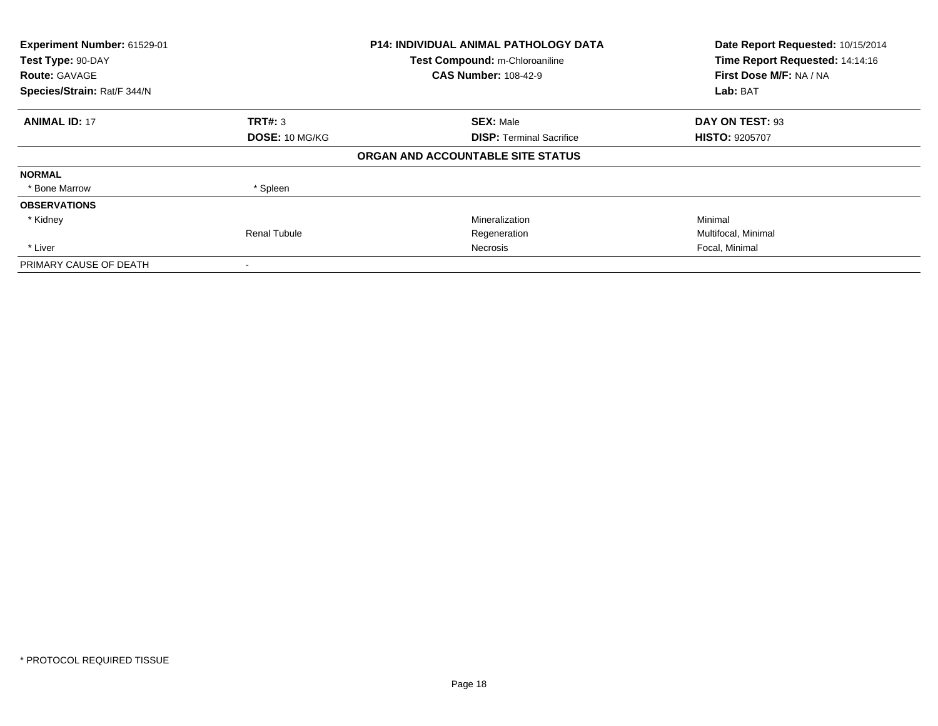| Experiment Number: 61529-01<br>Test Type: 90-DAY<br><b>Route: GAVAGE</b> |                     | <b>P14: INDIVIDUAL ANIMAL PATHOLOGY DATA</b><br>Test Compound: m-Chloroaniline<br><b>CAS Number: 108-42-9</b> | Date Report Requested: 10/15/2014<br>Time Report Requested: 14:14:16<br>First Dose M/F: NA / NA |
|--------------------------------------------------------------------------|---------------------|---------------------------------------------------------------------------------------------------------------|-------------------------------------------------------------------------------------------------|
| Species/Strain: Rat/F 344/N                                              |                     |                                                                                                               | Lab: BAT                                                                                        |
| <b>ANIMAL ID: 17</b>                                                     | TRT#: 3             | <b>SEX: Male</b>                                                                                              | DAY ON TEST: 93                                                                                 |
|                                                                          | DOSE: 10 MG/KG      | <b>DISP:</b> Terminal Sacrifice                                                                               | <b>HISTO: 9205707</b>                                                                           |
|                                                                          |                     | ORGAN AND ACCOUNTABLE SITE STATUS                                                                             |                                                                                                 |
| <b>NORMAL</b>                                                            |                     |                                                                                                               |                                                                                                 |
| * Bone Marrow                                                            | * Spleen            |                                                                                                               |                                                                                                 |
| <b>OBSERVATIONS</b>                                                      |                     |                                                                                                               |                                                                                                 |
| * Kidney                                                                 |                     | Mineralization                                                                                                | Minimal                                                                                         |
|                                                                          | <b>Renal Tubule</b> | Regeneration                                                                                                  | Multifocal, Minimal                                                                             |
| * Liver                                                                  |                     | Necrosis                                                                                                      | Focal, Minimal                                                                                  |
| PRIMARY CAUSE OF DEATH                                                   |                     |                                                                                                               |                                                                                                 |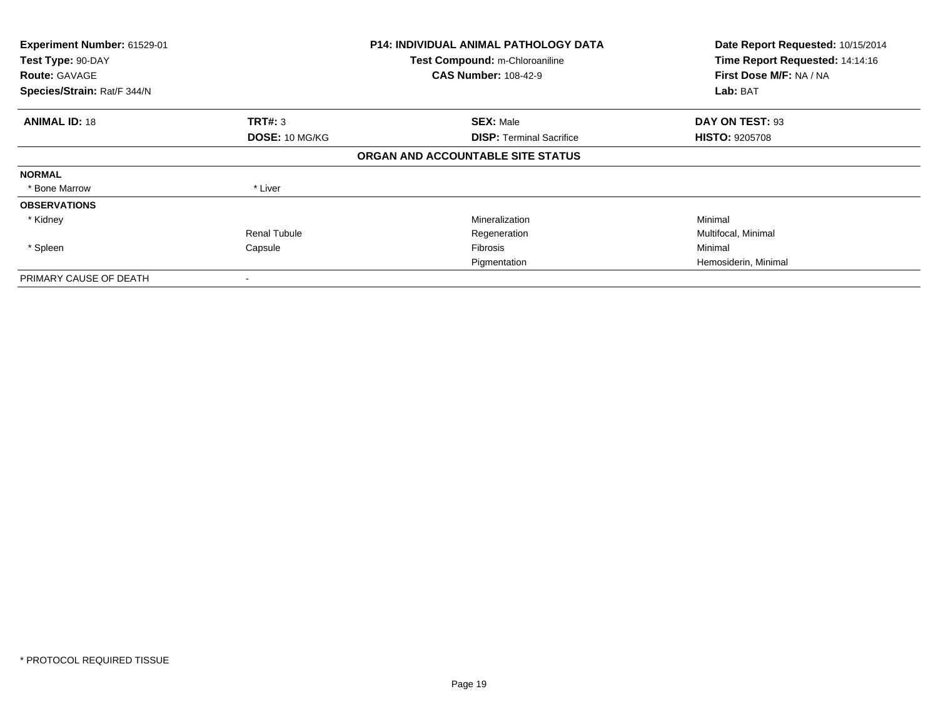| Experiment Number: 61529-01<br>Test Type: 90-DAY<br><b>Route: GAVAGE</b><br>Species/Strain: Rat/F 344/N |                       | <b>P14: INDIVIDUAL ANIMAL PATHOLOGY DATA</b><br>Test Compound: m-Chloroaniline<br><b>CAS Number: 108-42-9</b> | Date Report Requested: 10/15/2014<br>Time Report Requested: 14:14:16<br>First Dose M/F: NA / NA<br>Lab: BAT |
|---------------------------------------------------------------------------------------------------------|-----------------------|---------------------------------------------------------------------------------------------------------------|-------------------------------------------------------------------------------------------------------------|
| <b>ANIMAL ID: 18</b>                                                                                    | <b>TRT#: 3</b>        | <b>SEX: Male</b>                                                                                              | DAY ON TEST: 93                                                                                             |
|                                                                                                         | <b>DOSE: 10 MG/KG</b> | <b>DISP: Terminal Sacrifice</b>                                                                               | <b>HISTO: 9205708</b>                                                                                       |
|                                                                                                         |                       | ORGAN AND ACCOUNTABLE SITE STATUS                                                                             |                                                                                                             |
| <b>NORMAL</b>                                                                                           |                       |                                                                                                               |                                                                                                             |
| * Bone Marrow                                                                                           | * Liver               |                                                                                                               |                                                                                                             |
| <b>OBSERVATIONS</b>                                                                                     |                       |                                                                                                               |                                                                                                             |
| * Kidney                                                                                                |                       | Mineralization                                                                                                | Minimal                                                                                                     |
|                                                                                                         | <b>Renal Tubule</b>   | Regeneration                                                                                                  | Multifocal, Minimal                                                                                         |
| * Spleen                                                                                                | Capsule               | Fibrosis                                                                                                      | Minimal                                                                                                     |
|                                                                                                         |                       | Pigmentation                                                                                                  | Hemosiderin, Minimal                                                                                        |
| PRIMARY CAUSE OF DEATH                                                                                  |                       |                                                                                                               |                                                                                                             |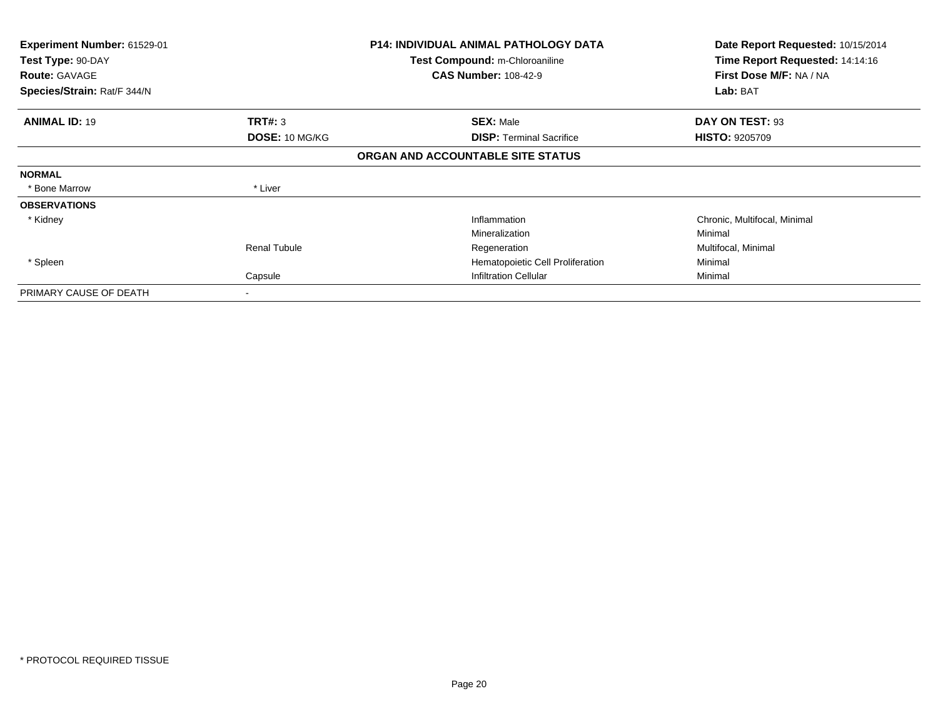| <b>Experiment Number: 61529-01</b><br>Test Type: 90-DAY<br><b>Route: GAVAGE</b> |                       | <b>P14: INDIVIDUAL ANIMAL PATHOLOGY DATA</b><br>Test Compound: m-Chloroaniline<br><b>CAS Number: 108-42-9</b> | Date Report Requested: 10/15/2014<br>Time Report Requested: 14:14:16<br>First Dose M/F: NA / NA |
|---------------------------------------------------------------------------------|-----------------------|---------------------------------------------------------------------------------------------------------------|-------------------------------------------------------------------------------------------------|
| Species/Strain: Rat/F 344/N                                                     |                       |                                                                                                               | Lab: BAT                                                                                        |
| <b>ANIMAL ID: 19</b>                                                            | TRT#: 3               | <b>SEX: Male</b>                                                                                              | DAY ON TEST: 93                                                                                 |
|                                                                                 | <b>DOSE: 10 MG/KG</b> | <b>DISP: Terminal Sacrifice</b>                                                                               | <b>HISTO: 9205709</b>                                                                           |
|                                                                                 |                       | ORGAN AND ACCOUNTABLE SITE STATUS                                                                             |                                                                                                 |
| <b>NORMAL</b>                                                                   |                       |                                                                                                               |                                                                                                 |
| * Bone Marrow                                                                   | * Liver               |                                                                                                               |                                                                                                 |
| <b>OBSERVATIONS</b>                                                             |                       |                                                                                                               |                                                                                                 |
| * Kidney                                                                        |                       | Inflammation                                                                                                  | Chronic, Multifocal, Minimal                                                                    |
|                                                                                 |                       | Mineralization                                                                                                | Minimal                                                                                         |
|                                                                                 | Renal Tubule          | Regeneration                                                                                                  | Multifocal, Minimal                                                                             |
| * Spleen                                                                        |                       | Hematopoietic Cell Proliferation                                                                              | Minimal                                                                                         |
|                                                                                 | Capsule               | <b>Infiltration Cellular</b>                                                                                  | Minimal                                                                                         |
| PRIMARY CAUSE OF DEATH                                                          | -                     |                                                                                                               |                                                                                                 |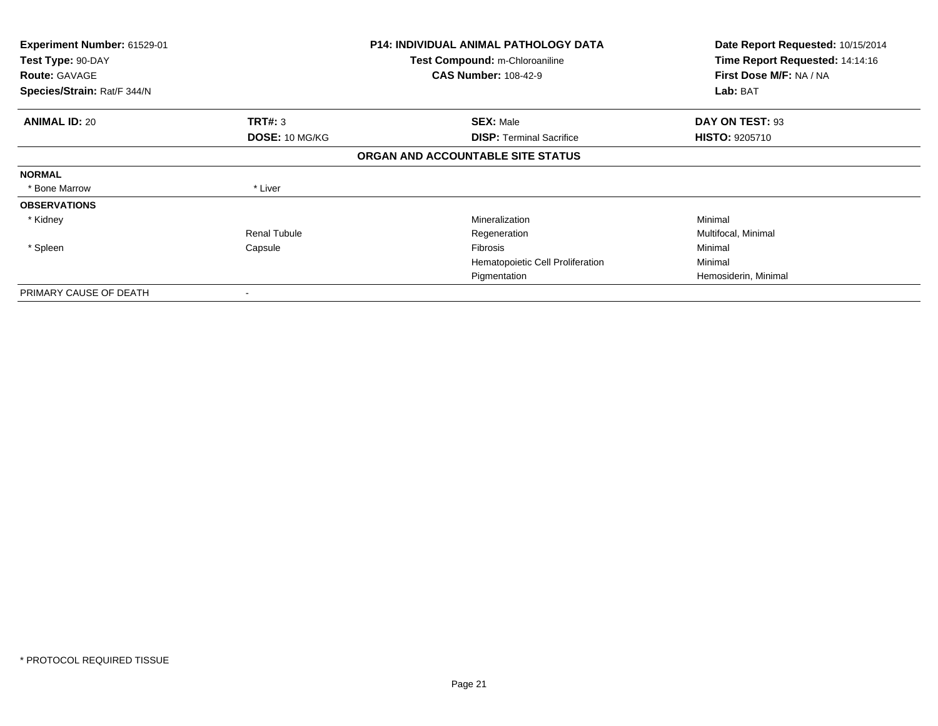| <b>Experiment Number: 61529-01</b><br>Test Type: 90-DAY<br><b>Route: GAVAGE</b> |                       | <b>P14: INDIVIDUAL ANIMAL PATHOLOGY DATA</b><br>Test Compound: m-Chloroaniline<br><b>CAS Number: 108-42-9</b> | Date Report Requested: 10/15/2014<br>Time Report Requested: 14:14:16<br>First Dose M/F: NA / NA |
|---------------------------------------------------------------------------------|-----------------------|---------------------------------------------------------------------------------------------------------------|-------------------------------------------------------------------------------------------------|
| Species/Strain: Rat/F 344/N                                                     |                       |                                                                                                               | Lab: BAT                                                                                        |
| <b>ANIMAL ID: 20</b>                                                            | <b>TRT#: 3</b>        | <b>SEX: Male</b>                                                                                              | DAY ON TEST: 93                                                                                 |
|                                                                                 | <b>DOSE: 10 MG/KG</b> | <b>DISP: Terminal Sacrifice</b>                                                                               | <b>HISTO: 9205710</b>                                                                           |
|                                                                                 |                       | ORGAN AND ACCOUNTABLE SITE STATUS                                                                             |                                                                                                 |
| <b>NORMAL</b>                                                                   |                       |                                                                                                               |                                                                                                 |
| * Bone Marrow                                                                   | * Liver               |                                                                                                               |                                                                                                 |
| <b>OBSERVATIONS</b>                                                             |                       |                                                                                                               |                                                                                                 |
| * Kidney                                                                        |                       | Mineralization                                                                                                | Minimal                                                                                         |
|                                                                                 | Renal Tubule          | Regeneration                                                                                                  | Multifocal, Minimal                                                                             |
| * Spleen                                                                        | Capsule               | <b>Fibrosis</b>                                                                                               | Minimal                                                                                         |
|                                                                                 |                       | Hematopoietic Cell Proliferation                                                                              | Minimal                                                                                         |
|                                                                                 |                       | Pigmentation                                                                                                  | Hemosiderin, Minimal                                                                            |
| PRIMARY CAUSE OF DEATH                                                          | ۰                     |                                                                                                               |                                                                                                 |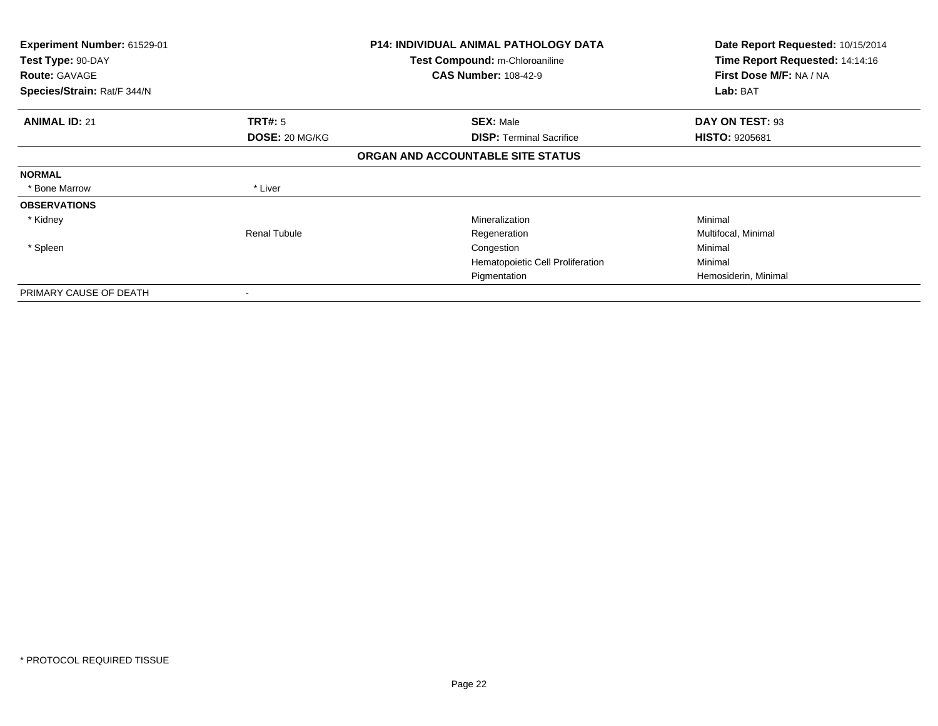| <b>Experiment Number: 61529-01</b><br>Test Type: 90-DAY |                          | <b>P14: INDIVIDUAL ANIMAL PATHOLOGY DATA</b><br>Test Compound: m-Chloroaniline | Date Report Requested: 10/15/2014<br>Time Report Requested: 14:14:16 |
|---------------------------------------------------------|--------------------------|--------------------------------------------------------------------------------|----------------------------------------------------------------------|
| <b>Route: GAVAGE</b>                                    |                          | <b>CAS Number: 108-42-9</b>                                                    | First Dose M/F: NA / NA                                              |
| Species/Strain: Rat/F 344/N                             |                          |                                                                                | Lab: BAT                                                             |
| <b>ANIMAL ID: 21</b>                                    | <b>TRT#: 5</b>           | <b>SEX: Male</b>                                                               | DAY ON TEST: 93                                                      |
|                                                         | DOSE: 20 MG/KG           | <b>DISP: Terminal Sacrifice</b>                                                | <b>HISTO: 9205681</b>                                                |
|                                                         |                          | ORGAN AND ACCOUNTABLE SITE STATUS                                              |                                                                      |
| <b>NORMAL</b>                                           |                          |                                                                                |                                                                      |
| * Bone Marrow                                           | * Liver                  |                                                                                |                                                                      |
| <b>OBSERVATIONS</b>                                     |                          |                                                                                |                                                                      |
| * Kidney                                                |                          | Mineralization                                                                 | Minimal                                                              |
|                                                         | <b>Renal Tubule</b>      | Regeneration                                                                   | Multifocal, Minimal                                                  |
| * Spleen                                                |                          | Congestion                                                                     | Minimal                                                              |
|                                                         |                          | Hematopoietic Cell Proliferation                                               | Minimal                                                              |
|                                                         |                          | Pigmentation                                                                   | Hemosiderin, Minimal                                                 |
| PRIMARY CAUSE OF DEATH                                  | $\overline{\phantom{a}}$ |                                                                                |                                                                      |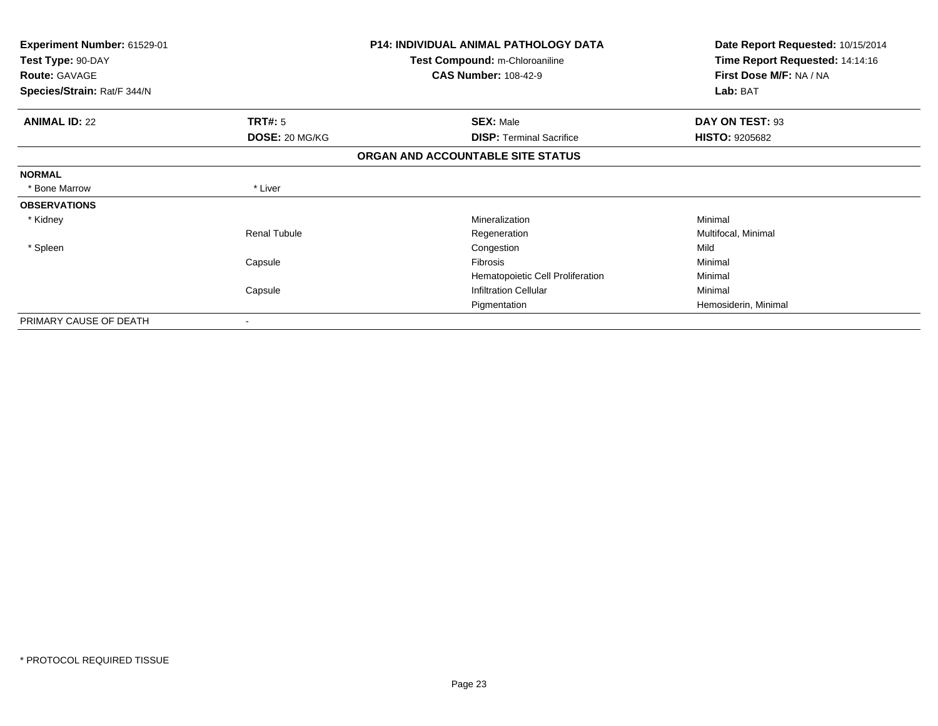| Experiment Number: 61529-01<br>Test Type: 90-DAY<br><b>Route: GAVAGE</b> |                     | <b>P14: INDIVIDUAL ANIMAL PATHOLOGY DATA</b><br>Test Compound: m-Chloroaniline<br><b>CAS Number: 108-42-9</b> | Date Report Requested: 10/15/2014<br>Time Report Requested: 14:14:16<br>First Dose M/F: NA / NA |  |
|--------------------------------------------------------------------------|---------------------|---------------------------------------------------------------------------------------------------------------|-------------------------------------------------------------------------------------------------|--|
| Species/Strain: Rat/F 344/N                                              |                     |                                                                                                               | Lab: BAT                                                                                        |  |
| <b>ANIMAL ID: 22</b>                                                     | <b>TRT#: 5</b>      | <b>SEX: Male</b>                                                                                              | DAY ON TEST: 93                                                                                 |  |
|                                                                          | DOSE: 20 MG/KG      | <b>DISP:</b> Terminal Sacrifice                                                                               | <b>HISTO: 9205682</b>                                                                           |  |
|                                                                          |                     | ORGAN AND ACCOUNTABLE SITE STATUS                                                                             |                                                                                                 |  |
| <b>NORMAL</b>                                                            |                     |                                                                                                               |                                                                                                 |  |
| * Bone Marrow                                                            | * Liver             |                                                                                                               |                                                                                                 |  |
| <b>OBSERVATIONS</b>                                                      |                     |                                                                                                               |                                                                                                 |  |
| * Kidney                                                                 |                     | Mineralization                                                                                                | Minimal                                                                                         |  |
|                                                                          | <b>Renal Tubule</b> | Regeneration                                                                                                  | Multifocal, Minimal                                                                             |  |
| * Spleen                                                                 |                     | Congestion                                                                                                    | Mild                                                                                            |  |
|                                                                          | Capsule             | Fibrosis                                                                                                      | Minimal                                                                                         |  |
|                                                                          |                     | Hematopoietic Cell Proliferation                                                                              | Minimal                                                                                         |  |
|                                                                          | Capsule             | <b>Infiltration Cellular</b>                                                                                  | Minimal                                                                                         |  |
|                                                                          |                     | Pigmentation                                                                                                  | Hemosiderin, Minimal                                                                            |  |
| PRIMARY CAUSE OF DEATH                                                   |                     |                                                                                                               |                                                                                                 |  |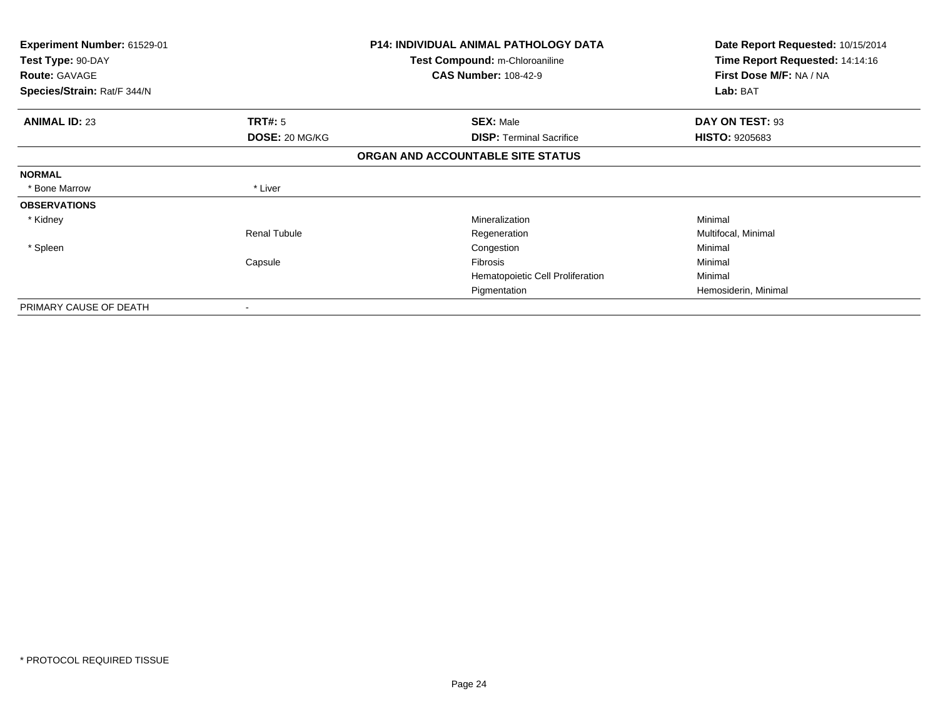| Experiment Number: 61529-01<br>Test Type: 90-DAY<br><b>Route: GAVAGE</b><br>Species/Strain: Rat/F 344/N |                     | <b>P14: INDIVIDUAL ANIMAL PATHOLOGY DATA</b><br>Test Compound: m-Chloroaniline<br><b>CAS Number: 108-42-9</b> | Date Report Requested: 10/15/2014<br>Time Report Requested: 14:14:16<br>First Dose M/F: NA / NA<br>Lab: BAT |
|---------------------------------------------------------------------------------------------------------|---------------------|---------------------------------------------------------------------------------------------------------------|-------------------------------------------------------------------------------------------------------------|
|                                                                                                         |                     |                                                                                                               |                                                                                                             |
| <b>ANIMAL ID: 23</b>                                                                                    | <b>TRT#:</b> 5      | <b>SEX: Male</b>                                                                                              | DAY ON TEST: 93                                                                                             |
|                                                                                                         | DOSE: 20 MG/KG      | <b>DISP:</b> Terminal Sacrifice                                                                               | <b>HISTO: 9205683</b>                                                                                       |
|                                                                                                         |                     | ORGAN AND ACCOUNTABLE SITE STATUS                                                                             |                                                                                                             |
| <b>NORMAL</b>                                                                                           |                     |                                                                                                               |                                                                                                             |
| * Bone Marrow                                                                                           | * Liver             |                                                                                                               |                                                                                                             |
| <b>OBSERVATIONS</b>                                                                                     |                     |                                                                                                               |                                                                                                             |
| * Kidney                                                                                                |                     | Mineralization                                                                                                | Minimal                                                                                                     |
|                                                                                                         | <b>Renal Tubule</b> | Regeneration                                                                                                  | Multifocal, Minimal                                                                                         |
| * Spleen                                                                                                |                     | Congestion                                                                                                    | Minimal                                                                                                     |
|                                                                                                         | Capsule             | Fibrosis                                                                                                      | Minimal                                                                                                     |
|                                                                                                         |                     | Hematopoietic Cell Proliferation                                                                              | Minimal                                                                                                     |
|                                                                                                         |                     | Pigmentation                                                                                                  | Hemosiderin, Minimal                                                                                        |
| PRIMARY CAUSE OF DEATH                                                                                  | ۰                   |                                                                                                               |                                                                                                             |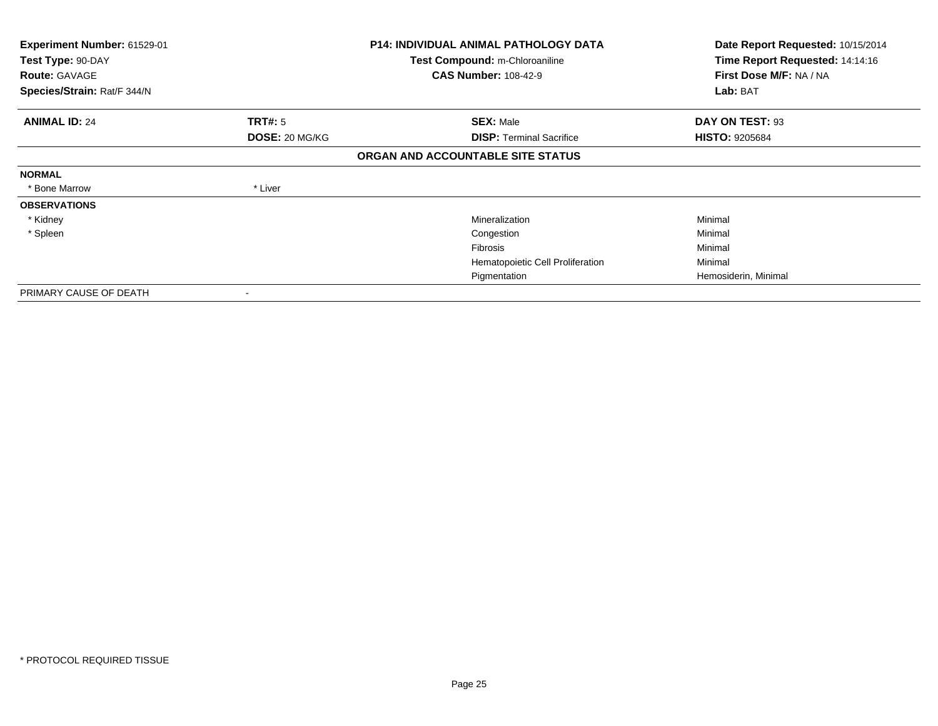| Experiment Number: 61529-01<br>Test Type: 90-DAY |                       | <b>P14: INDIVIDUAL ANIMAL PATHOLOGY DATA</b><br>Test Compound: m-Chloroaniline | Date Report Requested: 10/15/2014<br>Time Report Requested: 14:14:16 |
|--------------------------------------------------|-----------------------|--------------------------------------------------------------------------------|----------------------------------------------------------------------|
| <b>Route: GAVAGE</b>                             |                       | <b>CAS Number: 108-42-9</b>                                                    | First Dose M/F: NA / NA                                              |
| Species/Strain: Rat/F 344/N                      |                       |                                                                                | Lab: BAT                                                             |
| <b>ANIMAL ID: 24</b>                             | <b>TRT#: 5</b>        | <b>SEX: Male</b>                                                               | DAY ON TEST: 93                                                      |
|                                                  | <b>DOSE: 20 MG/KG</b> | <b>DISP: Terminal Sacrifice</b>                                                | <b>HISTO: 9205684</b>                                                |
|                                                  |                       | ORGAN AND ACCOUNTABLE SITE STATUS                                              |                                                                      |
| <b>NORMAL</b>                                    |                       |                                                                                |                                                                      |
| * Bone Marrow                                    | * Liver               |                                                                                |                                                                      |
| <b>OBSERVATIONS</b>                              |                       |                                                                                |                                                                      |
| * Kidney                                         |                       | Mineralization                                                                 | Minimal                                                              |
| * Spleen                                         |                       | Congestion                                                                     | Minimal                                                              |
|                                                  |                       | Fibrosis                                                                       | Minimal                                                              |
|                                                  |                       | Hematopoietic Cell Proliferation                                               | Minimal                                                              |
|                                                  |                       | Pigmentation                                                                   | Hemosiderin, Minimal                                                 |
| PRIMARY CAUSE OF DEATH                           |                       |                                                                                |                                                                      |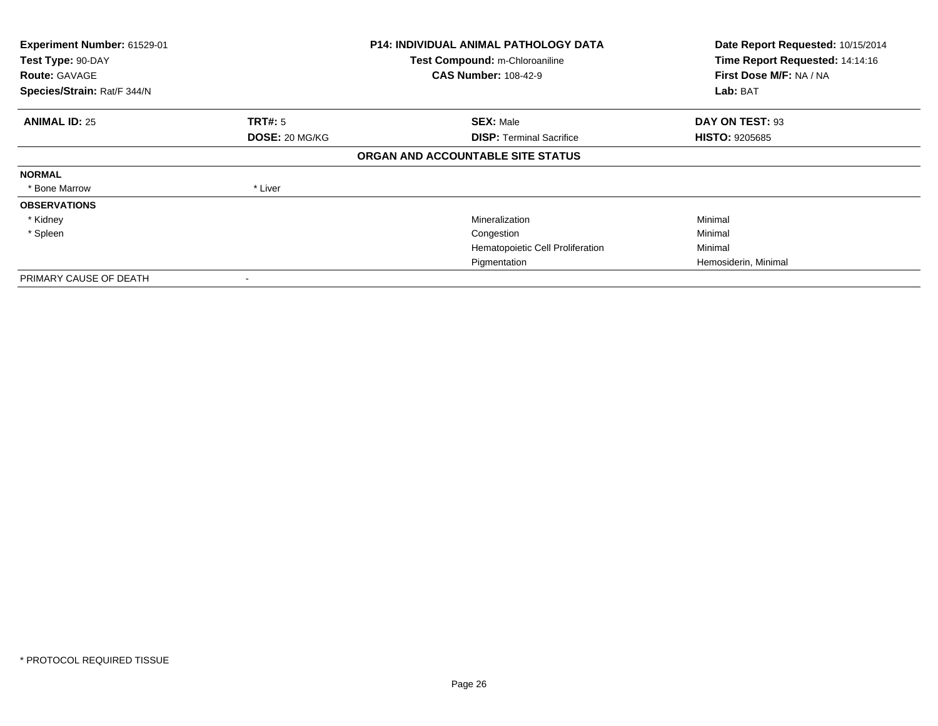| Experiment Number: 61529-01<br>Test Type: 90-DAY<br><b>Route: GAVAGE</b><br>Species/Strain: Rat/F 344/N |                | <b>P14: INDIVIDUAL ANIMAL PATHOLOGY DATA</b><br>Test Compound: m-Chloroaniline<br><b>CAS Number: 108-42-9</b> | Date Report Requested: 10/15/2014<br>Time Report Requested: 14:14:16<br>First Dose M/F: NA / NA<br>Lab: BAT |
|---------------------------------------------------------------------------------------------------------|----------------|---------------------------------------------------------------------------------------------------------------|-------------------------------------------------------------------------------------------------------------|
|                                                                                                         |                |                                                                                                               |                                                                                                             |
| <b>ANIMAL ID: 25</b>                                                                                    | <b>TRT#:</b> 5 | <b>SEX: Male</b>                                                                                              | DAY ON TEST: 93                                                                                             |
|                                                                                                         | DOSE: 20 MG/KG | <b>DISP: Terminal Sacrifice</b>                                                                               | <b>HISTO: 9205685</b>                                                                                       |
|                                                                                                         |                | ORGAN AND ACCOUNTABLE SITE STATUS                                                                             |                                                                                                             |
| <b>NORMAL</b>                                                                                           |                |                                                                                                               |                                                                                                             |
| * Bone Marrow                                                                                           | * Liver        |                                                                                                               |                                                                                                             |
| <b>OBSERVATIONS</b>                                                                                     |                |                                                                                                               |                                                                                                             |
| * Kidney                                                                                                |                | Mineralization                                                                                                | Minimal                                                                                                     |
| * Spleen                                                                                                |                | Congestion                                                                                                    | Minimal                                                                                                     |
|                                                                                                         |                | Hematopoietic Cell Proliferation                                                                              | Minimal                                                                                                     |
|                                                                                                         |                | Pigmentation                                                                                                  | Hemosiderin, Minimal                                                                                        |
| PRIMARY CAUSE OF DEATH                                                                                  |                |                                                                                                               |                                                                                                             |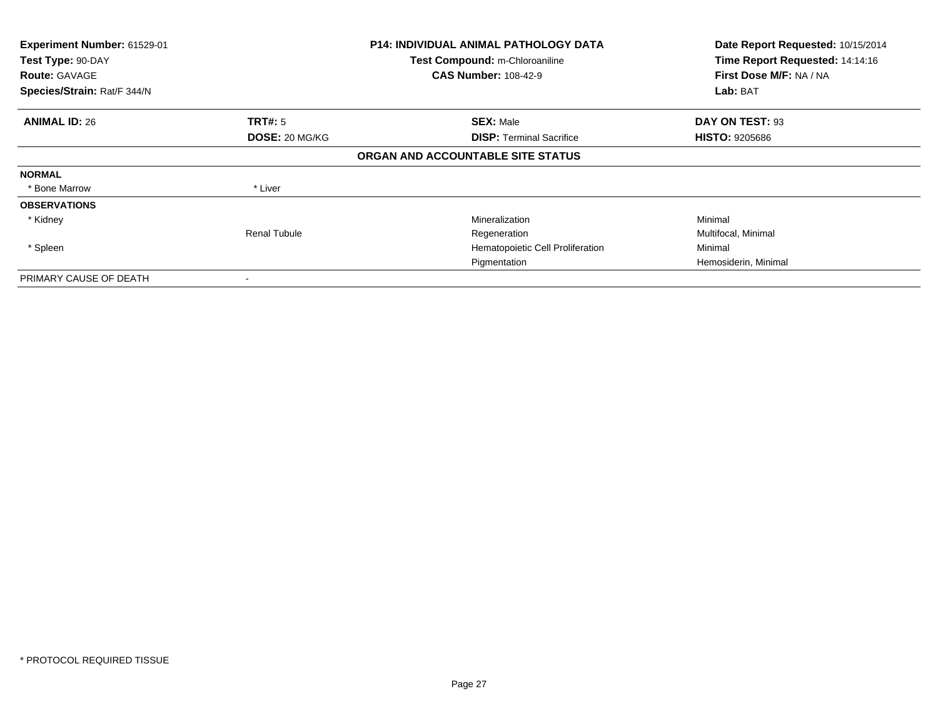| Experiment Number: 61529-01<br>Test Type: 90-DAY<br><b>Route: GAVAGE</b><br>Species/Strain: Rat/F 344/N |                                  | <b>P14: INDIVIDUAL ANIMAL PATHOLOGY DATA</b><br>Test Compound: m-Chloroaniline<br><b>CAS Number: 108-42-9</b> | Date Report Requested: 10/15/2014<br>Time Report Requested: 14:14:16<br>First Dose M/F: NA / NA<br>Lab: BAT |
|---------------------------------------------------------------------------------------------------------|----------------------------------|---------------------------------------------------------------------------------------------------------------|-------------------------------------------------------------------------------------------------------------|
| <b>ANIMAL ID: 26</b>                                                                                    | <b>TRT#:</b> 5<br>DOSE: 20 MG/KG | <b>SEX: Male</b><br><b>DISP: Terminal Sacrifice</b>                                                           | DAY ON TEST: 93<br><b>HISTO: 9205686</b>                                                                    |
|                                                                                                         |                                  | ORGAN AND ACCOUNTABLE SITE STATUS                                                                             |                                                                                                             |
| <b>NORMAL</b>                                                                                           |                                  |                                                                                                               |                                                                                                             |
| * Bone Marrow                                                                                           | * Liver                          |                                                                                                               |                                                                                                             |
| <b>OBSERVATIONS</b>                                                                                     |                                  |                                                                                                               |                                                                                                             |
| * Kidney                                                                                                |                                  | Mineralization                                                                                                | Minimal                                                                                                     |
|                                                                                                         | <b>Renal Tubule</b>              | Regeneration                                                                                                  | Multifocal, Minimal                                                                                         |
| * Spleen                                                                                                |                                  | Hematopoietic Cell Proliferation                                                                              | Minimal                                                                                                     |
|                                                                                                         |                                  | Pigmentation                                                                                                  | Hemosiderin, Minimal                                                                                        |
| PRIMARY CAUSE OF DEATH                                                                                  |                                  |                                                                                                               |                                                                                                             |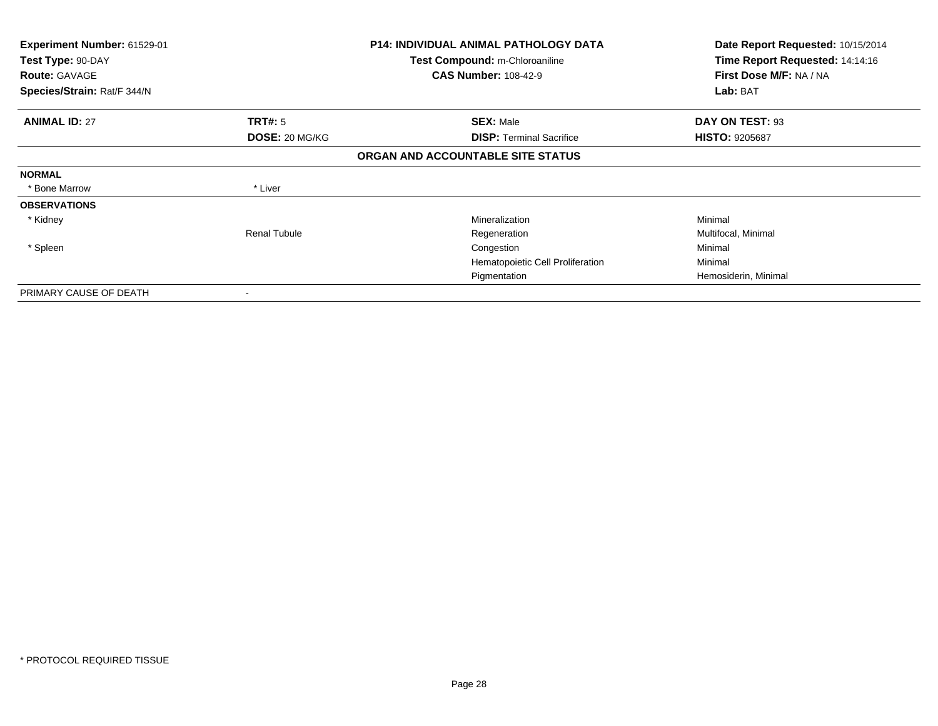| <b>Experiment Number: 61529-01</b><br>Test Type: 90-DAY |                          | <b>P14: INDIVIDUAL ANIMAL PATHOLOGY DATA</b><br>Test Compound: m-Chloroaniline | Date Report Requested: 10/15/2014<br>Time Report Requested: 14:14:16 |
|---------------------------------------------------------|--------------------------|--------------------------------------------------------------------------------|----------------------------------------------------------------------|
| <b>Route: GAVAGE</b>                                    |                          | <b>CAS Number: 108-42-9</b>                                                    | First Dose M/F: NA / NA                                              |
| Species/Strain: Rat/F 344/N                             |                          |                                                                                | Lab: BAT                                                             |
| <b>ANIMAL ID: 27</b>                                    | <b>TRT#: 5</b>           | <b>SEX: Male</b>                                                               | DAY ON TEST: 93                                                      |
|                                                         | DOSE: 20 MG/KG           | <b>DISP: Terminal Sacrifice</b>                                                | <b>HISTO: 9205687</b>                                                |
|                                                         |                          | ORGAN AND ACCOUNTABLE SITE STATUS                                              |                                                                      |
| <b>NORMAL</b>                                           |                          |                                                                                |                                                                      |
| * Bone Marrow                                           | * Liver                  |                                                                                |                                                                      |
| <b>OBSERVATIONS</b>                                     |                          |                                                                                |                                                                      |
| * Kidney                                                |                          | Mineralization                                                                 | Minimal                                                              |
|                                                         | <b>Renal Tubule</b>      | Regeneration                                                                   | Multifocal, Minimal                                                  |
| * Spleen                                                |                          | Congestion                                                                     | Minimal                                                              |
|                                                         |                          | Hematopoietic Cell Proliferation                                               | Minimal                                                              |
|                                                         |                          | Pigmentation                                                                   | Hemosiderin, Minimal                                                 |
| PRIMARY CAUSE OF DEATH                                  | $\overline{\phantom{a}}$ |                                                                                |                                                                      |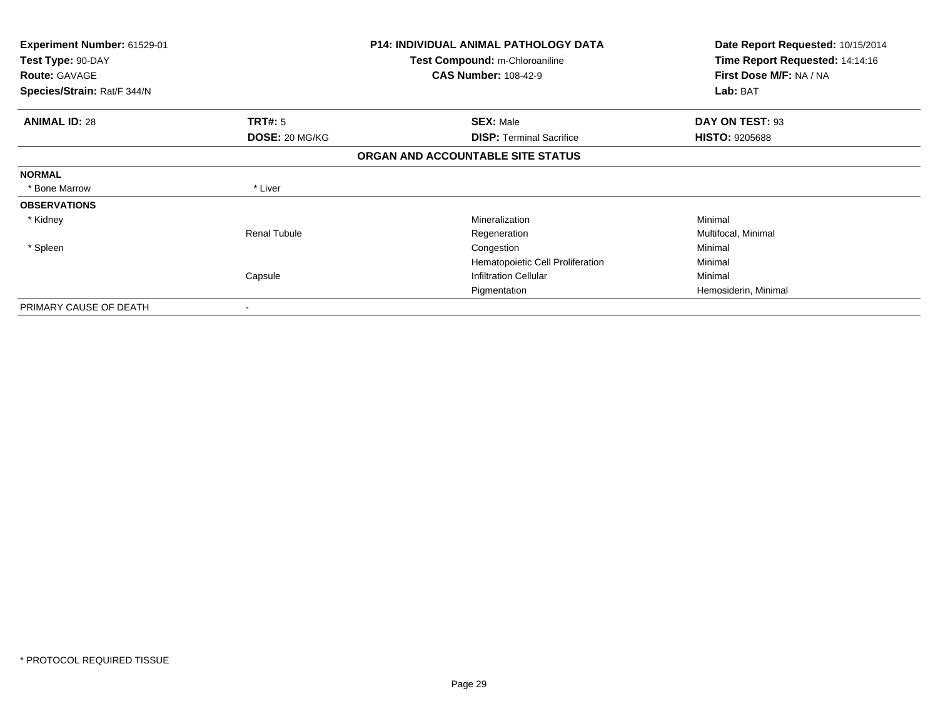| Experiment Number: 61529-01<br>Test Type: 90-DAY<br><b>Route: GAVAGE</b><br>Species/Strain: Rat/F 344/N |                     | <b>P14: INDIVIDUAL ANIMAL PATHOLOGY DATA</b><br><b>Test Compound: m-Chloroaniline</b><br><b>CAS Number: 108-42-9</b> | Date Report Requested: 10/15/2014<br>Time Report Requested: 14:14:16<br>First Dose M/F: NA / NA<br>Lab: BAT |
|---------------------------------------------------------------------------------------------------------|---------------------|----------------------------------------------------------------------------------------------------------------------|-------------------------------------------------------------------------------------------------------------|
| <b>ANIMAL ID: 28</b>                                                                                    | TRT#: 5             | <b>SEX: Male</b>                                                                                                     | DAY ON TEST: 93                                                                                             |
|                                                                                                         | DOSE: 20 MG/KG      | <b>DISP:</b> Terminal Sacrifice                                                                                      | <b>HISTO: 9205688</b>                                                                                       |
|                                                                                                         |                     | ORGAN AND ACCOUNTABLE SITE STATUS                                                                                    |                                                                                                             |
| <b>NORMAL</b>                                                                                           |                     |                                                                                                                      |                                                                                                             |
| * Bone Marrow                                                                                           | * Liver             |                                                                                                                      |                                                                                                             |
| <b>OBSERVATIONS</b>                                                                                     |                     |                                                                                                                      |                                                                                                             |
| * Kidney                                                                                                |                     | Mineralization                                                                                                       | Minimal                                                                                                     |
|                                                                                                         | <b>Renal Tubule</b> | Regeneration                                                                                                         | Multifocal, Minimal                                                                                         |
| * Spleen                                                                                                |                     | Congestion                                                                                                           | Minimal                                                                                                     |
|                                                                                                         |                     | Hematopoietic Cell Proliferation                                                                                     | Minimal                                                                                                     |
|                                                                                                         | Capsule             | <b>Infiltration Cellular</b>                                                                                         | Minimal                                                                                                     |
|                                                                                                         |                     | Pigmentation                                                                                                         | Hemosiderin, Minimal                                                                                        |
| PRIMARY CAUSE OF DEATH                                                                                  |                     |                                                                                                                      |                                                                                                             |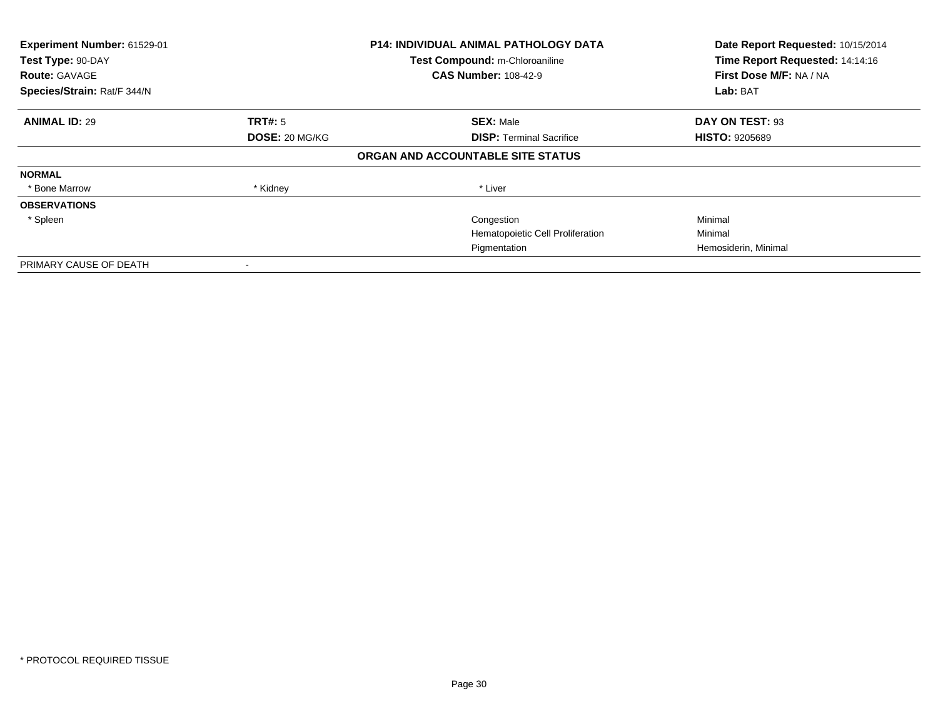| Experiment Number: 61529-01 |                | <b>P14: INDIVIDUAL ANIMAL PATHOLOGY DATA</b> | Date Report Requested: 10/15/2014 |
|-----------------------------|----------------|----------------------------------------------|-----------------------------------|
| Test Type: 90-DAY           |                | Test Compound: m-Chloroaniline               | Time Report Requested: 14:14:16   |
| <b>Route: GAVAGE</b>        |                | <b>CAS Number: 108-42-9</b>                  | First Dose M/F: NA / NA           |
| Species/Strain: Rat/F 344/N |                |                                              | Lab: BAT                          |
| <b>ANIMAL ID: 29</b>        | TRT#: 5        | <b>SEX: Male</b>                             | DAY ON TEST: 93                   |
|                             | DOSE: 20 MG/KG | <b>DISP:</b> Terminal Sacrifice              | <b>HISTO: 9205689</b>             |
|                             |                | ORGAN AND ACCOUNTABLE SITE STATUS            |                                   |
| <b>NORMAL</b>               |                |                                              |                                   |
| * Bone Marrow               | * Kidney       | * Liver                                      |                                   |
| <b>OBSERVATIONS</b>         |                |                                              |                                   |
| * Spleen                    |                | Congestion                                   | Minimal                           |
|                             |                | Hematopoietic Cell Proliferation             | Minimal                           |
|                             |                | Pigmentation                                 | Hemosiderin, Minimal              |
| PRIMARY CAUSE OF DEATH      |                |                                              |                                   |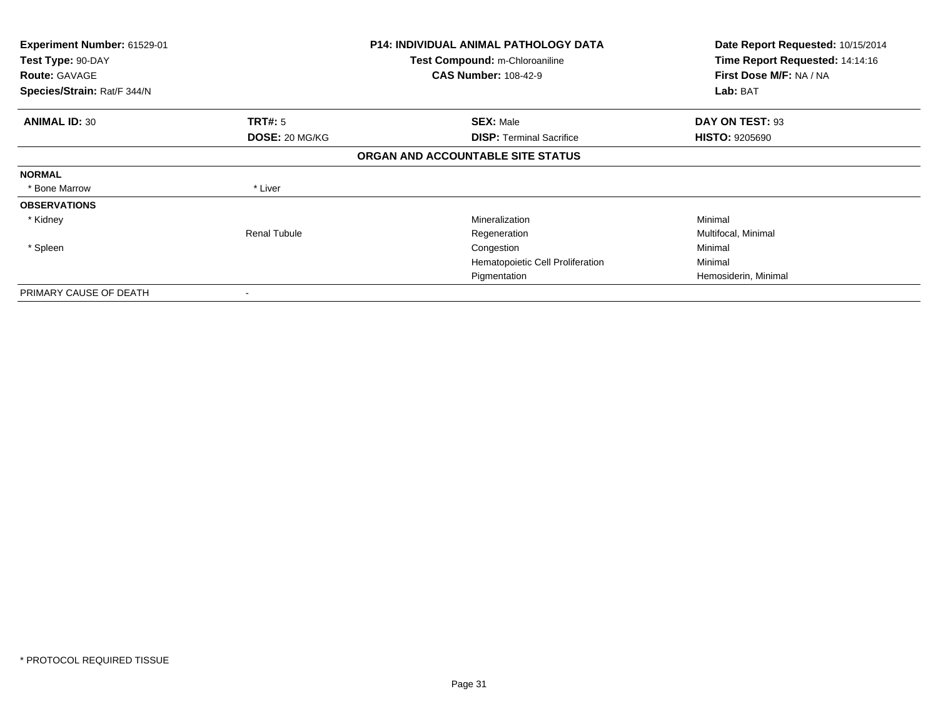| Experiment Number: 61529-01<br>Test Type: 90-DAY |                          | <b>P14: INDIVIDUAL ANIMAL PATHOLOGY DATA</b><br>Test Compound: m-Chloroaniline | Date Report Requested: 10/15/2014<br>Time Report Requested: 14:14:16 |
|--------------------------------------------------|--------------------------|--------------------------------------------------------------------------------|----------------------------------------------------------------------|
| <b>Route: GAVAGE</b>                             |                          | <b>CAS Number: 108-42-9</b>                                                    | First Dose M/F: NA / NA                                              |
| Species/Strain: Rat/F 344/N                      |                          |                                                                                | Lab: BAT                                                             |
| <b>ANIMAL ID: 30</b>                             | <b>TRT#: 5</b>           | <b>SEX: Male</b>                                                               | DAY ON TEST: 93                                                      |
|                                                  | DOSE: 20 MG/KG           | <b>DISP: Terminal Sacrifice</b>                                                | <b>HISTO: 9205690</b>                                                |
|                                                  |                          | ORGAN AND ACCOUNTABLE SITE STATUS                                              |                                                                      |
| <b>NORMAL</b>                                    |                          |                                                                                |                                                                      |
| * Bone Marrow                                    | * Liver                  |                                                                                |                                                                      |
| <b>OBSERVATIONS</b>                              |                          |                                                                                |                                                                      |
| * Kidney                                         |                          | Mineralization                                                                 | Minimal                                                              |
|                                                  | <b>Renal Tubule</b>      | Regeneration                                                                   | Multifocal, Minimal                                                  |
| * Spleen                                         |                          | Congestion                                                                     | Minimal                                                              |
|                                                  |                          | Hematopoietic Cell Proliferation                                               | Minimal                                                              |
|                                                  |                          | Pigmentation                                                                   | Hemosiderin, Minimal                                                 |
| PRIMARY CAUSE OF DEATH                           | $\overline{\phantom{a}}$ |                                                                                |                                                                      |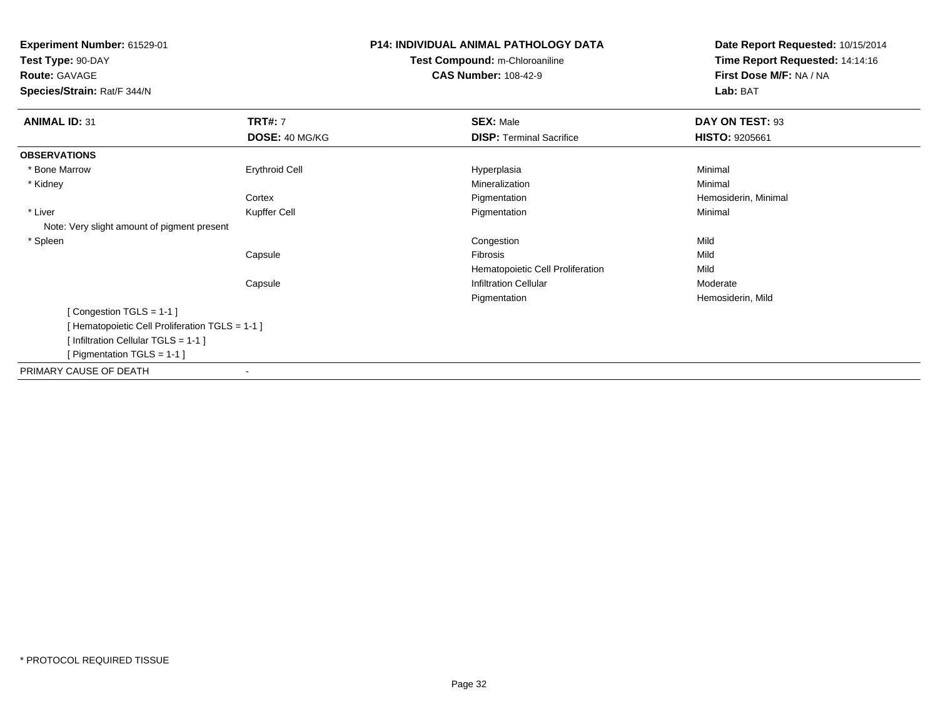**Experiment Number:** 61529-01**Test Type:** 90-DAY**Route:** GAVAGE **Species/Strain:** Rat/F 344/N**P14: INDIVIDUAL ANIMAL PATHOLOGY DATATest Compound:** m-Chloroaniline**CAS Number:** 108-42-9**Date Report Requested:** 10/15/2014**Time Report Requested:** 14:14:16**First Dose M/F:** NA / NA**Lab:** BAT**ANIMAL ID:** 31**TRT#:** 7 **SEX:** Male **DAY ON TEST:** 93 **DOSE:** 40 MG/KG**DISP:** Terminal Sacrifice **HISTO:** 9205661 **OBSERVATIONS** \* Bone Marroww the control of the control of the control of the control of the control of the control of the control of the control of the control of the control of the control of the control of the control of the control of the contro \* Kidneyy with the control of the control of the control of the control of the control of the control of the control of the control of the control of the control of the control of the control of the control of the control of the c n Minimal **Cortex**  PigmentationPigmentation **Example 2 Transformation** and Hemosiderin, Minimal Pigmentation **Contract Contract Contract Contract Contract Contract Contract Contract Contract Contract Contract Contract Contract Contract Contract Contract**  \* Liver Kupffer Cell Pigmentationn Minimal Note: Very slight amount of pigment present \* Spleenn and the congestion of the congestion of the congestion of the congestion of the congestion of the congestion Capsulee entry of the state of the state of the state of the state of the state of the state of the state of the state of the state of the state of the state of the state of the state of the state of the state of the state of the Hematopoietic Cell Proliferationn Mild CapsuleInfiltration Cellular **Moderate** Moderate Pigmentation Hemosiderin, Mild [ Congestion TGLS = 1-1 ][ Hematopoietic Cell Proliferation TGLS = 1-1 ][ Infiltration Cellular TGLS = 1-1 ][ Pigmentation TGLS = 1-1 ]PRIMARY CAUSE OF DEATH-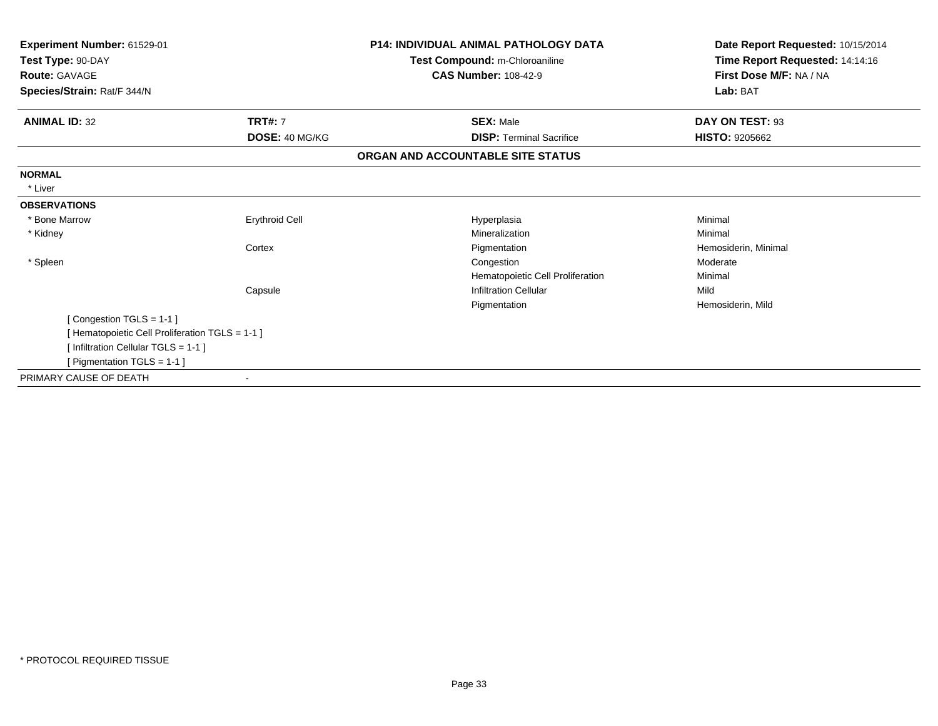| Experiment Number: 61529-01<br>Test Type: 90-DAY |                       | P14: INDIVIDUAL ANIMAL PATHOLOGY DATA<br>Test Compound: m-Chloroaniline | Date Report Requested: 10/15/2014<br>Time Report Requested: 14:14:16 |
|--------------------------------------------------|-----------------------|-------------------------------------------------------------------------|----------------------------------------------------------------------|
| <b>Route: GAVAGE</b>                             |                       | <b>CAS Number: 108-42-9</b>                                             | First Dose M/F: NA / NA                                              |
| Species/Strain: Rat/F 344/N                      |                       |                                                                         | Lab: BAT                                                             |
| <b>ANIMAL ID: 32</b>                             | <b>TRT#: 7</b>        | <b>SEX: Male</b>                                                        | DAY ON TEST: 93                                                      |
|                                                  | DOSE: 40 MG/KG        | <b>DISP:</b> Terminal Sacrifice                                         | <b>HISTO: 9205662</b>                                                |
|                                                  |                       | ORGAN AND ACCOUNTABLE SITE STATUS                                       |                                                                      |
| <b>NORMAL</b>                                    |                       |                                                                         |                                                                      |
| * Liver                                          |                       |                                                                         |                                                                      |
| <b>OBSERVATIONS</b>                              |                       |                                                                         |                                                                      |
| * Bone Marrow                                    | <b>Erythroid Cell</b> | Hyperplasia                                                             | Minimal                                                              |
| * Kidney                                         |                       | Mineralization                                                          | Minimal                                                              |
|                                                  | Cortex                | Pigmentation                                                            | Hemosiderin, Minimal                                                 |
| * Spleen                                         |                       | Congestion                                                              | Moderate                                                             |
|                                                  |                       | Hematopoietic Cell Proliferation                                        | Minimal                                                              |
|                                                  | Capsule               | <b>Infiltration Cellular</b>                                            | Mild                                                                 |
|                                                  |                       | Pigmentation                                                            | Hemosiderin, Mild                                                    |
| [Congestion TGLS = 1-1]                          |                       |                                                                         |                                                                      |
| [ Hematopoietic Cell Proliferation TGLS = 1-1 ]  |                       |                                                                         |                                                                      |
| [Infiltration Cellular TGLS = 1-1]               |                       |                                                                         |                                                                      |
| [ Pigmentation TGLS = $1-1$ ]                    |                       |                                                                         |                                                                      |
| PRIMARY CAUSE OF DEATH                           |                       |                                                                         |                                                                      |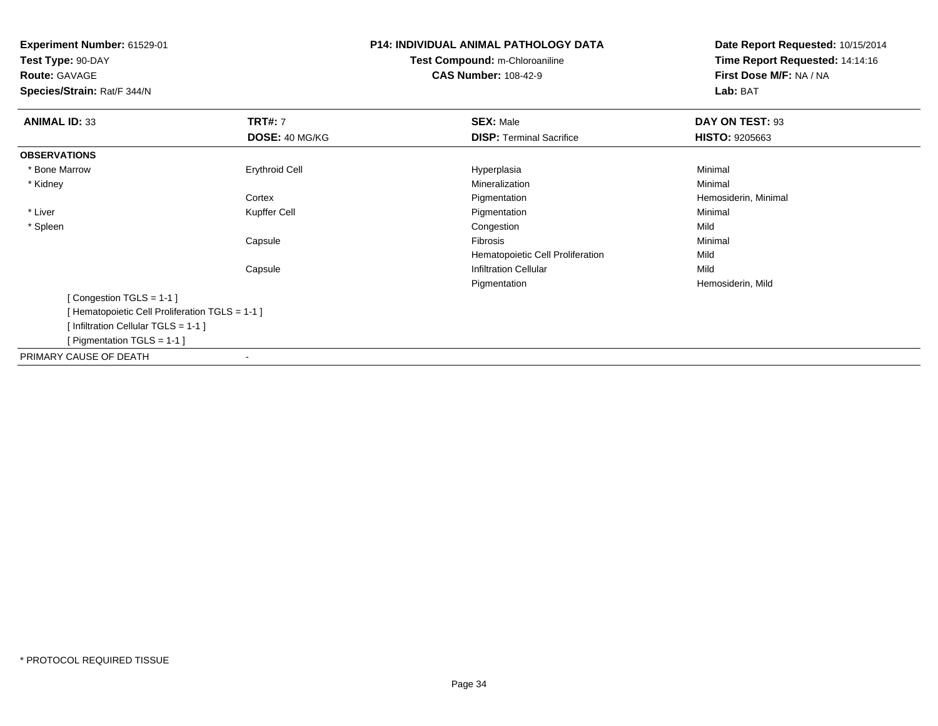**Experiment Number:** 61529-01**Test Type:** 90-DAY**Route:** GAVAGE **Species/Strain:** Rat/F 344/N**P14: INDIVIDUAL ANIMAL PATHOLOGY DATATest Compound:** m-Chloroaniline**CAS Number:** 108-42-9**Date Report Requested:** 10/15/2014**Time Report Requested:** 14:14:16**First Dose M/F:** NA / NA**Lab:** BAT**ANIMAL ID:** 33**TRT#:** 7 **SEX:** Male **DAY ON TEST:** 93 **DOSE:** 40 MG/KG**DISP:** Terminal Sacrifice **HISTO:** 9205663 **OBSERVATIONS** \* Bone Marroww the control of the control of the control of the control of the control of the control of the control of the control of the control of the control of the control of the control of the control of the control of the contro \* Kidneyy with the control of the control of the control of the control of the control of the control of the control of the control of the control of the control of the control of the control of the control of the control of the c n Minimal **Cortex**  Pigmentation Hemosiderin, Minimal \* LiverKupffer Cell **Pigmentation** n Minimal \* Spleenn and the congestion of the congestion of the congestion of the congestion of the congestion of the congestion Capsule Fibrosis Minimal Hematopoietic Cell Proliferationn Mild CapsuleInfiltration Cellular Mild Pigmentation Hemosiderin, Mild [ Congestion TGLS = 1-1 ][ Hematopoietic Cell Proliferation TGLS = 1-1 ][ Infiltration Cellular TGLS = 1-1 ][ Pigmentation TGLS = 1-1 ]PRIMARY CAUSE OF DEATH-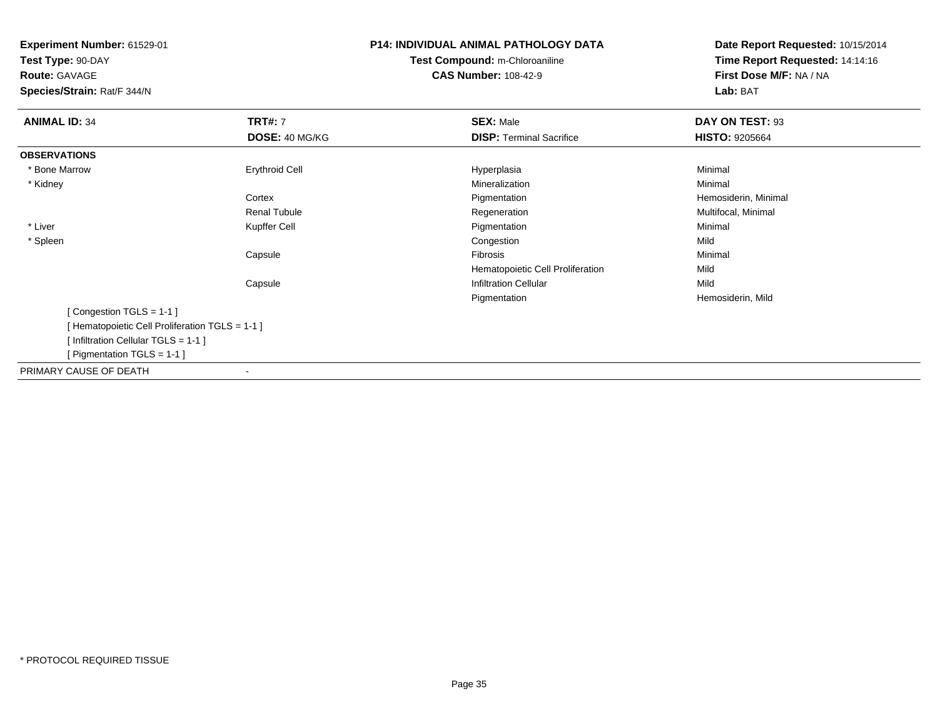**Experiment Number:** 61529-01**Test Type:** 90-DAY**Route:** GAVAGE **Species/Strain:** Rat/F 344/N**P14: INDIVIDUAL ANIMAL PATHOLOGY DATATest Compound:** m-Chloroaniline**CAS Number:** 108-42-9**Date Report Requested:** 10/15/2014**Time Report Requested:** 14:14:16**First Dose M/F:** NA / NA**Lab:** BAT**ANIMAL ID:** 34**TRT#:** 7 **SEX:** Male **DAY ON TEST:** 93 **DOSE:** 40 MG/KG**DISP:** Terminal Sacrifice **HISTO:** 9205664 **OBSERVATIONS** \* Bone Marroww the control of the control of the control of the control of the control of the control of the control of the control of the control of the control of the control of the control of the control of the control of the contro \* Kidneyy with the control of the control of the control of the control of the control of the control of the control of the control of the control of the control of the control of the control of the control of the control of the c n Minimal **Cortex**  PigmentationPigmentation **Exercise Exercise Server Accord Exercise Proportional Regeneration**<br>
Regeneration **Multifocal, Minimal** Renal Tubule Regeneration Multifocal, Minimal \* LiverPigmentation n Minimal \* Spleenn and the congestion of the congestion of the congestion of the congestion of the congestion of the congestion Capsule Fibrosis Minimal Hematopoietic Cell Proliferationn Mild CapsuleInfiltration Cellular Mild Pigmentation Hemosiderin, Mild [ Congestion TGLS = 1-1 ][ Hematopoietic Cell Proliferation TGLS = 1-1 ][ Infiltration Cellular TGLS = 1-1 ][ Pigmentation TGLS = 1-1 ]PRIMARY CAUSE OF DEATH-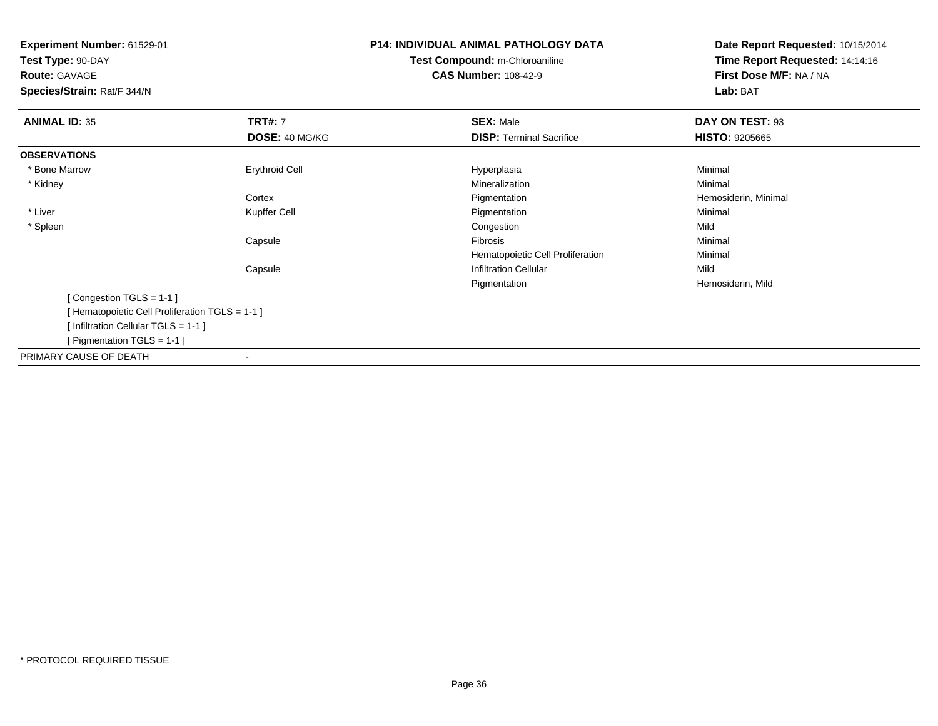**Experiment Number:** 61529-01**Test Type:** 90-DAY**Route:** GAVAGE **Species/Strain:** Rat/F 344/N**P14: INDIVIDUAL ANIMAL PATHOLOGY DATATest Compound:** m-Chloroaniline**CAS Number:** 108-42-9**Date Report Requested:** 10/15/2014**Time Report Requested:** 14:14:16**First Dose M/F:** NA / NA**Lab:** BAT**ANIMAL ID:** 35**TRT#:** 7 **SEX:** Male **DAY ON TEST:** 93 **DOSE:** 40 MG/KG**DISP:** Terminal Sacrifice **HISTO:** 9205665 **OBSERVATIONS** \* Bone Marroww the control of the control of the control of the control of the control of the control of the control of the control of the control of the control of the control of the control of the control of the control of the contro \* Kidneyy with the control of the control of the control of the control of the control of the control of the control of the control of the control of the control of the control of the control of the control of the control of the c n Minimal **Cortex**  Pigmentation Hemosiderin, Minimal \* LiverKupffer Cell **Pigmentation** n Minimal \* Spleenn and the congestion of the congestion of the congestion of the congestion of the congestion of the congestion Capsule Fibrosis Minimal Hematopoietic Cell ProliferationMinimal<br>Mild Capsule**Infiltration Cellular** Pigmentation Hemosiderin, Mild [ Congestion TGLS = 1-1 ][ Hematopoietic Cell Proliferation TGLS = 1-1 ][ Infiltration Cellular TGLS = 1-1 ][ Pigmentation TGLS = 1-1 ]PRIMARY CAUSE OF DEATH-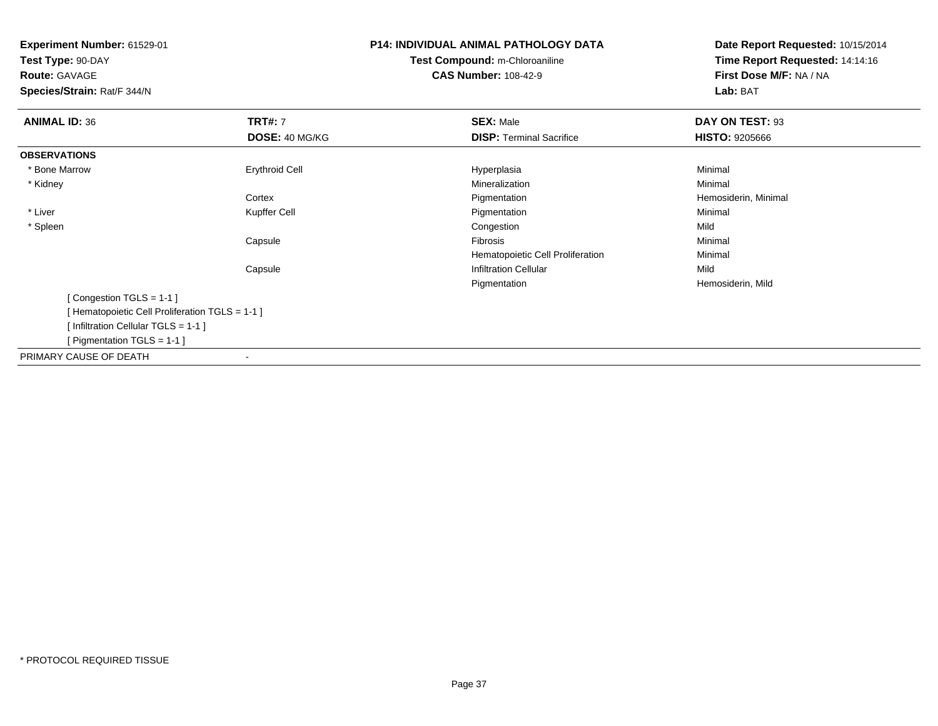**Experiment Number:** 61529-01**Test Type:** 90-DAY**Route:** GAVAGE **Species/Strain:** Rat/F 344/N**P14: INDIVIDUAL ANIMAL PATHOLOGY DATATest Compound:** m-Chloroaniline**CAS Number:** 108-42-9**Date Report Requested:** 10/15/2014**Time Report Requested:** 14:14:16**First Dose M/F:** NA / NA**Lab:** BAT**ANIMAL ID:** 36**TRT#:** 7 **SEX:** Male **DAY ON TEST:** 93 **DOSE:** 40 MG/KG**DISP:** Terminal Sacrifice **HISTO:** 9205666 **OBSERVATIONS** \* Bone Marroww the control of the control of the control of the control of the control of the control of the control of the control of the control of the control of the control of the control of the control of the control of the contro \* Kidneyy with the control of the control of the control of the control of the control of the control of the control of the control of the control of the control of the control of the control of the control of the control of the c n Minimal **Cortex**  Pigmentation Hemosiderin, Minimal \* LiverKupffer Cell **Pigmentation** n Minimal \* Spleenn and the congestion of the congestion of the congestion of the congestion of the congestion of the congestion Capsule Fibrosis Minimal Hematopoietic Cell ProliferationMinimal<br>Mild Capsule**Infiltration Cellular** Pigmentation Hemosiderin, Mild [ Congestion TGLS = 1-1 ][ Hematopoietic Cell Proliferation TGLS = 1-1 ][ Infiltration Cellular TGLS = 1-1 ][ Pigmentation TGLS = 1-1 ]PRIMARY CAUSE OF DEATH-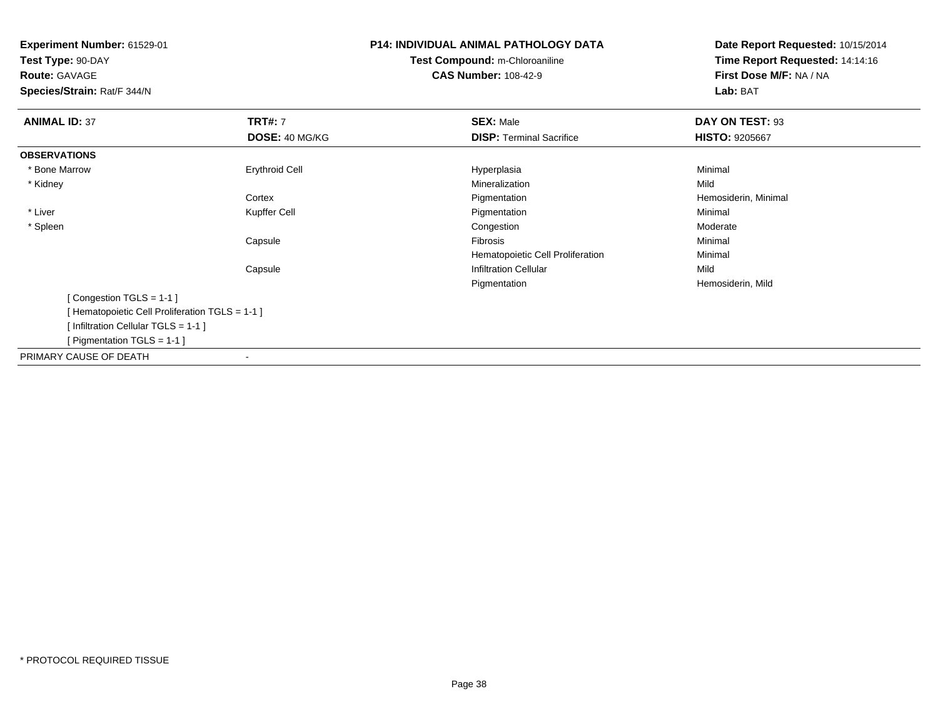**Experiment Number:** 61529-01**Test Type:** 90-DAY**Route:** GAVAGE **Species/Strain:** Rat/F 344/N**P14: INDIVIDUAL ANIMAL PATHOLOGY DATATest Compound:** m-Chloroaniline**CAS Number:** 108-42-9**Date Report Requested:** 10/15/2014**Time Report Requested:** 14:14:16**First Dose M/F:** NA / NA**Lab:** BAT**ANIMAL ID:** 37**TRT#:** 7 **SEX:** Male **DAY ON TEST:** 93 **DOSE:** 40 MG/KG**DISP:** Terminal Sacrifice **HISTO:** 9205667 **OBSERVATIONS** \* Bone Marroww the control of the control of the control of the control of the control of the control of the control of the control of the control of the control of the control of the control of the control of the control of the contro \* Kidneyy with the control of the control of the control of the control of the control of the control of the control of the control of the control of the control of the control of the control of the control of the control of the c n Mild **Cortex**  Pigmentation Hemosiderin, Minimal \* LiverKupffer Cell **Pigmentation** n Minimal \* Spleenn and the congestion of the congestion of the congestion of the congestion of the congestion of the congestion  $\mathsf{M}$ oderate Capsule Fibrosis Minimal Hematopoietic Cell ProliferationMinimal<br>Mild Capsule**Infiltration Cellular** Pigmentation Hemosiderin, Mild [ Congestion TGLS = 1-1 ][ Hematopoietic Cell Proliferation TGLS = 1-1 ][ Infiltration Cellular TGLS = 1-1 ][ Pigmentation TGLS = 1-1 ]PRIMARY CAUSE OF DEATH-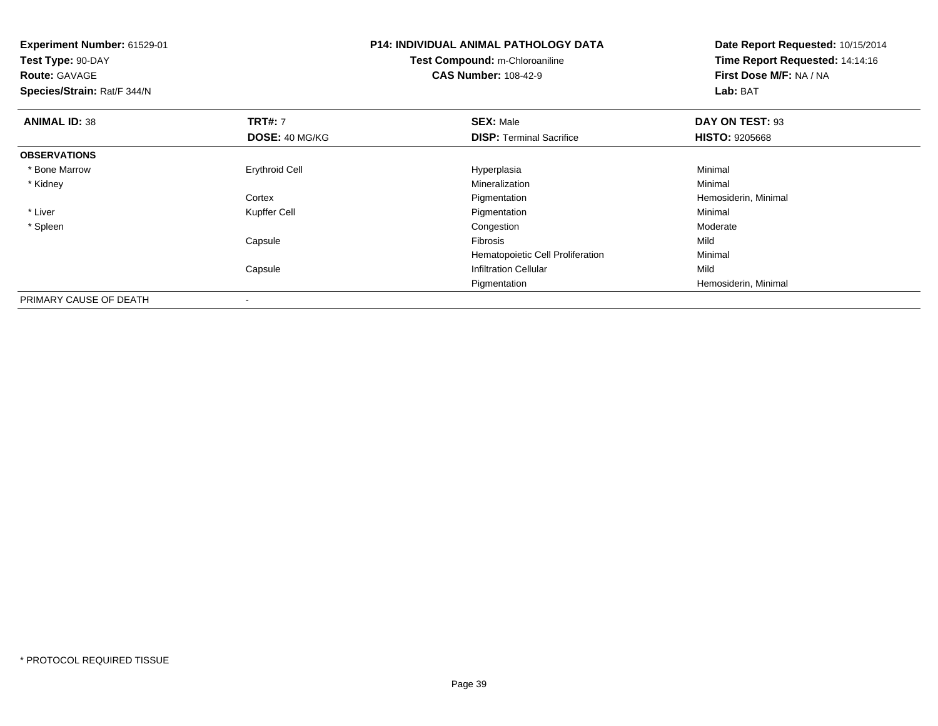| <b>Experiment Number: 61529-01</b><br>Test Type: 90-DAY<br><b>Route: GAVAGE</b><br>Species/Strain: Rat/F 344/N |                       | <b>P14: INDIVIDUAL ANIMAL PATHOLOGY DATA</b><br>Test Compound: m-Chloroaniline<br><b>CAS Number: 108-42-9</b> | Date Report Requested: 10/15/2014<br>Time Report Requested: 14:14:16<br>First Dose M/F: NA / NA<br>Lab: BAT |
|----------------------------------------------------------------------------------------------------------------|-----------------------|---------------------------------------------------------------------------------------------------------------|-------------------------------------------------------------------------------------------------------------|
| <b>ANIMAL ID: 38</b>                                                                                           | <b>TRT#: 7</b>        | <b>SEX: Male</b>                                                                                              | DAY ON TEST: 93                                                                                             |
|                                                                                                                | DOSE: 40 MG/KG        | <b>DISP: Terminal Sacrifice</b>                                                                               | <b>HISTO: 9205668</b>                                                                                       |
| <b>OBSERVATIONS</b>                                                                                            |                       |                                                                                                               |                                                                                                             |
| * Bone Marrow                                                                                                  | <b>Erythroid Cell</b> | Hyperplasia                                                                                                   | Minimal                                                                                                     |
| * Kidney                                                                                                       |                       | Mineralization                                                                                                | Minimal                                                                                                     |
|                                                                                                                | Cortex                | Pigmentation                                                                                                  | Hemosiderin, Minimal                                                                                        |
| * Liver                                                                                                        | Kupffer Cell          | Pigmentation                                                                                                  | Minimal                                                                                                     |
| * Spleen                                                                                                       |                       | Congestion                                                                                                    | Moderate                                                                                                    |
|                                                                                                                | Capsule               | Fibrosis                                                                                                      | Mild                                                                                                        |
|                                                                                                                |                       | Hematopoietic Cell Proliferation                                                                              | Minimal                                                                                                     |
|                                                                                                                | Capsule               | <b>Infiltration Cellular</b>                                                                                  | Mild                                                                                                        |
|                                                                                                                |                       | Pigmentation                                                                                                  | Hemosiderin, Minimal                                                                                        |
| PRIMARY CAUSE OF DEATH                                                                                         |                       |                                                                                                               |                                                                                                             |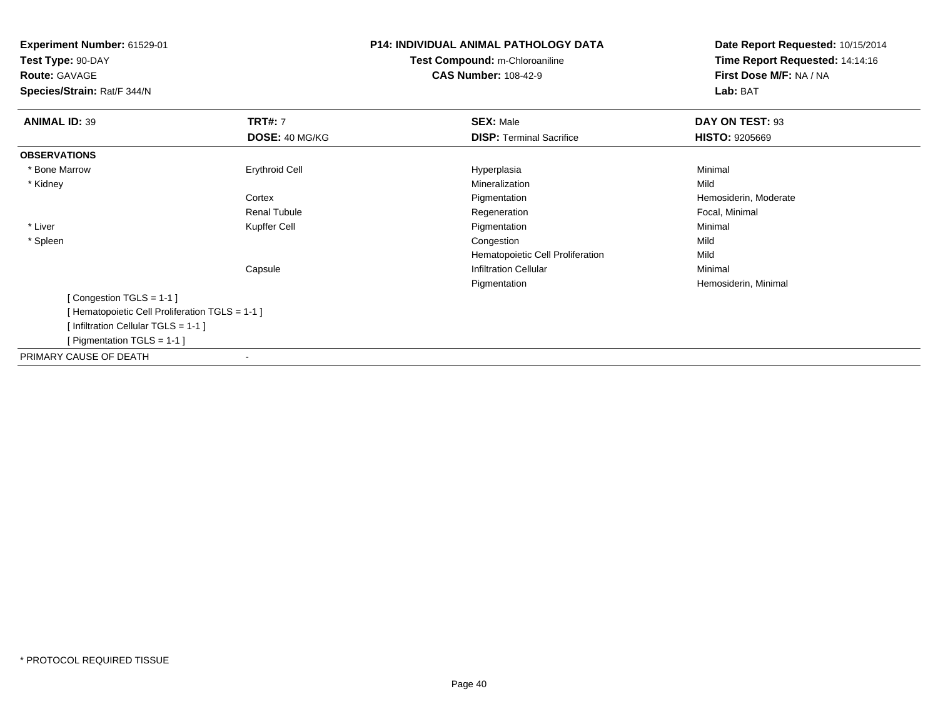| Experiment Number: 61529-01                     | <b>P14: INDIVIDUAL ANIMAL PATHOLOGY DATA</b> | Date Report Requested: 10/15/2014 |
|-------------------------------------------------|----------------------------------------------|-----------------------------------|
| Test Type: 90-DAY                               | Test Compound: m-Chloroaniline               | Time Report Requested: 14:14:16   |
| <b>Route: GAVAGE</b>                            | <b>CAS Number: 108-42-9</b>                  | First Dose M/F: NA / NA           |
| Species/Strain: Rat/F 344/N                     |                                              | Lab: BAT                          |
| <b>TRT#: 7</b><br><b>ANIMAL ID: 39</b>          | <b>SEX: Male</b>                             | DAY ON TEST: 93                   |
| DOSE: 40 MG/KG                                  | <b>DISP: Terminal Sacrifice</b>              | <b>HISTO: 9205669</b>             |
| <b>OBSERVATIONS</b>                             |                                              |                                   |
| <b>Erythroid Cell</b><br>* Bone Marrow          | Hyperplasia                                  | Minimal                           |
| * Kidney                                        | Mineralization                               | Mild                              |
| Cortex                                          | Pigmentation                                 | Hemosiderin, Moderate             |
| Renal Tubule                                    | Regeneration                                 | Focal, Minimal                    |
| * Liver<br>Kupffer Cell                         | Pigmentation                                 | Minimal                           |
| * Spleen                                        | Congestion                                   | Mild                              |
|                                                 | Hematopoietic Cell Proliferation             | Mild                              |
| Capsule                                         | <b>Infiltration Cellular</b>                 | Minimal                           |
|                                                 | Pigmentation                                 | Hemosiderin, Minimal              |
| [Congestion TGLS = 1-1]                         |                                              |                                   |
| [ Hematopoietic Cell Proliferation TGLS = 1-1 ] |                                              |                                   |
| [Infiltration Cellular TGLS = 1-1]              |                                              |                                   |
| [ Pigmentation TGLS = $1-1$ ]                   |                                              |                                   |
| PRIMARY CAUSE OF DEATH                          |                                              |                                   |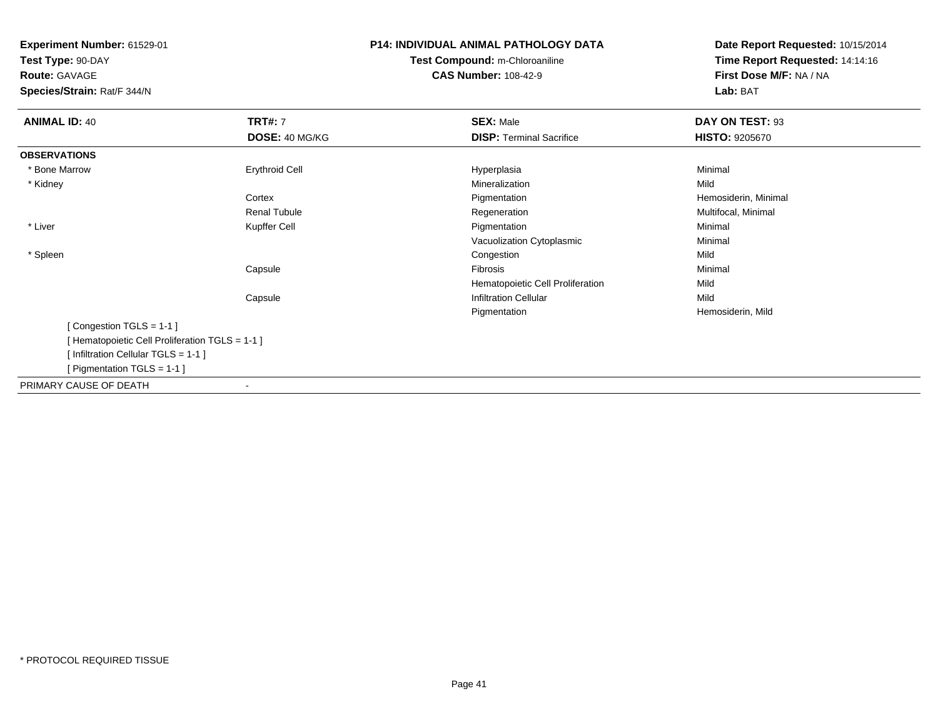**Experiment Number:** 61529-01**Test Type:** 90-DAY**Route:** GAVAGE **Species/Strain:** Rat/F 344/N**P14: INDIVIDUAL ANIMAL PATHOLOGY DATATest Compound:** m-Chloroaniline**CAS Number:** 108-42-9**Date Report Requested:** 10/15/2014**Time Report Requested:** 14:14:16**First Dose M/F:** NA / NA**Lab:** BAT**ANIMAL ID:** 40**TRT#:** 7 **SEX:** Male **DAY ON TEST:** 93 **DOSE:** 40 MG/KG**DISP:** Terminal Sacrifice **HISTO:** 9205670 **OBSERVATIONS** \* Bone Marroww the control of the control of the control of the control of the control of the control of the control of the control of the control of the control of the control of the control of the control of the control of the contro \* Kidneyy with the control of the control of the control of the control of the control of the control of the control of the control of the control of the control of the control of the control of the control of the control of the c n Mild **Cortex**  PigmentationPigmentation **Exercise Exercise Server Accord Exercise Proportional Regeneration**<br>
Regeneration **Multifocal, Minimal** Renal Tubule Regeneration Multifocal, Minimal \* LiverPigmentation n Minimal Vacuolization Cytoplasmic Minimal \* Spleenn and the congestion of the congestion of the congestion of the congestion of the congestion of the congestion Capsule Fibrosis Minimal Hematopoietic Cell Proliferationn Mild CapsuleInfiltration Cellular Mild Pigmentation Hemosiderin, Mild [ Congestion TGLS = 1-1 ][ Hematopoietic Cell Proliferation TGLS = 1-1 ][ Infiltration Cellular TGLS = 1-1 ][ Pigmentation TGLS = 1-1 ]PRIMARY CAUSE OF DEATH-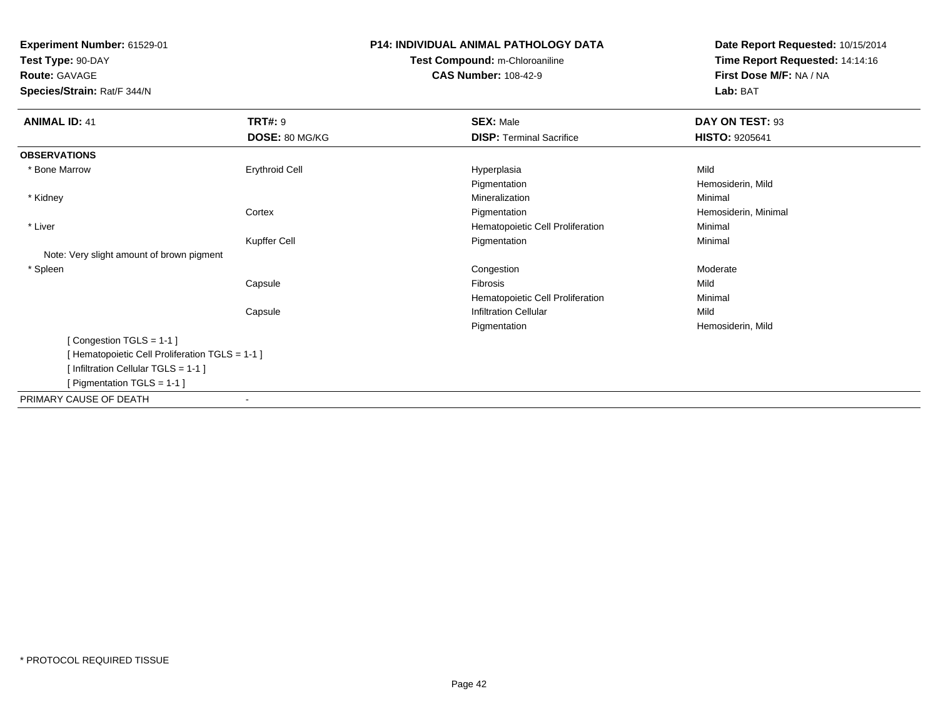**Test Type:** 90-DAY**Route:** GAVAGE

**Species/Strain:** Rat/F 344/N

# **P14: INDIVIDUAL ANIMAL PATHOLOGY DATATest Compound:** m-Chloroaniline**CAS Number:** 108-42-9

| <b>ANIMAL ID: 41</b>                            | <b>TRT#: 9</b>        | <b>SEX: Male</b>                 | DAY ON TEST: 93       |  |
|-------------------------------------------------|-----------------------|----------------------------------|-----------------------|--|
|                                                 | DOSE: 80 MG/KG        | <b>DISP: Terminal Sacrifice</b>  | <b>HISTO: 9205641</b> |  |
| <b>OBSERVATIONS</b>                             |                       |                                  |                       |  |
| * Bone Marrow                                   | <b>Erythroid Cell</b> | Hyperplasia                      | Mild                  |  |
|                                                 |                       | Pigmentation                     | Hemosiderin, Mild     |  |
| * Kidney                                        |                       | Mineralization                   | Minimal               |  |
|                                                 | Cortex                | Pigmentation                     | Hemosiderin, Minimal  |  |
| * Liver                                         |                       | Hematopoietic Cell Proliferation | Minimal               |  |
|                                                 | Kupffer Cell          | Pigmentation                     | Minimal               |  |
| Note: Very slight amount of brown pigment       |                       |                                  |                       |  |
| * Spleen                                        |                       | Congestion                       | Moderate              |  |
|                                                 | Capsule               | Fibrosis                         | Mild                  |  |
|                                                 |                       | Hematopoietic Cell Proliferation | Minimal               |  |
|                                                 | Capsule               | <b>Infiltration Cellular</b>     | Mild                  |  |
|                                                 |                       | Pigmentation                     | Hemosiderin, Mild     |  |
| [Congestion TGLS = 1-1]                         |                       |                                  |                       |  |
| [ Hematopoietic Cell Proliferation TGLS = 1-1 ] |                       |                                  |                       |  |
| [Infiltration Cellular TGLS = 1-1]              |                       |                                  |                       |  |
| [ Pigmentation TGLS = 1-1 ]                     |                       |                                  |                       |  |
| PRIMARY CAUSE OF DEATH                          | $\blacksquare$        |                                  |                       |  |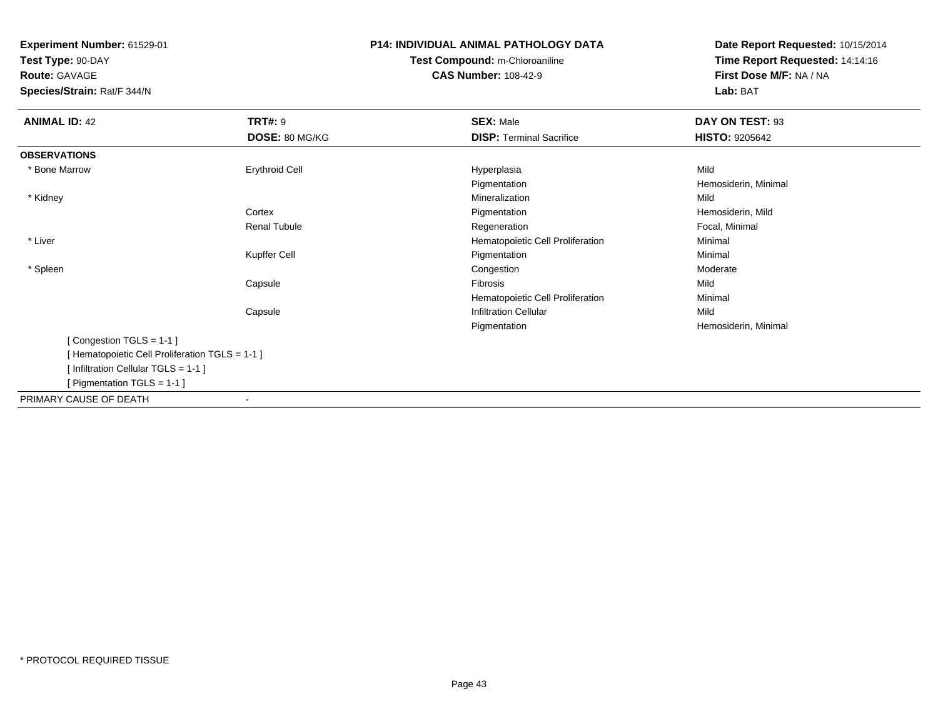**Test Type:** 90-DAY

**Route:** GAVAGE

**Species/Strain:** Rat/F 344/N

# **P14: INDIVIDUAL ANIMAL PATHOLOGY DATATest Compound:** m-Chloroaniline**CAS Number:** 108-42-9

| <b>ANIMAL ID: 42</b>                            | <b>TRT#: 9</b>      | <b>SEX: Male</b>                 | DAY ON TEST: 93       |  |
|-------------------------------------------------|---------------------|----------------------------------|-----------------------|--|
|                                                 | DOSE: 80 MG/KG      | <b>DISP: Terminal Sacrifice</b>  | <b>HISTO: 9205642</b> |  |
| <b>OBSERVATIONS</b>                             |                     |                                  |                       |  |
| * Bone Marrow                                   | Erythroid Cell      | Hyperplasia                      | Mild                  |  |
|                                                 |                     | Pigmentation                     | Hemosiderin, Minimal  |  |
| * Kidney                                        |                     | Mineralization                   | Mild                  |  |
|                                                 | Cortex              | Pigmentation                     | Hemosiderin, Mild     |  |
|                                                 | <b>Renal Tubule</b> | Regeneration                     | Focal, Minimal        |  |
| * Liver                                         |                     | Hematopoietic Cell Proliferation | Minimal               |  |
|                                                 | Kupffer Cell        | Pigmentation                     | Minimal               |  |
| * Spleen                                        |                     | Congestion                       | Moderate              |  |
|                                                 | Capsule             | Fibrosis                         | Mild                  |  |
|                                                 |                     | Hematopoietic Cell Proliferation | Minimal               |  |
|                                                 | Capsule             | <b>Infiltration Cellular</b>     | Mild                  |  |
|                                                 |                     | Pigmentation                     | Hemosiderin, Minimal  |  |
| [Congestion TGLS = 1-1]                         |                     |                                  |                       |  |
| [ Hematopoietic Cell Proliferation TGLS = 1-1 ] |                     |                                  |                       |  |
| [Infiltration Cellular TGLS = 1-1]              |                     |                                  |                       |  |
| [ Pigmentation TGLS = 1-1 ]                     |                     |                                  |                       |  |
| PRIMARY CAUSE OF DEATH                          |                     |                                  |                       |  |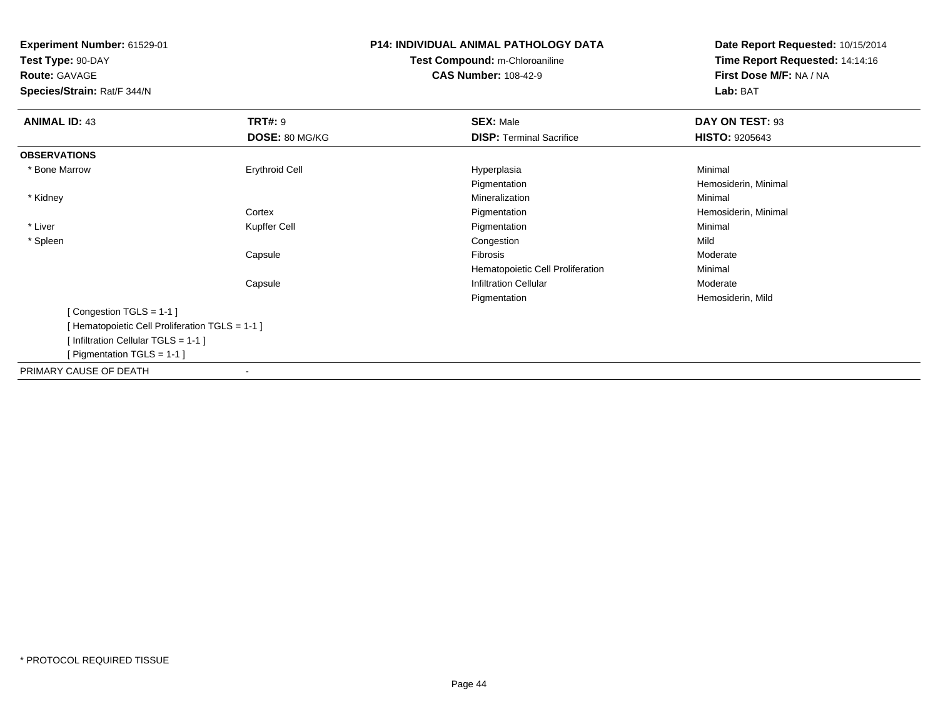**Test Type:** 90-DAY

**Route:** GAVAGE

**Species/Strain:** Rat/F 344/N

# **P14: INDIVIDUAL ANIMAL PATHOLOGY DATATest Compound:** m-Chloroaniline**CAS Number:** 108-42-9

| <b>ANIMAL ID: 43</b>                           | <b>TRT#: 9</b>        | <b>SEX: Male</b>                 | DAY ON TEST: 93       |  |
|------------------------------------------------|-----------------------|----------------------------------|-----------------------|--|
|                                                | DOSE: 80 MG/KG        | <b>DISP: Terminal Sacrifice</b>  | <b>HISTO: 9205643</b> |  |
| <b>OBSERVATIONS</b>                            |                       |                                  |                       |  |
| * Bone Marrow                                  | <b>Erythroid Cell</b> | Hyperplasia                      | Minimal               |  |
|                                                |                       | Pigmentation                     | Hemosiderin, Minimal  |  |
| * Kidney                                       |                       | Mineralization                   | Minimal               |  |
|                                                | Cortex                | Pigmentation                     | Hemosiderin, Minimal  |  |
| * Liver                                        | Kupffer Cell          | Pigmentation                     | Minimal               |  |
| * Spleen                                       |                       | Congestion                       | Mild                  |  |
|                                                | Capsule               | Fibrosis                         | Moderate              |  |
|                                                |                       | Hematopoietic Cell Proliferation | Minimal               |  |
|                                                | Capsule               | <b>Infiltration Cellular</b>     | Moderate              |  |
|                                                |                       | Pigmentation                     | Hemosiderin, Mild     |  |
| [Congestion TGLS = 1-1]                        |                       |                                  |                       |  |
| [Hematopoietic Cell Proliferation TGLS = 1-1 ] |                       |                                  |                       |  |
| [Infiltration Cellular TGLS = 1-1]             |                       |                                  |                       |  |
| [ Pigmentation TGLS = $1-1$ ]                  |                       |                                  |                       |  |
| PRIMARY CAUSE OF DEATH                         | $\blacksquare$        |                                  |                       |  |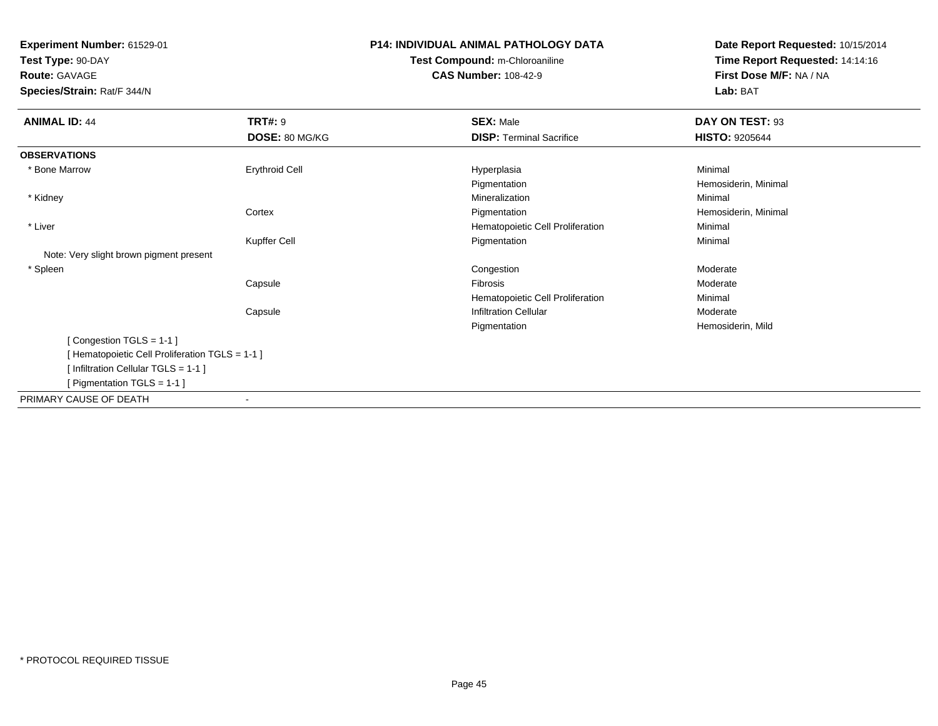**Test Type:** 90-DAY**Route:** GAVAGE

**Species/Strain:** Rat/F 344/N

# **P14: INDIVIDUAL ANIMAL PATHOLOGY DATATest Compound:** m-Chloroaniline**CAS Number:** 108-42-9

| <b>ANIMAL ID: 44</b>                           | <b>TRT#: 9</b>           | <b>SEX: Male</b>                 | DAY ON TEST: 93       |  |
|------------------------------------------------|--------------------------|----------------------------------|-----------------------|--|
|                                                | DOSE: 80 MG/KG           | <b>DISP: Terminal Sacrifice</b>  | <b>HISTO: 9205644</b> |  |
| <b>OBSERVATIONS</b>                            |                          |                                  |                       |  |
| * Bone Marrow                                  | <b>Erythroid Cell</b>    | Hyperplasia                      | Minimal               |  |
|                                                |                          | Pigmentation                     | Hemosiderin, Minimal  |  |
| * Kidney                                       |                          | Mineralization                   | Minimal               |  |
|                                                | Cortex                   | Pigmentation                     | Hemosiderin, Minimal  |  |
| * Liver                                        |                          | Hematopoietic Cell Proliferation | Minimal               |  |
|                                                | Kupffer Cell             | Pigmentation                     | Minimal               |  |
| Note: Very slight brown pigment present        |                          |                                  |                       |  |
| * Spleen                                       |                          | Congestion                       | Moderate              |  |
|                                                | Capsule                  | Fibrosis                         | Moderate              |  |
|                                                |                          | Hematopoietic Cell Proliferation | Minimal               |  |
|                                                | Capsule                  | <b>Infiltration Cellular</b>     | Moderate              |  |
|                                                |                          | Pigmentation                     | Hemosiderin, Mild     |  |
| [Congestion TGLS = 1-1]                        |                          |                                  |                       |  |
| [Hematopoietic Cell Proliferation TGLS = 1-1 ] |                          |                                  |                       |  |
| [Infiltration Cellular TGLS = 1-1]             |                          |                                  |                       |  |
| [Pigmentation TGLS = 1-1 ]                     |                          |                                  |                       |  |
| PRIMARY CAUSE OF DEATH                         | $\overline{\phantom{a}}$ |                                  |                       |  |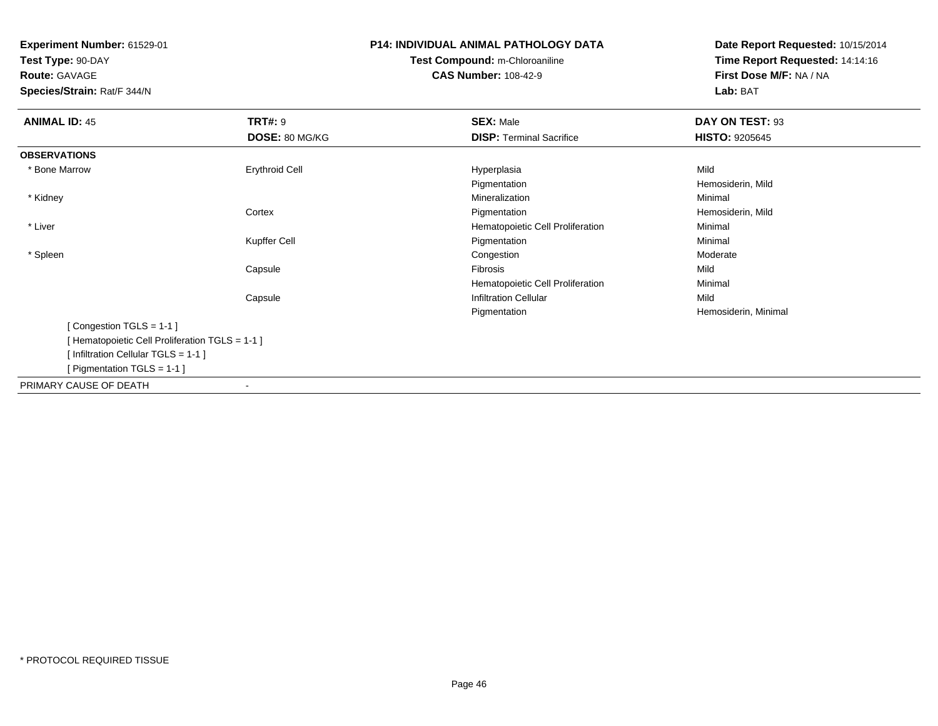**Test Type:** 90-DAY**Route:** GAVAGE

**Species/Strain:** Rat/F 344/N

# **P14: INDIVIDUAL ANIMAL PATHOLOGY DATATest Compound:** m-Chloroaniline**CAS Number:** 108-42-9

| <b>ANIMAL ID: 45</b>                            | <b>TRT#: 9</b>        | <b>SEX: Male</b>                 | DAY ON TEST: 93       |  |
|-------------------------------------------------|-----------------------|----------------------------------|-----------------------|--|
|                                                 | DOSE: 80 MG/KG        | <b>DISP: Terminal Sacrifice</b>  | <b>HISTO: 9205645</b> |  |
| <b>OBSERVATIONS</b>                             |                       |                                  |                       |  |
| * Bone Marrow                                   | <b>Erythroid Cell</b> | Hyperplasia                      | Mild                  |  |
|                                                 |                       | Pigmentation                     | Hemosiderin, Mild     |  |
| * Kidney                                        |                       | Mineralization                   | Minimal               |  |
|                                                 | Cortex                | Pigmentation                     | Hemosiderin, Mild     |  |
| * Liver                                         |                       | Hematopoietic Cell Proliferation | Minimal               |  |
|                                                 | Kupffer Cell          | Pigmentation                     | Minimal               |  |
| * Spleen                                        |                       | Congestion                       | Moderate              |  |
|                                                 | Capsule               | <b>Fibrosis</b>                  | Mild                  |  |
|                                                 |                       | Hematopoietic Cell Proliferation | Minimal               |  |
|                                                 | Capsule               | <b>Infiltration Cellular</b>     | Mild                  |  |
|                                                 |                       | Pigmentation                     | Hemosiderin, Minimal  |  |
| [Congestion TGLS = 1-1]                         |                       |                                  |                       |  |
| [ Hematopoietic Cell Proliferation TGLS = 1-1 ] |                       |                                  |                       |  |
| [ Infiltration Cellular TGLS = 1-1 ]            |                       |                                  |                       |  |
| [ Pigmentation TGLS = $1-1$ ]                   |                       |                                  |                       |  |
| PRIMARY CAUSE OF DEATH                          |                       |                                  |                       |  |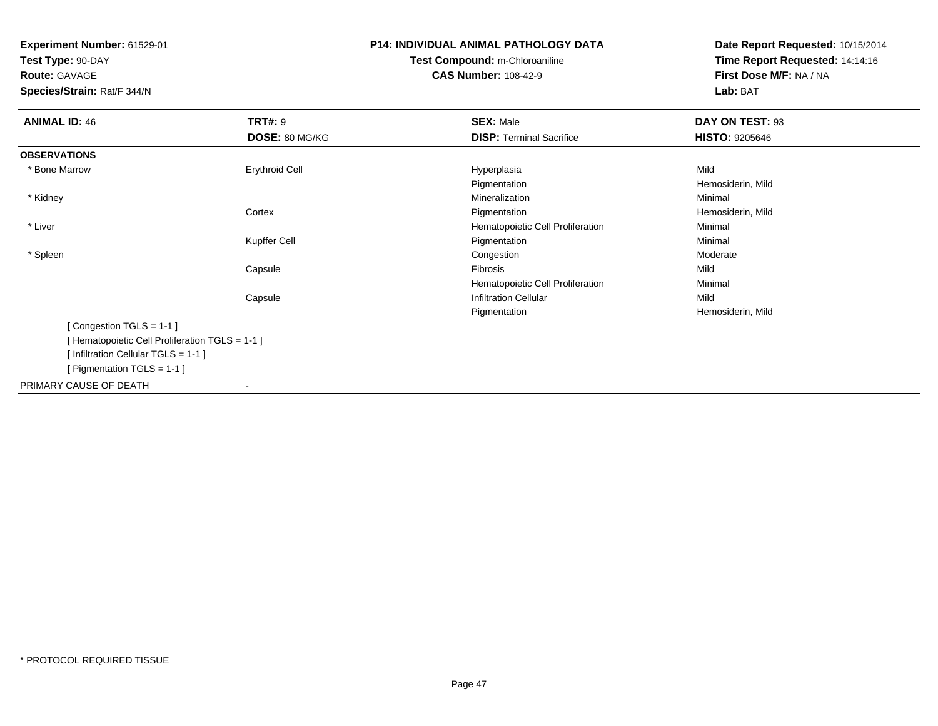**Test Type:** 90-DAY**Route:** GAVAGE

**Species/Strain:** Rat/F 344/N

# **P14: INDIVIDUAL ANIMAL PATHOLOGY DATATest Compound:** m-Chloroaniline**CAS Number:** 108-42-9

| <b>ANIMAL ID: 46</b>                          | <b>TRT#: 9</b>           | <b>SEX: Male</b>                 | DAY ON TEST: 93       |  |
|-----------------------------------------------|--------------------------|----------------------------------|-----------------------|--|
|                                               | DOSE: 80 MG/KG           | <b>DISP: Terminal Sacrifice</b>  | <b>HISTO: 9205646</b> |  |
| <b>OBSERVATIONS</b>                           |                          |                                  |                       |  |
| * Bone Marrow                                 | <b>Erythroid Cell</b>    | Hyperplasia                      | Mild                  |  |
|                                               |                          | Pigmentation                     | Hemosiderin, Mild     |  |
| * Kidney                                      |                          | Mineralization                   | Minimal               |  |
|                                               | Cortex                   | Pigmentation                     | Hemosiderin, Mild     |  |
| * Liver                                       |                          | Hematopoietic Cell Proliferation | Minimal               |  |
|                                               | Kupffer Cell             | Pigmentation                     | Minimal               |  |
| * Spleen                                      |                          | Congestion                       | Moderate              |  |
|                                               | Capsule                  | Fibrosis                         | Mild                  |  |
|                                               |                          | Hematopoietic Cell Proliferation | Minimal               |  |
|                                               | Capsule                  | <b>Infiltration Cellular</b>     | Mild                  |  |
|                                               |                          | Pigmentation                     | Hemosiderin, Mild     |  |
| [Congestion TGLS = 1-1]                       |                          |                                  |                       |  |
| [Hematopoietic Cell Proliferation TGLS = 1-1] |                          |                                  |                       |  |
| [Infiltration Cellular TGLS = 1-1]            |                          |                                  |                       |  |
| [ Pigmentation TGLS = $1-1$ ]                 |                          |                                  |                       |  |
| PRIMARY CAUSE OF DEATH                        | $\overline{\phantom{a}}$ |                                  |                       |  |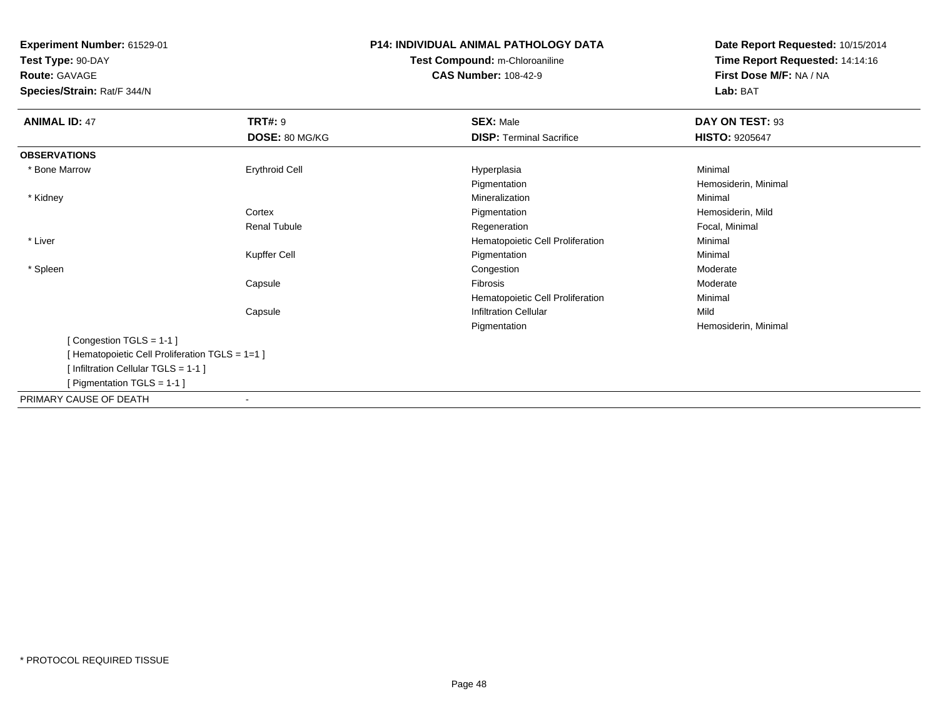**Test Type:** 90-DAY

**Route:** GAVAGE

**Species/Strain:** Rat/F 344/N

# **P14: INDIVIDUAL ANIMAL PATHOLOGY DATATest Compound:** m-Chloroaniline**CAS Number:** 108-42-9

| <b>ANIMAL ID: 47</b>                            | <b>TRT#: 9</b>           | <b>SEX: Male</b>                 | DAY ON TEST: 93       |  |
|-------------------------------------------------|--------------------------|----------------------------------|-----------------------|--|
|                                                 | DOSE: 80 MG/KG           | <b>DISP:</b> Terminal Sacrifice  | <b>HISTO: 9205647</b> |  |
| <b>OBSERVATIONS</b>                             |                          |                                  |                       |  |
| * Bone Marrow                                   | <b>Erythroid Cell</b>    | Hyperplasia                      | Minimal               |  |
|                                                 |                          | Pigmentation                     | Hemosiderin, Minimal  |  |
| * Kidney                                        |                          | Mineralization                   | Minimal               |  |
|                                                 | Cortex                   | Pigmentation                     | Hemosiderin, Mild     |  |
|                                                 | <b>Renal Tubule</b>      | Regeneration                     | Focal, Minimal        |  |
| * Liver                                         |                          | Hematopoietic Cell Proliferation | Minimal               |  |
|                                                 | Kupffer Cell             | Pigmentation                     | Minimal               |  |
| * Spleen                                        |                          | Congestion                       | Moderate              |  |
|                                                 | Capsule                  | Fibrosis                         | Moderate              |  |
|                                                 |                          | Hematopoietic Cell Proliferation | Minimal               |  |
|                                                 | Capsule                  | <b>Infiltration Cellular</b>     | Mild                  |  |
|                                                 |                          | Pigmentation                     | Hemosiderin, Minimal  |  |
| [Congestion TGLS = 1-1]                         |                          |                                  |                       |  |
| [ Hematopoietic Cell Proliferation TGLS = 1=1 ] |                          |                                  |                       |  |
| [Infiltration Cellular TGLS = 1-1]              |                          |                                  |                       |  |
| [ Pigmentation TGLS = 1-1 ]                     |                          |                                  |                       |  |
| PRIMARY CAUSE OF DEATH                          | $\overline{\phantom{a}}$ |                                  |                       |  |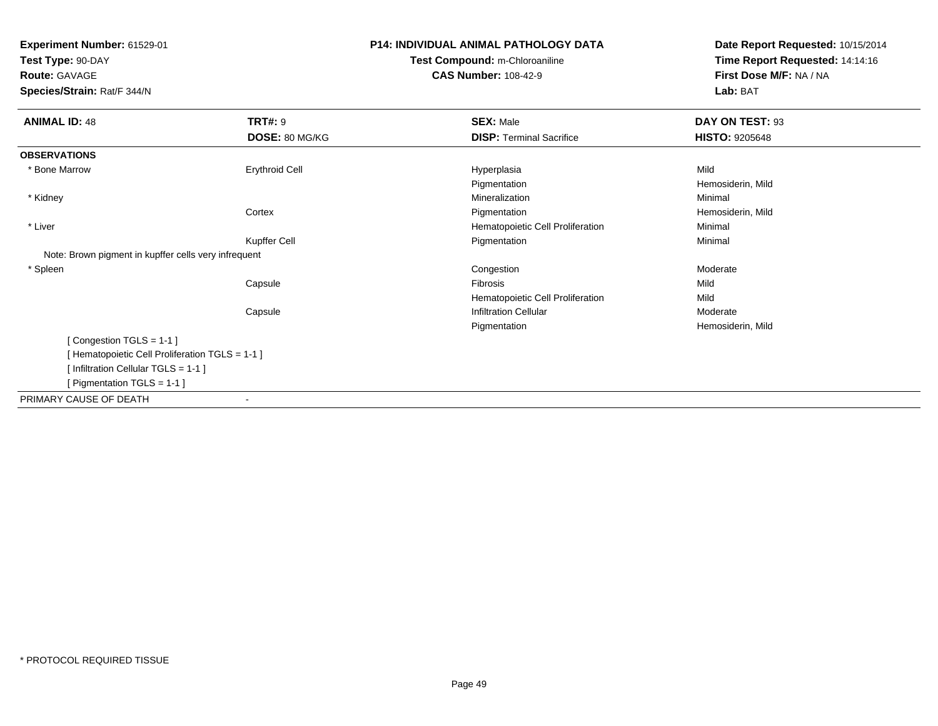**Test Type:** 90-DAY

**Route:** GAVAGE

**Species/Strain:** Rat/F 344/N

# **P14: INDIVIDUAL ANIMAL PATHOLOGY DATATest Compound:** m-Chloroaniline**CAS Number:** 108-42-9

| <b>ANIMAL ID: 48</b>                                 | <b>TRT#: 9</b> | <b>SEX: Male</b>                 | DAY ON TEST: 93       |  |
|------------------------------------------------------|----------------|----------------------------------|-----------------------|--|
|                                                      | DOSE: 80 MG/KG | <b>DISP: Terminal Sacrifice</b>  | <b>HISTO: 9205648</b> |  |
| <b>OBSERVATIONS</b>                                  |                |                                  |                       |  |
| * Bone Marrow                                        | Erythroid Cell | Hyperplasia                      | Mild                  |  |
|                                                      |                | Pigmentation                     | Hemosiderin, Mild     |  |
| * Kidney                                             |                | Mineralization                   | Minimal               |  |
|                                                      | Cortex         | Pigmentation                     | Hemosiderin, Mild     |  |
| * Liver                                              |                | Hematopoietic Cell Proliferation | Minimal               |  |
|                                                      | Kupffer Cell   | Pigmentation                     | Minimal               |  |
| Note: Brown pigment in kupffer cells very infrequent |                |                                  |                       |  |
| * Spleen                                             |                | Congestion                       | Moderate              |  |
|                                                      | Capsule        | Fibrosis                         | Mild                  |  |
|                                                      |                | Hematopoietic Cell Proliferation | Mild                  |  |
|                                                      | Capsule        | <b>Infiltration Cellular</b>     | Moderate              |  |
|                                                      |                | Pigmentation                     | Hemosiderin, Mild     |  |
| [Congestion TGLS = 1-1]                              |                |                                  |                       |  |
| [Hematopoietic Cell Proliferation TGLS = 1-1]        |                |                                  |                       |  |
| [Infiltration Cellular TGLS = 1-1]                   |                |                                  |                       |  |
| [Pigmentation TGLS = 1-1 ]                           |                |                                  |                       |  |
| PRIMARY CAUSE OF DEATH                               | $\blacksquare$ |                                  |                       |  |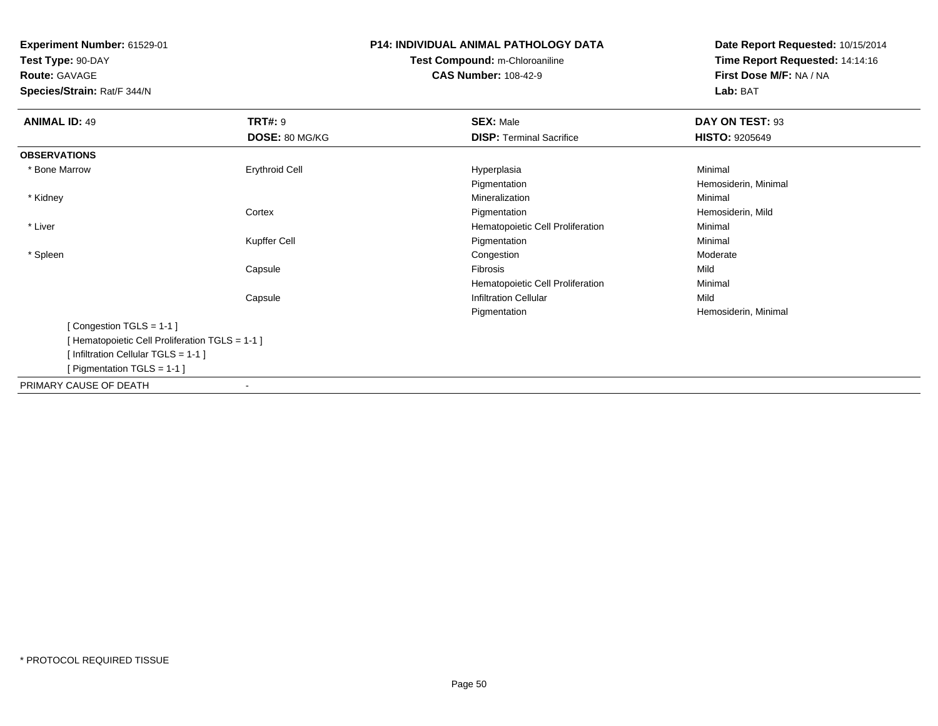**Test Type:** 90-DAY**Route:** GAVAGE

**Species/Strain:** Rat/F 344/N

# **P14: INDIVIDUAL ANIMAL PATHOLOGY DATATest Compound:** m-Chloroaniline**CAS Number:** 108-42-9

| <b>ANIMAL ID: 49</b>                            | <b>TRT#: 9</b>        | <b>SEX: Male</b>                 | DAY ON TEST: 93       |  |
|-------------------------------------------------|-----------------------|----------------------------------|-----------------------|--|
|                                                 | DOSE: 80 MG/KG        | <b>DISP: Terminal Sacrifice</b>  | <b>HISTO: 9205649</b> |  |
| <b>OBSERVATIONS</b>                             |                       |                                  |                       |  |
| * Bone Marrow                                   | <b>Erythroid Cell</b> | Hyperplasia                      | Minimal               |  |
|                                                 |                       | Pigmentation                     | Hemosiderin, Minimal  |  |
| * Kidney                                        |                       | Mineralization                   | Minimal               |  |
|                                                 | Cortex                | Pigmentation                     | Hemosiderin, Mild     |  |
| * Liver                                         |                       | Hematopoietic Cell Proliferation | Minimal               |  |
|                                                 | Kupffer Cell          | Pigmentation                     | Minimal               |  |
| * Spleen                                        |                       | Congestion                       | Moderate              |  |
|                                                 | Capsule               | Fibrosis                         | Mild                  |  |
|                                                 |                       | Hematopoietic Cell Proliferation | Minimal               |  |
|                                                 | Capsule               | <b>Infiltration Cellular</b>     | Mild                  |  |
|                                                 |                       | Pigmentation                     | Hemosiderin, Minimal  |  |
| [Congestion TGLS = 1-1]                         |                       |                                  |                       |  |
| [ Hematopoietic Cell Proliferation TGLS = 1-1 ] |                       |                                  |                       |  |
| [Infiltration Cellular TGLS = 1-1]              |                       |                                  |                       |  |
| [ Pigmentation TGLS = $1-1$ ]                   |                       |                                  |                       |  |
| PRIMARY CAUSE OF DEATH                          |                       |                                  |                       |  |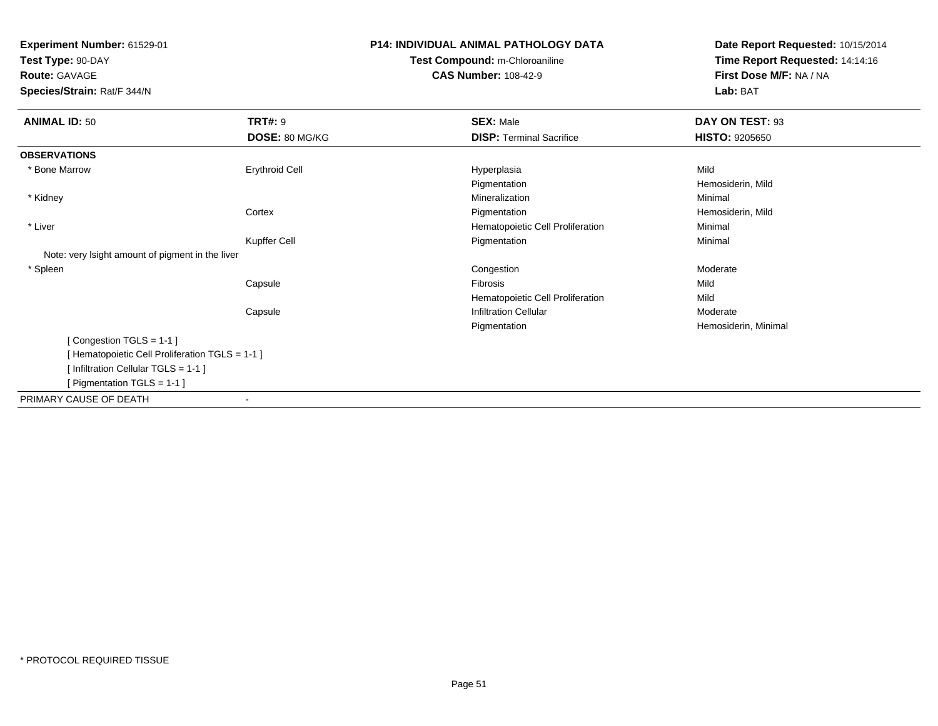**Test Type:** 90-DAY

**Route:** GAVAGE

**Species/Strain:** Rat/F 344/N

# **P14: INDIVIDUAL ANIMAL PATHOLOGY DATATest Compound:** m-Chloroaniline**CAS Number:** 108-42-9

| <b>ANIMAL ID: 50</b>                             | <b>TRT#: 9</b>        | <b>SEX: Male</b>                 | DAY ON TEST: 93       |
|--------------------------------------------------|-----------------------|----------------------------------|-----------------------|
|                                                  | DOSE: 80 MG/KG        | <b>DISP: Terminal Sacrifice</b>  | <b>HISTO: 9205650</b> |
| <b>OBSERVATIONS</b>                              |                       |                                  |                       |
| * Bone Marrow                                    | <b>Erythroid Cell</b> | Hyperplasia                      | Mild                  |
|                                                  |                       | Pigmentation                     | Hemosiderin, Mild     |
| * Kidney                                         |                       | Mineralization                   | Minimal               |
|                                                  | Cortex                | Pigmentation                     | Hemosiderin, Mild     |
| * Liver                                          |                       | Hematopoietic Cell Proliferation | Minimal               |
|                                                  | Kupffer Cell          | Pigmentation                     | Minimal               |
| Note: very lsight amount of pigment in the liver |                       |                                  |                       |
| * Spleen                                         |                       | Congestion                       | Moderate              |
|                                                  | Capsule               | Fibrosis                         | Mild                  |
|                                                  |                       | Hematopoietic Cell Proliferation | Mild                  |
|                                                  | Capsule               | <b>Infiltration Cellular</b>     | Moderate              |
|                                                  |                       | Pigmentation                     | Hemosiderin, Minimal  |
| [Congestion TGLS = 1-1]                          |                       |                                  |                       |
| [ Hematopoietic Cell Proliferation TGLS = 1-1 ]  |                       |                                  |                       |
| [Infiltration Cellular TGLS = 1-1]               |                       |                                  |                       |
| [ Pigmentation TGLS = $1-1$ ]                    |                       |                                  |                       |
| PRIMARY CAUSE OF DEATH                           | $\blacksquare$        |                                  |                       |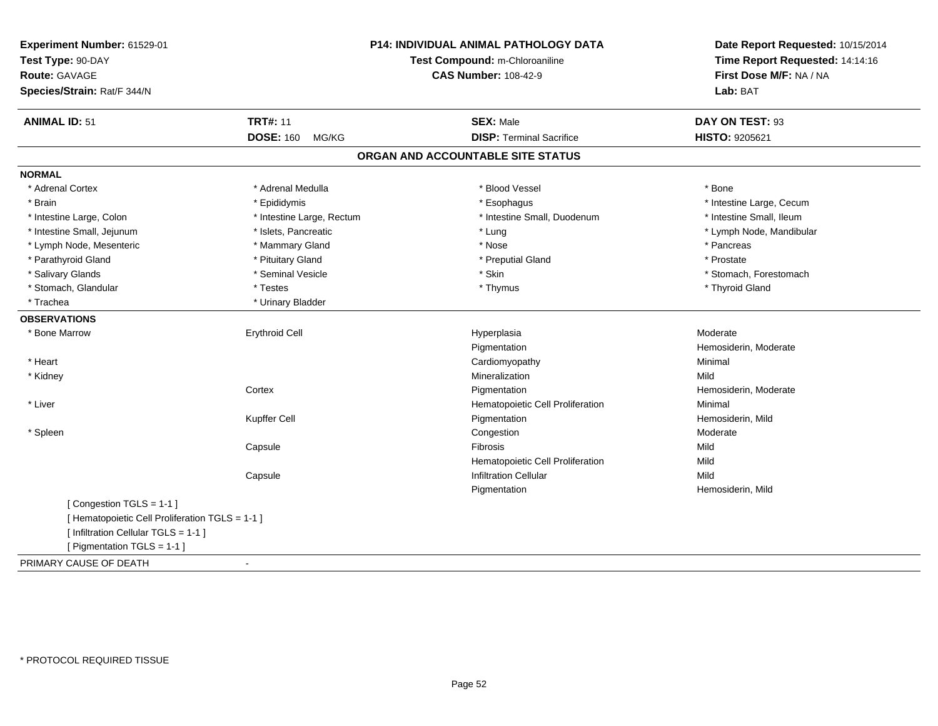| Experiment Number: 61529-01<br>Test Type: 90-DAY<br>Route: GAVAGE<br>Species/Strain: Rat/F 344/N |                           | <b>P14: INDIVIDUAL ANIMAL PATHOLOGY DATA</b><br>Test Compound: m-Chloroaniline<br><b>CAS Number: 108-42-9</b> | Date Report Requested: 10/15/2014<br>Time Report Requested: 14:14:16<br>First Dose M/F: NA / NA<br>Lab: BAT |
|--------------------------------------------------------------------------------------------------|---------------------------|---------------------------------------------------------------------------------------------------------------|-------------------------------------------------------------------------------------------------------------|
|                                                                                                  |                           |                                                                                                               |                                                                                                             |
| <b>ANIMAL ID: 51</b>                                                                             | <b>TRT#: 11</b>           | <b>SEX: Male</b>                                                                                              | DAY ON TEST: 93                                                                                             |
|                                                                                                  | <b>DOSE: 160</b><br>MG/KG | <b>DISP: Terminal Sacrifice</b>                                                                               | <b>HISTO: 9205621</b>                                                                                       |
|                                                                                                  |                           | ORGAN AND ACCOUNTABLE SITE STATUS                                                                             |                                                                                                             |
| <b>NORMAL</b>                                                                                    |                           |                                                                                                               |                                                                                                             |
| * Adrenal Cortex                                                                                 | * Adrenal Medulla         | * Blood Vessel                                                                                                | * Bone                                                                                                      |
| * Brain                                                                                          | * Epididymis              | * Esophagus                                                                                                   | * Intestine Large, Cecum                                                                                    |
| * Intestine Large, Colon                                                                         | * Intestine Large, Rectum | * Intestine Small, Duodenum                                                                                   | * Intestine Small, Ileum                                                                                    |
| * Intestine Small, Jejunum                                                                       | * Islets, Pancreatic      | * Lung                                                                                                        | * Lymph Node, Mandibular                                                                                    |
| * Lymph Node, Mesenteric                                                                         | * Mammary Gland           | * Nose                                                                                                        | * Pancreas                                                                                                  |
| * Parathyroid Gland                                                                              | * Pituitary Gland         | * Preputial Gland                                                                                             | * Prostate                                                                                                  |
| * Salivary Glands                                                                                | * Seminal Vesicle         | * Skin                                                                                                        | * Stomach, Forestomach                                                                                      |
| * Stomach, Glandular                                                                             | * Testes                  | * Thymus                                                                                                      | * Thyroid Gland                                                                                             |
| * Trachea                                                                                        | * Urinary Bladder         |                                                                                                               |                                                                                                             |
| <b>OBSERVATIONS</b>                                                                              |                           |                                                                                                               |                                                                                                             |
| * Bone Marrow                                                                                    | <b>Erythroid Cell</b>     | Hyperplasia                                                                                                   | Moderate                                                                                                    |
|                                                                                                  |                           | Pigmentation                                                                                                  | Hemosiderin, Moderate                                                                                       |
| * Heart                                                                                          |                           | Cardiomyopathy                                                                                                | Minimal                                                                                                     |
| * Kidney                                                                                         |                           | Mineralization                                                                                                | Mild                                                                                                        |
|                                                                                                  | Cortex                    | Pigmentation                                                                                                  | Hemosiderin, Moderate                                                                                       |
| * Liver                                                                                          |                           | Hematopoietic Cell Proliferation                                                                              | Minimal                                                                                                     |
|                                                                                                  | Kupffer Cell              | Pigmentation                                                                                                  | Hemosiderin, Mild                                                                                           |
| * Spleen                                                                                         |                           | Congestion                                                                                                    | Moderate                                                                                                    |
|                                                                                                  | Capsule                   | Fibrosis                                                                                                      | Mild                                                                                                        |
|                                                                                                  |                           | Hematopoietic Cell Proliferation                                                                              | Mild                                                                                                        |
|                                                                                                  | Capsule                   | <b>Infiltration Cellular</b>                                                                                  | Mild                                                                                                        |
|                                                                                                  |                           | Pigmentation                                                                                                  | Hemosiderin, Mild                                                                                           |
| [Congestion TGLS = 1-1]                                                                          |                           |                                                                                                               |                                                                                                             |
| [ Hematopoietic Cell Proliferation TGLS = 1-1 ]                                                  |                           |                                                                                                               |                                                                                                             |
| [ Infiltration Cellular TGLS = 1-1 ]                                                             |                           |                                                                                                               |                                                                                                             |
| [ Pigmentation TGLS = 1-1 ]                                                                      |                           |                                                                                                               |                                                                                                             |
| PRIMARY CAUSE OF DEATH                                                                           | $\blacksquare$            |                                                                                                               |                                                                                                             |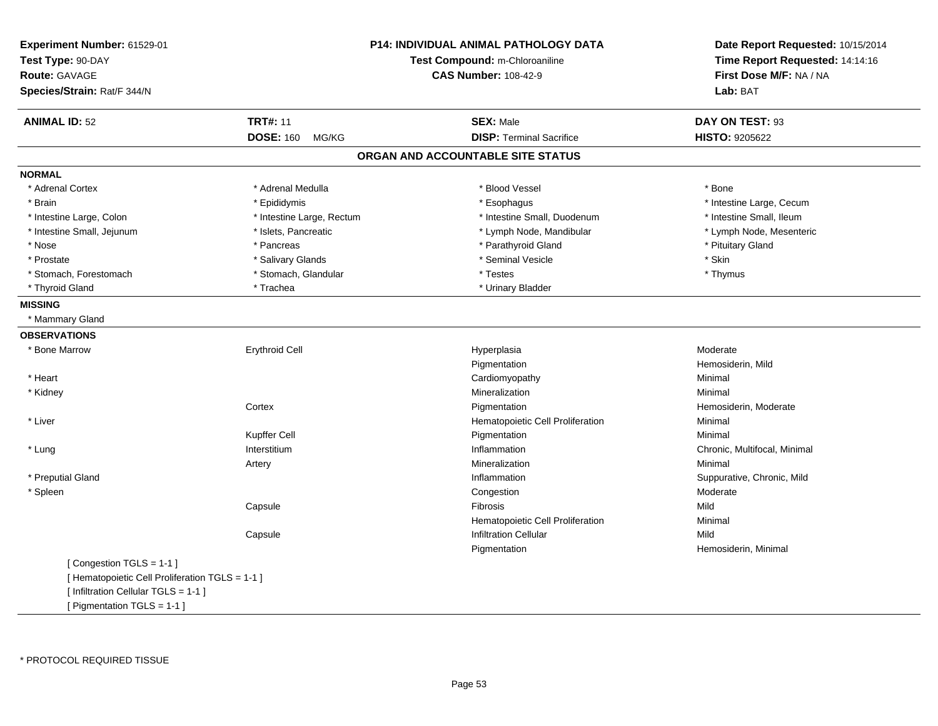| Experiment Number: 61529-01<br>Test Type: 90-DAY<br><b>Route: GAVAGE</b><br>Species/Strain: Rat/F 344/N |                           | <b>P14: INDIVIDUAL ANIMAL PATHOLOGY DATA</b><br>Test Compound: m-Chloroaniline<br><b>CAS Number: 108-42-9</b> | Date Report Requested: 10/15/2014<br>Time Report Requested: 14:14:16<br>First Dose M/F: NA / NA<br>Lab: BAT |
|---------------------------------------------------------------------------------------------------------|---------------------------|---------------------------------------------------------------------------------------------------------------|-------------------------------------------------------------------------------------------------------------|
| <b>ANIMAL ID: 52</b>                                                                                    | <b>TRT#: 11</b>           | <b>SEX: Male</b>                                                                                              | DAY ON TEST: 93                                                                                             |
|                                                                                                         | <b>DOSE: 160</b><br>MG/KG | <b>DISP: Terminal Sacrifice</b>                                                                               | HISTO: 9205622                                                                                              |
|                                                                                                         |                           | ORGAN AND ACCOUNTABLE SITE STATUS                                                                             |                                                                                                             |
| <b>NORMAL</b>                                                                                           |                           |                                                                                                               |                                                                                                             |
| * Adrenal Cortex                                                                                        | * Adrenal Medulla         | * Blood Vessel                                                                                                | * Bone                                                                                                      |
| * Brain                                                                                                 | * Epididymis              | * Esophagus                                                                                                   | * Intestine Large, Cecum                                                                                    |
| * Intestine Large, Colon                                                                                | * Intestine Large, Rectum | * Intestine Small, Duodenum                                                                                   | * Intestine Small, Ileum                                                                                    |
| * Intestine Small, Jejunum                                                                              | * Islets, Pancreatic      | * Lymph Node, Mandibular                                                                                      | * Lymph Node, Mesenteric                                                                                    |
| * Nose                                                                                                  | * Pancreas                | * Parathyroid Gland                                                                                           | * Pituitary Gland                                                                                           |
| * Prostate                                                                                              | * Salivary Glands         | * Seminal Vesicle                                                                                             | * Skin                                                                                                      |
| * Stomach, Forestomach                                                                                  | * Stomach, Glandular      | * Testes                                                                                                      | * Thymus                                                                                                    |
| * Thyroid Gland                                                                                         | * Trachea                 | * Urinary Bladder                                                                                             |                                                                                                             |
| <b>MISSING</b>                                                                                          |                           |                                                                                                               |                                                                                                             |
| * Mammary Gland                                                                                         |                           |                                                                                                               |                                                                                                             |
| <b>OBSERVATIONS</b>                                                                                     |                           |                                                                                                               |                                                                                                             |
| * Bone Marrow                                                                                           | <b>Erythroid Cell</b>     | Hyperplasia                                                                                                   | Moderate                                                                                                    |
|                                                                                                         |                           | Pigmentation                                                                                                  | Hemosiderin, Mild                                                                                           |
| * Heart                                                                                                 |                           | Cardiomyopathy                                                                                                | Minimal                                                                                                     |
| * Kidney                                                                                                |                           | Mineralization                                                                                                | Minimal                                                                                                     |
|                                                                                                         | Cortex                    | Pigmentation                                                                                                  | Hemosiderin, Moderate                                                                                       |
| * Liver                                                                                                 |                           | Hematopoietic Cell Proliferation                                                                              | Minimal                                                                                                     |
|                                                                                                         | Kupffer Cell              | Pigmentation                                                                                                  | Minimal                                                                                                     |
| * Lung                                                                                                  | Interstitium              | Inflammation                                                                                                  | Chronic, Multifocal, Minimal                                                                                |
|                                                                                                         | Artery                    | Mineralization                                                                                                | Minimal                                                                                                     |
| * Preputial Gland                                                                                       |                           | Inflammation                                                                                                  | Suppurative, Chronic, Mild                                                                                  |
| * Spleen                                                                                                |                           | Congestion                                                                                                    | Moderate                                                                                                    |
|                                                                                                         | Capsule                   | Fibrosis                                                                                                      | Mild                                                                                                        |
|                                                                                                         |                           | Hematopoietic Cell Proliferation                                                                              | Minimal                                                                                                     |
|                                                                                                         | Capsule                   | <b>Infiltration Cellular</b>                                                                                  | Mild                                                                                                        |
|                                                                                                         |                           | Pigmentation                                                                                                  | Hemosiderin, Minimal                                                                                        |
| [Congestion TGLS = 1-1]                                                                                 |                           |                                                                                                               |                                                                                                             |
| [ Hematopoietic Cell Proliferation TGLS = 1-1 ]                                                         |                           |                                                                                                               |                                                                                                             |
| [ Infiltration Cellular TGLS = 1-1 ]                                                                    |                           |                                                                                                               |                                                                                                             |
| [ Pigmentation TGLS = 1-1 ]                                                                             |                           |                                                                                                               |                                                                                                             |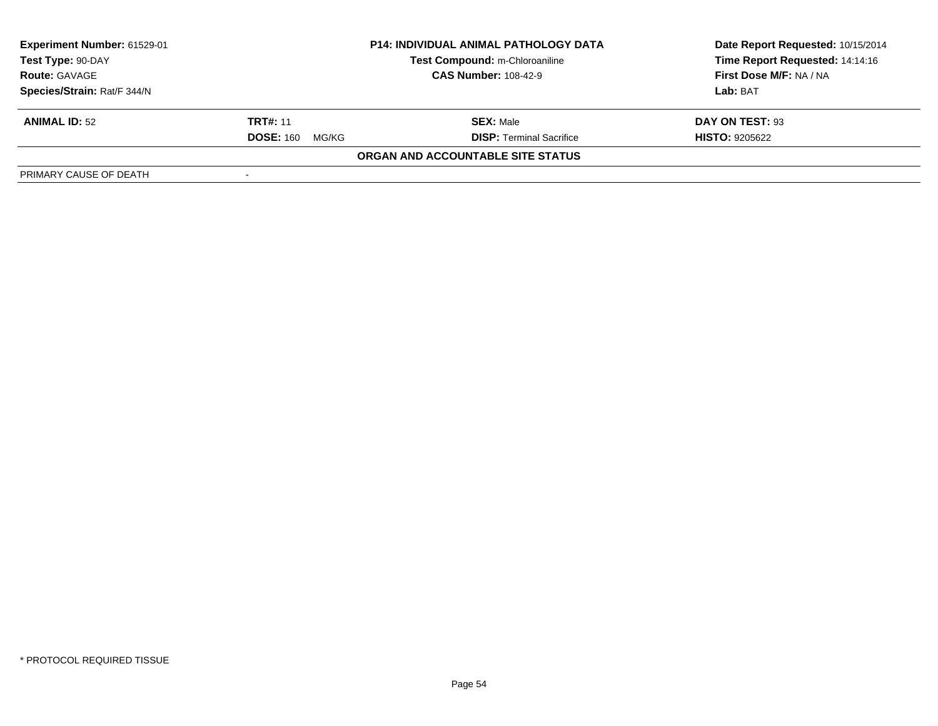| <b>Experiment Number: 61529-01</b><br>Test Type: 90-DAY<br><b>Route: GAVAGE</b> | <b>P14: INDIVIDUAL ANIMAL PATHOLOGY DATA</b><br>Test Compound: m-Chloroaniline<br><b>CAS Number: 108-42-9</b> |                                          | Date Report Requested: 10/15/2014<br>Time Report Requested: 14:14:16<br><b>First Dose M/F: NA / NA</b> |
|---------------------------------------------------------------------------------|---------------------------------------------------------------------------------------------------------------|------------------------------------------|--------------------------------------------------------------------------------------------------------|
| Species/Strain: Rat/F 344/N                                                     |                                                                                                               |                                          | Lab: BAT                                                                                               |
| <b>ANIMAL ID: 52</b>                                                            | <b>TRT#: 11</b>                                                                                               | <b>SEX: Male</b>                         | DAY ON TEST: 93                                                                                        |
|                                                                                 | <b>DOSE: 160</b><br>MG/KG                                                                                     | <b>DISP: Terminal Sacrifice</b>          | <b>HISTO: 9205622</b>                                                                                  |
|                                                                                 |                                                                                                               | <b>ORGAN AND ACCOUNTABLE SITE STATUS</b> |                                                                                                        |
| PRIMARY CAUSE OF DEATH                                                          |                                                                                                               |                                          |                                                                                                        |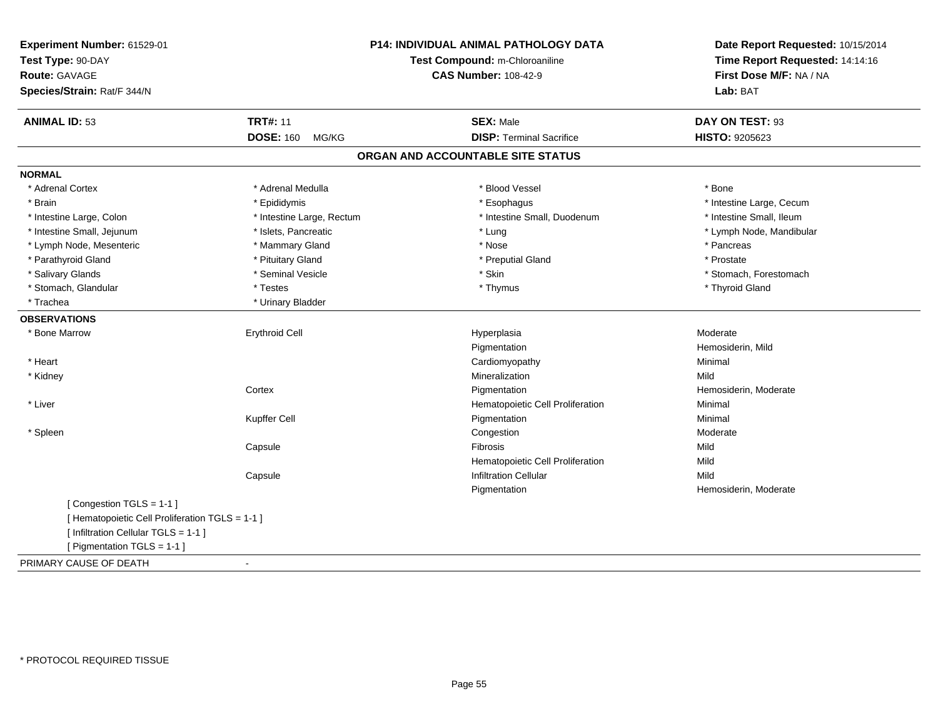| Experiment Number: 61529-01<br>Test Type: 90-DAY<br>Route: GAVAGE<br>Species/Strain: Rat/F 344/N |                           | <b>P14: INDIVIDUAL ANIMAL PATHOLOGY DATA</b><br>Test Compound: m-Chloroaniline<br><b>CAS Number: 108-42-9</b> | Date Report Requested: 10/15/2014<br>Time Report Requested: 14:14:16<br>First Dose M/F: NA / NA<br>Lab: BAT |
|--------------------------------------------------------------------------------------------------|---------------------------|---------------------------------------------------------------------------------------------------------------|-------------------------------------------------------------------------------------------------------------|
| <b>ANIMAL ID: 53</b>                                                                             | <b>TRT#: 11</b>           | <b>SEX: Male</b>                                                                                              | DAY ON TEST: 93                                                                                             |
|                                                                                                  | <b>DOSE: 160</b><br>MG/KG | <b>DISP: Terminal Sacrifice</b>                                                                               | HISTO: 9205623                                                                                              |
|                                                                                                  |                           | ORGAN AND ACCOUNTABLE SITE STATUS                                                                             |                                                                                                             |
| <b>NORMAL</b>                                                                                    |                           |                                                                                                               |                                                                                                             |
| * Adrenal Cortex                                                                                 | * Adrenal Medulla         | * Blood Vessel                                                                                                | * Bone                                                                                                      |
| * Brain                                                                                          | * Epididymis              | * Esophagus                                                                                                   | * Intestine Large, Cecum                                                                                    |
| * Intestine Large, Colon                                                                         | * Intestine Large, Rectum | * Intestine Small, Duodenum                                                                                   | * Intestine Small, Ileum                                                                                    |
| * Intestine Small, Jejunum                                                                       | * Islets, Pancreatic      | * Lung                                                                                                        | * Lymph Node, Mandibular                                                                                    |
| * Lymph Node, Mesenteric                                                                         | * Mammary Gland           | * Nose                                                                                                        | * Pancreas                                                                                                  |
| * Parathyroid Gland                                                                              | * Pituitary Gland         | * Preputial Gland                                                                                             | * Prostate                                                                                                  |
| * Salivary Glands                                                                                | * Seminal Vesicle         | * Skin                                                                                                        | * Stomach, Forestomach                                                                                      |
| * Stomach, Glandular                                                                             | * Testes                  | * Thymus                                                                                                      | * Thyroid Gland                                                                                             |
| * Trachea                                                                                        | * Urinary Bladder         |                                                                                                               |                                                                                                             |
| <b>OBSERVATIONS</b>                                                                              |                           |                                                                                                               |                                                                                                             |
| * Bone Marrow                                                                                    | <b>Erythroid Cell</b>     | Hyperplasia                                                                                                   | Moderate                                                                                                    |
|                                                                                                  |                           | Pigmentation                                                                                                  | Hemosiderin, Mild                                                                                           |
| * Heart                                                                                          |                           | Cardiomyopathy                                                                                                | Minimal                                                                                                     |
| * Kidney                                                                                         |                           | Mineralization                                                                                                | Mild                                                                                                        |
|                                                                                                  | Cortex                    | Pigmentation                                                                                                  | Hemosiderin, Moderate                                                                                       |
| * Liver                                                                                          |                           | Hematopoietic Cell Proliferation                                                                              | Minimal                                                                                                     |
|                                                                                                  | Kupffer Cell              | Pigmentation                                                                                                  | Minimal                                                                                                     |
| * Spleen                                                                                         |                           | Congestion                                                                                                    | Moderate                                                                                                    |
|                                                                                                  | Capsule                   | Fibrosis                                                                                                      | Mild                                                                                                        |
|                                                                                                  |                           | Hematopoietic Cell Proliferation                                                                              | Mild                                                                                                        |
|                                                                                                  | Capsule                   | <b>Infiltration Cellular</b>                                                                                  | Mild                                                                                                        |
|                                                                                                  |                           | Pigmentation                                                                                                  | Hemosiderin, Moderate                                                                                       |
| [Congestion TGLS = 1-1]                                                                          |                           |                                                                                                               |                                                                                                             |
| [ Hematopoietic Cell Proliferation TGLS = 1-1 ]                                                  |                           |                                                                                                               |                                                                                                             |
| [ Infiltration Cellular TGLS = 1-1 ]                                                             |                           |                                                                                                               |                                                                                                             |
| [ Pigmentation TGLS = 1-1 ]                                                                      |                           |                                                                                                               |                                                                                                             |
| PRIMARY CAUSE OF DEATH                                                                           | $\blacksquare$            |                                                                                                               |                                                                                                             |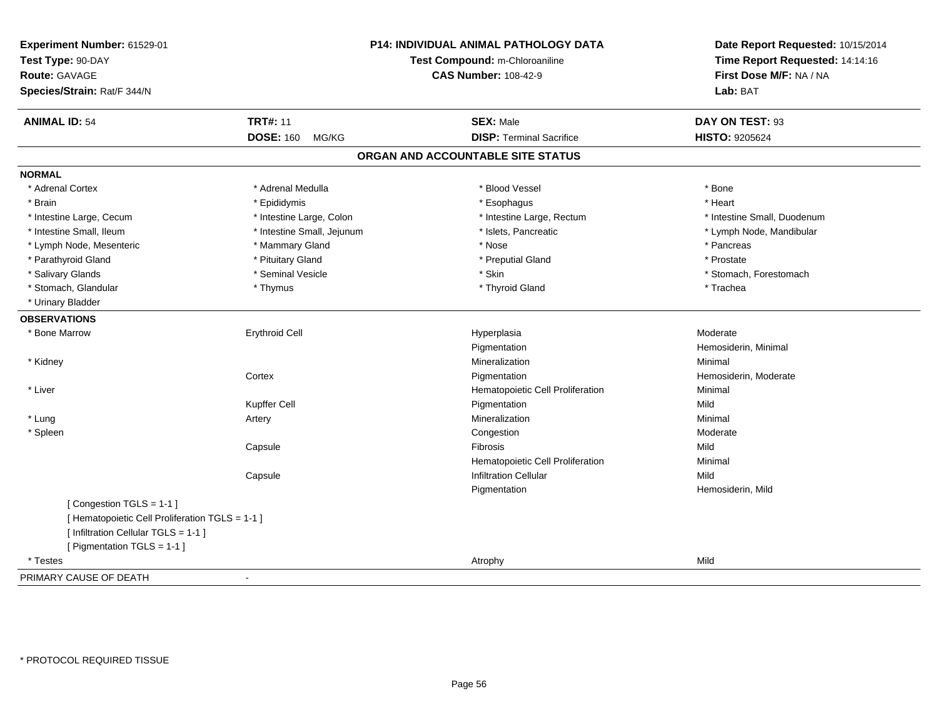| Experiment Number: 61529-01<br>Test Type: 90-DAY<br><b>Route: GAVAGE</b><br>Species/Strain: Rat/F 344/N |                            | P14: INDIVIDUAL ANIMAL PATHOLOGY DATA<br>Test Compound: m-Chloroaniline<br><b>CAS Number: 108-42-9</b> | Date Report Requested: 10/15/2014<br>Time Report Requested: 14:14:16<br>First Dose M/F: NA / NA<br>Lab: BAT |
|---------------------------------------------------------------------------------------------------------|----------------------------|--------------------------------------------------------------------------------------------------------|-------------------------------------------------------------------------------------------------------------|
| <b>ANIMAL ID: 54</b>                                                                                    | <b>TRT#: 11</b>            | <b>SEX: Male</b>                                                                                       | DAY ON TEST: 93                                                                                             |
|                                                                                                         | <b>DOSE: 160</b><br>MG/KG  | <b>DISP: Terminal Sacrifice</b>                                                                        | HISTO: 9205624                                                                                              |
|                                                                                                         |                            | ORGAN AND ACCOUNTABLE SITE STATUS                                                                      |                                                                                                             |
| <b>NORMAL</b>                                                                                           |                            |                                                                                                        |                                                                                                             |
| * Adrenal Cortex                                                                                        | * Adrenal Medulla          | * Blood Vessel                                                                                         | * Bone                                                                                                      |
| * Brain                                                                                                 | * Epididymis               | * Esophagus                                                                                            | * Heart                                                                                                     |
| * Intestine Large, Cecum                                                                                | * Intestine Large, Colon   | * Intestine Large, Rectum                                                                              | * Intestine Small, Duodenum                                                                                 |
| * Intestine Small, Ileum                                                                                | * Intestine Small, Jejunum | * Islets, Pancreatic                                                                                   | * Lymph Node, Mandibular                                                                                    |
| * Lymph Node, Mesenteric                                                                                | * Mammary Gland            | * Nose                                                                                                 | * Pancreas                                                                                                  |
| * Parathyroid Gland                                                                                     | * Pituitary Gland          | * Preputial Gland                                                                                      | * Prostate                                                                                                  |
| * Salivary Glands                                                                                       | * Seminal Vesicle          | * Skin                                                                                                 | * Stomach, Forestomach                                                                                      |
| * Stomach, Glandular                                                                                    | * Thymus                   | * Thyroid Gland                                                                                        | * Trachea                                                                                                   |
| * Urinary Bladder                                                                                       |                            |                                                                                                        |                                                                                                             |
| <b>OBSERVATIONS</b>                                                                                     |                            |                                                                                                        |                                                                                                             |
| * Bone Marrow                                                                                           | <b>Erythroid Cell</b>      | Hyperplasia                                                                                            | Moderate                                                                                                    |
|                                                                                                         |                            | Pigmentation                                                                                           | Hemosiderin, Minimal                                                                                        |
| * Kidney                                                                                                |                            | Mineralization                                                                                         | Minimal                                                                                                     |
|                                                                                                         | Cortex                     | Pigmentation                                                                                           | Hemosiderin, Moderate                                                                                       |
| * Liver                                                                                                 |                            | Hematopoietic Cell Proliferation                                                                       | Minimal                                                                                                     |
|                                                                                                         | Kupffer Cell               | Pigmentation                                                                                           | Mild                                                                                                        |
| * Lung                                                                                                  | Artery                     | Mineralization                                                                                         | Minimal                                                                                                     |
| * Spleen                                                                                                |                            | Congestion                                                                                             | Moderate                                                                                                    |
|                                                                                                         | Capsule                    | Fibrosis                                                                                               | Mild                                                                                                        |
|                                                                                                         |                            | Hematopoietic Cell Proliferation                                                                       | Minimal                                                                                                     |
|                                                                                                         | Capsule                    | <b>Infiltration Cellular</b>                                                                           | Mild                                                                                                        |
|                                                                                                         |                            | Pigmentation                                                                                           | Hemosiderin, Mild                                                                                           |
| [Congestion TGLS = 1-1]                                                                                 |                            |                                                                                                        |                                                                                                             |
| [ Hematopoietic Cell Proliferation TGLS = 1-1 ]                                                         |                            |                                                                                                        |                                                                                                             |
| [ Infiltration Cellular TGLS = 1-1 ]                                                                    |                            |                                                                                                        |                                                                                                             |
| [ Pigmentation TGLS = 1-1 ]                                                                             |                            |                                                                                                        |                                                                                                             |
| * Testes                                                                                                |                            | Atrophy                                                                                                | Mild                                                                                                        |
| PRIMARY CAUSE OF DEATH                                                                                  | $\blacksquare$             |                                                                                                        |                                                                                                             |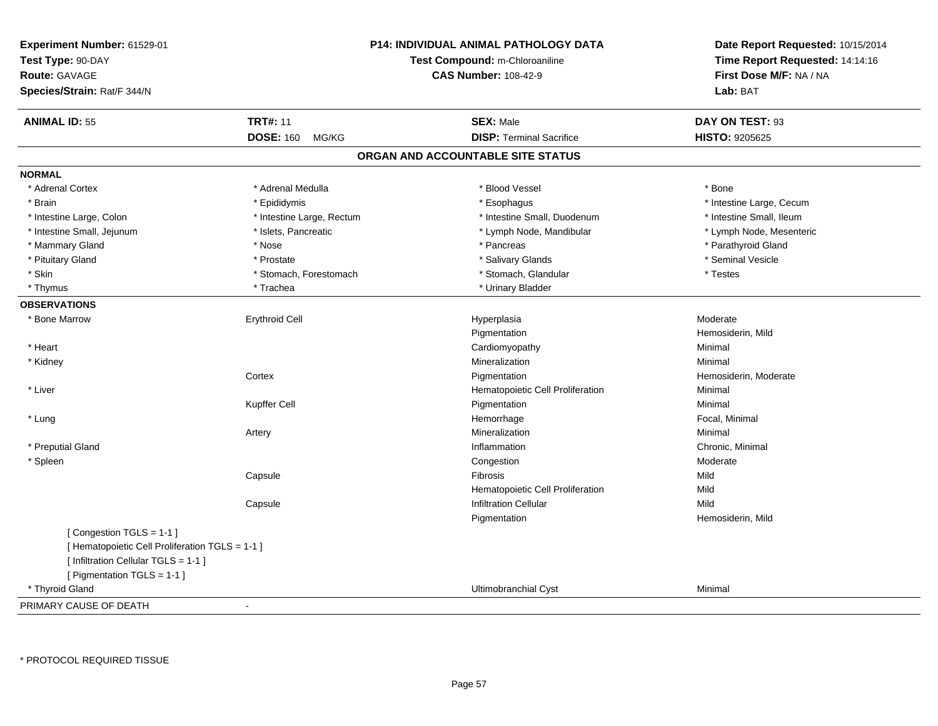| Experiment Number: 61529-01<br>Test Type: 90-DAY<br>Route: GAVAGE<br>Species/Strain: Rat/F 344/N                                                  |                           | <b>P14: INDIVIDUAL ANIMAL PATHOLOGY DATA</b><br>Test Compound: m-Chloroaniline<br><b>CAS Number: 108-42-9</b> | Date Report Requested: 10/15/2014<br>Time Report Requested: 14:14:16<br>First Dose M/F: NA / NA<br>Lab: BAT |
|---------------------------------------------------------------------------------------------------------------------------------------------------|---------------------------|---------------------------------------------------------------------------------------------------------------|-------------------------------------------------------------------------------------------------------------|
| <b>ANIMAL ID: 55</b>                                                                                                                              | <b>TRT#: 11</b>           | <b>SEX: Male</b>                                                                                              | DAY ON TEST: 93                                                                                             |
|                                                                                                                                                   | <b>DOSE: 160</b><br>MG/KG | <b>DISP: Terminal Sacrifice</b>                                                                               | HISTO: 9205625                                                                                              |
|                                                                                                                                                   |                           | ORGAN AND ACCOUNTABLE SITE STATUS                                                                             |                                                                                                             |
| <b>NORMAL</b>                                                                                                                                     |                           |                                                                                                               |                                                                                                             |
| * Adrenal Cortex                                                                                                                                  | * Adrenal Medulla         | * Blood Vessel                                                                                                | * Bone                                                                                                      |
| * Brain                                                                                                                                           | * Epididymis              | * Esophagus                                                                                                   | * Intestine Large, Cecum                                                                                    |
| * Intestine Large, Colon                                                                                                                          | * Intestine Large, Rectum | * Intestine Small, Duodenum                                                                                   | * Intestine Small, Ileum                                                                                    |
| * Intestine Small, Jejunum                                                                                                                        | * Islets, Pancreatic      | * Lymph Node, Mandibular                                                                                      | * Lymph Node, Mesenteric                                                                                    |
| * Mammary Gland                                                                                                                                   | * Nose                    | * Pancreas                                                                                                    | * Parathyroid Gland                                                                                         |
| * Pituitary Gland                                                                                                                                 | * Prostate                | * Salivary Glands                                                                                             | * Seminal Vesicle                                                                                           |
| * Skin                                                                                                                                            | * Stomach, Forestomach    | * Stomach, Glandular                                                                                          | * Testes                                                                                                    |
| * Thymus                                                                                                                                          | * Trachea                 | * Urinary Bladder                                                                                             |                                                                                                             |
| <b>OBSERVATIONS</b>                                                                                                                               |                           |                                                                                                               |                                                                                                             |
| * Bone Marrow                                                                                                                                     | <b>Erythroid Cell</b>     | Hyperplasia                                                                                                   | Moderate                                                                                                    |
|                                                                                                                                                   |                           | Pigmentation                                                                                                  | Hemosiderin, Mild                                                                                           |
| * Heart                                                                                                                                           |                           | Cardiomyopathy                                                                                                | Minimal                                                                                                     |
| * Kidney                                                                                                                                          |                           | Mineralization                                                                                                | Minimal                                                                                                     |
|                                                                                                                                                   | Cortex                    | Pigmentation                                                                                                  | Hemosiderin, Moderate                                                                                       |
| * Liver                                                                                                                                           |                           | Hematopoietic Cell Proliferation                                                                              | Minimal                                                                                                     |
|                                                                                                                                                   | Kupffer Cell              | Pigmentation                                                                                                  | Minimal                                                                                                     |
| * Lung                                                                                                                                            |                           | Hemorrhage                                                                                                    | Focal, Minimal                                                                                              |
|                                                                                                                                                   | Artery                    | Mineralization                                                                                                | Minimal                                                                                                     |
| * Preputial Gland                                                                                                                                 |                           | Inflammation                                                                                                  | Chronic, Minimal                                                                                            |
| * Spleen                                                                                                                                          |                           | Congestion                                                                                                    | Moderate                                                                                                    |
|                                                                                                                                                   | Capsule                   | Fibrosis                                                                                                      | Mild                                                                                                        |
|                                                                                                                                                   |                           | Hematopoietic Cell Proliferation                                                                              | Mild                                                                                                        |
|                                                                                                                                                   | Capsule                   | <b>Infiltration Cellular</b>                                                                                  | Mild                                                                                                        |
|                                                                                                                                                   |                           | Pigmentation                                                                                                  | Hemosiderin, Mild                                                                                           |
| [Congestion TGLS = 1-1]<br>[ Hematopoietic Cell Proliferation TGLS = 1-1 ]<br>[ Infiltration Cellular TGLS = 1-1 ]<br>[ Pigmentation TGLS = 1-1 ] |                           |                                                                                                               |                                                                                                             |
| * Thyroid Gland                                                                                                                                   |                           | Ultimobranchial Cyst                                                                                          | Minimal                                                                                                     |
| PRIMARY CAUSE OF DEATH                                                                                                                            | $\blacksquare$            |                                                                                                               |                                                                                                             |

\* PROTOCOL REQUIRED TISSUE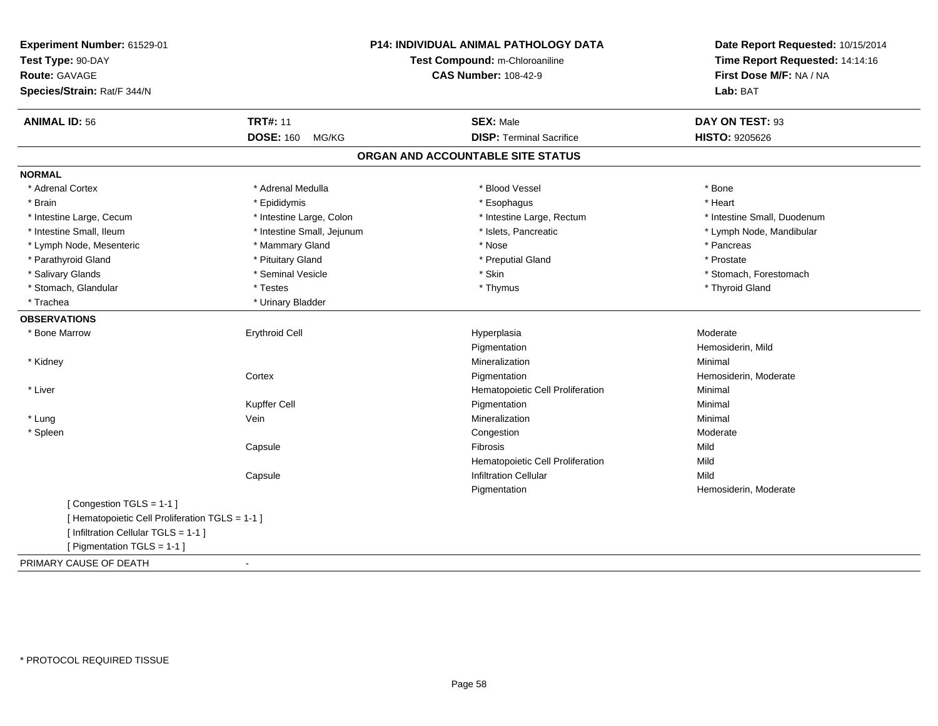| Experiment Number: 61529-01                     |                                | <b>P14: INDIVIDUAL ANIMAL PATHOLOGY DATA</b> | Date Report Requested: 10/15/2014 |
|-------------------------------------------------|--------------------------------|----------------------------------------------|-----------------------------------|
| Test Type: 90-DAY                               | Test Compound: m-Chloroaniline |                                              | Time Report Requested: 14:14:16   |
| <b>Route: GAVAGE</b>                            |                                | <b>CAS Number: 108-42-9</b>                  | First Dose M/F: NA / NA           |
| Species/Strain: Rat/F 344/N                     |                                |                                              | Lab: BAT                          |
| <b>ANIMAL ID: 56</b>                            | <b>TRT#: 11</b>                | <b>SEX: Male</b>                             | DAY ON TEST: 93                   |
|                                                 | <b>DOSE: 160</b><br>MG/KG      | <b>DISP: Terminal Sacrifice</b>              | HISTO: 9205626                    |
|                                                 |                                | ORGAN AND ACCOUNTABLE SITE STATUS            |                                   |
| <b>NORMAL</b>                                   |                                |                                              |                                   |
| * Adrenal Cortex                                | * Adrenal Medulla              | * Blood Vessel                               | * Bone                            |
| * Brain                                         | * Epididymis                   | * Esophagus                                  | * Heart                           |
| * Intestine Large, Cecum                        | * Intestine Large, Colon       | * Intestine Large, Rectum                    | * Intestine Small, Duodenum       |
| * Intestine Small, Ileum                        | * Intestine Small, Jejunum     | * Islets, Pancreatic                         | * Lymph Node, Mandibular          |
| * Lymph Node, Mesenteric                        | * Mammary Gland                | * Nose                                       | * Pancreas                        |
| * Parathyroid Gland                             | * Pituitary Gland              | * Preputial Gland                            | * Prostate                        |
| * Salivary Glands                               | * Seminal Vesicle              | * Skin                                       | * Stomach, Forestomach            |
| * Stomach, Glandular                            | * Testes                       | * Thymus                                     | * Thyroid Gland                   |
| * Trachea                                       | * Urinary Bladder              |                                              |                                   |
| <b>OBSERVATIONS</b>                             |                                |                                              |                                   |
| * Bone Marrow                                   | Erythroid Cell                 | Hyperplasia                                  | Moderate                          |
|                                                 |                                | Pigmentation                                 | Hemosiderin, Mild                 |
| * Kidney                                        |                                | Mineralization                               | Minimal                           |
|                                                 | Cortex                         | Pigmentation                                 | Hemosiderin, Moderate             |
| * Liver                                         |                                | Hematopoietic Cell Proliferation             | Minimal                           |
|                                                 | Kupffer Cell                   | Pigmentation                                 | Minimal                           |
| * Lung                                          | Vein                           | Mineralization                               | Minimal                           |
| * Spleen                                        |                                | Congestion                                   | Moderate                          |
|                                                 | Capsule                        | Fibrosis                                     | Mild                              |
|                                                 |                                | Hematopoietic Cell Proliferation             | Mild                              |
|                                                 | Capsule                        | <b>Infiltration Cellular</b>                 | Mild                              |
|                                                 |                                | Pigmentation                                 | Hemosiderin, Moderate             |
| [Congestion TGLS = 1-1]                         |                                |                                              |                                   |
| [ Hematopoietic Cell Proliferation TGLS = 1-1 ] |                                |                                              |                                   |
| [ Infiltration Cellular TGLS = 1-1 ]            |                                |                                              |                                   |
| [ Pigmentation TGLS = 1-1 ]                     |                                |                                              |                                   |
| PRIMARY CAUSE OF DEATH                          | $\blacksquare$                 |                                              |                                   |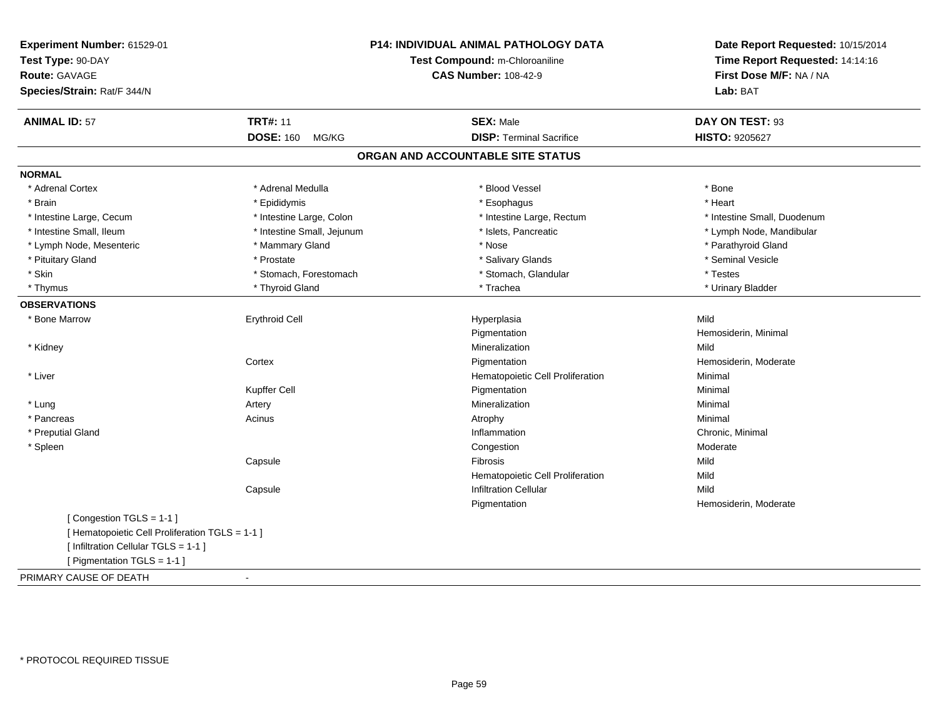| Experiment Number: 61529-01<br>Test Type: 90-DAY       | Test Compound: m-Chloroaniline    | Date Report Requested: 10/15/2014 |
|--------------------------------------------------------|-----------------------------------|-----------------------------------|
|                                                        |                                   | Time Report Requested: 14:14:16   |
| <b>Route: GAVAGE</b>                                   | <b>CAS Number: 108-42-9</b>       | First Dose M/F: NA / NA           |
| Species/Strain: Rat/F 344/N                            |                                   | Lab: BAT                          |
| <b>TRT#: 11</b><br><b>ANIMAL ID: 57</b>                | <b>SEX: Male</b>                  | DAY ON TEST: 93                   |
| <b>DOSE: 160</b><br>MG/KG                              | <b>DISP: Terminal Sacrifice</b>   | <b>HISTO: 9205627</b>             |
|                                                        | ORGAN AND ACCOUNTABLE SITE STATUS |                                   |
| <b>NORMAL</b>                                          |                                   |                                   |
| * Adrenal Cortex<br>* Adrenal Medulla                  | * Blood Vessel                    | * Bone                            |
| * Brain<br>* Epididymis                                | * Esophagus                       | * Heart                           |
| * Intestine Large, Cecum<br>* Intestine Large, Colon   | * Intestine Large, Rectum         | * Intestine Small, Duodenum       |
| * Intestine Small, Ileum<br>* Intestine Small, Jejunum | * Islets, Pancreatic              | * Lymph Node, Mandibular          |
| * Lymph Node, Mesenteric<br>* Mammary Gland            | * Nose                            | * Parathyroid Gland               |
| * Pituitary Gland<br>* Prostate                        | * Salivary Glands                 | * Seminal Vesicle                 |
| * Skin<br>* Stomach, Forestomach                       | * Stomach, Glandular              | * Testes                          |
| * Thyroid Gland<br>* Thymus                            | * Trachea                         | * Urinary Bladder                 |
| <b>OBSERVATIONS</b>                                    |                                   |                                   |
| <b>Erythroid Cell</b><br>* Bone Marrow                 | Hyperplasia                       | Mild                              |
|                                                        | Pigmentation                      | Hemosiderin, Minimal              |
| * Kidney                                               | Mineralization                    | Mild                              |
| Cortex                                                 | Pigmentation                      | Hemosiderin, Moderate             |
| * Liver                                                | Hematopoietic Cell Proliferation  | Minimal                           |
| Kupffer Cell                                           | Pigmentation                      | Minimal                           |
| * Lung<br>Artery                                       | Mineralization                    | Minimal                           |
| * Pancreas<br>Acinus                                   | Atrophy                           | Minimal                           |
| * Preputial Gland                                      | Inflammation                      | Chronic, Minimal                  |
| * Spleen                                               | Congestion                        | Moderate                          |
| Capsule                                                | Fibrosis                          | Mild                              |
|                                                        | Hematopoietic Cell Proliferation  | Mild                              |
| Capsule                                                | <b>Infiltration Cellular</b>      | Mild                              |
|                                                        | Pigmentation                      | Hemosiderin, Moderate             |
| [Congestion TGLS = 1-1]                                |                                   |                                   |
| [ Hematopoietic Cell Proliferation TGLS = 1-1 ]        |                                   |                                   |
| [ Infiltration Cellular TGLS = 1-1 ]                   |                                   |                                   |
| [ Pigmentation TGLS = 1-1 ]                            |                                   |                                   |
| PRIMARY CAUSE OF DEATH<br>$\blacksquare$               |                                   |                                   |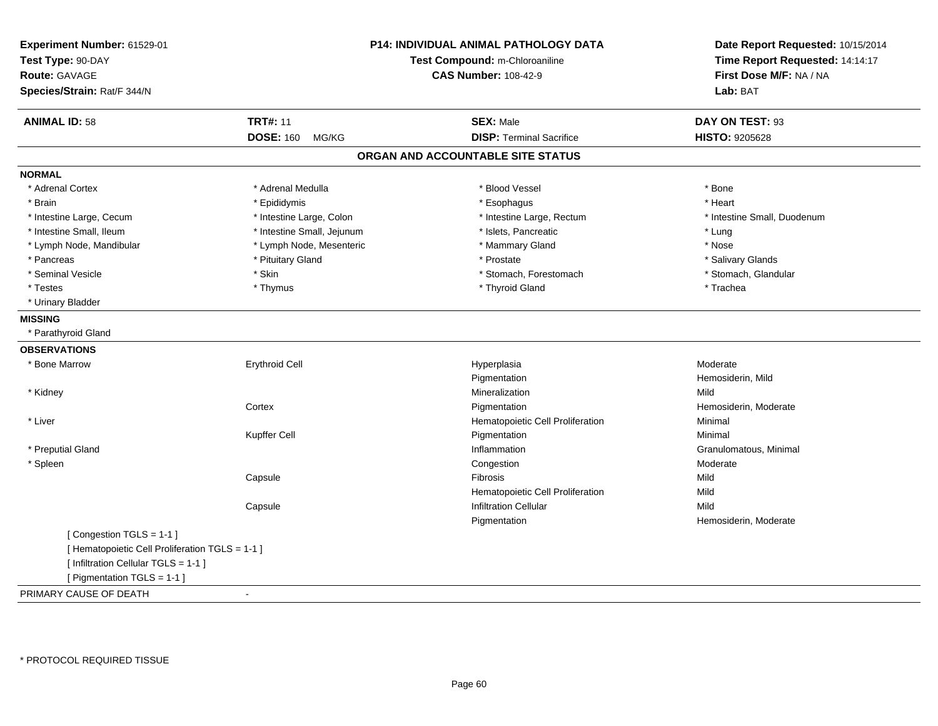| Experiment Number: 61529-01<br>Test Type: 90-DAY<br><b>Route: GAVAGE</b><br>Species/Strain: Rat/F 344/N                                           |                            | P14: INDIVIDUAL ANIMAL PATHOLOGY DATA<br>Test Compound: m-Chloroaniline<br><b>CAS Number: 108-42-9</b> | Date Report Requested: 10/15/2014<br>Time Report Requested: 14:14:17<br>First Dose M/F: NA / NA<br>Lab: BAT |
|---------------------------------------------------------------------------------------------------------------------------------------------------|----------------------------|--------------------------------------------------------------------------------------------------------|-------------------------------------------------------------------------------------------------------------|
| <b>ANIMAL ID: 58</b>                                                                                                                              | <b>TRT#: 11</b>            | <b>SEX: Male</b>                                                                                       | DAY ON TEST: 93                                                                                             |
|                                                                                                                                                   | <b>DOSE: 160</b><br>MG/KG  | <b>DISP: Terminal Sacrifice</b>                                                                        | HISTO: 9205628                                                                                              |
|                                                                                                                                                   |                            | ORGAN AND ACCOUNTABLE SITE STATUS                                                                      |                                                                                                             |
| <b>NORMAL</b>                                                                                                                                     |                            |                                                                                                        |                                                                                                             |
| * Adrenal Cortex                                                                                                                                  | * Adrenal Medulla          | * Blood Vessel                                                                                         | * Bone                                                                                                      |
| * Brain                                                                                                                                           | * Epididymis               | * Esophagus                                                                                            | * Heart                                                                                                     |
| * Intestine Large, Cecum                                                                                                                          | * Intestine Large, Colon   | * Intestine Large, Rectum                                                                              | * Intestine Small, Duodenum                                                                                 |
| * Intestine Small, Ileum                                                                                                                          | * Intestine Small, Jejunum | * Islets, Pancreatic                                                                                   | * Lung                                                                                                      |
| * Lymph Node, Mandibular                                                                                                                          | * Lymph Node, Mesenteric   | * Mammary Gland                                                                                        | * Nose                                                                                                      |
| * Pancreas                                                                                                                                        | * Pituitary Gland          | * Prostate                                                                                             | * Salivary Glands                                                                                           |
| * Seminal Vesicle                                                                                                                                 | * Skin                     | * Stomach, Forestomach                                                                                 | * Stomach, Glandular                                                                                        |
| * Testes                                                                                                                                          | * Thymus                   | * Thyroid Gland                                                                                        | * Trachea                                                                                                   |
| * Urinary Bladder                                                                                                                                 |                            |                                                                                                        |                                                                                                             |
| <b>MISSING</b>                                                                                                                                    |                            |                                                                                                        |                                                                                                             |
| * Parathyroid Gland                                                                                                                               |                            |                                                                                                        |                                                                                                             |
| <b>OBSERVATIONS</b>                                                                                                                               |                            |                                                                                                        |                                                                                                             |
| * Bone Marrow                                                                                                                                     | <b>Erythroid Cell</b>      | Hyperplasia                                                                                            | Moderate                                                                                                    |
|                                                                                                                                                   |                            | Pigmentation                                                                                           | Hemosiderin, Mild                                                                                           |
| * Kidney                                                                                                                                          |                            | Mineralization                                                                                         | Mild                                                                                                        |
|                                                                                                                                                   | Cortex                     | Pigmentation                                                                                           | Hemosiderin, Moderate                                                                                       |
| * Liver                                                                                                                                           |                            | Hematopoietic Cell Proliferation                                                                       | Minimal                                                                                                     |
|                                                                                                                                                   | Kupffer Cell               | Pigmentation                                                                                           | Minimal                                                                                                     |
| * Preputial Gland                                                                                                                                 |                            | Inflammation                                                                                           | Granulomatous, Minimal                                                                                      |
| * Spleen                                                                                                                                          |                            | Congestion                                                                                             | Moderate                                                                                                    |
|                                                                                                                                                   | Capsule                    | Fibrosis                                                                                               | Mild                                                                                                        |
|                                                                                                                                                   |                            | Hematopoietic Cell Proliferation                                                                       | Mild                                                                                                        |
|                                                                                                                                                   | Capsule                    | <b>Infiltration Cellular</b>                                                                           | Mild                                                                                                        |
|                                                                                                                                                   |                            | Pigmentation                                                                                           | Hemosiderin, Moderate                                                                                       |
| [Congestion TGLS = 1-1]<br>[ Hematopoietic Cell Proliferation TGLS = 1-1 ]<br>[ Infiltration Cellular TGLS = 1-1 ]<br>[ Pigmentation TGLS = 1-1 ] |                            |                                                                                                        |                                                                                                             |
| PRIMARY CAUSE OF DEATH                                                                                                                            | $\blacksquare$             |                                                                                                        |                                                                                                             |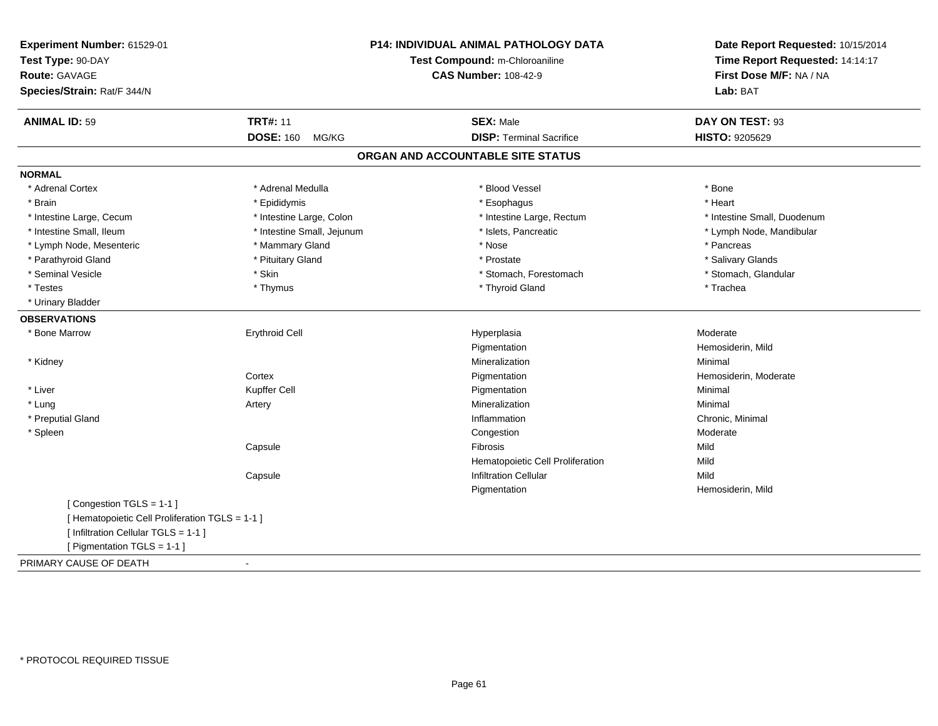| Experiment Number: 61529-01                     |                                | <b>P14: INDIVIDUAL ANIMAL PATHOLOGY DATA</b> | Date Report Requested: 10/15/2014 |
|-------------------------------------------------|--------------------------------|----------------------------------------------|-----------------------------------|
| Test Type: 90-DAY                               | Test Compound: m-Chloroaniline |                                              | Time Report Requested: 14:14:17   |
| <b>Route: GAVAGE</b>                            |                                | <b>CAS Number: 108-42-9</b>                  | First Dose M/F: NA / NA           |
| Species/Strain: Rat/F 344/N                     |                                |                                              | Lab: BAT                          |
| <b>ANIMAL ID: 59</b>                            | <b>TRT#: 11</b>                | <b>SEX: Male</b>                             | DAY ON TEST: 93                   |
|                                                 | <b>DOSE: 160</b><br>MG/KG      | <b>DISP: Terminal Sacrifice</b>              | HISTO: 9205629                    |
|                                                 |                                | ORGAN AND ACCOUNTABLE SITE STATUS            |                                   |
| <b>NORMAL</b>                                   |                                |                                              |                                   |
| * Adrenal Cortex                                | * Adrenal Medulla              | * Blood Vessel                               | * Bone                            |
| * Brain                                         | * Epididymis                   | * Esophagus                                  | * Heart                           |
| * Intestine Large, Cecum                        | * Intestine Large, Colon       | * Intestine Large, Rectum                    | * Intestine Small, Duodenum       |
| * Intestine Small, Ileum                        | * Intestine Small, Jejunum     | * Islets, Pancreatic                         | * Lymph Node, Mandibular          |
| * Lymph Node, Mesenteric                        | * Mammary Gland                | * Nose                                       | * Pancreas                        |
| * Parathyroid Gland                             | * Pituitary Gland              | * Prostate                                   | * Salivary Glands                 |
| * Seminal Vesicle                               | * Skin                         | * Stomach, Forestomach                       | * Stomach, Glandular              |
| * Testes                                        | * Thymus                       | * Thyroid Gland                              | * Trachea                         |
| * Urinary Bladder                               |                                |                                              |                                   |
| <b>OBSERVATIONS</b>                             |                                |                                              |                                   |
| * Bone Marrow                                   | <b>Erythroid Cell</b>          | Hyperplasia                                  | Moderate                          |
|                                                 |                                | Pigmentation                                 | Hemosiderin, Mild                 |
| * Kidney                                        |                                | Mineralization                               | Minimal                           |
|                                                 | Cortex                         | Pigmentation                                 | Hemosiderin, Moderate             |
| * Liver                                         | Kupffer Cell                   | Pigmentation                                 | Minimal                           |
| * Lung                                          | Artery                         | Mineralization                               | Minimal                           |
| * Preputial Gland                               |                                | Inflammation                                 | Chronic, Minimal                  |
| * Spleen                                        |                                | Congestion                                   | Moderate                          |
|                                                 | Capsule                        | Fibrosis                                     | Mild                              |
|                                                 |                                | Hematopoietic Cell Proliferation             | Mild                              |
|                                                 | Capsule                        | <b>Infiltration Cellular</b>                 | Mild                              |
|                                                 |                                | Pigmentation                                 | Hemosiderin, Mild                 |
| [Congestion TGLS = 1-1]                         |                                |                                              |                                   |
| [ Hematopoietic Cell Proliferation TGLS = 1-1 ] |                                |                                              |                                   |
| [ Infiltration Cellular TGLS = 1-1 ]            |                                |                                              |                                   |
| [ Pigmentation TGLS = 1-1 ]                     |                                |                                              |                                   |
| PRIMARY CAUSE OF DEATH                          | $\sim$                         |                                              |                                   |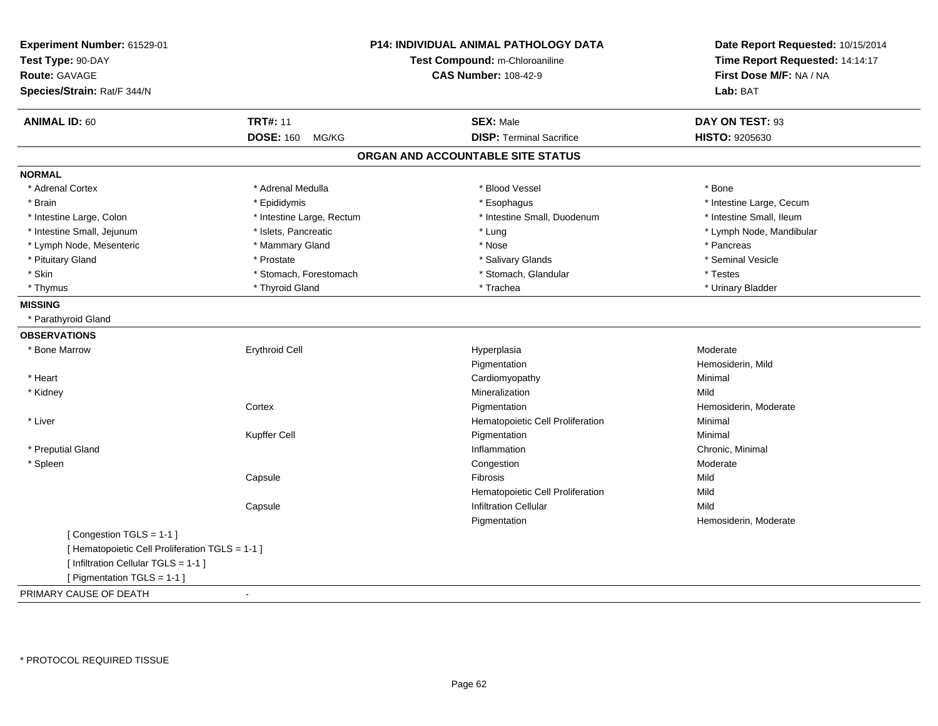| Experiment Number: 61529-01<br>Test Type: 90-DAY<br><b>Route: GAVAGE</b><br>Species/Strain: Rat/F 344/N                                           |                           | <b>P14: INDIVIDUAL ANIMAL PATHOLOGY DATA</b><br>Test Compound: m-Chloroaniline<br><b>CAS Number: 108-42-9</b> | Date Report Requested: 10/15/2014<br>Time Report Requested: 14:14:17<br>First Dose M/F: NA / NA<br>Lab: BAT |
|---------------------------------------------------------------------------------------------------------------------------------------------------|---------------------------|---------------------------------------------------------------------------------------------------------------|-------------------------------------------------------------------------------------------------------------|
| <b>ANIMAL ID: 60</b>                                                                                                                              | <b>TRT#: 11</b>           | <b>SEX: Male</b>                                                                                              | DAY ON TEST: 93                                                                                             |
|                                                                                                                                                   | <b>DOSE: 160</b><br>MG/KG | <b>DISP: Terminal Sacrifice</b>                                                                               | HISTO: 9205630                                                                                              |
|                                                                                                                                                   |                           | ORGAN AND ACCOUNTABLE SITE STATUS                                                                             |                                                                                                             |
| <b>NORMAL</b>                                                                                                                                     |                           |                                                                                                               |                                                                                                             |
| * Adrenal Cortex                                                                                                                                  | * Adrenal Medulla         | * Blood Vessel                                                                                                | * Bone                                                                                                      |
| * Brain                                                                                                                                           | * Epididymis              | * Esophagus                                                                                                   | * Intestine Large, Cecum                                                                                    |
| * Intestine Large, Colon                                                                                                                          | * Intestine Large, Rectum | * Intestine Small, Duodenum                                                                                   | * Intestine Small, Ileum                                                                                    |
| * Intestine Small, Jejunum                                                                                                                        | * Islets, Pancreatic      | * Lung                                                                                                        | * Lymph Node, Mandibular                                                                                    |
| * Lymph Node, Mesenteric                                                                                                                          | * Mammary Gland           | * Nose                                                                                                        | * Pancreas                                                                                                  |
| * Pituitary Gland                                                                                                                                 | * Prostate                | * Salivary Glands                                                                                             | * Seminal Vesicle                                                                                           |
| * Skin                                                                                                                                            | * Stomach, Forestomach    | * Stomach, Glandular                                                                                          | * Testes                                                                                                    |
| * Thymus                                                                                                                                          | * Thyroid Gland           | * Trachea                                                                                                     | * Urinary Bladder                                                                                           |
| <b>MISSING</b>                                                                                                                                    |                           |                                                                                                               |                                                                                                             |
| * Parathyroid Gland                                                                                                                               |                           |                                                                                                               |                                                                                                             |
| <b>OBSERVATIONS</b>                                                                                                                               |                           |                                                                                                               |                                                                                                             |
| * Bone Marrow                                                                                                                                     | <b>Erythroid Cell</b>     | Hyperplasia                                                                                                   | Moderate                                                                                                    |
|                                                                                                                                                   |                           | Pigmentation                                                                                                  | Hemosiderin, Mild                                                                                           |
| * Heart                                                                                                                                           |                           | Cardiomyopathy                                                                                                | Minimal                                                                                                     |
| * Kidney                                                                                                                                          |                           | Mineralization                                                                                                | Mild                                                                                                        |
|                                                                                                                                                   | Cortex                    | Pigmentation                                                                                                  | Hemosiderin, Moderate                                                                                       |
| * Liver                                                                                                                                           |                           | Hematopoietic Cell Proliferation                                                                              | Minimal                                                                                                     |
|                                                                                                                                                   | Kupffer Cell              | Pigmentation                                                                                                  | Minimal                                                                                                     |
| * Preputial Gland                                                                                                                                 |                           | Inflammation                                                                                                  | Chronic, Minimal                                                                                            |
| * Spleen                                                                                                                                          |                           | Congestion                                                                                                    | Moderate                                                                                                    |
|                                                                                                                                                   | Capsule                   | Fibrosis                                                                                                      | Mild                                                                                                        |
|                                                                                                                                                   |                           | Hematopoietic Cell Proliferation                                                                              | Mild                                                                                                        |
|                                                                                                                                                   | Capsule                   | <b>Infiltration Cellular</b>                                                                                  | Mild                                                                                                        |
|                                                                                                                                                   |                           | Pigmentation                                                                                                  | Hemosiderin, Moderate                                                                                       |
| [Congestion TGLS = 1-1]<br>[ Hematopoietic Cell Proliferation TGLS = 1-1 ]<br>[ Infiltration Cellular TGLS = 1-1 ]<br>[ Pigmentation TGLS = 1-1 ] |                           |                                                                                                               |                                                                                                             |
| PRIMARY CAUSE OF DEATH                                                                                                                            | ÷.                        |                                                                                                               |                                                                                                             |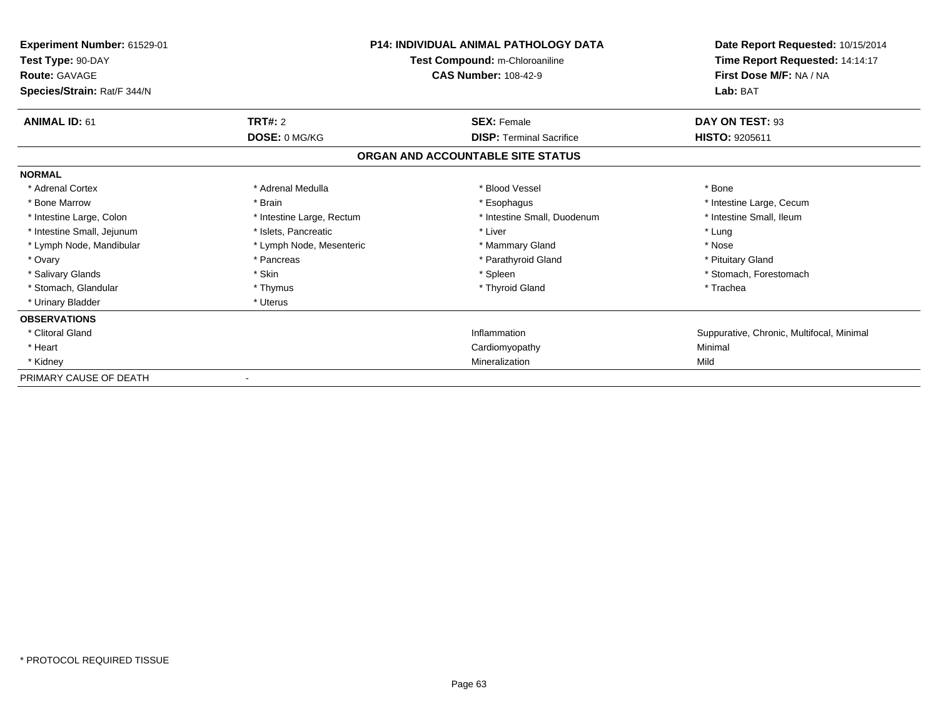| <b>Experiment Number: 61529-01</b><br>Test Type: 90-DAY<br><b>Route: GAVAGE</b><br>Species/Strain: Rat/F 344/N |                           | <b>P14: INDIVIDUAL ANIMAL PATHOLOGY DATA</b><br>Test Compound: m-Chloroaniline<br><b>CAS Number: 108-42-9</b> | Date Report Requested: 10/15/2014<br>Time Report Requested: 14:14:17<br>First Dose M/F: NA / NA<br>Lab: BAT |
|----------------------------------------------------------------------------------------------------------------|---------------------------|---------------------------------------------------------------------------------------------------------------|-------------------------------------------------------------------------------------------------------------|
| <b>ANIMAL ID: 61</b>                                                                                           | <b>TRT#: 2</b>            | <b>SEX: Female</b>                                                                                            | DAY ON TEST: 93                                                                                             |
|                                                                                                                | DOSE: 0 MG/KG             | <b>DISP: Terminal Sacrifice</b>                                                                               | <b>HISTO: 9205611</b>                                                                                       |
|                                                                                                                |                           | ORGAN AND ACCOUNTABLE SITE STATUS                                                                             |                                                                                                             |
| <b>NORMAL</b>                                                                                                  |                           |                                                                                                               |                                                                                                             |
| * Adrenal Cortex                                                                                               | * Adrenal Medulla         | * Blood Vessel                                                                                                | * Bone                                                                                                      |
| * Bone Marrow                                                                                                  | * Brain                   | * Esophagus                                                                                                   | * Intestine Large, Cecum                                                                                    |
| * Intestine Large, Colon                                                                                       | * Intestine Large, Rectum | * Intestine Small, Duodenum                                                                                   | * Intestine Small, Ileum                                                                                    |
| * Intestine Small, Jejunum                                                                                     | * Islets. Pancreatic      | * Liver                                                                                                       | * Lung                                                                                                      |
| * Lymph Node, Mandibular                                                                                       | * Lymph Node, Mesenteric  | * Mammary Gland                                                                                               | * Nose                                                                                                      |
| * Ovary                                                                                                        | * Pancreas                | * Parathyroid Gland                                                                                           | * Pituitary Gland                                                                                           |
| * Salivary Glands                                                                                              | * Skin                    | * Spleen                                                                                                      | * Stomach, Forestomach                                                                                      |
| * Stomach, Glandular                                                                                           | * Thymus                  | * Thyroid Gland                                                                                               | * Trachea                                                                                                   |
| * Urinary Bladder                                                                                              | * Uterus                  |                                                                                                               |                                                                                                             |
| <b>OBSERVATIONS</b>                                                                                            |                           |                                                                                                               |                                                                                                             |
| * Clitoral Gland                                                                                               |                           | Inflammation                                                                                                  | Suppurative, Chronic, Multifocal, Minimal                                                                   |
| * Heart                                                                                                        |                           | Cardiomyopathy                                                                                                | Minimal                                                                                                     |
| * Kidney                                                                                                       |                           | Mineralization                                                                                                | Mild                                                                                                        |
| PRIMARY CAUSE OF DEATH                                                                                         |                           |                                                                                                               |                                                                                                             |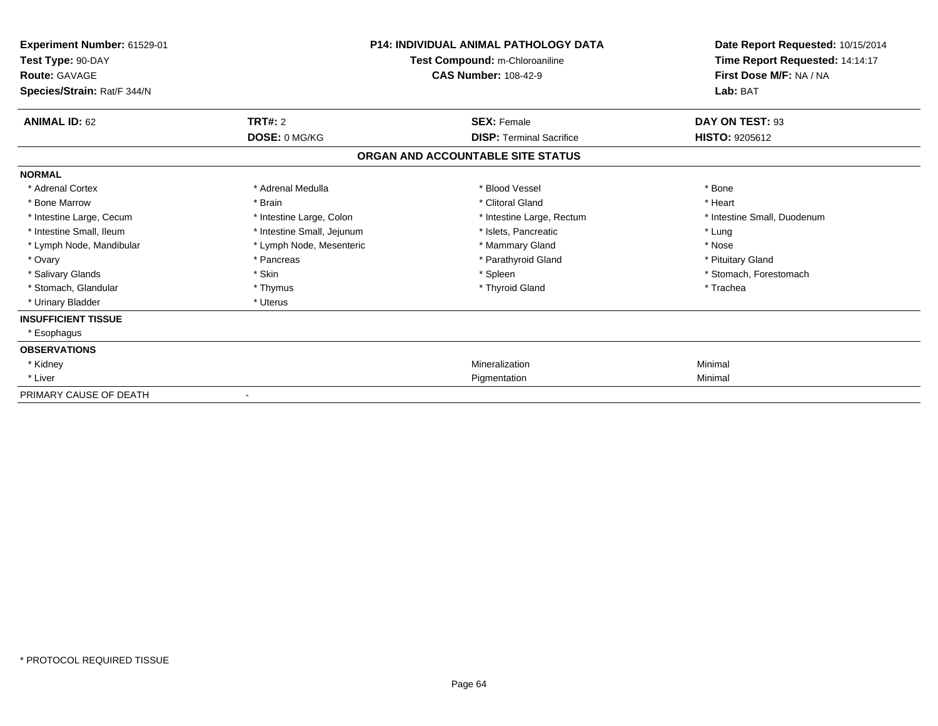| Experiment Number: 61529-01<br>Test Type: 90-DAY<br><b>Route: GAVAGE</b><br>Species/Strain: Rat/F 344/N | <b>P14: INDIVIDUAL ANIMAL PATHOLOGY DATA</b><br>Test Compound: m-Chloroaniline<br><b>CAS Number: 108-42-9</b> |                                   | Date Report Requested: 10/15/2014<br>Time Report Requested: 14:14:17<br>First Dose M/F: NA / NA<br>Lab: BAT |  |
|---------------------------------------------------------------------------------------------------------|---------------------------------------------------------------------------------------------------------------|-----------------------------------|-------------------------------------------------------------------------------------------------------------|--|
| <b>ANIMAL ID: 62</b>                                                                                    | TRT#: 2                                                                                                       | <b>SEX: Female</b>                | DAY ON TEST: 93                                                                                             |  |
|                                                                                                         | DOSE: 0 MG/KG                                                                                                 | <b>DISP: Terminal Sacrifice</b>   | <b>HISTO: 9205612</b>                                                                                       |  |
|                                                                                                         |                                                                                                               | ORGAN AND ACCOUNTABLE SITE STATUS |                                                                                                             |  |
| <b>NORMAL</b>                                                                                           |                                                                                                               |                                   |                                                                                                             |  |
| * Adrenal Cortex                                                                                        | * Adrenal Medulla                                                                                             | * Blood Vessel                    | * Bone                                                                                                      |  |
| * Bone Marrow                                                                                           | * Brain                                                                                                       | * Clitoral Gland                  | * Heart                                                                                                     |  |
| * Intestine Large, Cecum                                                                                | * Intestine Large, Colon                                                                                      | * Intestine Large, Rectum         | * Intestine Small, Duodenum                                                                                 |  |
| * Intestine Small, Ileum                                                                                | * Intestine Small, Jejunum                                                                                    | * Islets. Pancreatic              | * Lung                                                                                                      |  |
| * Lymph Node, Mandibular                                                                                | * Lymph Node, Mesenteric                                                                                      | * Mammary Gland                   | * Nose                                                                                                      |  |
| * Ovary                                                                                                 | * Pancreas                                                                                                    | * Parathyroid Gland               | * Pituitary Gland                                                                                           |  |
| * Salivary Glands                                                                                       | * Skin                                                                                                        | * Spleen                          | * Stomach, Forestomach                                                                                      |  |
| * Stomach, Glandular                                                                                    | * Thymus                                                                                                      | * Thyroid Gland                   | * Trachea                                                                                                   |  |
| * Urinary Bladder                                                                                       | * Uterus                                                                                                      |                                   |                                                                                                             |  |
| <b>INSUFFICIENT TISSUE</b>                                                                              |                                                                                                               |                                   |                                                                                                             |  |
| * Esophagus                                                                                             |                                                                                                               |                                   |                                                                                                             |  |
| <b>OBSERVATIONS</b>                                                                                     |                                                                                                               |                                   |                                                                                                             |  |
| * Kidney                                                                                                |                                                                                                               | Mineralization                    | Minimal                                                                                                     |  |
| * Liver                                                                                                 |                                                                                                               | Pigmentation                      | Minimal                                                                                                     |  |
| PRIMARY CAUSE OF DEATH                                                                                  | $\blacksquare$                                                                                                |                                   |                                                                                                             |  |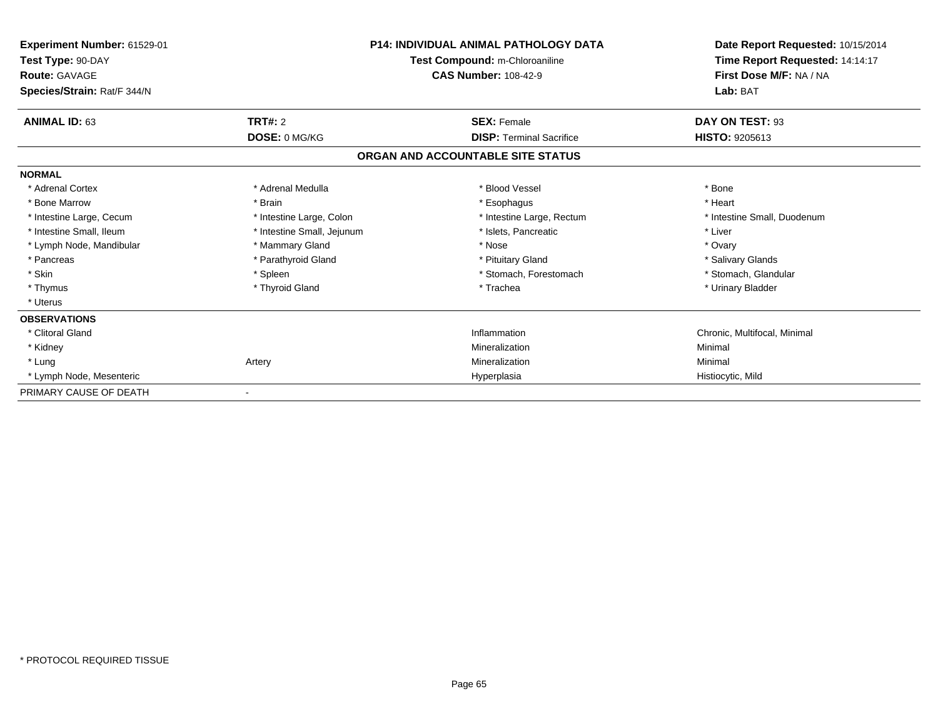| Experiment Number: 61529-01<br>Test Type: 90-DAY<br><b>Route: GAVAGE</b><br>Species/Strain: Rat/F 344/N | <b>P14: INDIVIDUAL ANIMAL PATHOLOGY DATA</b><br>Test Compound: m-Chloroaniline<br><b>CAS Number: 108-42-9</b> |                                   | Date Report Requested: 10/15/2014<br>Time Report Requested: 14:14:17<br>First Dose M/F: NA / NA<br>Lab: BAT |
|---------------------------------------------------------------------------------------------------------|---------------------------------------------------------------------------------------------------------------|-----------------------------------|-------------------------------------------------------------------------------------------------------------|
| <b>ANIMAL ID: 63</b>                                                                                    | TRT#: 2                                                                                                       | <b>SEX: Female</b>                | DAY ON TEST: 93                                                                                             |
|                                                                                                         | DOSE: 0 MG/KG                                                                                                 | <b>DISP: Terminal Sacrifice</b>   | <b>HISTO: 9205613</b>                                                                                       |
|                                                                                                         |                                                                                                               | ORGAN AND ACCOUNTABLE SITE STATUS |                                                                                                             |
| <b>NORMAL</b>                                                                                           |                                                                                                               |                                   |                                                                                                             |
| * Adrenal Cortex                                                                                        | * Adrenal Medulla                                                                                             | * Blood Vessel                    | * Bone                                                                                                      |
| * Bone Marrow                                                                                           | * Brain                                                                                                       | * Esophagus                       | * Heart                                                                                                     |
| * Intestine Large, Cecum                                                                                | * Intestine Large, Colon                                                                                      | * Intestine Large, Rectum         | * Intestine Small, Duodenum                                                                                 |
| * Intestine Small, Ileum                                                                                | * Intestine Small, Jejunum                                                                                    | * Islets, Pancreatic              | * Liver                                                                                                     |
| * Lymph Node, Mandibular                                                                                | * Mammary Gland                                                                                               | * Nose                            | * Ovary                                                                                                     |
| * Pancreas                                                                                              | * Parathyroid Gland                                                                                           | * Pituitary Gland                 | * Salivary Glands                                                                                           |
| * Skin                                                                                                  | * Spleen                                                                                                      | * Stomach, Forestomach            | * Stomach, Glandular                                                                                        |
| * Thymus                                                                                                | * Thyroid Gland                                                                                               | * Trachea                         | * Urinary Bladder                                                                                           |
| * Uterus                                                                                                |                                                                                                               |                                   |                                                                                                             |
| <b>OBSERVATIONS</b>                                                                                     |                                                                                                               |                                   |                                                                                                             |
| * Clitoral Gland                                                                                        |                                                                                                               | Inflammation                      | Chronic, Multifocal, Minimal                                                                                |
| * Kidney                                                                                                |                                                                                                               | Mineralization                    | Minimal                                                                                                     |
| * Lung                                                                                                  | Artery                                                                                                        | Mineralization                    | Minimal                                                                                                     |
| * Lymph Node, Mesenteric                                                                                |                                                                                                               | Hyperplasia                       | Histiocytic, Mild                                                                                           |
| PRIMARY CAUSE OF DEATH                                                                                  |                                                                                                               |                                   |                                                                                                             |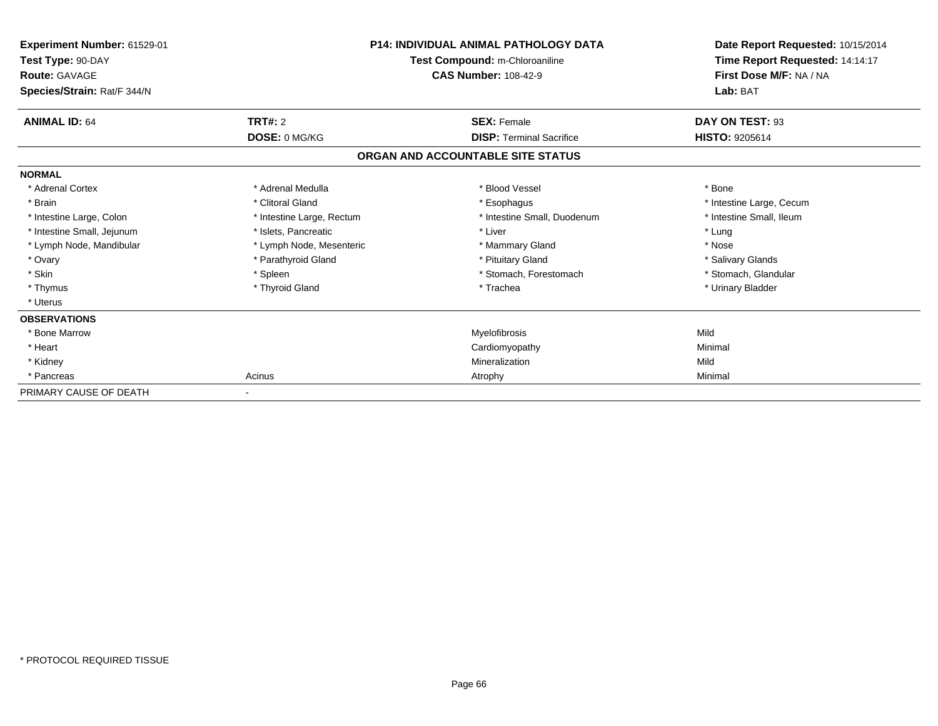| Experiment Number: 61529-01<br>Test Type: 90-DAY<br><b>Route: GAVAGE</b><br>Species/Strain: Rat/F 344/N | <b>P14: INDIVIDUAL ANIMAL PATHOLOGY DATA</b><br>Test Compound: m-Chloroaniline<br><b>CAS Number: 108-42-9</b> |                                   | Date Report Requested: 10/15/2014<br>Time Report Requested: 14:14:17<br>First Dose M/F: NA / NA<br>Lab: BAT |  |
|---------------------------------------------------------------------------------------------------------|---------------------------------------------------------------------------------------------------------------|-----------------------------------|-------------------------------------------------------------------------------------------------------------|--|
| <b>ANIMAL ID: 64</b>                                                                                    | TRT#: 2                                                                                                       | <b>SEX: Female</b>                | DAY ON TEST: 93                                                                                             |  |
|                                                                                                         | DOSE: 0 MG/KG                                                                                                 | <b>DISP: Terminal Sacrifice</b>   | <b>HISTO: 9205614</b>                                                                                       |  |
|                                                                                                         |                                                                                                               | ORGAN AND ACCOUNTABLE SITE STATUS |                                                                                                             |  |
| <b>NORMAL</b>                                                                                           |                                                                                                               |                                   |                                                                                                             |  |
| * Adrenal Cortex                                                                                        | * Adrenal Medulla                                                                                             | * Blood Vessel                    | * Bone                                                                                                      |  |
| * Brain                                                                                                 | * Clitoral Gland                                                                                              | * Esophagus                       | * Intestine Large, Cecum                                                                                    |  |
| * Intestine Large, Colon                                                                                | * Intestine Large, Rectum                                                                                     | * Intestine Small, Duodenum       | * Intestine Small, Ileum                                                                                    |  |
| * Intestine Small, Jejunum                                                                              | * Islets, Pancreatic                                                                                          | * Liver                           | * Lung                                                                                                      |  |
| * Lymph Node, Mandibular                                                                                | * Lymph Node, Mesenteric                                                                                      | * Mammary Gland                   | * Nose                                                                                                      |  |
| * Ovary                                                                                                 | * Parathyroid Gland                                                                                           | * Pituitary Gland                 | * Salivary Glands                                                                                           |  |
| * Skin                                                                                                  | * Spleen                                                                                                      | * Stomach, Forestomach            | * Stomach, Glandular                                                                                        |  |
| * Thymus                                                                                                | * Thyroid Gland                                                                                               | * Trachea                         | * Urinary Bladder                                                                                           |  |
| * Uterus                                                                                                |                                                                                                               |                                   |                                                                                                             |  |
| <b>OBSERVATIONS</b>                                                                                     |                                                                                                               |                                   |                                                                                                             |  |
| * Bone Marrow                                                                                           |                                                                                                               | Myelofibrosis                     | Mild                                                                                                        |  |
| * Heart                                                                                                 |                                                                                                               | Cardiomyopathy                    | Minimal                                                                                                     |  |
| * Kidney                                                                                                |                                                                                                               | Mineralization                    | Mild                                                                                                        |  |
| * Pancreas                                                                                              | Acinus                                                                                                        | Atrophy                           | Minimal                                                                                                     |  |
| PRIMARY CAUSE OF DEATH                                                                                  |                                                                                                               |                                   |                                                                                                             |  |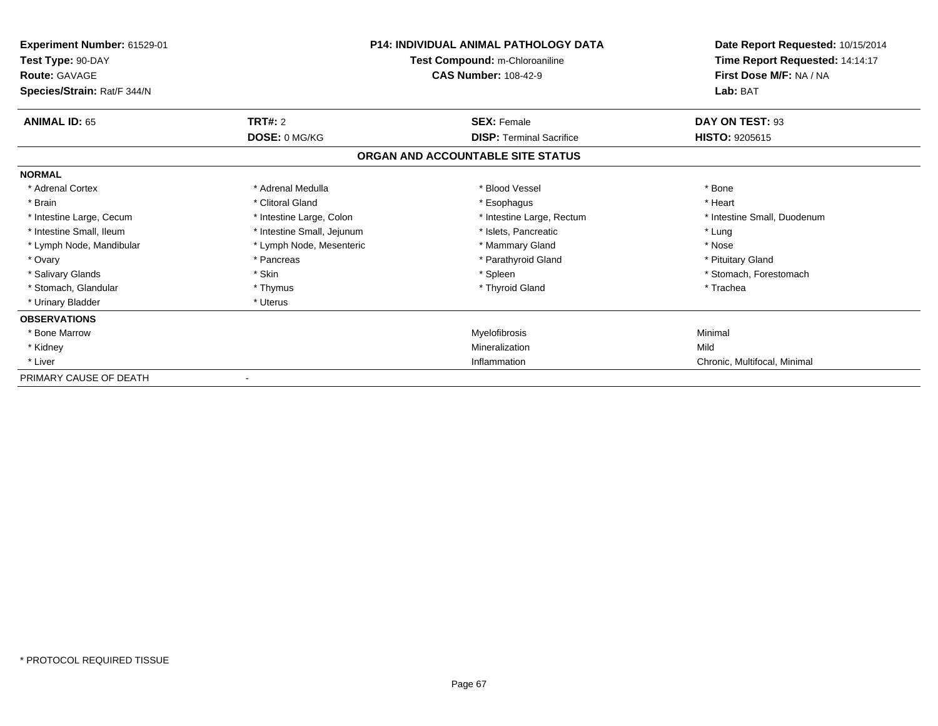| <b>Experiment Number: 61529-01</b><br>Test Type: 90-DAY<br><b>Route: GAVAGE</b><br>Species/Strain: Rat/F 344/N | <b>P14: INDIVIDUAL ANIMAL PATHOLOGY DATA</b><br>Test Compound: m-Chloroaniline<br><b>CAS Number: 108-42-9</b> |                                   | Date Report Requested: 10/15/2014<br>Time Report Requested: 14:14:17<br>First Dose M/F: NA / NA<br>Lab: BAT |
|----------------------------------------------------------------------------------------------------------------|---------------------------------------------------------------------------------------------------------------|-----------------------------------|-------------------------------------------------------------------------------------------------------------|
| <b>ANIMAL ID: 65</b>                                                                                           | <b>TRT#: 2</b>                                                                                                | <b>SEX: Female</b>                | DAY ON TEST: 93                                                                                             |
|                                                                                                                | DOSE: 0 MG/KG                                                                                                 | <b>DISP: Terminal Sacrifice</b>   | <b>HISTO: 9205615</b>                                                                                       |
|                                                                                                                |                                                                                                               | ORGAN AND ACCOUNTABLE SITE STATUS |                                                                                                             |
| <b>NORMAL</b>                                                                                                  |                                                                                                               |                                   |                                                                                                             |
| * Adrenal Cortex                                                                                               | * Adrenal Medulla                                                                                             | * Blood Vessel                    | * Bone                                                                                                      |
| * Brain                                                                                                        | * Clitoral Gland                                                                                              | * Esophagus                       | * Heart                                                                                                     |
| * Intestine Large, Cecum                                                                                       | * Intestine Large, Colon                                                                                      | * Intestine Large, Rectum         | * Intestine Small, Duodenum                                                                                 |
| * Intestine Small, Ileum                                                                                       | * Intestine Small, Jejunum                                                                                    | * Islets, Pancreatic              | * Lung                                                                                                      |
| * Lymph Node, Mandibular                                                                                       | * Lymph Node, Mesenteric                                                                                      | * Mammary Gland                   | * Nose                                                                                                      |
| * Ovary                                                                                                        | * Pancreas                                                                                                    | * Parathyroid Gland               | * Pituitary Gland                                                                                           |
| * Salivary Glands                                                                                              | * Skin                                                                                                        | * Spleen                          | * Stomach, Forestomach                                                                                      |
| * Stomach, Glandular                                                                                           | * Thymus                                                                                                      | * Thyroid Gland                   | * Trachea                                                                                                   |
| * Urinary Bladder                                                                                              | * Uterus                                                                                                      |                                   |                                                                                                             |
| <b>OBSERVATIONS</b>                                                                                            |                                                                                                               |                                   |                                                                                                             |
| * Bone Marrow                                                                                                  |                                                                                                               | Myelofibrosis                     | Minimal                                                                                                     |
| * Kidney                                                                                                       |                                                                                                               | Mineralization                    | Mild                                                                                                        |
| * Liver                                                                                                        |                                                                                                               | Inflammation                      | Chronic, Multifocal, Minimal                                                                                |
| PRIMARY CAUSE OF DEATH                                                                                         |                                                                                                               |                                   |                                                                                                             |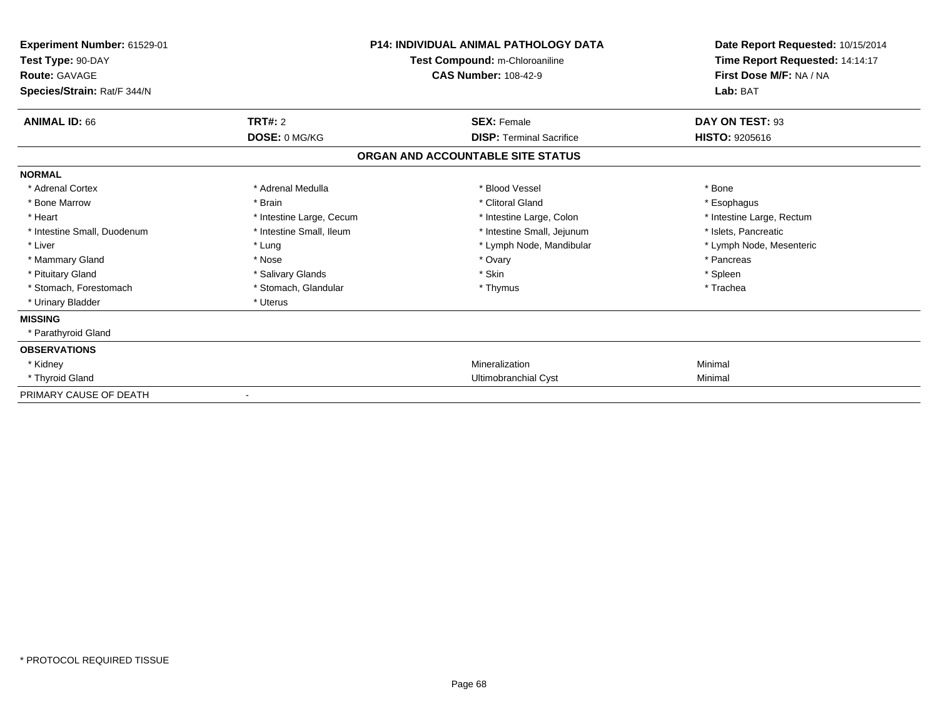| Experiment Number: 61529-01<br>Test Type: 90-DAY<br><b>Route: GAVAGE</b><br>Species/Strain: Rat/F 344/N |                          | <b>P14: INDIVIDUAL ANIMAL PATHOLOGY DATA</b><br>Test Compound: m-Chloroaniline<br><b>CAS Number: 108-42-9</b> | Date Report Requested: 10/15/2014<br>Time Report Requested: 14:14:17<br>First Dose M/F: NA / NA<br>Lab: BAT |
|---------------------------------------------------------------------------------------------------------|--------------------------|---------------------------------------------------------------------------------------------------------------|-------------------------------------------------------------------------------------------------------------|
|                                                                                                         |                          |                                                                                                               |                                                                                                             |
| <b>ANIMAL ID: 66</b>                                                                                    | TRT#: 2                  | <b>SEX: Female</b>                                                                                            | DAY ON TEST: 93                                                                                             |
|                                                                                                         | DOSE: 0 MG/KG            | <b>DISP: Terminal Sacrifice</b>                                                                               | <b>HISTO: 9205616</b>                                                                                       |
|                                                                                                         |                          | ORGAN AND ACCOUNTABLE SITE STATUS                                                                             |                                                                                                             |
| <b>NORMAL</b>                                                                                           |                          |                                                                                                               |                                                                                                             |
| * Adrenal Cortex                                                                                        | * Adrenal Medulla        | * Blood Vessel                                                                                                | * Bone                                                                                                      |
| * Bone Marrow                                                                                           | * Brain                  | * Clitoral Gland                                                                                              | * Esophagus                                                                                                 |
| * Heart                                                                                                 | * Intestine Large, Cecum | * Intestine Large, Colon                                                                                      | * Intestine Large, Rectum                                                                                   |
| * Intestine Small, Duodenum                                                                             | * Intestine Small, Ileum | * Intestine Small, Jejunum                                                                                    | * Islets, Pancreatic                                                                                        |
| * Liver                                                                                                 | * Lung                   | * Lymph Node, Mandibular                                                                                      | * Lymph Node, Mesenteric                                                                                    |
| * Mammary Gland                                                                                         | * Nose                   | * Ovary                                                                                                       | * Pancreas                                                                                                  |
| * Pituitary Gland                                                                                       | * Salivary Glands        | * Skin                                                                                                        | * Spleen                                                                                                    |
| * Stomach, Forestomach                                                                                  | * Stomach, Glandular     | * Thymus                                                                                                      | * Trachea                                                                                                   |
| * Urinary Bladder                                                                                       | * Uterus                 |                                                                                                               |                                                                                                             |
| <b>MISSING</b>                                                                                          |                          |                                                                                                               |                                                                                                             |
| * Parathyroid Gland                                                                                     |                          |                                                                                                               |                                                                                                             |
| <b>OBSERVATIONS</b>                                                                                     |                          |                                                                                                               |                                                                                                             |
| * Kidney                                                                                                |                          | Mineralization                                                                                                | Minimal                                                                                                     |
| * Thyroid Gland                                                                                         |                          | Ultimobranchial Cyst                                                                                          | Minimal                                                                                                     |
| PRIMARY CAUSE OF DEATH                                                                                  | $\blacksquare$           |                                                                                                               |                                                                                                             |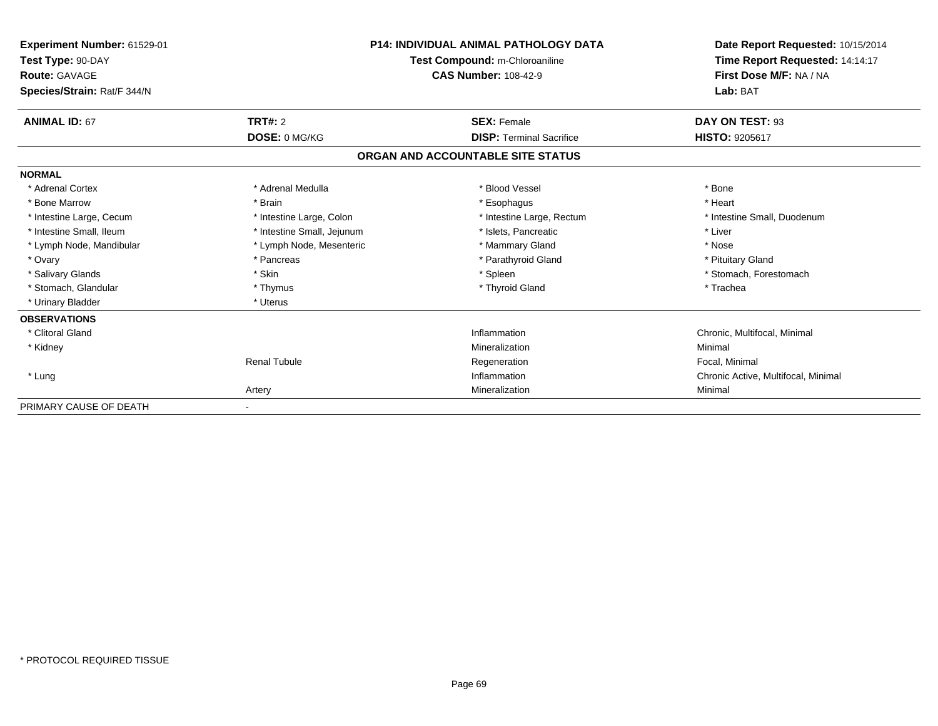| Experiment Number: 61529-01<br>Test Type: 90-DAY<br><b>Route: GAVAGE</b><br>Species/Strain: Rat/F 344/N | <b>P14: INDIVIDUAL ANIMAL PATHOLOGY DATA</b><br>Test Compound: m-Chloroaniline<br><b>CAS Number: 108-42-9</b> |                                   | Date Report Requested: 10/15/2014<br>Time Report Requested: 14:14:17<br>First Dose M/F: NA / NA<br>Lab: BAT |  |
|---------------------------------------------------------------------------------------------------------|---------------------------------------------------------------------------------------------------------------|-----------------------------------|-------------------------------------------------------------------------------------------------------------|--|
| <b>ANIMAL ID: 67</b>                                                                                    | TRT#: 2                                                                                                       | <b>SEX: Female</b>                | DAY ON TEST: 93                                                                                             |  |
|                                                                                                         | DOSE: 0 MG/KG                                                                                                 | <b>DISP: Terminal Sacrifice</b>   | HISTO: 9205617                                                                                              |  |
|                                                                                                         |                                                                                                               | ORGAN AND ACCOUNTABLE SITE STATUS |                                                                                                             |  |
| <b>NORMAL</b>                                                                                           |                                                                                                               |                                   |                                                                                                             |  |
| * Adrenal Cortex                                                                                        | * Adrenal Medulla                                                                                             | * Blood Vessel                    | * Bone                                                                                                      |  |
| * Bone Marrow                                                                                           | * Brain                                                                                                       | * Esophagus                       | * Heart                                                                                                     |  |
| * Intestine Large, Cecum                                                                                | * Intestine Large, Colon                                                                                      | * Intestine Large, Rectum         | * Intestine Small, Duodenum                                                                                 |  |
| * Intestine Small, Ileum                                                                                | * Intestine Small, Jejunum                                                                                    | * Islets, Pancreatic              | * Liver                                                                                                     |  |
| * Lymph Node, Mandibular                                                                                | * Lymph Node, Mesenteric                                                                                      | * Mammary Gland                   | * Nose                                                                                                      |  |
| * Ovary                                                                                                 | * Pancreas                                                                                                    | * Parathyroid Gland               | * Pituitary Gland                                                                                           |  |
| * Salivary Glands                                                                                       | * Skin                                                                                                        | * Spleen                          | * Stomach, Forestomach                                                                                      |  |
| * Stomach, Glandular                                                                                    | * Thymus                                                                                                      | * Thyroid Gland                   | * Trachea                                                                                                   |  |
| * Urinary Bladder                                                                                       | * Uterus                                                                                                      |                                   |                                                                                                             |  |
| <b>OBSERVATIONS</b>                                                                                     |                                                                                                               |                                   |                                                                                                             |  |
| * Clitoral Gland                                                                                        |                                                                                                               | Inflammation                      | Chronic, Multifocal, Minimal                                                                                |  |
| * Kidney                                                                                                |                                                                                                               | Mineralization                    | Minimal                                                                                                     |  |
|                                                                                                         | <b>Renal Tubule</b>                                                                                           | Regeneration                      | Focal, Minimal                                                                                              |  |
| * Lung                                                                                                  |                                                                                                               | Inflammation                      | Chronic Active, Multifocal, Minimal                                                                         |  |
|                                                                                                         | Artery                                                                                                        | Mineralization                    | Minimal                                                                                                     |  |
| PRIMARY CAUSE OF DEATH                                                                                  |                                                                                                               |                                   |                                                                                                             |  |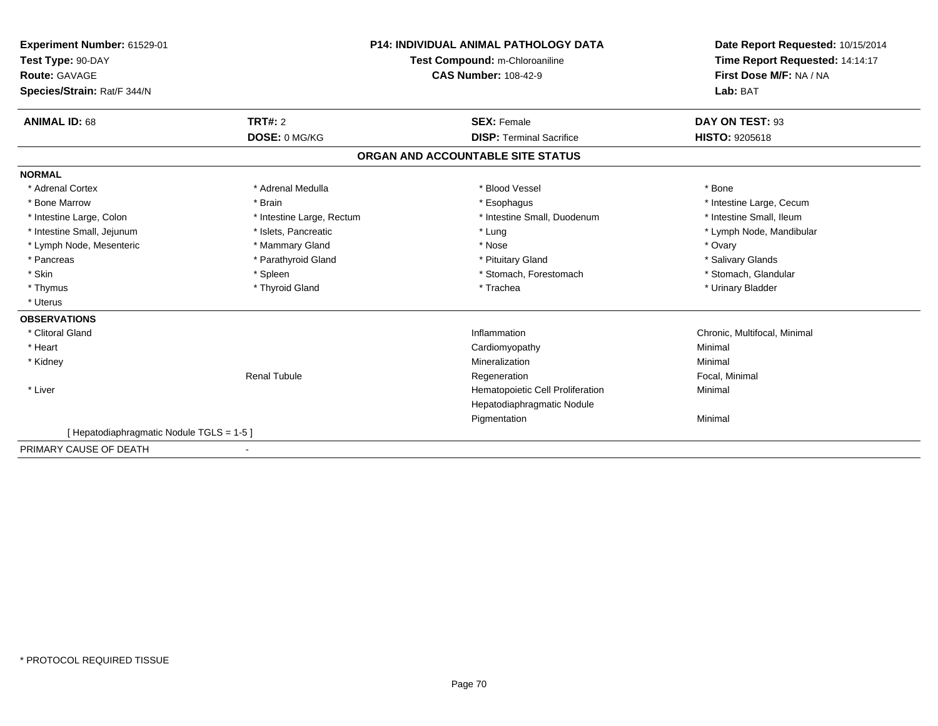| Experiment Number: 61529-01<br>Test Type: 90-DAY<br><b>Route: GAVAGE</b><br>Species/Strain: Rat/F 344/N | <b>P14: INDIVIDUAL ANIMAL PATHOLOGY DATA</b><br>Test Compound: m-Chloroaniline<br><b>CAS Number: 108-42-9</b> |                                                       | Date Report Requested: 10/15/2014<br>Time Report Requested: 14:14:17<br>First Dose M/F: NA / NA<br>Lab: BAT |  |
|---------------------------------------------------------------------------------------------------------|---------------------------------------------------------------------------------------------------------------|-------------------------------------------------------|-------------------------------------------------------------------------------------------------------------|--|
| <b>ANIMAL ID: 68</b>                                                                                    | TRT#: 2<br>DOSE: 0 MG/KG                                                                                      | <b>SEX: Female</b><br><b>DISP: Terminal Sacrifice</b> | DAY ON TEST: 93<br><b>HISTO: 9205618</b>                                                                    |  |
|                                                                                                         |                                                                                                               | ORGAN AND ACCOUNTABLE SITE STATUS                     |                                                                                                             |  |
|                                                                                                         |                                                                                                               |                                                       |                                                                                                             |  |
| <b>NORMAL</b>                                                                                           |                                                                                                               |                                                       |                                                                                                             |  |
| * Adrenal Cortex                                                                                        | * Adrenal Medulla                                                                                             | * Blood Vessel                                        | * Bone                                                                                                      |  |
| * Bone Marrow                                                                                           | * Brain                                                                                                       | * Esophagus                                           | * Intestine Large, Cecum                                                                                    |  |
| * Intestine Large, Colon                                                                                | * Intestine Large, Rectum                                                                                     | * Intestine Small, Duodenum                           | * Intestine Small, Ileum                                                                                    |  |
| * Intestine Small, Jejunum                                                                              | * Islets, Pancreatic                                                                                          | * Lung                                                | * Lymph Node, Mandibular                                                                                    |  |
| * Lymph Node, Mesenteric                                                                                | * Mammary Gland                                                                                               | * Nose                                                | * Ovary                                                                                                     |  |
| * Pancreas                                                                                              | * Parathyroid Gland                                                                                           | * Pituitary Gland                                     | * Salivary Glands                                                                                           |  |
| * Skin                                                                                                  | * Spleen                                                                                                      | * Stomach, Forestomach                                | * Stomach, Glandular                                                                                        |  |
| * Thymus                                                                                                | * Thyroid Gland                                                                                               | * Trachea                                             | * Urinary Bladder                                                                                           |  |
| * Uterus                                                                                                |                                                                                                               |                                                       |                                                                                                             |  |
| <b>OBSERVATIONS</b>                                                                                     |                                                                                                               |                                                       |                                                                                                             |  |
| * Clitoral Gland                                                                                        |                                                                                                               | Inflammation                                          | Chronic, Multifocal, Minimal                                                                                |  |
| * Heart                                                                                                 |                                                                                                               | Cardiomyopathy                                        | Minimal                                                                                                     |  |
| * Kidney                                                                                                |                                                                                                               | Mineralization                                        | Minimal                                                                                                     |  |
|                                                                                                         | <b>Renal Tubule</b>                                                                                           | Regeneration                                          | Focal, Minimal                                                                                              |  |
| * Liver                                                                                                 |                                                                                                               | Hematopoietic Cell Proliferation                      | Minimal                                                                                                     |  |
|                                                                                                         |                                                                                                               | Hepatodiaphragmatic Nodule                            |                                                                                                             |  |
|                                                                                                         |                                                                                                               | Pigmentation                                          | Minimal                                                                                                     |  |
| [Hepatodiaphragmatic Nodule TGLS = 1-5]                                                                 |                                                                                                               |                                                       |                                                                                                             |  |
| PRIMARY CAUSE OF DEATH                                                                                  | $\overline{\phantom{a}}$                                                                                      |                                                       |                                                                                                             |  |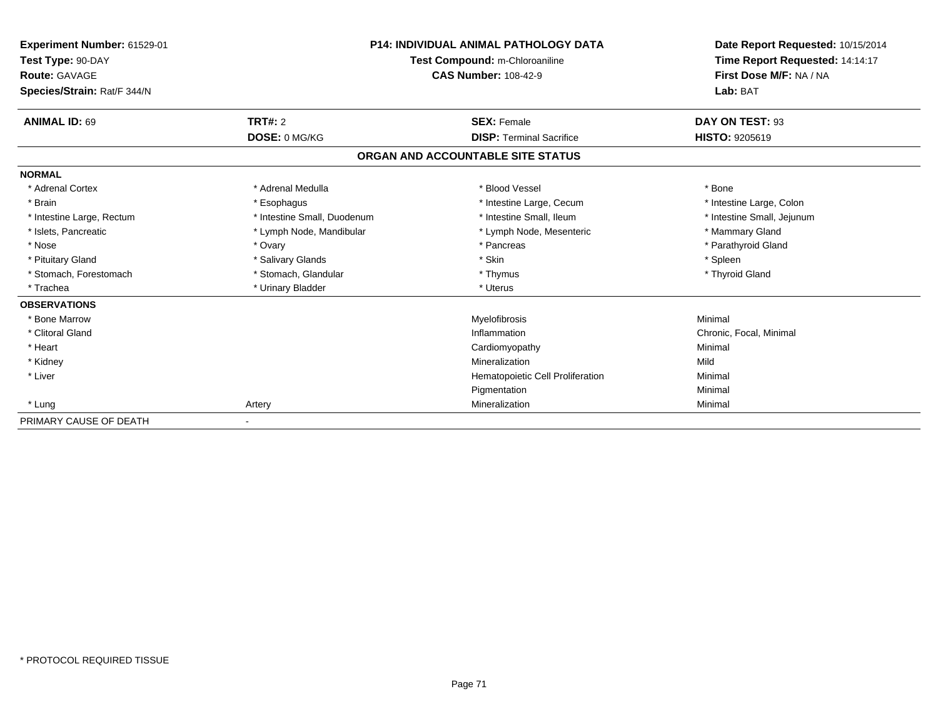| Experiment Number: 61529-01<br>Test Type: 90-DAY<br><b>Route: GAVAGE</b><br>Species/Strain: Rat/F 344/N | <b>P14: INDIVIDUAL ANIMAL PATHOLOGY DATA</b><br>Test Compound: m-Chloroaniline<br><b>CAS Number: 108-42-9</b> |                                   | Date Report Requested: 10/15/2014<br>Time Report Requested: 14:14:17<br>First Dose M/F: NA / NA<br>Lab: BAT |
|---------------------------------------------------------------------------------------------------------|---------------------------------------------------------------------------------------------------------------|-----------------------------------|-------------------------------------------------------------------------------------------------------------|
| <b>ANIMAL ID: 69</b>                                                                                    | <b>TRT#: 2</b>                                                                                                | <b>SEX: Female</b>                | DAY ON TEST: 93                                                                                             |
|                                                                                                         | DOSE: 0 MG/KG                                                                                                 | <b>DISP: Terminal Sacrifice</b>   | HISTO: 9205619                                                                                              |
|                                                                                                         |                                                                                                               | ORGAN AND ACCOUNTABLE SITE STATUS |                                                                                                             |
| <b>NORMAL</b>                                                                                           |                                                                                                               |                                   |                                                                                                             |
| * Adrenal Cortex                                                                                        | * Adrenal Medulla                                                                                             | * Blood Vessel                    | * Bone                                                                                                      |
| * Brain                                                                                                 | * Esophagus                                                                                                   | * Intestine Large, Cecum          | * Intestine Large, Colon                                                                                    |
| * Intestine Large, Rectum                                                                               | * Intestine Small, Duodenum                                                                                   | * Intestine Small. Ileum          | * Intestine Small, Jejunum                                                                                  |
| * Islets, Pancreatic                                                                                    | * Lymph Node, Mandibular                                                                                      | * Lymph Node, Mesenteric          | * Mammary Gland                                                                                             |
| * Nose                                                                                                  | * Ovary                                                                                                       | * Pancreas                        | * Parathyroid Gland                                                                                         |
| * Pituitary Gland                                                                                       | * Salivary Glands                                                                                             | * Skin                            | * Spleen                                                                                                    |
| * Stomach, Forestomach                                                                                  | * Stomach, Glandular                                                                                          | * Thymus                          | * Thyroid Gland                                                                                             |
| * Trachea                                                                                               | * Urinary Bladder                                                                                             | * Uterus                          |                                                                                                             |
| <b>OBSERVATIONS</b>                                                                                     |                                                                                                               |                                   |                                                                                                             |
| * Bone Marrow                                                                                           |                                                                                                               | Myelofibrosis                     | Minimal                                                                                                     |
| * Clitoral Gland                                                                                        |                                                                                                               | Inflammation                      | Chronic, Focal, Minimal                                                                                     |
| * Heart                                                                                                 |                                                                                                               | Cardiomyopathy                    | Minimal                                                                                                     |
| * Kidney                                                                                                |                                                                                                               | Mineralization                    | Mild                                                                                                        |
| * Liver                                                                                                 |                                                                                                               | Hematopoietic Cell Proliferation  | Minimal                                                                                                     |
|                                                                                                         |                                                                                                               | Pigmentation                      | Minimal                                                                                                     |
| * Lung                                                                                                  | Artery                                                                                                        | Mineralization                    | Minimal                                                                                                     |
| PRIMARY CAUSE OF DEATH                                                                                  |                                                                                                               |                                   |                                                                                                             |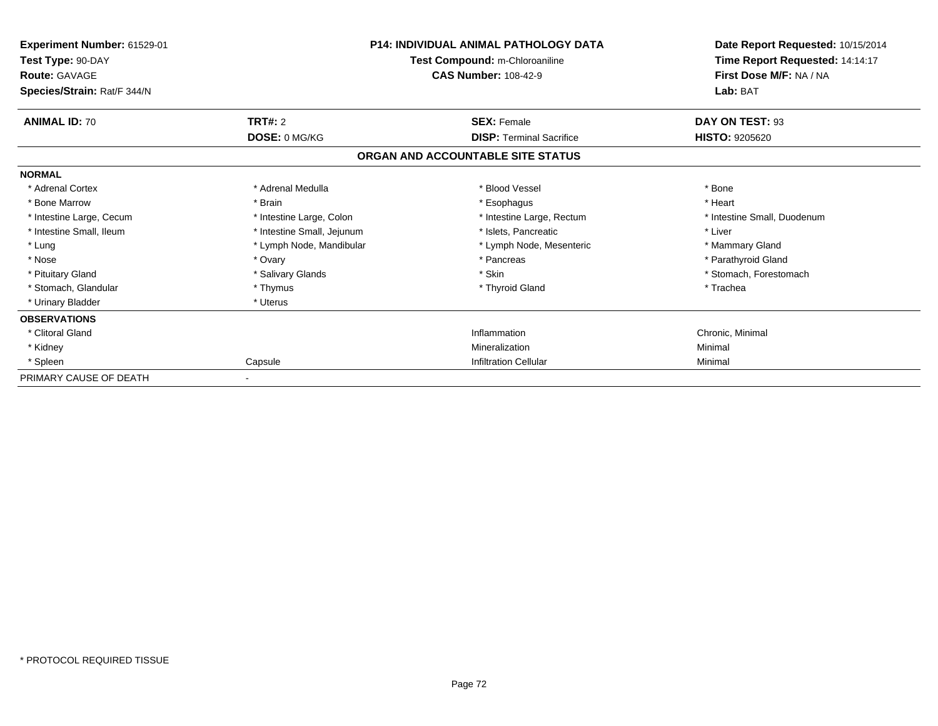| Experiment Number: 61529-01<br>Test Type: 90-DAY<br><b>Route: GAVAGE</b><br>Species/Strain: Rat/F 344/N |                            | <b>P14: INDIVIDUAL ANIMAL PATHOLOGY DATA</b><br>Test Compound: m-Chloroaniline<br><b>CAS Number: 108-42-9</b> | Date Report Requested: 10/15/2014<br>Time Report Requested: 14:14:17<br>First Dose M/F: NA / NA<br>Lab: BAT |  |
|---------------------------------------------------------------------------------------------------------|----------------------------|---------------------------------------------------------------------------------------------------------------|-------------------------------------------------------------------------------------------------------------|--|
| <b>ANIMAL ID: 70</b>                                                                                    | <b>TRT#: 2</b>             | <b>SEX: Female</b>                                                                                            | DAY ON TEST: 93                                                                                             |  |
|                                                                                                         | DOSE: 0 MG/KG              | <b>DISP: Terminal Sacrifice</b>                                                                               | <b>HISTO: 9205620</b>                                                                                       |  |
|                                                                                                         |                            | ORGAN AND ACCOUNTABLE SITE STATUS                                                                             |                                                                                                             |  |
| <b>NORMAL</b>                                                                                           |                            |                                                                                                               |                                                                                                             |  |
| * Adrenal Cortex                                                                                        | * Adrenal Medulla          | * Blood Vessel                                                                                                | * Bone                                                                                                      |  |
| * Bone Marrow                                                                                           | * Brain                    | * Esophagus                                                                                                   | * Heart                                                                                                     |  |
| * Intestine Large, Cecum                                                                                | * Intestine Large, Colon   | * Intestine Large, Rectum                                                                                     | * Intestine Small, Duodenum                                                                                 |  |
| * Intestine Small, Ileum                                                                                | * Intestine Small, Jejunum | * Islets, Pancreatic                                                                                          | * Liver                                                                                                     |  |
| * Lung                                                                                                  | * Lymph Node, Mandibular   | * Lymph Node, Mesenteric                                                                                      | * Mammary Gland                                                                                             |  |
| * Nose                                                                                                  | * Ovary                    | * Pancreas                                                                                                    | * Parathyroid Gland                                                                                         |  |
| * Pituitary Gland                                                                                       | * Salivary Glands          | * Skin                                                                                                        | * Stomach, Forestomach                                                                                      |  |
| * Stomach, Glandular                                                                                    | * Thymus                   | * Thyroid Gland                                                                                               | * Trachea                                                                                                   |  |
| * Urinary Bladder                                                                                       | * Uterus                   |                                                                                                               |                                                                                                             |  |
| <b>OBSERVATIONS</b>                                                                                     |                            |                                                                                                               |                                                                                                             |  |
| * Clitoral Gland                                                                                        |                            | Inflammation                                                                                                  | Chronic, Minimal                                                                                            |  |
| * Kidney                                                                                                |                            | Mineralization                                                                                                | Minimal                                                                                                     |  |
| * Spleen                                                                                                | Capsule                    | Infiltration Cellular                                                                                         | Minimal                                                                                                     |  |
| PRIMARY CAUSE OF DEATH                                                                                  |                            |                                                                                                               |                                                                                                             |  |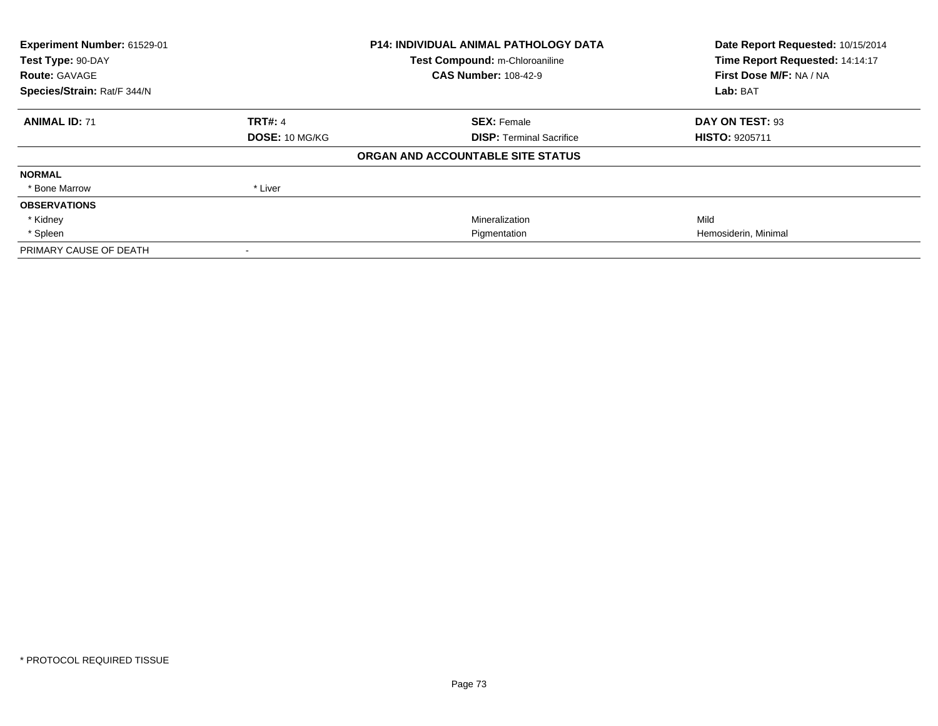| Experiment Number: 61529-01 |                | <b>P14: INDIVIDUAL ANIMAL PATHOLOGY DATA</b> | Date Report Requested: 10/15/2014 |  |
|-----------------------------|----------------|----------------------------------------------|-----------------------------------|--|
| Test Type: 90-DAY           |                | Test Compound: m-Chloroaniline               | Time Report Requested: 14:14:17   |  |
| <b>Route: GAVAGE</b>        |                | <b>CAS Number: 108-42-9</b>                  | First Dose M/F: NA / NA           |  |
| Species/Strain: Rat/F 344/N |                |                                              | Lab: BAT                          |  |
| <b>ANIMAL ID: 71</b>        | <b>TRT#: 4</b> | <b>SEX: Female</b>                           | DAY ON TEST: 93                   |  |
|                             | DOSE: 10 MG/KG | <b>DISP: Terminal Sacrifice</b>              | <b>HISTO: 9205711</b>             |  |
|                             |                | ORGAN AND ACCOUNTABLE SITE STATUS            |                                   |  |
| <b>NORMAL</b>               |                |                                              |                                   |  |
| * Bone Marrow               | * Liver        |                                              |                                   |  |
| <b>OBSERVATIONS</b>         |                |                                              |                                   |  |
| * Kidney                    |                | Mineralization                               | Mild                              |  |
| * Spleen                    |                | Pigmentation                                 | Hemosiderin, Minimal              |  |
| PRIMARY CAUSE OF DEATH      |                |                                              |                                   |  |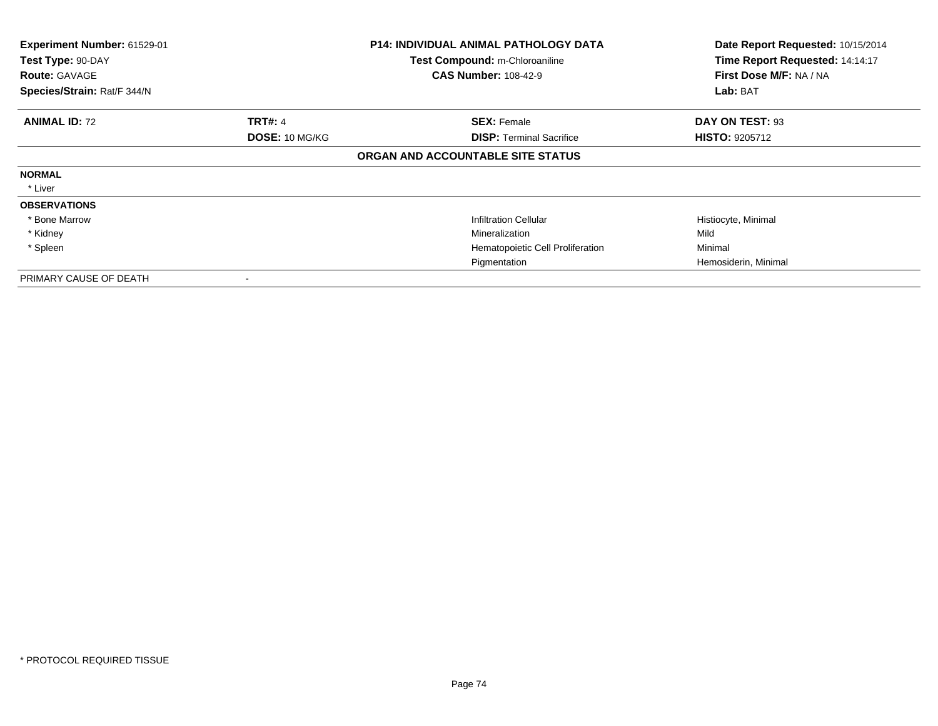| Experiment Number: 61529-01<br>Test Type: 90-DAY<br><b>Route: GAVAGE</b><br>Species/Strain: Rat/F 344/N |                       | <b>P14: INDIVIDUAL ANIMAL PATHOLOGY DATA</b><br>Test Compound: m-Chloroaniline<br><b>CAS Number: 108-42-9</b> | Date Report Requested: 10/15/2014<br>Time Report Requested: 14:14:17<br>First Dose M/F: NA / NA<br>Lab: BAT |
|---------------------------------------------------------------------------------------------------------|-----------------------|---------------------------------------------------------------------------------------------------------------|-------------------------------------------------------------------------------------------------------------|
| <b>ANIMAL ID: 72</b>                                                                                    | <b>TRT#: 4</b>        | <b>SEX: Female</b>                                                                                            | DAY ON TEST: 93                                                                                             |
|                                                                                                         | <b>DOSE: 10 MG/KG</b> | <b>DISP:</b> Terminal Sacrifice                                                                               | <b>HISTO: 9205712</b>                                                                                       |
|                                                                                                         |                       | ORGAN AND ACCOUNTABLE SITE STATUS                                                                             |                                                                                                             |
| <b>NORMAL</b>                                                                                           |                       |                                                                                                               |                                                                                                             |
| * Liver                                                                                                 |                       |                                                                                                               |                                                                                                             |
| <b>OBSERVATIONS</b>                                                                                     |                       |                                                                                                               |                                                                                                             |
| * Bone Marrow                                                                                           |                       | <b>Infiltration Cellular</b>                                                                                  | Histiocyte, Minimal                                                                                         |
| * Kidney                                                                                                |                       | Mineralization                                                                                                | Mild                                                                                                        |
| * Spleen                                                                                                |                       | Hematopoietic Cell Proliferation                                                                              | Minimal                                                                                                     |
|                                                                                                         |                       | Pigmentation                                                                                                  | Hemosiderin, Minimal                                                                                        |
| PRIMARY CAUSE OF DEATH                                                                                  |                       |                                                                                                               |                                                                                                             |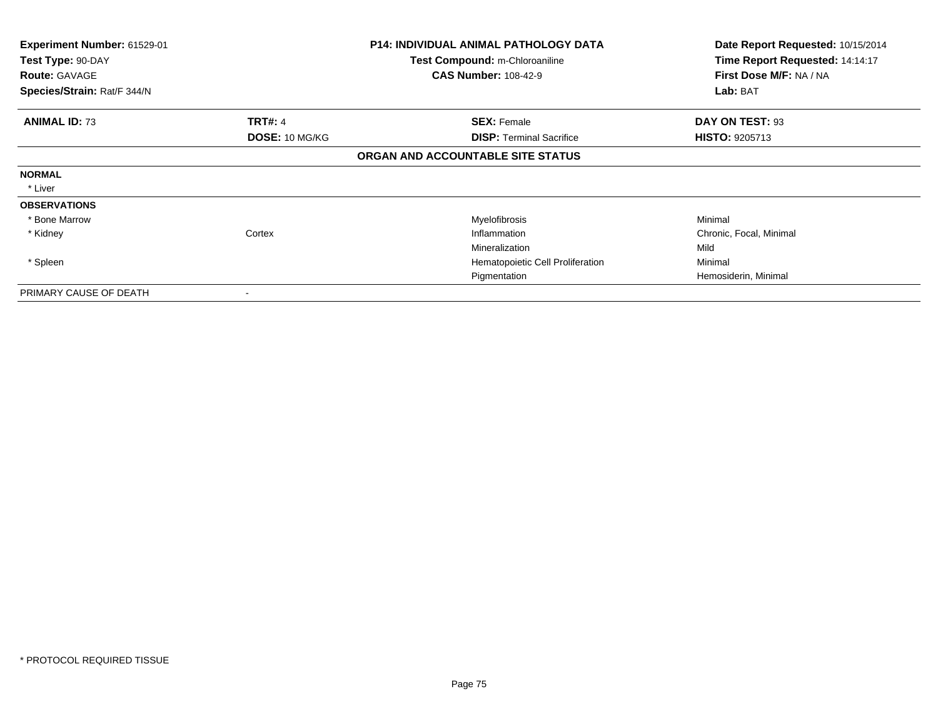| <b>Experiment Number: 61529-01</b><br>Test Type: 90-DAY<br><b>Route: GAVAGE</b><br>Species/Strain: Rat/F 344/N |                       | <b>P14: INDIVIDUAL ANIMAL PATHOLOGY DATA</b><br><b>Test Compound: m-Chloroaniline</b><br><b>CAS Number: 108-42-9</b> | Date Report Requested: 10/15/2014<br>Time Report Requested: 14:14:17<br>First Dose M/F: NA / NA<br>Lab: BAT |
|----------------------------------------------------------------------------------------------------------------|-----------------------|----------------------------------------------------------------------------------------------------------------------|-------------------------------------------------------------------------------------------------------------|
|                                                                                                                |                       |                                                                                                                      |                                                                                                             |
| <b>ANIMAL ID: 73</b>                                                                                           | <b>TRT#: 4</b>        | <b>SEX: Female</b>                                                                                                   | DAY ON TEST: 93                                                                                             |
|                                                                                                                | <b>DOSE: 10 MG/KG</b> | <b>DISP: Terminal Sacrifice</b>                                                                                      | <b>HISTO: 9205713</b>                                                                                       |
|                                                                                                                |                       | ORGAN AND ACCOUNTABLE SITE STATUS                                                                                    |                                                                                                             |
| <b>NORMAL</b>                                                                                                  |                       |                                                                                                                      |                                                                                                             |
| * Liver                                                                                                        |                       |                                                                                                                      |                                                                                                             |
| <b>OBSERVATIONS</b>                                                                                            |                       |                                                                                                                      |                                                                                                             |
| * Bone Marrow                                                                                                  |                       | Myelofibrosis                                                                                                        | Minimal                                                                                                     |
| * Kidney                                                                                                       | Cortex                | Inflammation                                                                                                         | Chronic, Focal, Minimal                                                                                     |
|                                                                                                                |                       | Mineralization                                                                                                       | Mild                                                                                                        |
| * Spleen                                                                                                       |                       | Hematopoietic Cell Proliferation                                                                                     | Minimal                                                                                                     |
|                                                                                                                |                       | Pigmentation                                                                                                         | Hemosiderin, Minimal                                                                                        |
| PRIMARY CAUSE OF DEATH                                                                                         |                       |                                                                                                                      |                                                                                                             |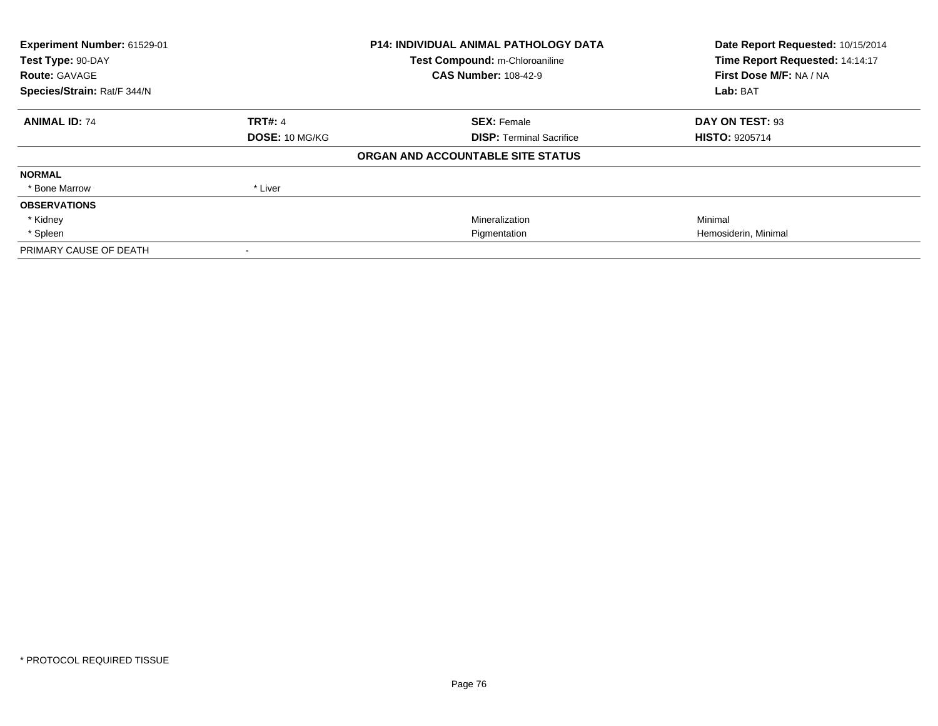| Experiment Number: 61529-01 |                       | <b>P14: INDIVIDUAL ANIMAL PATHOLOGY DATA</b> | Date Report Requested: 10/15/2014 |  |
|-----------------------------|-----------------------|----------------------------------------------|-----------------------------------|--|
| Test Type: 90-DAY           |                       | Test Compound: m-Chloroaniline               | Time Report Requested: 14:14:17   |  |
| <b>Route: GAVAGE</b>        |                       | <b>CAS Number: 108-42-9</b>                  | First Dose M/F: NA / NA           |  |
| Species/Strain: Rat/F 344/N |                       |                                              | Lab: BAT                          |  |
| <b>ANIMAL ID: 74</b>        | <b>TRT#: 4</b>        | <b>SEX: Female</b>                           | DAY ON TEST: 93                   |  |
|                             | <b>DOSE: 10 MG/KG</b> | <b>DISP:</b> Terminal Sacrifice              | <b>HISTO: 9205714</b>             |  |
|                             |                       | ORGAN AND ACCOUNTABLE SITE STATUS            |                                   |  |
| <b>NORMAL</b>               |                       |                                              |                                   |  |
| * Bone Marrow               | * Liver               |                                              |                                   |  |
| <b>OBSERVATIONS</b>         |                       |                                              |                                   |  |
| * Kidney                    |                       | Mineralization                               | Minimal                           |  |
| * Spleen                    |                       | Pigmentation                                 | Hemosiderin, Minimal              |  |
| PRIMARY CAUSE OF DEATH      |                       |                                              |                                   |  |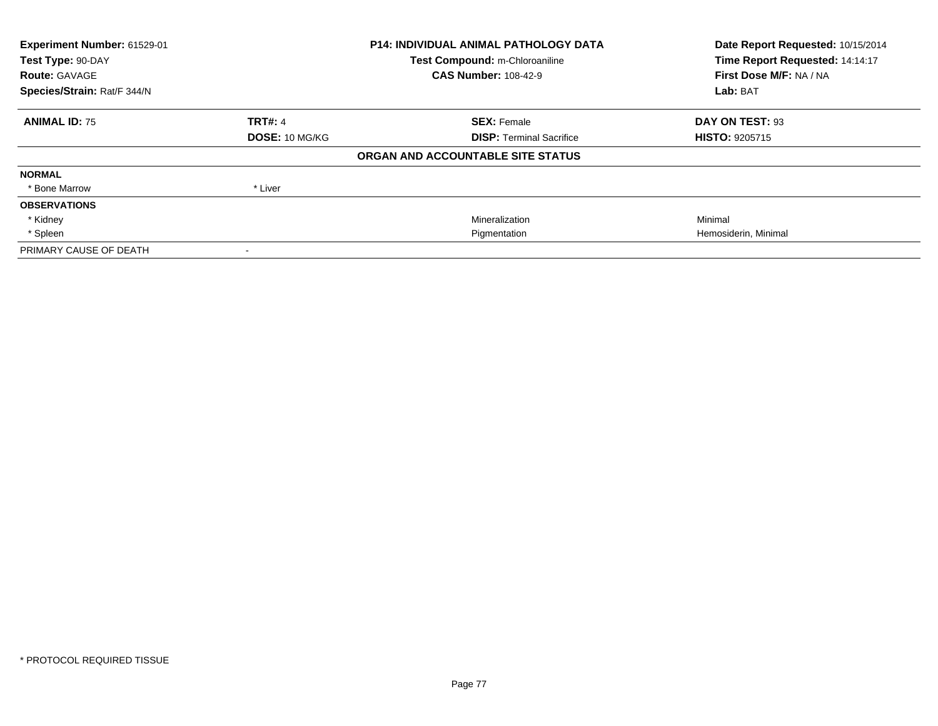| Experiment Number: 61529-01 |                | <b>P14: INDIVIDUAL ANIMAL PATHOLOGY DATA</b> | Date Report Requested: 10/15/2014 |  |
|-----------------------------|----------------|----------------------------------------------|-----------------------------------|--|
| Test Type: 90-DAY           |                | Test Compound: m-Chloroaniline               | Time Report Requested: 14:14:17   |  |
| <b>Route: GAVAGE</b>        |                | <b>CAS Number: 108-42-9</b>                  | First Dose M/F: NA / NA           |  |
| Species/Strain: Rat/F 344/N |                |                                              | Lab: BAT                          |  |
| <b>ANIMAL ID: 75</b>        | <b>TRT#: 4</b> | <b>SEX: Female</b>                           | DAY ON TEST: 93                   |  |
|                             | DOSE: 10 MG/KG | <b>DISP: Terminal Sacrifice</b>              | <b>HISTO: 9205715</b>             |  |
|                             |                | ORGAN AND ACCOUNTABLE SITE STATUS            |                                   |  |
| <b>NORMAL</b>               |                |                                              |                                   |  |
| * Bone Marrow               | * Liver        |                                              |                                   |  |
| <b>OBSERVATIONS</b>         |                |                                              |                                   |  |
| * Kidney                    |                | Mineralization                               | Minimal                           |  |
| * Spleen                    |                | Pigmentation                                 | Hemosiderin, Minimal              |  |
| PRIMARY CAUSE OF DEATH      |                |                                              |                                   |  |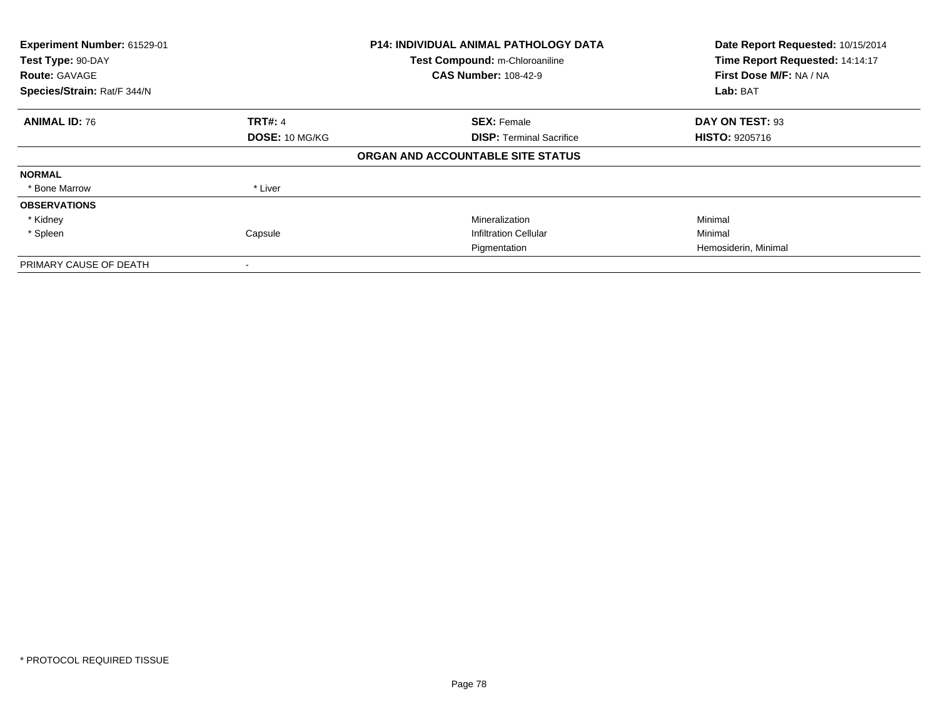| Experiment Number: 61529-01<br>Test Type: 90-DAY<br><b>Route: GAVAGE</b><br>Species/Strain: Rat/F 344/N |                | <b>P14: INDIVIDUAL ANIMAL PATHOLOGY DATA</b><br>Test Compound: m-Chloroaniline<br><b>CAS Number: 108-42-9</b> | Date Report Requested: 10/15/2014<br>Time Report Requested: 14:14:17<br>First Dose M/F: NA / NA<br>Lab: BAT |
|---------------------------------------------------------------------------------------------------------|----------------|---------------------------------------------------------------------------------------------------------------|-------------------------------------------------------------------------------------------------------------|
| <b>ANIMAL ID: 76</b>                                                                                    | <b>TRT#: 4</b> | <b>SEX: Female</b>                                                                                            | DAY ON TEST: 93                                                                                             |
|                                                                                                         | DOSE: 10 MG/KG | <b>DISP:</b> Terminal Sacrifice                                                                               | <b>HISTO: 9205716</b>                                                                                       |
|                                                                                                         |                | ORGAN AND ACCOUNTABLE SITE STATUS                                                                             |                                                                                                             |
| <b>NORMAL</b>                                                                                           |                |                                                                                                               |                                                                                                             |
| * Bone Marrow                                                                                           | * Liver        |                                                                                                               |                                                                                                             |
| <b>OBSERVATIONS</b>                                                                                     |                |                                                                                                               |                                                                                                             |
| * Kidney                                                                                                |                | Mineralization                                                                                                | Minimal                                                                                                     |
| * Spleen                                                                                                | Capsule        | <b>Infiltration Cellular</b>                                                                                  | Minimal                                                                                                     |
|                                                                                                         |                | Pigmentation                                                                                                  | Hemosiderin, Minimal                                                                                        |
| PRIMARY CAUSE OF DEATH                                                                                  |                |                                                                                                               |                                                                                                             |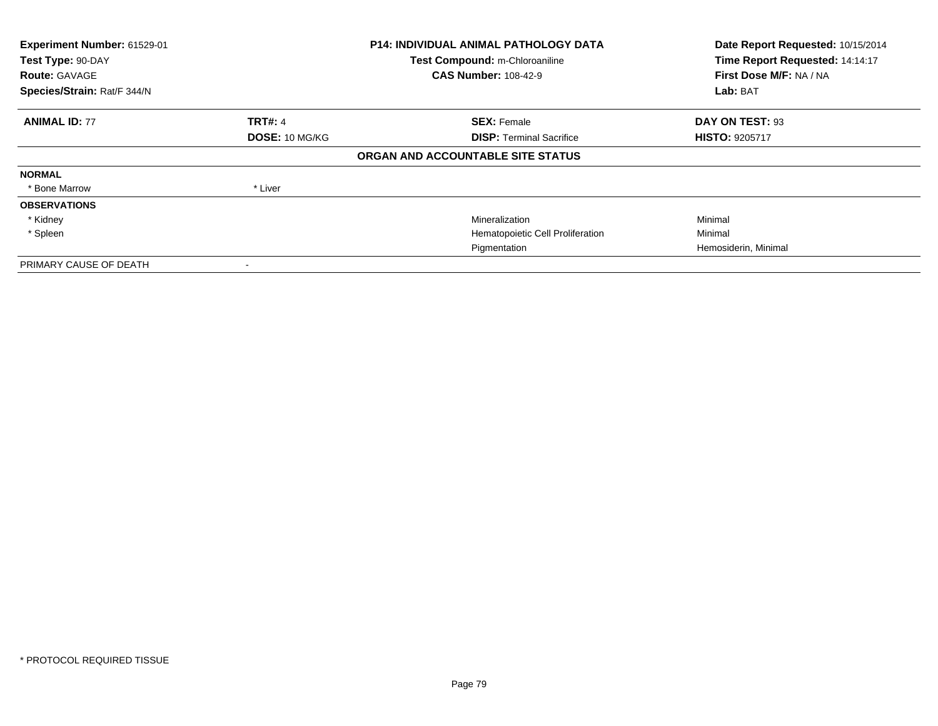| Experiment Number: 61529-01<br>Test Type: 90-DAY<br><b>Route: GAVAGE</b><br>Species/Strain: Rat/F 344/N |                | <b>P14: INDIVIDUAL ANIMAL PATHOLOGY DATA</b><br>Test Compound: m-Chloroaniline<br><b>CAS Number: 108-42-9</b> | Date Report Requested: 10/15/2014<br>Time Report Requested: 14:14:17<br>First Dose M/F: NA / NA<br>Lab: BAT |
|---------------------------------------------------------------------------------------------------------|----------------|---------------------------------------------------------------------------------------------------------------|-------------------------------------------------------------------------------------------------------------|
| <b>ANIMAL ID: 77</b>                                                                                    | <b>TRT#: 4</b> | <b>SEX: Female</b>                                                                                            | DAY ON TEST: 93                                                                                             |
|                                                                                                         | DOSE: 10 MG/KG | <b>DISP:</b> Terminal Sacrifice                                                                               | <b>HISTO: 9205717</b>                                                                                       |
|                                                                                                         |                | ORGAN AND ACCOUNTABLE SITE STATUS                                                                             |                                                                                                             |
| <b>NORMAL</b>                                                                                           |                |                                                                                                               |                                                                                                             |
| * Bone Marrow                                                                                           | * Liver        |                                                                                                               |                                                                                                             |
| <b>OBSERVATIONS</b>                                                                                     |                |                                                                                                               |                                                                                                             |
| * Kidney                                                                                                |                | Mineralization                                                                                                | Minimal                                                                                                     |
| * Spleen                                                                                                |                | Hematopoietic Cell Proliferation                                                                              | Minimal                                                                                                     |
|                                                                                                         |                | Pigmentation                                                                                                  | Hemosiderin, Minimal                                                                                        |
| PRIMARY CAUSE OF DEATH                                                                                  |                |                                                                                                               |                                                                                                             |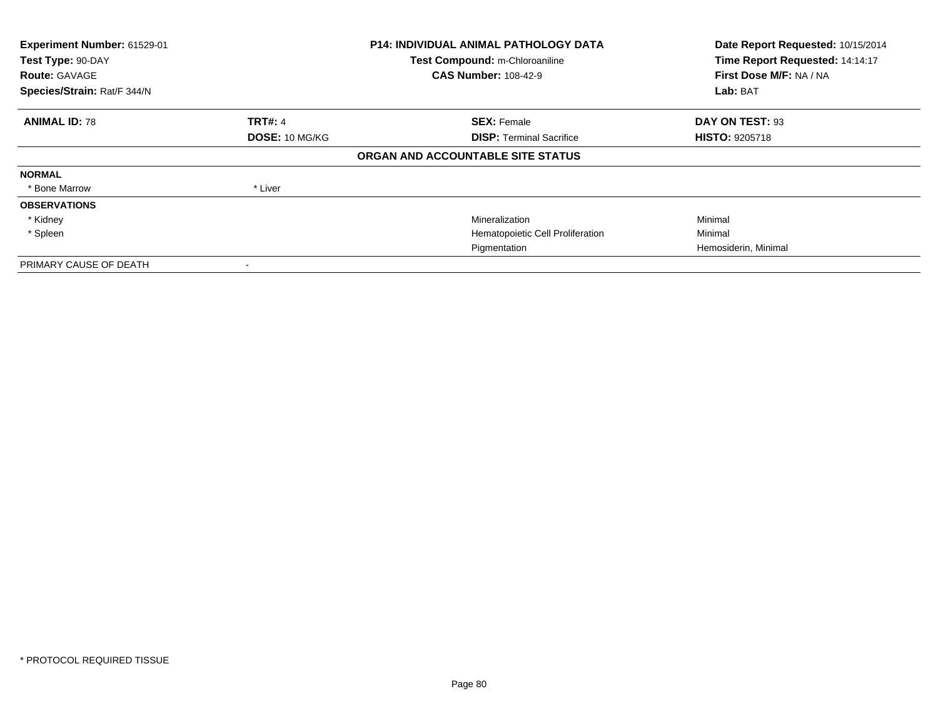| Experiment Number: 61529-01<br>Test Type: 90-DAY<br><b>Route: GAVAGE</b><br>Species/Strain: Rat/F 344/N |                | P14: INDIVIDUAL ANIMAL PATHOLOGY DATA<br>Test Compound: m-Chloroaniline<br><b>CAS Number: 108-42-9</b> | Date Report Requested: 10/15/2014<br>Time Report Requested: 14:14:17<br>First Dose M/F: NA / NA<br>Lab: BAT |
|---------------------------------------------------------------------------------------------------------|----------------|--------------------------------------------------------------------------------------------------------|-------------------------------------------------------------------------------------------------------------|
| <b>ANIMAL ID: 78</b>                                                                                    | <b>TRT#: 4</b> | <b>SEX: Female</b>                                                                                     | DAY ON TEST: 93                                                                                             |
|                                                                                                         | DOSE: 10 MG/KG | <b>DISP:</b> Terminal Sacrifice                                                                        | <b>HISTO: 9205718</b>                                                                                       |
|                                                                                                         |                | ORGAN AND ACCOUNTABLE SITE STATUS                                                                      |                                                                                                             |
| <b>NORMAL</b>                                                                                           |                |                                                                                                        |                                                                                                             |
| * Bone Marrow                                                                                           | * Liver        |                                                                                                        |                                                                                                             |
| <b>OBSERVATIONS</b>                                                                                     |                |                                                                                                        |                                                                                                             |
| * Kidney                                                                                                |                | Mineralization                                                                                         | Minimal                                                                                                     |
| * Spleen                                                                                                |                | Hematopoietic Cell Proliferation                                                                       | Minimal                                                                                                     |
|                                                                                                         |                | Pigmentation                                                                                           | Hemosiderin, Minimal                                                                                        |
| PRIMARY CAUSE OF DEATH                                                                                  |                |                                                                                                        |                                                                                                             |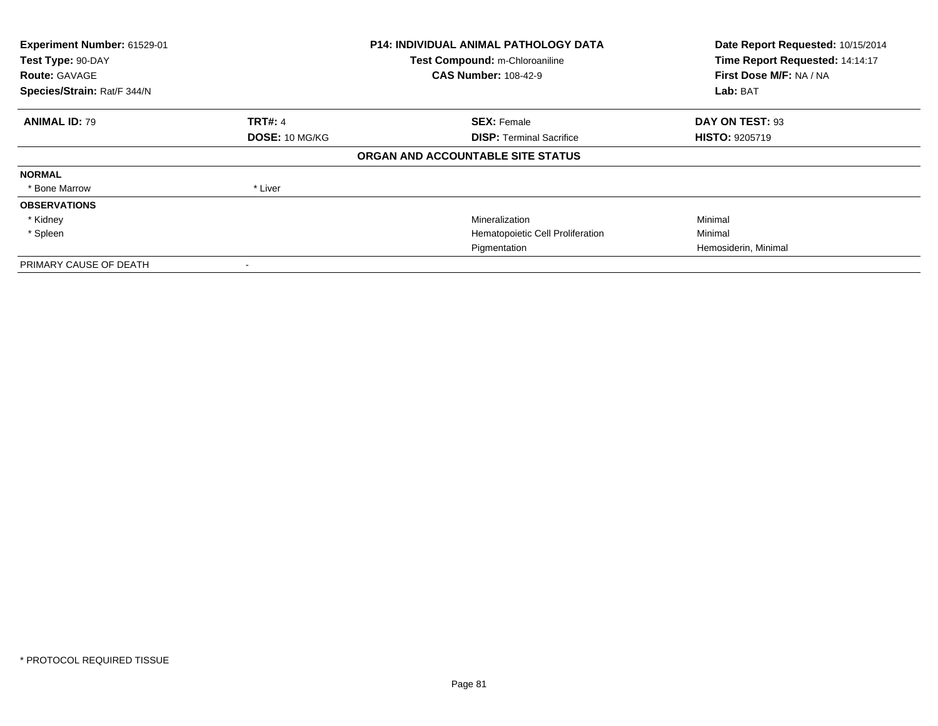| Experiment Number: 61529-01<br>Test Type: 90-DAY<br><b>Route: GAVAGE</b><br>Species/Strain: Rat/F 344/N |                | <b>P14: INDIVIDUAL ANIMAL PATHOLOGY DATA</b><br>Test Compound: m-Chloroaniline<br><b>CAS Number: 108-42-9</b> | Date Report Requested: 10/15/2014<br>Time Report Requested: 14:14:17<br>First Dose M/F: NA / NA<br>Lab: BAT |
|---------------------------------------------------------------------------------------------------------|----------------|---------------------------------------------------------------------------------------------------------------|-------------------------------------------------------------------------------------------------------------|
| <b>ANIMAL ID: 79</b>                                                                                    | <b>TRT#: 4</b> | <b>SEX: Female</b>                                                                                            | DAY ON TEST: 93                                                                                             |
|                                                                                                         | DOSE: 10 MG/KG | <b>DISP:</b> Terminal Sacrifice                                                                               | <b>HISTO: 9205719</b>                                                                                       |
|                                                                                                         |                | ORGAN AND ACCOUNTABLE SITE STATUS                                                                             |                                                                                                             |
| <b>NORMAL</b>                                                                                           |                |                                                                                                               |                                                                                                             |
| * Bone Marrow                                                                                           | * Liver        |                                                                                                               |                                                                                                             |
| <b>OBSERVATIONS</b>                                                                                     |                |                                                                                                               |                                                                                                             |
| * Kidney                                                                                                |                | Mineralization                                                                                                | Minimal                                                                                                     |
| * Spleen                                                                                                |                | Hematopoietic Cell Proliferation                                                                              | Minimal                                                                                                     |
|                                                                                                         |                | Pigmentation                                                                                                  | Hemosiderin, Minimal                                                                                        |
| PRIMARY CAUSE OF DEATH                                                                                  |                |                                                                                                               |                                                                                                             |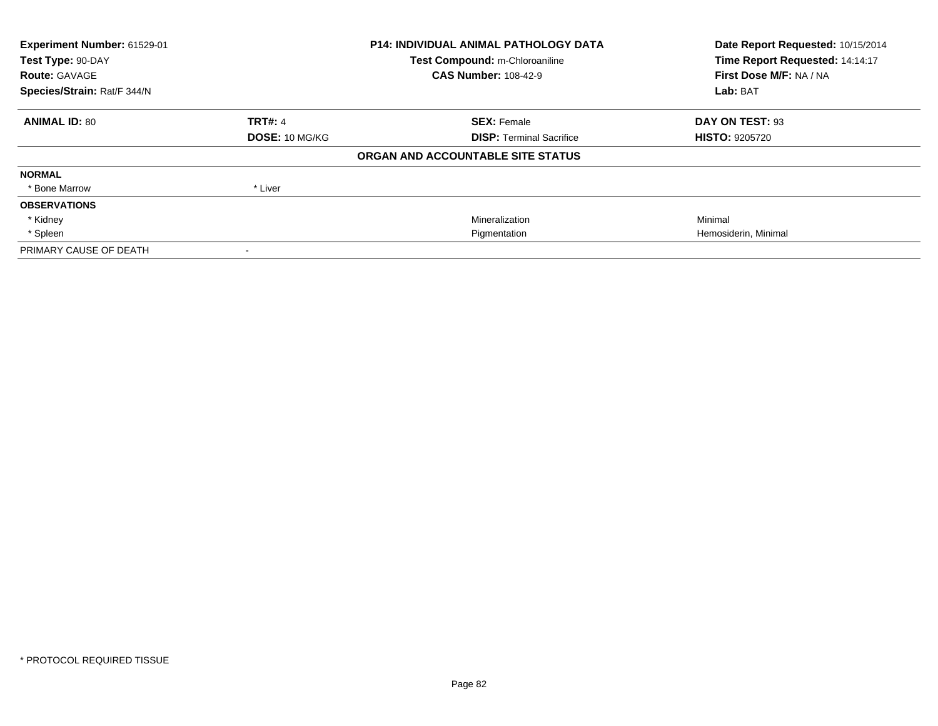| Experiment Number: 61529-01 |                       | <b>P14: INDIVIDUAL ANIMAL PATHOLOGY DATA</b> | Date Report Requested: 10/15/2014 |  |
|-----------------------------|-----------------------|----------------------------------------------|-----------------------------------|--|
| Test Type: 90-DAY           |                       | Test Compound: m-Chloroaniline               | Time Report Requested: 14:14:17   |  |
| <b>Route: GAVAGE</b>        |                       | <b>CAS Number: 108-42-9</b>                  | First Dose M/F: NA / NA           |  |
| Species/Strain: Rat/F 344/N |                       |                                              | Lab: BAT                          |  |
| <b>ANIMAL ID: 80</b>        | <b>TRT#: 4</b>        | <b>SEX: Female</b>                           | DAY ON TEST: 93                   |  |
|                             | <b>DOSE: 10 MG/KG</b> | <b>DISP:</b> Terminal Sacrifice              | <b>HISTO: 9205720</b>             |  |
|                             |                       | ORGAN AND ACCOUNTABLE SITE STATUS            |                                   |  |
| <b>NORMAL</b>               |                       |                                              |                                   |  |
| * Bone Marrow               | * Liver               |                                              |                                   |  |
| <b>OBSERVATIONS</b>         |                       |                                              |                                   |  |
| * Kidney                    |                       | Mineralization                               | Minimal                           |  |
| * Spleen                    |                       | Pigmentation                                 | Hemosiderin, Minimal              |  |
| PRIMARY CAUSE OF DEATH      |                       |                                              |                                   |  |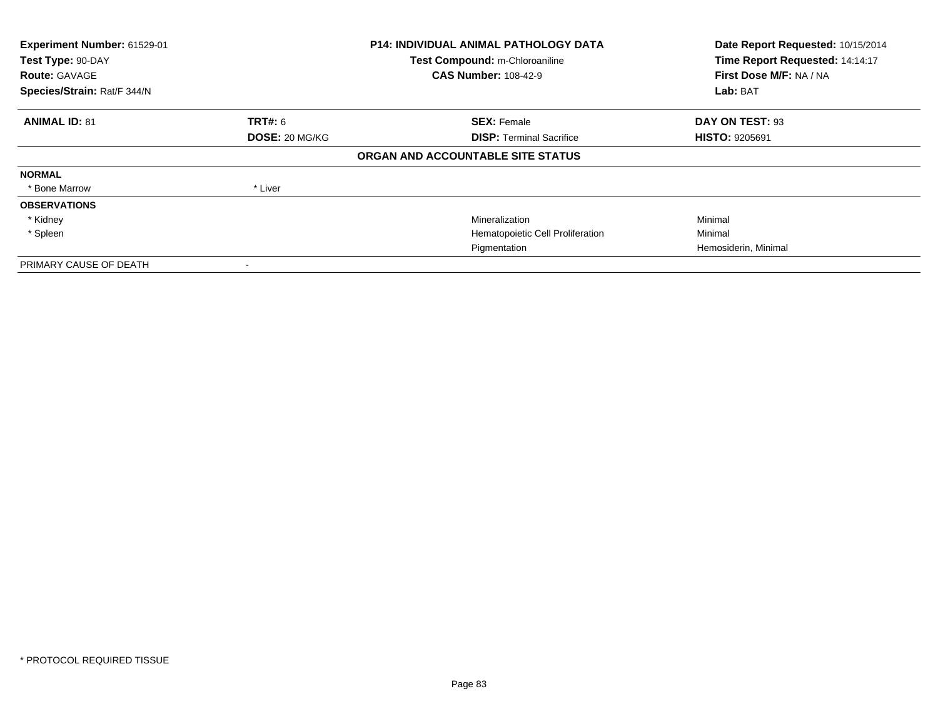| Experiment Number: 61529-01<br>Test Type: 90-DAY<br><b>Route: GAVAGE</b><br>Species/Strain: Rat/F 344/N |                       | <b>P14: INDIVIDUAL ANIMAL PATHOLOGY DATA</b><br>Test Compound: m-Chloroaniline<br><b>CAS Number: 108-42-9</b> | Date Report Requested: 10/15/2014<br>Time Report Requested: 14:14:17<br>First Dose M/F: NA / NA<br>Lab: BAT |
|---------------------------------------------------------------------------------------------------------|-----------------------|---------------------------------------------------------------------------------------------------------------|-------------------------------------------------------------------------------------------------------------|
| <b>ANIMAL ID: 81</b>                                                                                    | <b>TRT#:</b> 6        | <b>SEX: Female</b>                                                                                            | DAY ON TEST: 93                                                                                             |
|                                                                                                         | <b>DOSE: 20 MG/KG</b> | <b>DISP:</b> Terminal Sacrifice                                                                               | <b>HISTO: 9205691</b>                                                                                       |
|                                                                                                         |                       | ORGAN AND ACCOUNTABLE SITE STATUS                                                                             |                                                                                                             |
| <b>NORMAL</b>                                                                                           |                       |                                                                                                               |                                                                                                             |
| * Bone Marrow                                                                                           | * Liver               |                                                                                                               |                                                                                                             |
| <b>OBSERVATIONS</b>                                                                                     |                       |                                                                                                               |                                                                                                             |
| * Kidney                                                                                                |                       | Mineralization                                                                                                | Minimal                                                                                                     |
| * Spleen                                                                                                |                       | Hematopoietic Cell Proliferation                                                                              | Minimal                                                                                                     |
|                                                                                                         |                       | Pigmentation                                                                                                  | Hemosiderin, Minimal                                                                                        |
| PRIMARY CAUSE OF DEATH                                                                                  |                       |                                                                                                               |                                                                                                             |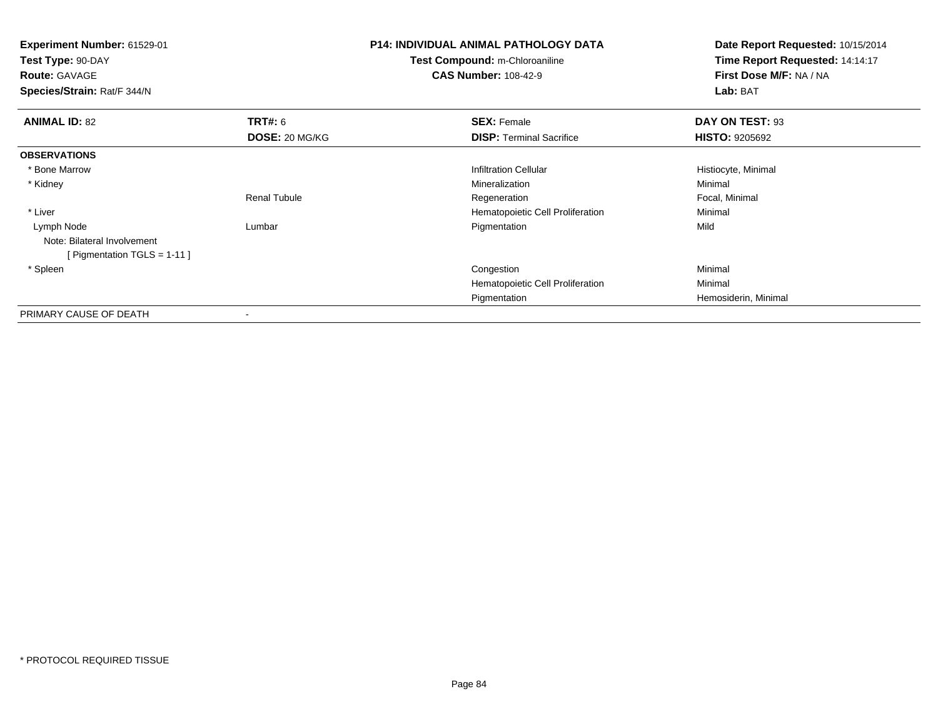| <b>Experiment Number: 61529-01</b><br>Test Type: 90-DAY<br><b>Route: GAVAGE</b><br>Species/Strain: Rat/F 344/N |                       | <b>P14: INDIVIDUAL ANIMAL PATHOLOGY DATA</b><br>Test Compound: m-Chloroaniline<br><b>CAS Number: 108-42-9</b> | Date Report Requested: 10/15/2014<br>Time Report Requested: 14:14:17<br>First Dose M/F: NA / NA<br>Lab: BAT |
|----------------------------------------------------------------------------------------------------------------|-----------------------|---------------------------------------------------------------------------------------------------------------|-------------------------------------------------------------------------------------------------------------|
| <b>ANIMAL ID: 82</b>                                                                                           | <b>TRT#: 6</b>        | <b>SEX: Female</b>                                                                                            | DAY ON TEST: 93                                                                                             |
|                                                                                                                | <b>DOSE: 20 MG/KG</b> | <b>DISP: Terminal Sacrifice</b>                                                                               | <b>HISTO: 9205692</b>                                                                                       |
| <b>OBSERVATIONS</b>                                                                                            |                       |                                                                                                               |                                                                                                             |
| * Bone Marrow                                                                                                  |                       | <b>Infiltration Cellular</b>                                                                                  | Histiocyte, Minimal                                                                                         |
| * Kidney                                                                                                       |                       | Mineralization                                                                                                | Minimal                                                                                                     |
|                                                                                                                | <b>Renal Tubule</b>   | Regeneration                                                                                                  | Focal, Minimal                                                                                              |
| * Liver                                                                                                        |                       | Hematopoietic Cell Proliferation                                                                              | Minimal                                                                                                     |
| Lymph Node<br>Note: Bilateral Involvement<br>[Pigmentation TGLS = 1-11]                                        | Lumbar                | Pigmentation                                                                                                  | Mild                                                                                                        |
| * Spleen                                                                                                       |                       | Congestion                                                                                                    | Minimal                                                                                                     |
|                                                                                                                |                       | Hematopoietic Cell Proliferation                                                                              | Minimal                                                                                                     |
|                                                                                                                |                       | Pigmentation                                                                                                  | Hemosiderin, Minimal                                                                                        |
| PRIMARY CAUSE OF DEATH                                                                                         |                       |                                                                                                               |                                                                                                             |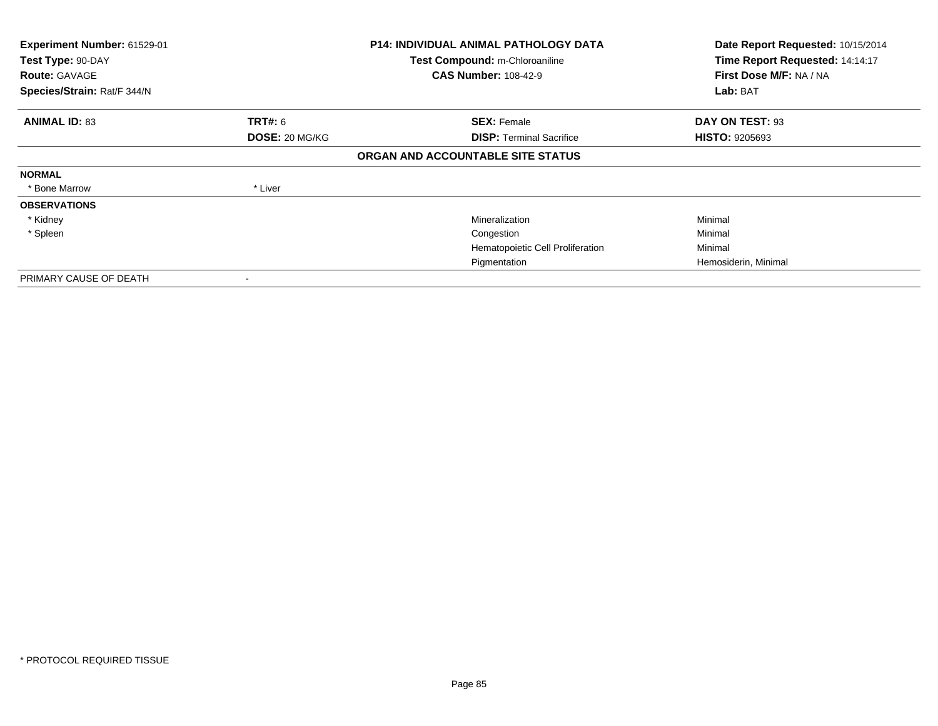| Experiment Number: 61529-01<br>Test Type: 90-DAY<br><b>Route: GAVAGE</b><br>Species/Strain: Rat/F 344/N |                | <b>P14: INDIVIDUAL ANIMAL PATHOLOGY DATA</b><br>Test Compound: m-Chloroaniline<br><b>CAS Number: 108-42-9</b> | Date Report Requested: 10/15/2014<br>Time Report Requested: 14:14:17<br>First Dose M/F: NA / NA<br>Lab: BAT |
|---------------------------------------------------------------------------------------------------------|----------------|---------------------------------------------------------------------------------------------------------------|-------------------------------------------------------------------------------------------------------------|
|                                                                                                         |                |                                                                                                               |                                                                                                             |
| <b>ANIMAL ID: 83</b>                                                                                    | <b>TRT#:</b> 6 | <b>SEX: Female</b>                                                                                            | DAY ON TEST: 93                                                                                             |
|                                                                                                         | DOSE: 20 MG/KG | <b>DISP: Terminal Sacrifice</b>                                                                               | <b>HISTO: 9205693</b>                                                                                       |
|                                                                                                         |                | ORGAN AND ACCOUNTABLE SITE STATUS                                                                             |                                                                                                             |
| <b>NORMAL</b>                                                                                           |                |                                                                                                               |                                                                                                             |
| * Bone Marrow                                                                                           | * Liver        |                                                                                                               |                                                                                                             |
| <b>OBSERVATIONS</b>                                                                                     |                |                                                                                                               |                                                                                                             |
| * Kidney                                                                                                |                | Mineralization                                                                                                | Minimal                                                                                                     |
| * Spleen                                                                                                |                | Congestion                                                                                                    | Minimal                                                                                                     |
|                                                                                                         |                | Hematopoietic Cell Proliferation                                                                              | Minimal                                                                                                     |
|                                                                                                         |                | Pigmentation                                                                                                  | Hemosiderin, Minimal                                                                                        |
| PRIMARY CAUSE OF DEATH                                                                                  |                |                                                                                                               |                                                                                                             |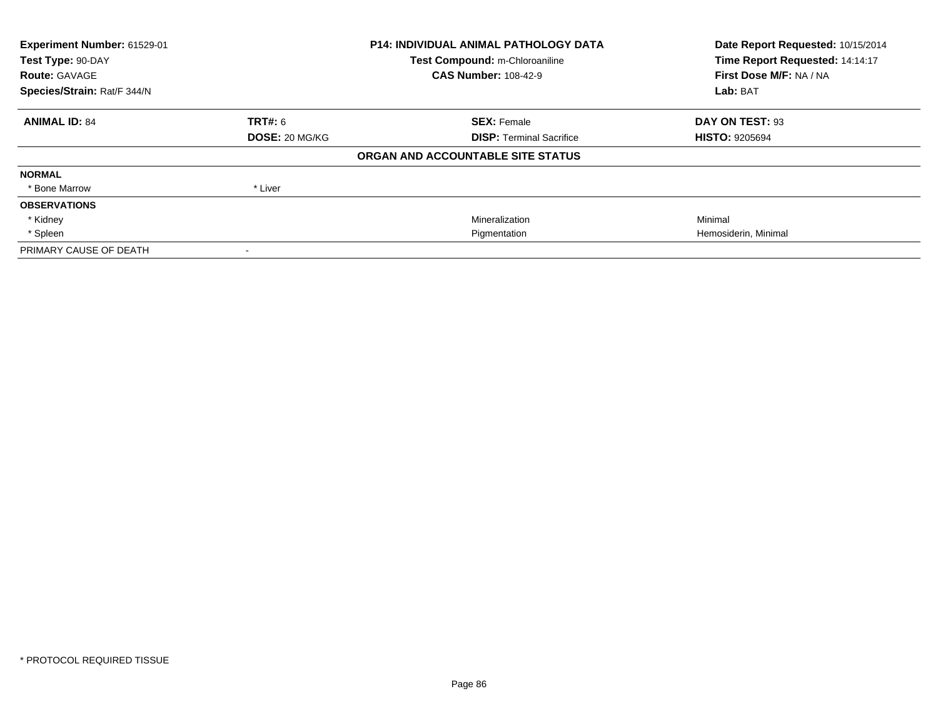| Experiment Number: 61529-01<br>Test Type: 90-DAY |                | <b>P14: INDIVIDUAL ANIMAL PATHOLOGY DATA</b> | Date Report Requested: 10/15/2014 |  |
|--------------------------------------------------|----------------|----------------------------------------------|-----------------------------------|--|
|                                                  |                | Test Compound: m-Chloroaniline               | Time Report Requested: 14:14:17   |  |
| <b>Route: GAVAGE</b>                             |                | <b>CAS Number: 108-42-9</b>                  | First Dose M/F: NA / NA           |  |
| Species/Strain: Rat/F 344/N                      |                |                                              | Lab: BAT                          |  |
| <b>ANIMAL ID: 84</b>                             | <b>TRT#: 6</b> | <b>SEX: Female</b>                           | DAY ON TEST: 93                   |  |
|                                                  | DOSE: 20 MG/KG | <b>DISP:</b> Terminal Sacrifice              | <b>HISTO: 9205694</b>             |  |
|                                                  |                | ORGAN AND ACCOUNTABLE SITE STATUS            |                                   |  |
| <b>NORMAL</b>                                    |                |                                              |                                   |  |
| * Bone Marrow                                    | * Liver        |                                              |                                   |  |
| <b>OBSERVATIONS</b>                              |                |                                              |                                   |  |
| * Kidney                                         |                | Mineralization                               | Minimal                           |  |
| * Spleen                                         |                | Pigmentation                                 | Hemosiderin, Minimal              |  |
| PRIMARY CAUSE OF DEATH                           |                |                                              |                                   |  |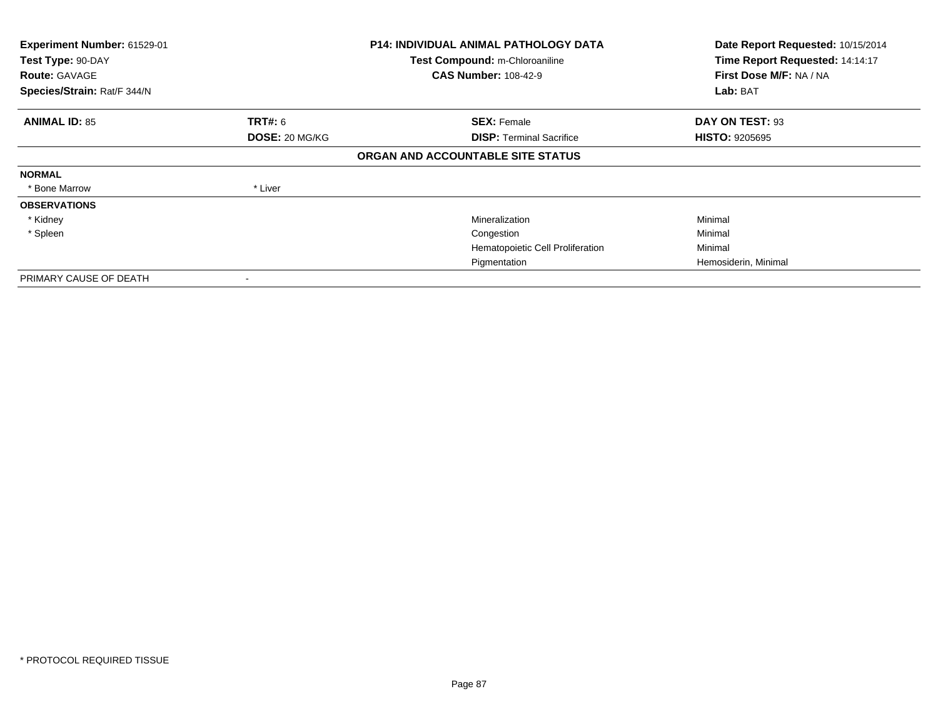| Experiment Number: 61529-01<br>Test Type: 90-DAY<br><b>Route: GAVAGE</b><br>Species/Strain: Rat/F 344/N |                | <b>P14: INDIVIDUAL ANIMAL PATHOLOGY DATA</b><br>Test Compound: m-Chloroaniline<br><b>CAS Number: 108-42-9</b> | Date Report Requested: 10/15/2014<br>Time Report Requested: 14:14:17<br>First Dose M/F: NA / NA<br>Lab: BAT |
|---------------------------------------------------------------------------------------------------------|----------------|---------------------------------------------------------------------------------------------------------------|-------------------------------------------------------------------------------------------------------------|
|                                                                                                         |                |                                                                                                               |                                                                                                             |
| <b>ANIMAL ID: 85</b>                                                                                    | <b>TRT#:</b> 6 | <b>SEX: Female</b>                                                                                            | DAY ON TEST: 93                                                                                             |
|                                                                                                         | DOSE: 20 MG/KG | <b>DISP: Terminal Sacrifice</b>                                                                               | <b>HISTO: 9205695</b>                                                                                       |
|                                                                                                         |                | ORGAN AND ACCOUNTABLE SITE STATUS                                                                             |                                                                                                             |
| <b>NORMAL</b>                                                                                           |                |                                                                                                               |                                                                                                             |
| * Bone Marrow                                                                                           | * Liver        |                                                                                                               |                                                                                                             |
| <b>OBSERVATIONS</b>                                                                                     |                |                                                                                                               |                                                                                                             |
| * Kidney                                                                                                |                | Mineralization                                                                                                | Minimal                                                                                                     |
| * Spleen                                                                                                |                | Congestion                                                                                                    | Minimal                                                                                                     |
|                                                                                                         |                | Hematopoietic Cell Proliferation                                                                              | Minimal                                                                                                     |
|                                                                                                         |                | Pigmentation                                                                                                  | Hemosiderin, Minimal                                                                                        |
| PRIMARY CAUSE OF DEATH                                                                                  |                |                                                                                                               |                                                                                                             |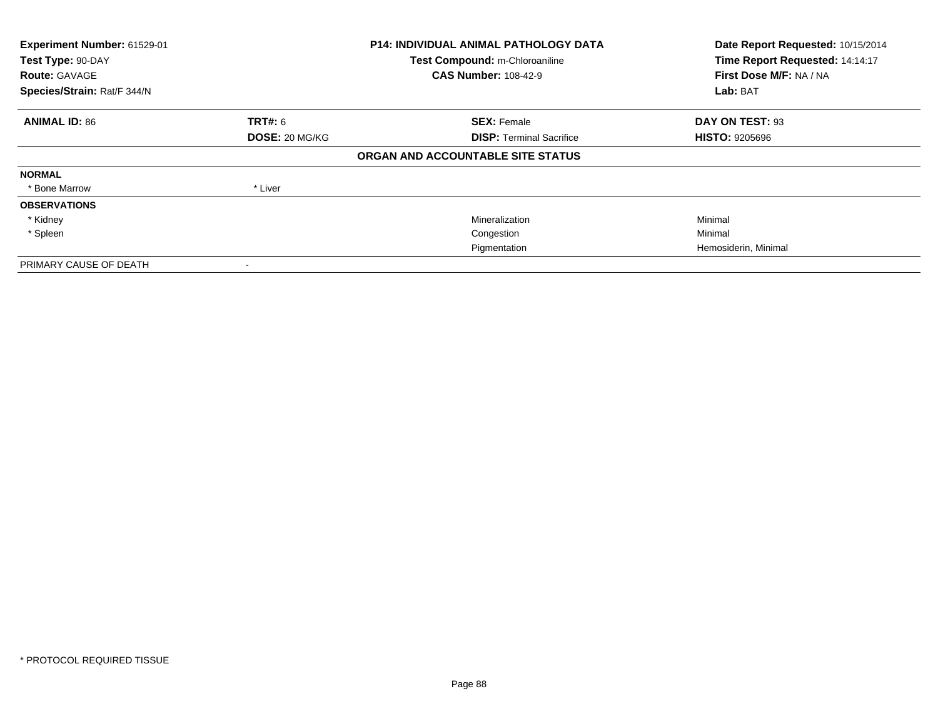| Experiment Number: 61529-01<br>Test Type: 90-DAY<br><b>Route: GAVAGE</b><br>Species/Strain: Rat/F 344/N |                | <b>P14: INDIVIDUAL ANIMAL PATHOLOGY DATA</b><br>Test Compound: m-Chloroaniline<br><b>CAS Number: 108-42-9</b> | Date Report Requested: 10/15/2014<br>Time Report Requested: 14:14:17<br>First Dose M/F: NA / NA<br>Lab: BAT |
|---------------------------------------------------------------------------------------------------------|----------------|---------------------------------------------------------------------------------------------------------------|-------------------------------------------------------------------------------------------------------------|
|                                                                                                         |                |                                                                                                               |                                                                                                             |
| <b>ANIMAL ID: 86</b>                                                                                    | TRT#: 6        | <b>SEX: Female</b>                                                                                            | DAY ON TEST: 93                                                                                             |
|                                                                                                         | DOSE: 20 MG/KG | <b>DISP:</b> Terminal Sacrifice                                                                               | <b>HISTO: 9205696</b>                                                                                       |
|                                                                                                         |                | ORGAN AND ACCOUNTABLE SITE STATUS                                                                             |                                                                                                             |
| <b>NORMAL</b>                                                                                           |                |                                                                                                               |                                                                                                             |
| * Bone Marrow                                                                                           | * Liver        |                                                                                                               |                                                                                                             |
| <b>OBSERVATIONS</b>                                                                                     |                |                                                                                                               |                                                                                                             |
| * Kidney                                                                                                |                | Mineralization                                                                                                | Minimal                                                                                                     |
| * Spleen                                                                                                |                | Congestion                                                                                                    | Minimal                                                                                                     |
|                                                                                                         |                | Pigmentation                                                                                                  | Hemosiderin, Minimal                                                                                        |
| PRIMARY CAUSE OF DEATH                                                                                  |                |                                                                                                               |                                                                                                             |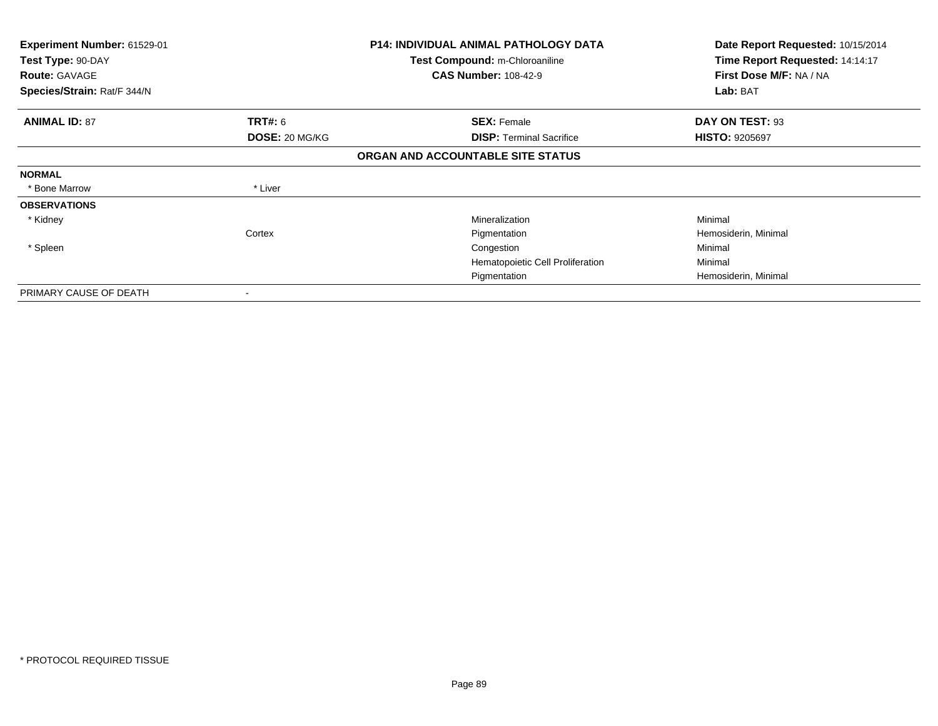| <b>Experiment Number: 61529-01</b><br>Test Type: 90-DAY<br><b>Route: GAVAGE</b> |                          | <b>P14: INDIVIDUAL ANIMAL PATHOLOGY DATA</b><br>Test Compound: m-Chloroaniline<br><b>CAS Number: 108-42-9</b> | Date Report Requested: 10/15/2014<br>Time Report Requested: 14:14:17<br>First Dose M/F: NA / NA |
|---------------------------------------------------------------------------------|--------------------------|---------------------------------------------------------------------------------------------------------------|-------------------------------------------------------------------------------------------------|
| Species/Strain: Rat/F 344/N                                                     |                          |                                                                                                               | Lab: BAT                                                                                        |
| <b>ANIMAL ID: 87</b>                                                            | <b>TRT#: 6</b>           | <b>SEX: Female</b>                                                                                            | DAY ON TEST: 93                                                                                 |
|                                                                                 | DOSE: 20 MG/KG           | <b>DISP: Terminal Sacrifice</b>                                                                               | <b>HISTO: 9205697</b>                                                                           |
|                                                                                 |                          | ORGAN AND ACCOUNTABLE SITE STATUS                                                                             |                                                                                                 |
| <b>NORMAL</b>                                                                   |                          |                                                                                                               |                                                                                                 |
| * Bone Marrow                                                                   | * Liver                  |                                                                                                               |                                                                                                 |
| <b>OBSERVATIONS</b>                                                             |                          |                                                                                                               |                                                                                                 |
| * Kidney                                                                        |                          | Mineralization                                                                                                | Minimal                                                                                         |
|                                                                                 | Cortex                   | Pigmentation                                                                                                  | Hemosiderin, Minimal                                                                            |
| * Spleen                                                                        |                          | Congestion                                                                                                    | Minimal                                                                                         |
|                                                                                 |                          | Hematopoietic Cell Proliferation                                                                              | Minimal                                                                                         |
|                                                                                 |                          | Pigmentation                                                                                                  | Hemosiderin, Minimal                                                                            |
| PRIMARY CAUSE OF DEATH                                                          | $\overline{\phantom{a}}$ |                                                                                                               |                                                                                                 |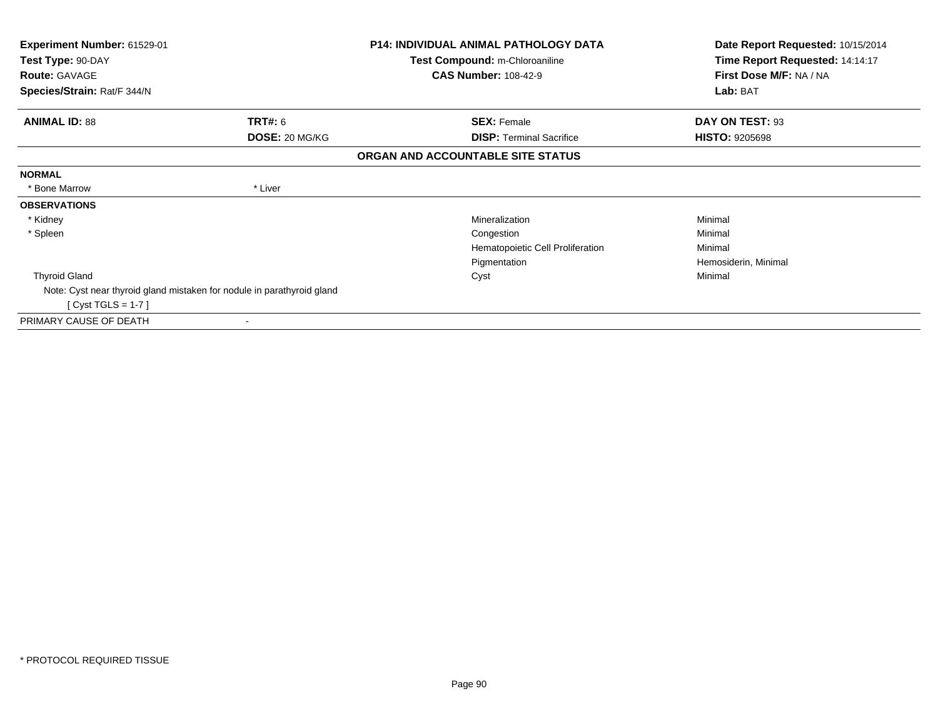| <b>Experiment Number: 61529-01</b><br>Test Type: 90-DAY                |                | <b>P14: INDIVIDUAL ANIMAL PATHOLOGY DATA</b><br>Test Compound: m-Chloroaniline | Date Report Requested: 10/15/2014<br>Time Report Requested: 14:14:17 |
|------------------------------------------------------------------------|----------------|--------------------------------------------------------------------------------|----------------------------------------------------------------------|
| <b>Route: GAVAGE</b>                                                   |                | <b>CAS Number: 108-42-9</b>                                                    | First Dose M/F: NA / NA                                              |
| Species/Strain: Rat/F 344/N                                            |                |                                                                                | Lab: BAT                                                             |
| <b>ANIMAL ID: 88</b>                                                   | TRT#: 6        | <b>SEX: Female</b>                                                             | DAY ON TEST: 93                                                      |
|                                                                        | DOSE: 20 MG/KG | <b>DISP:</b> Terminal Sacrifice                                                | <b>HISTO: 9205698</b>                                                |
|                                                                        |                | ORGAN AND ACCOUNTABLE SITE STATUS                                              |                                                                      |
| <b>NORMAL</b>                                                          |                |                                                                                |                                                                      |
| * Bone Marrow                                                          | * Liver        |                                                                                |                                                                      |
| <b>OBSERVATIONS</b>                                                    |                |                                                                                |                                                                      |
| * Kidney                                                               |                | Mineralization                                                                 | Minimal                                                              |
| * Spleen                                                               |                | Congestion                                                                     | Minimal                                                              |
|                                                                        |                | Hematopoietic Cell Proliferation                                               | Minimal                                                              |
|                                                                        |                | Pigmentation                                                                   | Hemosiderin, Minimal                                                 |
| <b>Thyroid Gland</b>                                                   |                | Cyst                                                                           | Minimal                                                              |
| Note: Cyst near thyroid gland mistaken for nodule in parathyroid gland |                |                                                                                |                                                                      |
| [ Cyst TGLS = $1-7$ ]                                                  |                |                                                                                |                                                                      |
| PRIMARY CAUSE OF DEATH                                                 |                |                                                                                |                                                                      |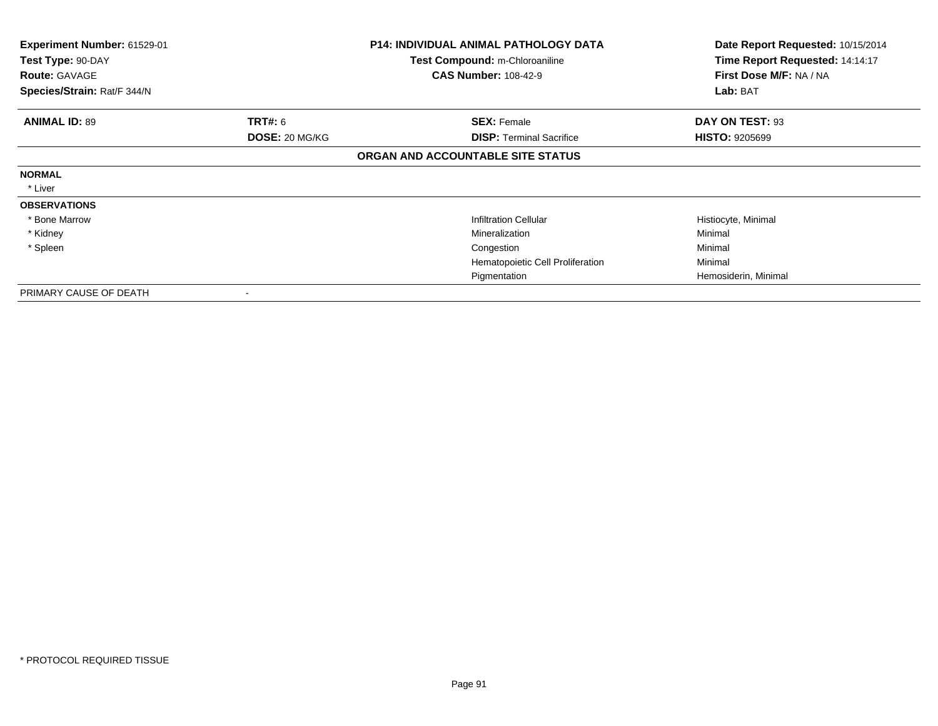| Experiment Number: 61529-01<br>Test Type: 90-DAY<br><b>Route: GAVAGE</b><br>Species/Strain: Rat/F 344/N |                                  | <b>P14: INDIVIDUAL ANIMAL PATHOLOGY DATA</b><br><b>Test Compound: m-Chloroaniline</b><br><b>CAS Number: 108-42-9</b> | Date Report Requested: 10/15/2014<br>Time Report Requested: 14:14:17<br>First Dose M/F: NA / NA<br>Lab: BAT |
|---------------------------------------------------------------------------------------------------------|----------------------------------|----------------------------------------------------------------------------------------------------------------------|-------------------------------------------------------------------------------------------------------------|
|                                                                                                         |                                  |                                                                                                                      |                                                                                                             |
| <b>ANIMAL ID: 89</b>                                                                                    | <b>TRT#:</b> 6<br>DOSE: 20 MG/KG | <b>SEX: Female</b><br><b>DISP: Terminal Sacrifice</b>                                                                | DAY ON TEST: 93<br><b>HISTO: 9205699</b>                                                                    |
|                                                                                                         |                                  | ORGAN AND ACCOUNTABLE SITE STATUS                                                                                    |                                                                                                             |
| <b>NORMAL</b>                                                                                           |                                  |                                                                                                                      |                                                                                                             |
| * Liver                                                                                                 |                                  |                                                                                                                      |                                                                                                             |
| <b>OBSERVATIONS</b>                                                                                     |                                  |                                                                                                                      |                                                                                                             |
| * Bone Marrow                                                                                           |                                  | <b>Infiltration Cellular</b>                                                                                         | Histiocyte, Minimal                                                                                         |
| * Kidney                                                                                                |                                  | Mineralization                                                                                                       | Minimal                                                                                                     |
| * Spleen                                                                                                |                                  | Congestion                                                                                                           | Minimal                                                                                                     |
|                                                                                                         |                                  | Hematopoietic Cell Proliferation                                                                                     | Minimal                                                                                                     |
|                                                                                                         |                                  | Pigmentation                                                                                                         | Hemosiderin, Minimal                                                                                        |
| PRIMARY CAUSE OF DEATH                                                                                  | $\,$                             |                                                                                                                      |                                                                                                             |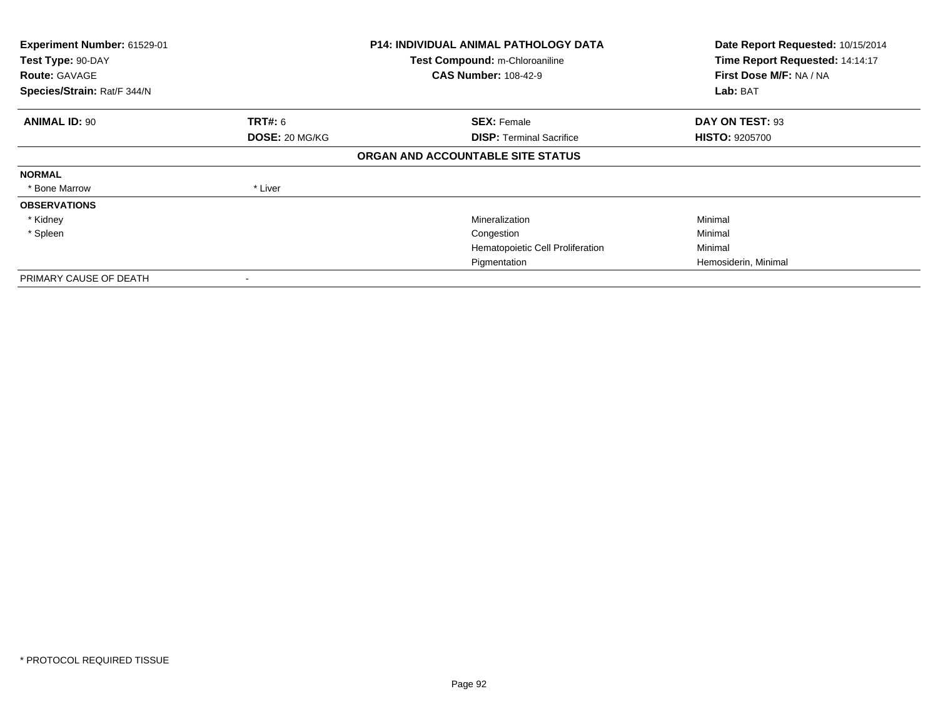| Experiment Number: 61529-01<br>Test Type: 90-DAY<br><b>Route: GAVAGE</b><br>Species/Strain: Rat/F 344/N |                | <b>P14: INDIVIDUAL ANIMAL PATHOLOGY DATA</b><br>Test Compound: m-Chloroaniline<br><b>CAS Number: 108-42-9</b> | Date Report Requested: 10/15/2014<br>Time Report Requested: 14:14:17<br>First Dose M/F: NA / NA<br>Lab: BAT |
|---------------------------------------------------------------------------------------------------------|----------------|---------------------------------------------------------------------------------------------------------------|-------------------------------------------------------------------------------------------------------------|
|                                                                                                         |                |                                                                                                               |                                                                                                             |
| <b>ANIMAL ID: 90</b>                                                                                    | <b>TRT#:</b> 6 | <b>SEX: Female</b>                                                                                            | DAY ON TEST: 93                                                                                             |
|                                                                                                         | DOSE: 20 MG/KG | <b>DISP: Terminal Sacrifice</b>                                                                               | <b>HISTO: 9205700</b>                                                                                       |
|                                                                                                         |                | ORGAN AND ACCOUNTABLE SITE STATUS                                                                             |                                                                                                             |
| <b>NORMAL</b>                                                                                           |                |                                                                                                               |                                                                                                             |
| * Bone Marrow                                                                                           | * Liver        |                                                                                                               |                                                                                                             |
| <b>OBSERVATIONS</b>                                                                                     |                |                                                                                                               |                                                                                                             |
| * Kidney                                                                                                |                | Mineralization                                                                                                | Minimal                                                                                                     |
| * Spleen                                                                                                |                | Congestion                                                                                                    | Minimal                                                                                                     |
|                                                                                                         |                | Hematopoietic Cell Proliferation                                                                              | Minimal                                                                                                     |
|                                                                                                         |                | Pigmentation                                                                                                  | Hemosiderin, Minimal                                                                                        |
| PRIMARY CAUSE OF DEATH                                                                                  |                |                                                                                                               |                                                                                                             |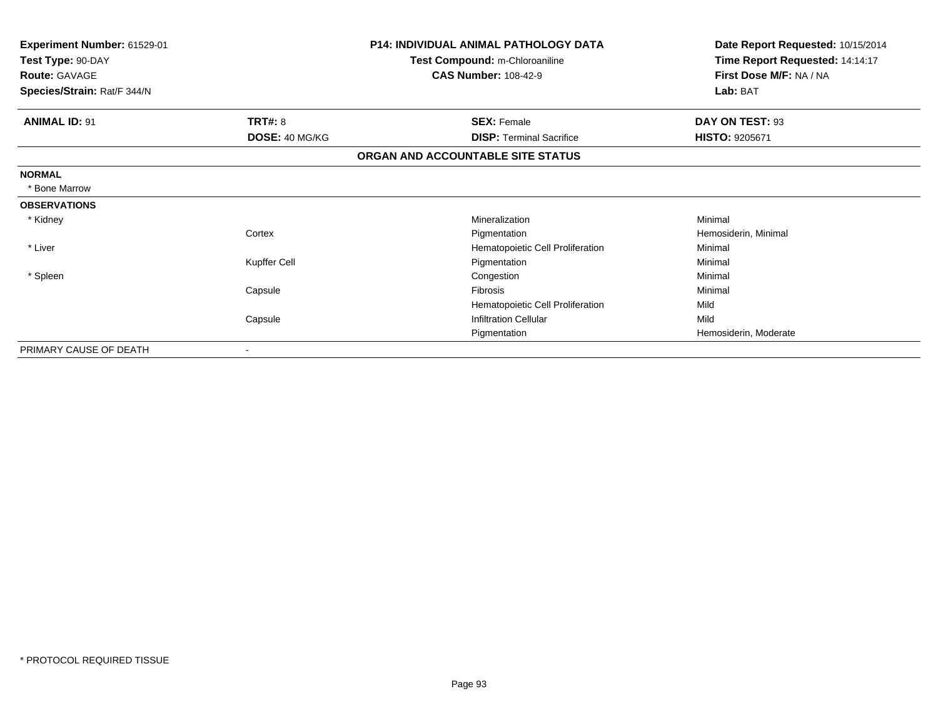| Experiment Number: 61529-01<br>Test Type: 90-DAY<br><b>Route: GAVAGE</b> |                              | <b>P14: INDIVIDUAL ANIMAL PATHOLOGY DATA</b><br>Test Compound: m-Chloroaniline<br><b>CAS Number: 108-42-9</b> | Date Report Requested: 10/15/2014<br>Time Report Requested: 14:14:17<br>First Dose M/F: NA / NA |
|--------------------------------------------------------------------------|------------------------------|---------------------------------------------------------------------------------------------------------------|-------------------------------------------------------------------------------------------------|
| Species/Strain: Rat/F 344/N                                              |                              |                                                                                                               | Lab: BAT                                                                                        |
| <b>ANIMAL ID: 91</b>                                                     | TRT#: 8                      | <b>SEX: Female</b>                                                                                            | DAY ON TEST: 93                                                                                 |
|                                                                          | DOSE: 40 MG/KG               | <b>DISP: Terminal Sacrifice</b>                                                                               | <b>HISTO: 9205671</b>                                                                           |
|                                                                          |                              | ORGAN AND ACCOUNTABLE SITE STATUS                                                                             |                                                                                                 |
| <b>NORMAL</b>                                                            |                              |                                                                                                               |                                                                                                 |
| * Bone Marrow                                                            |                              |                                                                                                               |                                                                                                 |
| <b>OBSERVATIONS</b>                                                      |                              |                                                                                                               |                                                                                                 |
| * Kidney                                                                 |                              | Mineralization                                                                                                | Minimal                                                                                         |
|                                                                          | Cortex                       | Pigmentation                                                                                                  | Hemosiderin, Minimal                                                                            |
| * Liver                                                                  |                              | Hematopoietic Cell Proliferation                                                                              | Minimal                                                                                         |
|                                                                          | Kupffer Cell                 | Pigmentation                                                                                                  | Minimal                                                                                         |
| * Spleen                                                                 |                              | Congestion                                                                                                    | Minimal                                                                                         |
|                                                                          | Capsule                      | Fibrosis                                                                                                      | Minimal                                                                                         |
|                                                                          |                              | Hematopoietic Cell Proliferation                                                                              | Mild                                                                                            |
|                                                                          | Capsule                      | <b>Infiltration Cellular</b>                                                                                  | Mild                                                                                            |
|                                                                          |                              | Pigmentation                                                                                                  | Hemosiderin, Moderate                                                                           |
| PRIMARY CAUSE OF DEATH                                                   | $\qquad \qquad \blacksquare$ |                                                                                                               |                                                                                                 |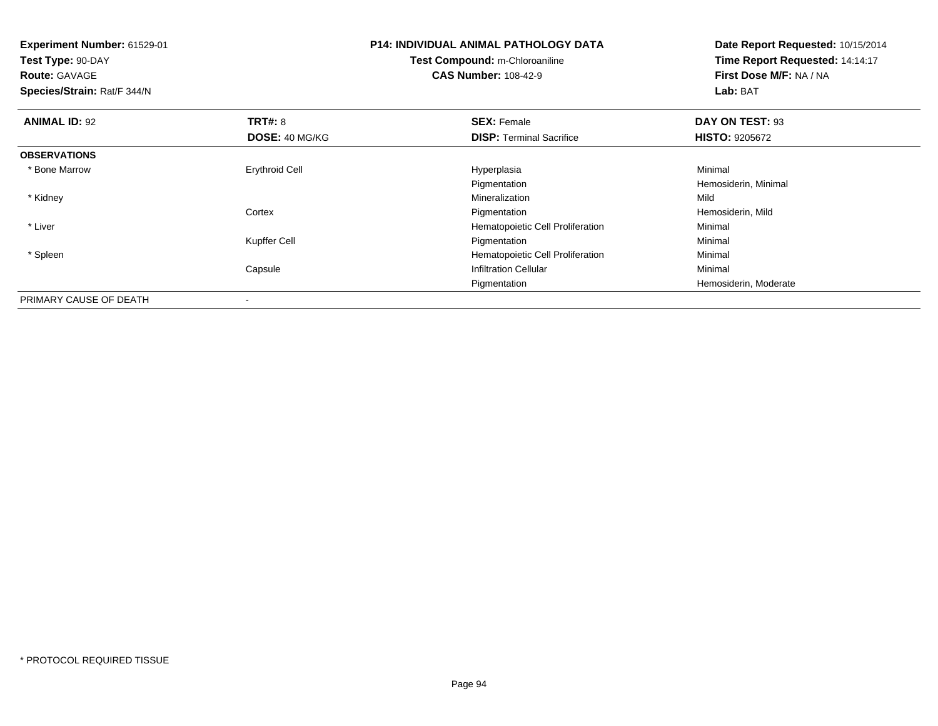| <b>Experiment Number: 61529-01</b> |                       | <b>P14: INDIVIDUAL ANIMAL PATHOLOGY DATA</b> | Date Report Requested: 10/15/2014 |
|------------------------------------|-----------------------|----------------------------------------------|-----------------------------------|
| Test Type: 90-DAY                  |                       | Test Compound: m-Chloroaniline               | Time Report Requested: 14:14:17   |
| <b>Route: GAVAGE</b>               |                       | <b>CAS Number: 108-42-9</b>                  | First Dose M/F: NA / NA           |
| Species/Strain: Rat/F 344/N        |                       |                                              | Lab: BAT                          |
| <b>ANIMAL ID: 92</b>               | <b>TRT#: 8</b>        | <b>SEX: Female</b>                           | DAY ON TEST: 93                   |
|                                    | DOSE: 40 MG/KG        | <b>DISP:</b> Terminal Sacrifice              | <b>HISTO: 9205672</b>             |
| <b>OBSERVATIONS</b>                |                       |                                              |                                   |
| * Bone Marrow                      | <b>Erythroid Cell</b> | Hyperplasia                                  | Minimal                           |
|                                    |                       | Pigmentation                                 | Hemosiderin, Minimal              |
| * Kidney                           |                       | Mineralization                               | Mild                              |
|                                    | Cortex                | Pigmentation                                 | Hemosiderin, Mild                 |
| * Liver                            |                       | Hematopoietic Cell Proliferation             | Minimal                           |
|                                    | Kupffer Cell          | Pigmentation                                 | Minimal                           |
| * Spleen                           |                       | Hematopoietic Cell Proliferation             | Minimal                           |
|                                    | Capsule               | <b>Infiltration Cellular</b>                 | Minimal                           |
|                                    |                       | Pigmentation                                 | Hemosiderin, Moderate             |
| PRIMARY CAUSE OF DEATH             |                       |                                              |                                   |

-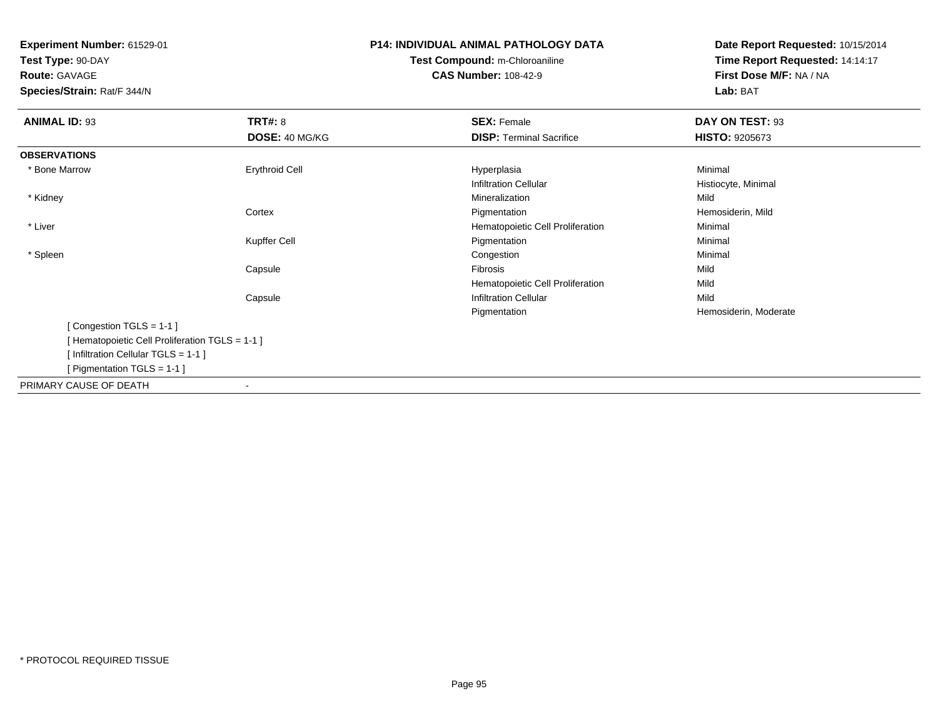**Test Type:** 90-DAY**Route:** GAVAGE

**Species/Strain:** Rat/F 344/N

# **P14: INDIVIDUAL ANIMAL PATHOLOGY DATATest Compound:** m-Chloroaniline

**CAS Number:** 108-42-9

| <b>ANIMAL ID: 93</b>                            | <b>TRT#: 8</b>        | <b>SEX: Female</b>               | DAY ON TEST: 93       |  |
|-------------------------------------------------|-----------------------|----------------------------------|-----------------------|--|
|                                                 | DOSE: 40 MG/KG        | <b>DISP: Terminal Sacrifice</b>  | <b>HISTO: 9205673</b> |  |
| <b>OBSERVATIONS</b>                             |                       |                                  |                       |  |
| * Bone Marrow                                   | <b>Erythroid Cell</b> | Hyperplasia                      | Minimal               |  |
|                                                 |                       | <b>Infiltration Cellular</b>     | Histiocyte, Minimal   |  |
| * Kidney                                        |                       | Mineralization                   | Mild                  |  |
|                                                 | Cortex                | Pigmentation                     | Hemosiderin, Mild     |  |
| * Liver                                         |                       | Hematopoietic Cell Proliferation | Minimal               |  |
|                                                 | Kupffer Cell          | Pigmentation                     | Minimal               |  |
| * Spleen                                        |                       | Congestion                       | Minimal               |  |
|                                                 | Capsule               | Fibrosis                         | Mild                  |  |
|                                                 |                       | Hematopoietic Cell Proliferation | Mild                  |  |
|                                                 | Capsule               | <b>Infiltration Cellular</b>     | Mild                  |  |
|                                                 |                       | Pigmentation                     | Hemosiderin, Moderate |  |
| [Congestion TGLS = 1-1]                         |                       |                                  |                       |  |
| [ Hematopoietic Cell Proliferation TGLS = 1-1 ] |                       |                                  |                       |  |
| [Infiltration Cellular TGLS = 1-1]              |                       |                                  |                       |  |
| [ Pigmentation TGLS = $1-1$ ]                   |                       |                                  |                       |  |
| PRIMARY CAUSE OF DEATH                          |                       |                                  |                       |  |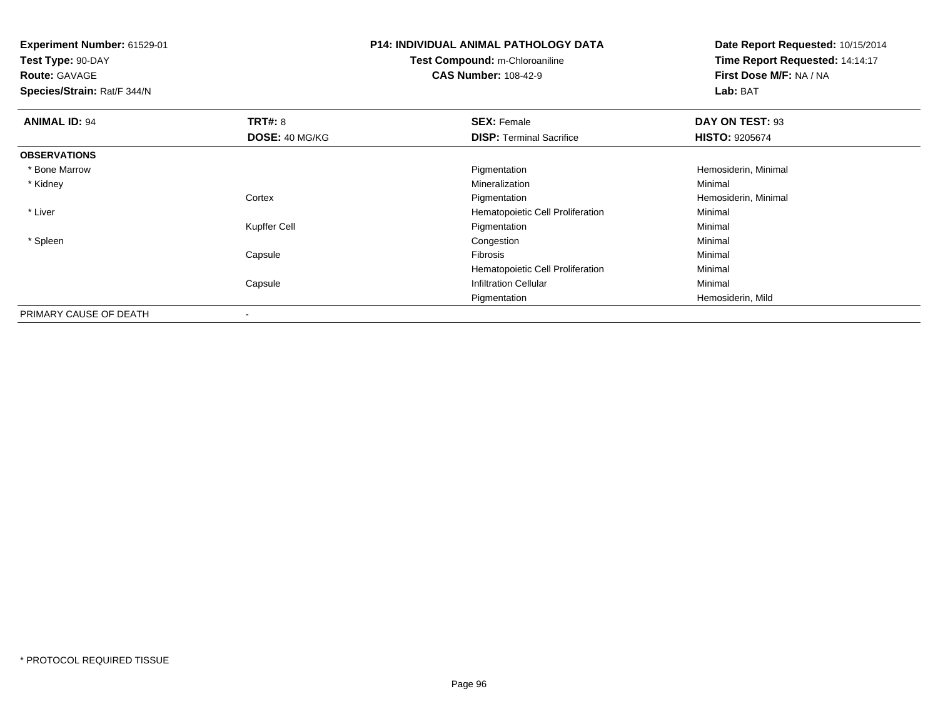**Experiment Number:** 61529-01**Test Type:** 90-DAY**Route:** GAVAGE **Species/Strain:** Rat/F 344/N**P14: INDIVIDUAL ANIMAL PATHOLOGY DATATest Compound:** m-Chloroaniline**CAS Number:** 108-42-9**Date Report Requested:** 10/15/2014**Time Report Requested:** 14:14:17**First Dose M/F:** NA / NA**Lab:** BAT**ANIMAL ID:** 94**TRT#:** 8 **SEX:** Female **DAY ON TEST:** 93 **DOSE:** 40 MG/KG**DISP:** Terminal Sacrifice **HISTO:** 9205674 **OBSERVATIONS** \* Bone Marroww which is a constant of the Pigmentation and the Pigmentation of the Hemosiderin, Minimal states in the Hemosiderin, Minimal states in the Hemosiderin, Minimal states in the Minimal states in the Minimal states in the Min \* Kidneyy with the control of the control of the control of the control of the control of the control of the control of the control of the control of the control of the control of the control of the control of the control of the c n Minimal **Cortex**  Pigmentation Hemosiderin, Minimal \* Liver Hematopoietic Cell ProliferationMinimal<br>Minimal Kupffer Cell Pigmentationn Minimal \* Spleenn and the congestion of the congestion of the congestion of the congestion of the congestion of the congestion Capsule Fibrosis Minimal Hematopoietic Cell Proliferation Minimal CapsuleInfiltration Cellular **Minimal** Pigmentation Hemosiderin, Mild PRIMARY CAUSE OF DEATH-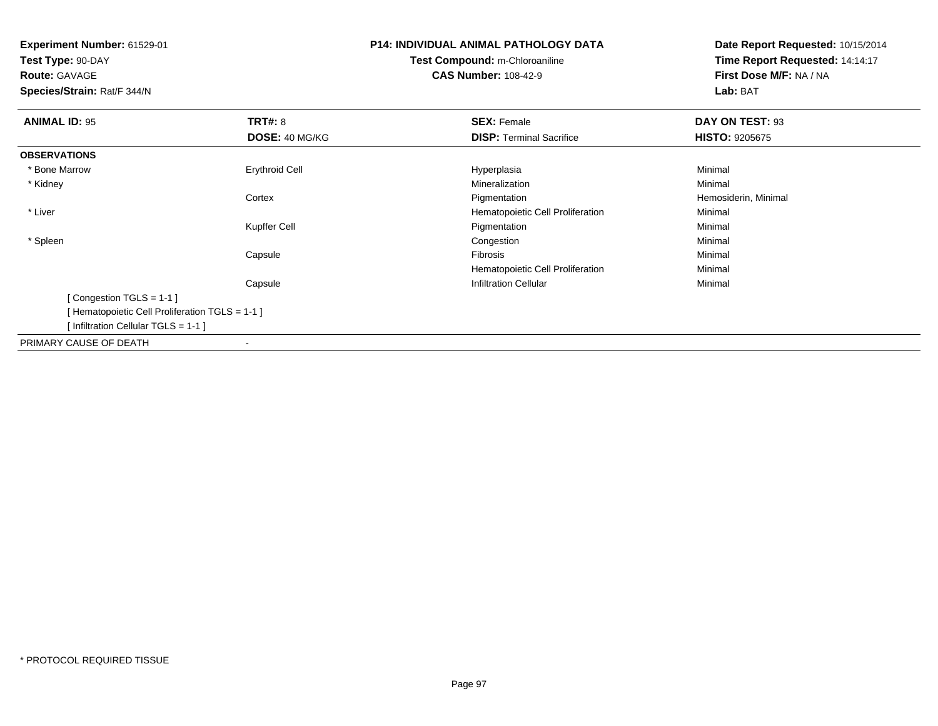**Test Type:** 90-DAY**Route:** GAVAGE

**Species/Strain:** Rat/F 344/N

# **P14: INDIVIDUAL ANIMAL PATHOLOGY DATATest Compound:** m-Chloroaniline**CAS Number:** 108-42-9

| <b>ANIMAL ID: 95</b>                           | <b>TRT#: 8</b>           | <b>SEX: Female</b>               | DAY ON TEST: 93       |  |
|------------------------------------------------|--------------------------|----------------------------------|-----------------------|--|
|                                                | DOSE: 40 MG/KG           | <b>DISP:</b> Terminal Sacrifice  | <b>HISTO: 9205675</b> |  |
| <b>OBSERVATIONS</b>                            |                          |                                  |                       |  |
| * Bone Marrow                                  | <b>Erythroid Cell</b>    | Hyperplasia                      | Minimal               |  |
| * Kidney                                       |                          | Mineralization                   | Minimal               |  |
|                                                | Cortex                   | Pigmentation                     | Hemosiderin, Minimal  |  |
| * Liver                                        |                          | Hematopoietic Cell Proliferation | Minimal               |  |
|                                                | Kupffer Cell             | Pigmentation                     | Minimal               |  |
| * Spleen                                       |                          | Congestion                       | Minimal               |  |
|                                                | Capsule                  | Fibrosis                         | Minimal               |  |
|                                                |                          | Hematopoietic Cell Proliferation | Minimal               |  |
|                                                | Capsule                  | <b>Infiltration Cellular</b>     | Minimal               |  |
| [Congestion TGLS = $1-1$ ]                     |                          |                                  |                       |  |
| [Hematopoietic Cell Proliferation TGLS = 1-1 ] |                          |                                  |                       |  |
| [Infiltration Cellular TGLS = 1-1]             |                          |                                  |                       |  |
| PRIMARY CAUSE OF DEATH                         | $\overline{\phantom{a}}$ |                                  |                       |  |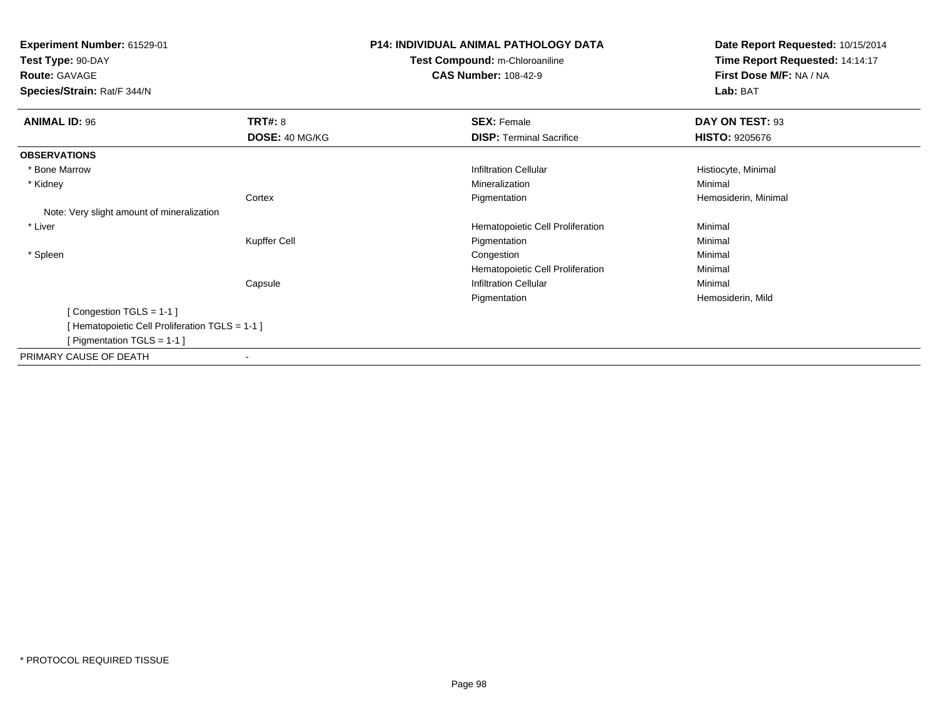**Test Type:** 90-DAY

**Route:** GAVAGE

**Species/Strain:** Rat/F 344/N

# **P14: INDIVIDUAL ANIMAL PATHOLOGY DATATest Compound:** m-Chloroaniline

**CAS Number:** 108-42-9

| <b>ANIMAL ID: 96</b>                           | <b>TRT#: 8</b>           | <b>SEX: Female</b>               | DAY ON TEST: 93       |
|------------------------------------------------|--------------------------|----------------------------------|-----------------------|
|                                                | DOSE: 40 MG/KG           | <b>DISP:</b> Terminal Sacrifice  | <b>HISTO: 9205676</b> |
| <b>OBSERVATIONS</b>                            |                          |                                  |                       |
| * Bone Marrow                                  |                          | <b>Infiltration Cellular</b>     | Histiocyte, Minimal   |
| * Kidney                                       |                          | Mineralization                   | Minimal               |
|                                                | Cortex                   | Pigmentation                     | Hemosiderin, Minimal  |
| Note: Very slight amount of mineralization     |                          |                                  |                       |
| * Liver                                        |                          | Hematopoietic Cell Proliferation | Minimal               |
|                                                | Kupffer Cell             | Pigmentation                     | Minimal               |
| * Spleen                                       |                          | Congestion                       | Minimal               |
|                                                |                          | Hematopoietic Cell Proliferation | Minimal               |
|                                                | Capsule                  | <b>Infiltration Cellular</b>     | Minimal               |
|                                                |                          | Pigmentation                     | Hemosiderin, Mild     |
| [Congestion TGLS = 1-1]                        |                          |                                  |                       |
| [Hematopoietic Cell Proliferation TGLS = 1-1 ] |                          |                                  |                       |
| [ Pigmentation TGLS = 1-1 ]                    |                          |                                  |                       |
| PRIMARY CAUSE OF DEATH                         | $\overline{\phantom{a}}$ |                                  |                       |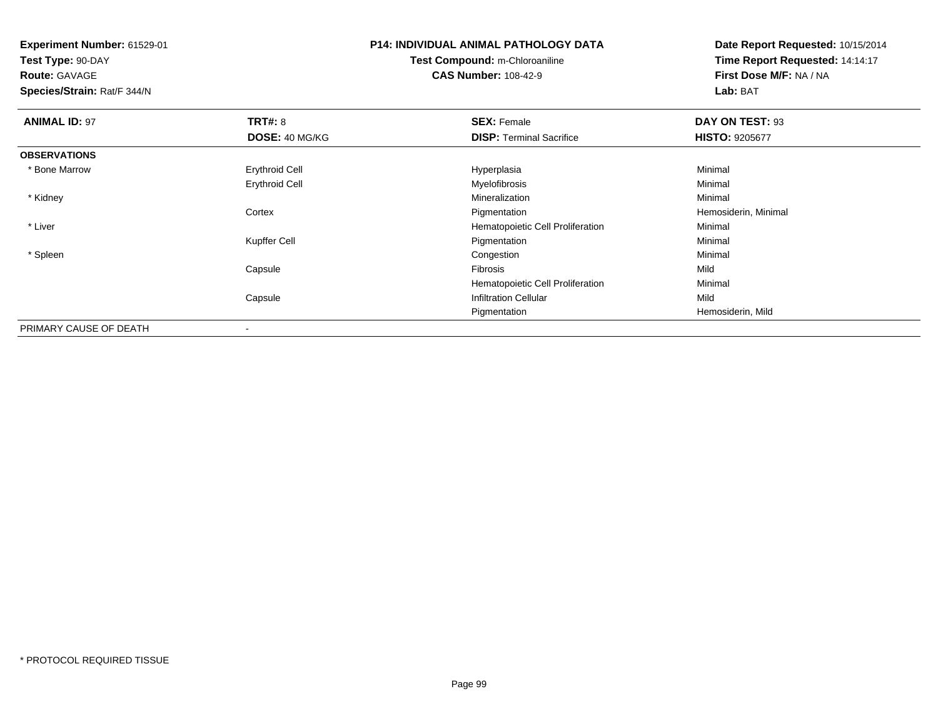**Test Type:** 90-DAY**Route:** GAVAGE

**Species/Strain:** Rat/F 344/N

# **P14: INDIVIDUAL ANIMAL PATHOLOGY DATATest Compound:** m-Chloroaniline**CAS Number:** 108-42-9

| <b>ANIMAL ID: 97</b>   | TRT#: 8               | <b>SEX: Female</b>               | DAY ON TEST: 93       |
|------------------------|-----------------------|----------------------------------|-----------------------|
|                        | DOSE: 40 MG/KG        | <b>DISP: Terminal Sacrifice</b>  | <b>HISTO: 9205677</b> |
| <b>OBSERVATIONS</b>    |                       |                                  |                       |
| * Bone Marrow          | <b>Erythroid Cell</b> | Hyperplasia                      | Minimal               |
|                        | <b>Erythroid Cell</b> | Myelofibrosis                    | Minimal               |
| * Kidney               |                       | Mineralization                   | Minimal               |
|                        | Cortex                | Pigmentation                     | Hemosiderin, Minimal  |
| * Liver                |                       | Hematopoietic Cell Proliferation | Minimal               |
|                        | Kupffer Cell          | Pigmentation                     | Minimal               |
| * Spleen               |                       | Congestion                       | Minimal               |
|                        | Capsule               | Fibrosis                         | Mild                  |
|                        |                       | Hematopoietic Cell Proliferation | Minimal               |
|                        | Capsule               | <b>Infiltration Cellular</b>     | Mild                  |
|                        |                       | Pigmentation                     | Hemosiderin, Mild     |
| PRIMARY CAUSE OF DEATH | ۰                     |                                  |                       |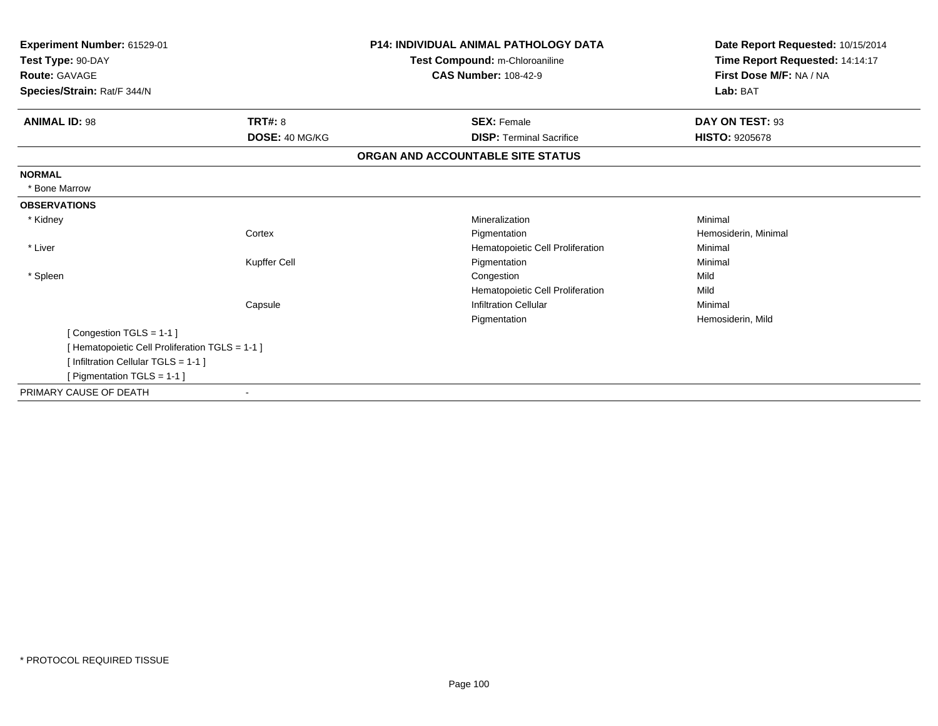| Experiment Number: 61529-01<br>Test Type: 90-DAY<br><b>Route: GAVAGE</b><br>Species/Strain: Rat/F 344/N |                | <b>P14: INDIVIDUAL ANIMAL PATHOLOGY DATA</b><br>Test Compound: m-Chloroaniline<br><b>CAS Number: 108-42-9</b> | Date Report Requested: 10/15/2014<br>Time Report Requested: 14:14:17<br>First Dose M/F: NA / NA<br>Lab: BAT |
|---------------------------------------------------------------------------------------------------------|----------------|---------------------------------------------------------------------------------------------------------------|-------------------------------------------------------------------------------------------------------------|
|                                                                                                         |                |                                                                                                               |                                                                                                             |
| <b>ANIMAL ID: 98</b>                                                                                    | <b>TRT#: 8</b> | <b>SEX: Female</b>                                                                                            | DAY ON TEST: 93                                                                                             |
|                                                                                                         | DOSE: 40 MG/KG | <b>DISP: Terminal Sacrifice</b>                                                                               | <b>HISTO: 9205678</b>                                                                                       |
|                                                                                                         |                | ORGAN AND ACCOUNTABLE SITE STATUS                                                                             |                                                                                                             |
| <b>NORMAL</b>                                                                                           |                |                                                                                                               |                                                                                                             |
| * Bone Marrow                                                                                           |                |                                                                                                               |                                                                                                             |
| <b>OBSERVATIONS</b>                                                                                     |                |                                                                                                               |                                                                                                             |
| * Kidney                                                                                                |                | Mineralization                                                                                                | Minimal                                                                                                     |
|                                                                                                         | Cortex         | Pigmentation                                                                                                  | Hemosiderin, Minimal                                                                                        |
| * Liver                                                                                                 |                | Hematopoietic Cell Proliferation                                                                              | Minimal                                                                                                     |
|                                                                                                         | Kupffer Cell   | Pigmentation                                                                                                  | Minimal                                                                                                     |
| * Spleen                                                                                                |                | Congestion                                                                                                    | Mild                                                                                                        |
|                                                                                                         |                | Hematopoietic Cell Proliferation                                                                              | Mild                                                                                                        |
|                                                                                                         | Capsule        | <b>Infiltration Cellular</b>                                                                                  | Minimal                                                                                                     |
|                                                                                                         |                | Pigmentation                                                                                                  | Hemosiderin, Mild                                                                                           |
| [Congestion TGLS = 1-1]                                                                                 |                |                                                                                                               |                                                                                                             |
| [Hematopoietic Cell Proliferation TGLS = 1-1]                                                           |                |                                                                                                               |                                                                                                             |
| [Infiltration Cellular TGLS = 1-1]                                                                      |                |                                                                                                               |                                                                                                             |
| [ Pigmentation TGLS = 1-1 ]                                                                             |                |                                                                                                               |                                                                                                             |
| PRIMARY CAUSE OF DEATH                                                                                  |                |                                                                                                               |                                                                                                             |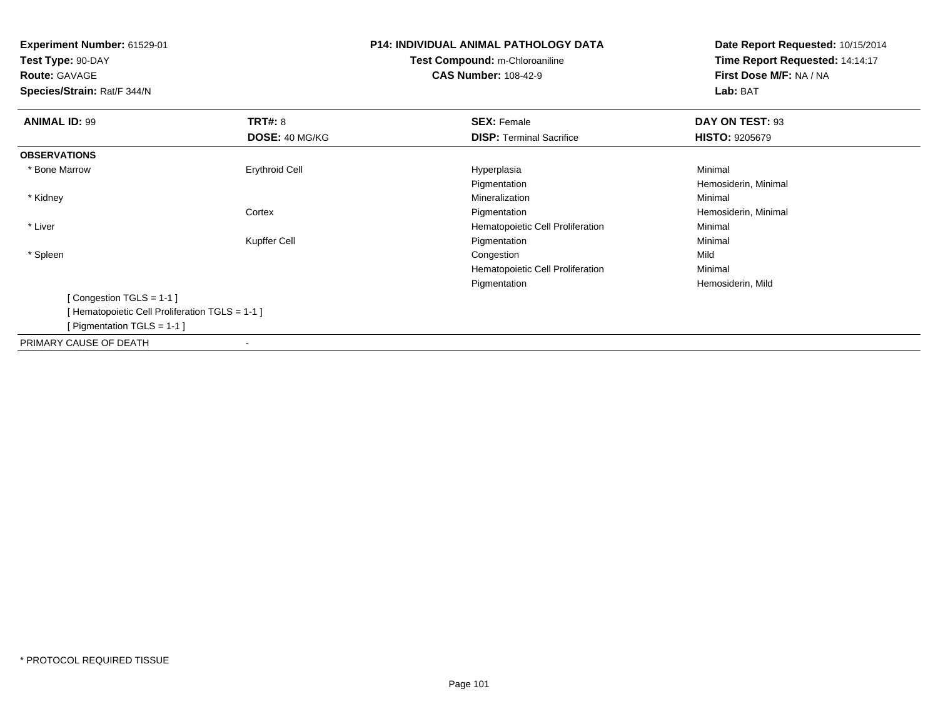**Test Type:** 90-DAY**Route:** GAVAGE

**Species/Strain:** Rat/F 344/N

# **P14: INDIVIDUAL ANIMAL PATHOLOGY DATATest Compound:** m-Chloroaniline**CAS Number:** 108-42-9

| <b>ANIMAL ID: 99</b>                           | <b>TRT#: 8</b>           | <b>SEX: Female</b>               | DAY ON TEST: 93       |
|------------------------------------------------|--------------------------|----------------------------------|-----------------------|
|                                                | <b>DOSE: 40 MG/KG</b>    | <b>DISP:</b> Terminal Sacrifice  | <b>HISTO: 9205679</b> |
| <b>OBSERVATIONS</b>                            |                          |                                  |                       |
| * Bone Marrow                                  | <b>Erythroid Cell</b>    | Hyperplasia                      | Minimal               |
|                                                |                          | Pigmentation                     | Hemosiderin, Minimal  |
| * Kidney                                       |                          | Mineralization                   | Minimal               |
|                                                | Cortex                   | Pigmentation                     | Hemosiderin, Minimal  |
| * Liver                                        |                          | Hematopoietic Cell Proliferation | Minimal               |
|                                                | Kupffer Cell             | Pigmentation                     | Minimal               |
| * Spleen                                       |                          | Congestion                       | Mild                  |
|                                                |                          | Hematopoietic Cell Proliferation | Minimal               |
|                                                |                          | Pigmentation                     | Hemosiderin, Mild     |
| [Congestion TGLS = $1-1$ ]                     |                          |                                  |                       |
| [Hematopoietic Cell Proliferation TGLS = 1-1 ] |                          |                                  |                       |
| [ Pigmentation TGLS = $1-1$ ]                  |                          |                                  |                       |
| PRIMARY CAUSE OF DEATH                         | $\overline{\phantom{a}}$ |                                  |                       |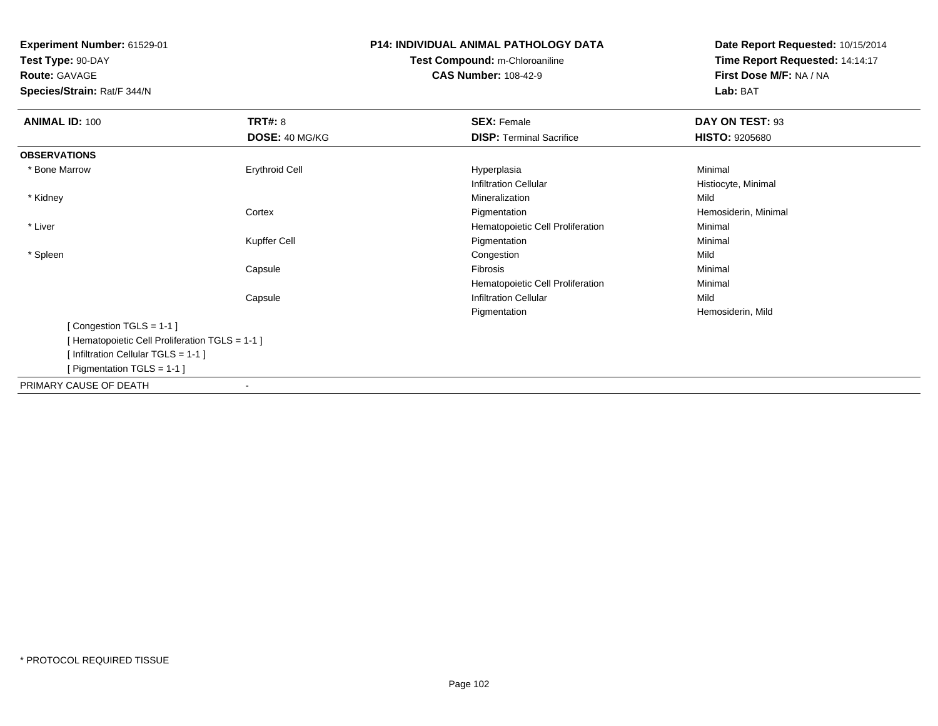**Test Type:** 90-DAY**Route:** GAVAGE

**Species/Strain:** Rat/F 344/N

# **P14: INDIVIDUAL ANIMAL PATHOLOGY DATATest Compound:** m-Chloroaniline**CAS Number:** 108-42-9

| <b>ANIMAL ID: 100</b>                         | <b>TRT#: 8</b>        | <b>SEX: Female</b>               | DAY ON TEST: 93       |  |
|-----------------------------------------------|-----------------------|----------------------------------|-----------------------|--|
|                                               | <b>DOSE: 40 MG/KG</b> | <b>DISP: Terminal Sacrifice</b>  | <b>HISTO: 9205680</b> |  |
| <b>OBSERVATIONS</b>                           |                       |                                  |                       |  |
| * Bone Marrow                                 | <b>Erythroid Cell</b> | Hyperplasia                      | Minimal               |  |
|                                               |                       | <b>Infiltration Cellular</b>     | Histiocyte, Minimal   |  |
| * Kidney                                      |                       | Mineralization                   | Mild                  |  |
|                                               | Cortex                | Pigmentation                     | Hemosiderin, Minimal  |  |
| * Liver                                       |                       | Hematopoietic Cell Proliferation | Minimal               |  |
|                                               | Kupffer Cell          | Pigmentation                     | Minimal               |  |
| * Spleen                                      |                       | Congestion                       | Mild                  |  |
|                                               | Capsule               | Fibrosis                         | Minimal               |  |
|                                               |                       | Hematopoietic Cell Proliferation | Minimal               |  |
|                                               | Capsule               | <b>Infiltration Cellular</b>     | Mild                  |  |
|                                               |                       | Pigmentation                     | Hemosiderin, Mild     |  |
| [Congestion TGLS = 1-1]                       |                       |                                  |                       |  |
| [Hematopoietic Cell Proliferation TGLS = 1-1] |                       |                                  |                       |  |
| [Infiltration Cellular TGLS = 1-1]            |                       |                                  |                       |  |
| [ Pigmentation TGLS = $1-1$ ]                 |                       |                                  |                       |  |
| PRIMARY CAUSE OF DEATH                        |                       |                                  |                       |  |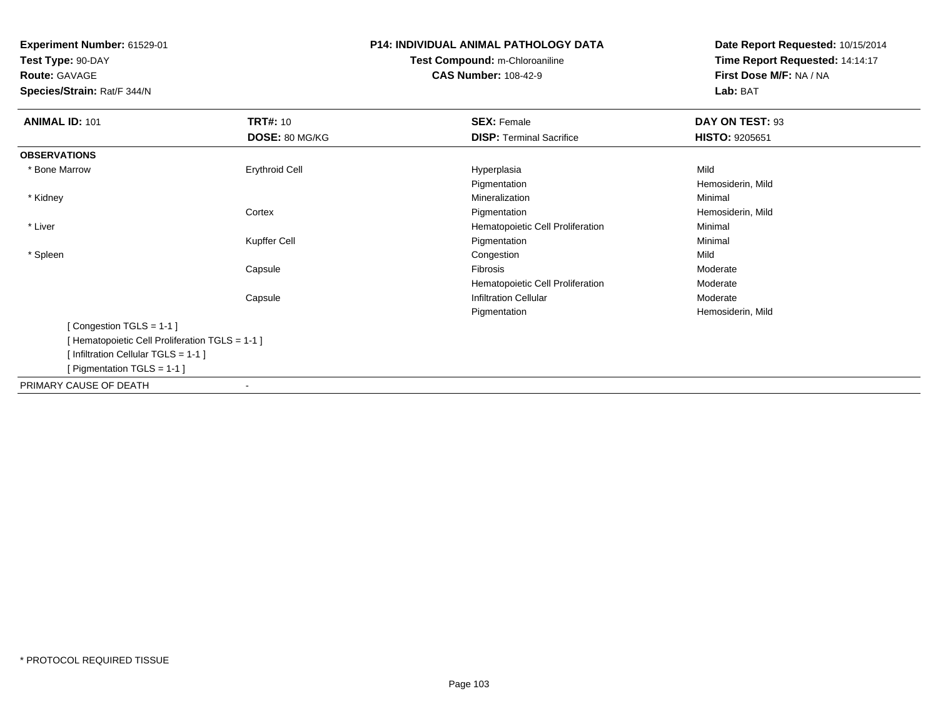**Test Type:** 90-DAY

**Route:** GAVAGE

**Species/Strain:** Rat/F 344/N

# **P14: INDIVIDUAL ANIMAL PATHOLOGY DATATest Compound:** m-Chloroaniline**CAS Number:** 108-42-9

| <b>ANIMAL ID: 101</b>                         | <b>TRT#: 10</b>       | <b>SEX: Female</b>               | DAY ON TEST: 93       |  |
|-----------------------------------------------|-----------------------|----------------------------------|-----------------------|--|
|                                               | DOSE: 80 MG/KG        | <b>DISP: Terminal Sacrifice</b>  | <b>HISTO: 9205651</b> |  |
| <b>OBSERVATIONS</b>                           |                       |                                  |                       |  |
| * Bone Marrow                                 | <b>Erythroid Cell</b> | Hyperplasia                      | Mild                  |  |
|                                               |                       | Pigmentation                     | Hemosiderin, Mild     |  |
| * Kidney                                      |                       | Mineralization                   | Minimal               |  |
|                                               | Cortex                | Pigmentation                     | Hemosiderin, Mild     |  |
| * Liver                                       |                       | Hematopoietic Cell Proliferation | Minimal               |  |
|                                               | Kupffer Cell          | Pigmentation                     | Minimal               |  |
| * Spleen                                      |                       | Congestion                       | Mild                  |  |
|                                               | Capsule               | Fibrosis                         | Moderate              |  |
|                                               |                       | Hematopoietic Cell Proliferation | Moderate              |  |
|                                               | Capsule               | <b>Infiltration Cellular</b>     | Moderate              |  |
|                                               |                       | Pigmentation                     | Hemosiderin, Mild     |  |
| [Congestion TGLS = 1-1]                       |                       |                                  |                       |  |
| [Hematopoietic Cell Proliferation TGLS = 1-1] |                       |                                  |                       |  |
| [Infiltration Cellular TGLS = 1-1]            |                       |                                  |                       |  |
| [Pigmentation TGLS = 1-1 ]                    |                       |                                  |                       |  |
| PRIMARY CAUSE OF DEATH                        | ۰                     |                                  |                       |  |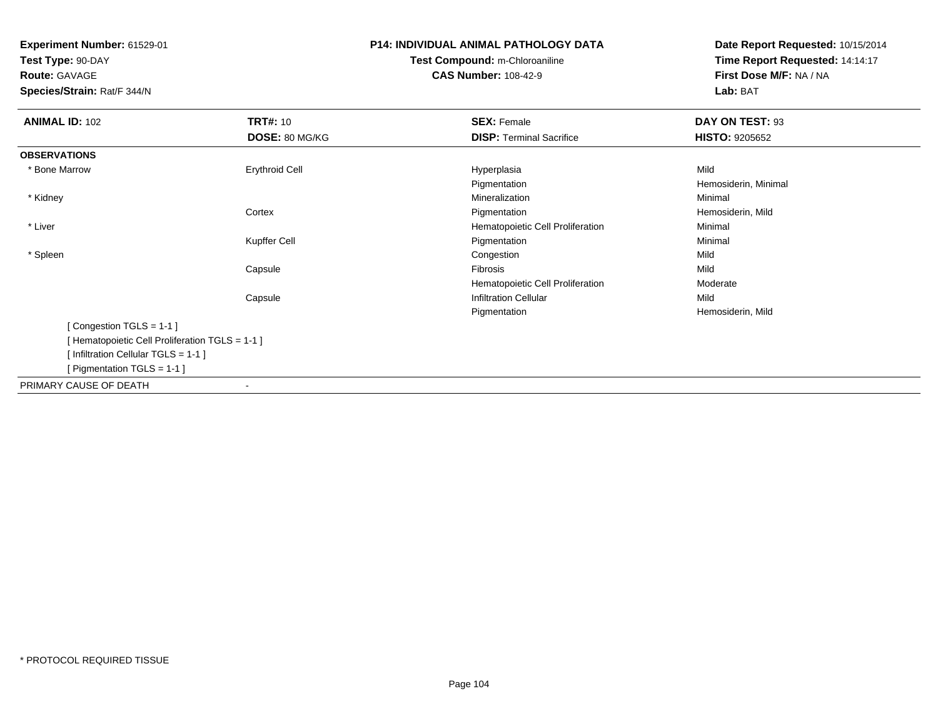**Test Type:** 90-DAY

**Route:** GAVAGE

**Species/Strain:** Rat/F 344/N

# **P14: INDIVIDUAL ANIMAL PATHOLOGY DATATest Compound:** m-Chloroaniline**CAS Number:** 108-42-9

| <b>ANIMAL ID: 102</b>                           | <b>TRT#: 10</b>       | <b>SEX: Female</b>               | DAY ON TEST: 93       |  |
|-------------------------------------------------|-----------------------|----------------------------------|-----------------------|--|
|                                                 | DOSE: 80 MG/KG        | <b>DISP: Terminal Sacrifice</b>  | <b>HISTO: 9205652</b> |  |
| <b>OBSERVATIONS</b>                             |                       |                                  |                       |  |
| * Bone Marrow                                   | <b>Erythroid Cell</b> | Hyperplasia                      | Mild                  |  |
|                                                 |                       | Pigmentation                     | Hemosiderin, Minimal  |  |
| * Kidney                                        |                       | Mineralization                   | Minimal               |  |
|                                                 | Cortex                | Pigmentation                     | Hemosiderin, Mild     |  |
| * Liver                                         |                       | Hematopoietic Cell Proliferation | Minimal               |  |
|                                                 | Kupffer Cell          | Pigmentation                     | Minimal               |  |
| * Spleen                                        |                       | Congestion                       | Mild                  |  |
|                                                 | Capsule               | Fibrosis                         | Mild                  |  |
|                                                 |                       | Hematopoietic Cell Proliferation | Moderate              |  |
|                                                 | Capsule               | <b>Infiltration Cellular</b>     | Mild                  |  |
|                                                 |                       | Pigmentation                     | Hemosiderin, Mild     |  |
| [Congestion TGLS = 1-1]                         |                       |                                  |                       |  |
| [ Hematopoietic Cell Proliferation TGLS = 1-1 ] |                       |                                  |                       |  |
| [Infiltration Cellular TGLS = 1-1]              |                       |                                  |                       |  |
| [ Pigmentation TGLS = 1-1 ]                     |                       |                                  |                       |  |
| PRIMARY CAUSE OF DEATH                          |                       |                                  |                       |  |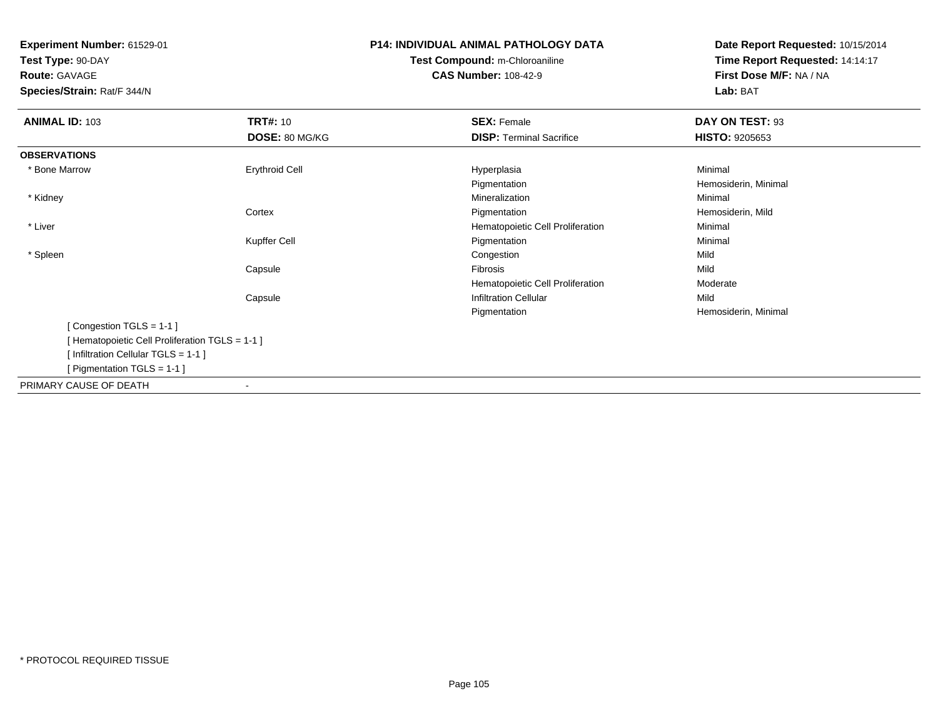**Test Type:** 90-DAY**Route:** GAVAGE

**Species/Strain:** Rat/F 344/N

# **P14: INDIVIDUAL ANIMAL PATHOLOGY DATATest Compound:** m-Chloroaniline**CAS Number:** 108-42-9

| <b>ANIMAL ID: 103</b>                         | <b>TRT#: 10</b>       | <b>SEX: Female</b>               | DAY ON TEST: 93       |  |
|-----------------------------------------------|-----------------------|----------------------------------|-----------------------|--|
|                                               | DOSE: 80 MG/KG        | <b>DISP: Terminal Sacrifice</b>  | <b>HISTO: 9205653</b> |  |
| <b>OBSERVATIONS</b>                           |                       |                                  |                       |  |
| * Bone Marrow                                 |                       |                                  |                       |  |
|                                               | <b>Erythroid Cell</b> | Hyperplasia                      | Minimal               |  |
|                                               |                       | Pigmentation                     | Hemosiderin, Minimal  |  |
| * Kidney                                      |                       | Mineralization                   | Minimal               |  |
|                                               | Cortex                | Pigmentation                     | Hemosiderin, Mild     |  |
| * Liver                                       |                       | Hematopoietic Cell Proliferation | Minimal               |  |
|                                               | Kupffer Cell          | Pigmentation                     | Minimal               |  |
| * Spleen                                      |                       | Congestion                       | Mild                  |  |
|                                               | Capsule               | Fibrosis                         | Mild                  |  |
|                                               |                       | Hematopoietic Cell Proliferation | Moderate              |  |
|                                               | Capsule               | <b>Infiltration Cellular</b>     | Mild                  |  |
|                                               |                       | Pigmentation                     | Hemosiderin, Minimal  |  |
| [Congestion TGLS = 1-1]                       |                       |                                  |                       |  |
| [Hematopoietic Cell Proliferation TGLS = 1-1] |                       |                                  |                       |  |
| [Infiltration Cellular TGLS = 1-1]            |                       |                                  |                       |  |
| [ Pigmentation TGLS = 1-1 ]                   |                       |                                  |                       |  |
| PRIMARY CAUSE OF DEATH                        |                       |                                  |                       |  |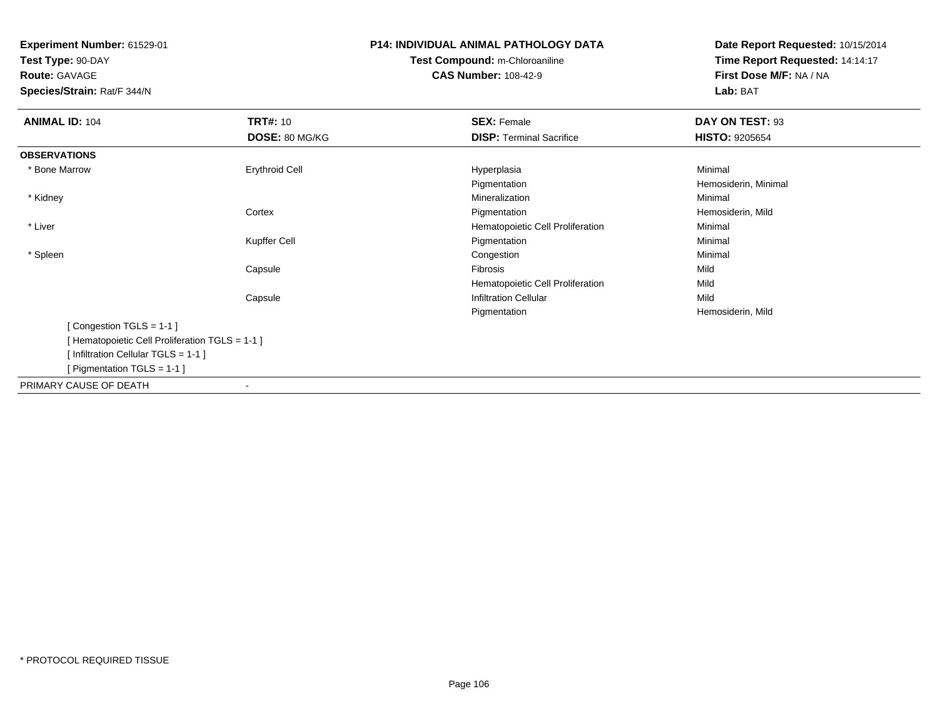**Test Type:** 90-DAY**Route:** GAVAGE

**Species/Strain:** Rat/F 344/N

# **P14: INDIVIDUAL ANIMAL PATHOLOGY DATATest Compound:** m-Chloroaniline**CAS Number:** 108-42-9

| <b>ANIMAL ID: 104</b>                         | <b>TRT#: 10</b>       | <b>SEX: Female</b>               | DAY ON TEST: 93       |  |
|-----------------------------------------------|-----------------------|----------------------------------|-----------------------|--|
|                                               | DOSE: 80 MG/KG        | <b>DISP: Terminal Sacrifice</b>  | <b>HISTO: 9205654</b> |  |
| <b>OBSERVATIONS</b>                           |                       |                                  |                       |  |
| * Bone Marrow                                 | <b>Erythroid Cell</b> | Hyperplasia                      | Minimal               |  |
|                                               |                       | Pigmentation                     | Hemosiderin, Minimal  |  |
| * Kidney                                      |                       | Mineralization                   | Minimal               |  |
|                                               | Cortex                | Pigmentation                     | Hemosiderin, Mild     |  |
| * Liver                                       |                       | Hematopoietic Cell Proliferation | Minimal               |  |
|                                               | Kupffer Cell          | Pigmentation                     | Minimal               |  |
| * Spleen                                      |                       | Congestion                       | Minimal               |  |
|                                               | Capsule               | Fibrosis                         | Mild                  |  |
|                                               |                       | Hematopoietic Cell Proliferation | Mild                  |  |
|                                               | Capsule               | <b>Infiltration Cellular</b>     | Mild                  |  |
|                                               |                       | Pigmentation                     | Hemosiderin, Mild     |  |
| [Congestion TGLS = 1-1]                       |                       |                                  |                       |  |
| [Hematopoietic Cell Proliferation TGLS = 1-1] |                       |                                  |                       |  |
| [Infiltration Cellular TGLS = 1-1]            |                       |                                  |                       |  |
| [ Pigmentation TGLS = 1-1 ]                   |                       |                                  |                       |  |
| PRIMARY CAUSE OF DEATH                        |                       |                                  |                       |  |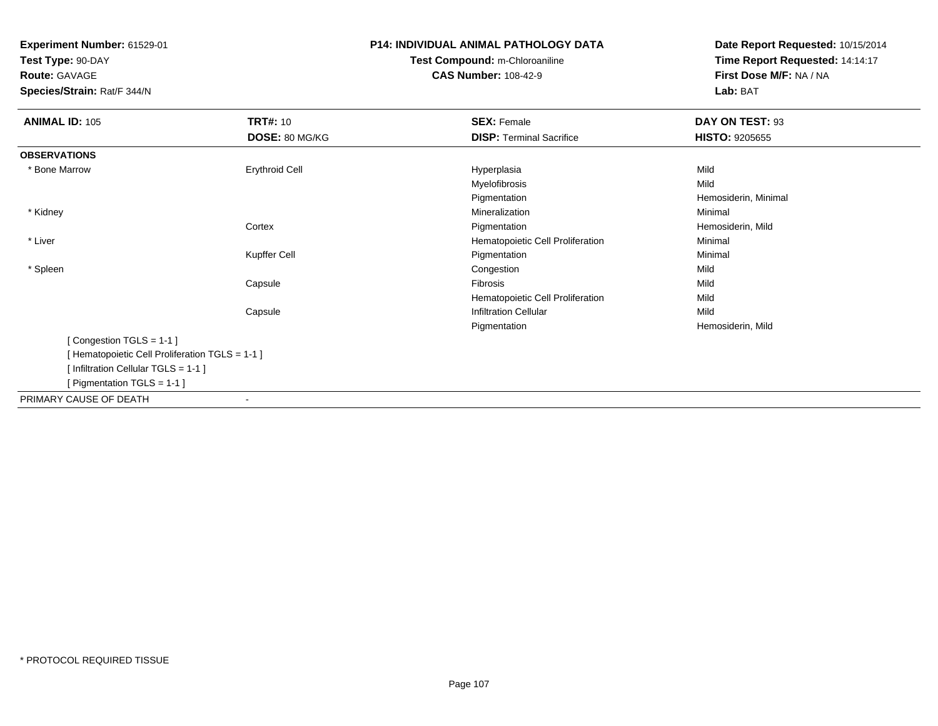**Test Type:** 90-DAY

**Route:** GAVAGE

**Species/Strain:** Rat/F 344/N

# **P14: INDIVIDUAL ANIMAL PATHOLOGY DATATest Compound:** m-Chloroaniline**CAS Number:** 108-42-9

| <b>ANIMAL ID: 105</b>                         | <b>TRT#: 10</b>       | <b>SEX: Female</b>               | DAY ON TEST: 93       |  |
|-----------------------------------------------|-----------------------|----------------------------------|-----------------------|--|
|                                               | DOSE: 80 MG/KG        | <b>DISP: Terminal Sacrifice</b>  | <b>HISTO: 9205655</b> |  |
| <b>OBSERVATIONS</b>                           |                       |                                  |                       |  |
| * Bone Marrow                                 | <b>Erythroid Cell</b> | Hyperplasia                      | Mild                  |  |
|                                               |                       | Myelofibrosis                    | Mild                  |  |
|                                               |                       | Pigmentation                     | Hemosiderin, Minimal  |  |
| * Kidney                                      |                       | Mineralization                   | Minimal               |  |
|                                               | Cortex                | Pigmentation                     | Hemosiderin, Mild     |  |
| * Liver                                       |                       | Hematopoietic Cell Proliferation | Minimal               |  |
|                                               | Kupffer Cell          | Pigmentation                     | Minimal               |  |
| * Spleen                                      |                       | Congestion                       | Mild                  |  |
|                                               | Capsule               | Fibrosis                         | Mild                  |  |
|                                               |                       | Hematopoietic Cell Proliferation | Mild                  |  |
|                                               | Capsule               | <b>Infiltration Cellular</b>     | Mild                  |  |
|                                               |                       | Pigmentation                     | Hemosiderin, Mild     |  |
| [Congestion TGLS = 1-1]                       |                       |                                  |                       |  |
| [Hematopoietic Cell Proliferation TGLS = 1-1] |                       |                                  |                       |  |
| [Infiltration Cellular TGLS = 1-1]            |                       |                                  |                       |  |
| [Pigmentation TGLS = 1-1 ]                    |                       |                                  |                       |  |
| PRIMARY CAUSE OF DEATH                        |                       |                                  |                       |  |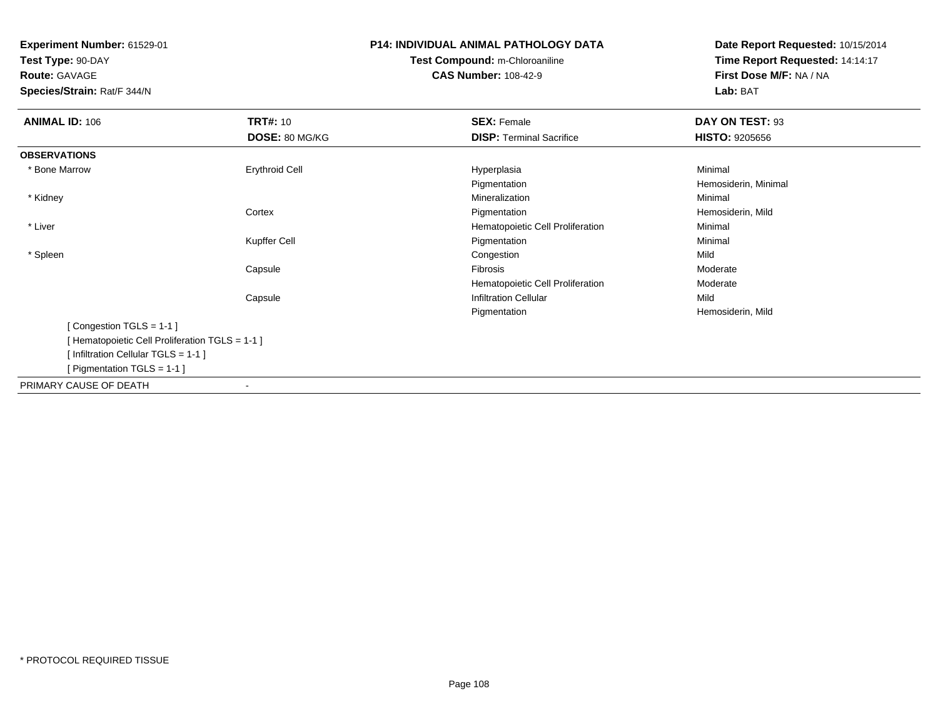**Test Type:** 90-DAY**Route:** GAVAGE

**Species/Strain:** Rat/F 344/N

# **P14: INDIVIDUAL ANIMAL PATHOLOGY DATATest Compound:** m-Chloroaniline**CAS Number:** 108-42-9

| <b>ANIMAL ID: 106</b>                         | <b>TRT#: 10</b>          | <b>SEX: Female</b>               | DAY ON TEST: 93       |  |
|-----------------------------------------------|--------------------------|----------------------------------|-----------------------|--|
|                                               | DOSE: 80 MG/KG           | <b>DISP: Terminal Sacrifice</b>  | <b>HISTO: 9205656</b> |  |
| <b>OBSERVATIONS</b>                           |                          |                                  |                       |  |
| * Bone Marrow                                 | <b>Erythroid Cell</b>    | Hyperplasia                      | Minimal               |  |
|                                               |                          | Pigmentation                     | Hemosiderin, Minimal  |  |
| * Kidney                                      |                          | Mineralization                   | Minimal               |  |
|                                               | Cortex                   | Pigmentation                     | Hemosiderin, Mild     |  |
| * Liver                                       |                          | Hematopoietic Cell Proliferation | Minimal               |  |
|                                               | Kupffer Cell             | Pigmentation                     | Minimal               |  |
| * Spleen                                      |                          | Congestion                       | Mild                  |  |
|                                               | Capsule                  | Fibrosis                         | Moderate              |  |
|                                               |                          | Hematopoietic Cell Proliferation | Moderate              |  |
|                                               | Capsule                  | <b>Infiltration Cellular</b>     | Mild                  |  |
|                                               |                          | Pigmentation                     | Hemosiderin, Mild     |  |
| [Congestion TGLS = 1-1]                       |                          |                                  |                       |  |
| [Hematopoietic Cell Proliferation TGLS = 1-1] |                          |                                  |                       |  |
| [Infiltration Cellular TGLS = 1-1]            |                          |                                  |                       |  |
| [Pigmentation TGLS = $1-1$ ]                  |                          |                                  |                       |  |
| PRIMARY CAUSE OF DEATH                        | $\overline{\phantom{a}}$ |                                  |                       |  |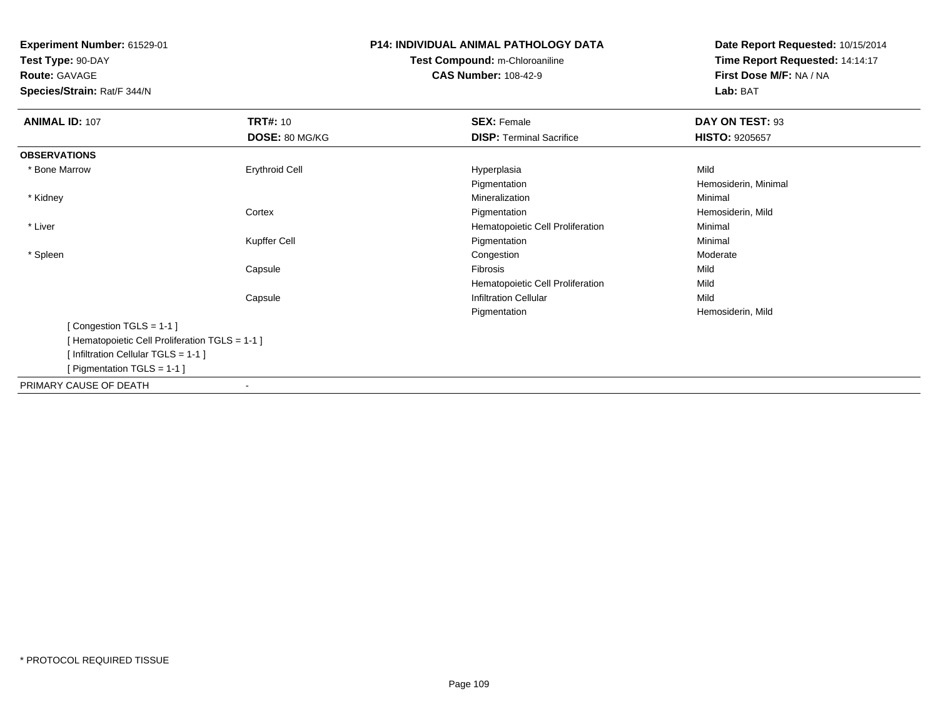**Test Type:** 90-DAY

**Route:** GAVAGE

**Species/Strain:** Rat/F 344/N

## **P14: INDIVIDUAL ANIMAL PATHOLOGY DATATest Compound:** m-Chloroaniline**CAS Number:** 108-42-9

| <b>ANIMAL ID: 107</b>                         | <b>TRT#: 10</b>       | <b>SEX: Female</b>               | DAY ON TEST: 93       |  |
|-----------------------------------------------|-----------------------|----------------------------------|-----------------------|--|
|                                               | DOSE: 80 MG/KG        | <b>DISP: Terminal Sacrifice</b>  | <b>HISTO: 9205657</b> |  |
| <b>OBSERVATIONS</b>                           |                       |                                  |                       |  |
| * Bone Marrow                                 | <b>Erythroid Cell</b> | Hyperplasia                      | Mild                  |  |
|                                               |                       | Pigmentation                     | Hemosiderin, Minimal  |  |
| * Kidney                                      |                       | Mineralization                   | Minimal               |  |
|                                               | Cortex                | Pigmentation                     | Hemosiderin, Mild     |  |
| * Liver                                       |                       | Hematopoietic Cell Proliferation | Minimal               |  |
|                                               | Kupffer Cell          | Pigmentation                     | Minimal               |  |
| * Spleen                                      |                       | Congestion                       | Moderate              |  |
|                                               | Capsule               | Fibrosis                         | Mild                  |  |
|                                               |                       | Hematopoietic Cell Proliferation | Mild                  |  |
|                                               | Capsule               | <b>Infiltration Cellular</b>     | Mild                  |  |
|                                               |                       | Pigmentation                     | Hemosiderin, Mild     |  |
| [Congestion TGLS = 1-1]                       |                       |                                  |                       |  |
| [Hematopoietic Cell Proliferation TGLS = 1-1] |                       |                                  |                       |  |
| [Infiltration Cellular TGLS = 1-1]            |                       |                                  |                       |  |
| [ Pigmentation TGLS = 1-1 ]                   |                       |                                  |                       |  |
| PRIMARY CAUSE OF DEATH                        |                       |                                  |                       |  |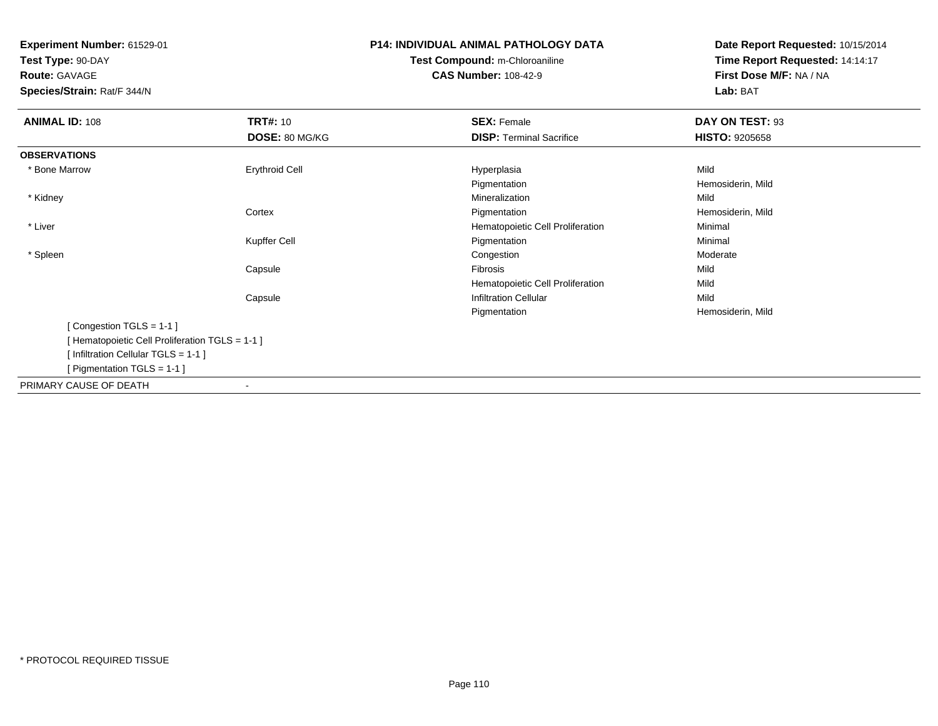**Test Type:** 90-DAY**Route:** GAVAGE

**Species/Strain:** Rat/F 344/N

## **P14: INDIVIDUAL ANIMAL PATHOLOGY DATATest Compound:** m-Chloroaniline**CAS Number:** 108-42-9

| <b>ANIMAL ID: 108</b>                          | <b>TRT#: 10</b>       | <b>SEX: Female</b>               | DAY ON TEST: 93       |  |
|------------------------------------------------|-----------------------|----------------------------------|-----------------------|--|
|                                                | DOSE: 80 MG/KG        | <b>DISP: Terminal Sacrifice</b>  | <b>HISTO: 9205658</b> |  |
| <b>OBSERVATIONS</b>                            |                       |                                  |                       |  |
| * Bone Marrow                                  | <b>Erythroid Cell</b> | Hyperplasia                      | Mild                  |  |
|                                                |                       | Pigmentation                     | Hemosiderin, Mild     |  |
| * Kidney                                       |                       | Mineralization                   | Mild                  |  |
|                                                | Cortex                | Pigmentation                     | Hemosiderin, Mild     |  |
| * Liver                                        |                       | Hematopoietic Cell Proliferation | Minimal               |  |
|                                                | Kupffer Cell          | Pigmentation                     | Minimal               |  |
| * Spleen                                       |                       | Congestion                       | Moderate              |  |
|                                                | Capsule               | Fibrosis                         | Mild                  |  |
|                                                |                       | Hematopoietic Cell Proliferation | Mild                  |  |
|                                                | Capsule               | <b>Infiltration Cellular</b>     | Mild                  |  |
|                                                |                       | Pigmentation                     | Hemosiderin, Mild     |  |
| [Congestion TGLS = 1-1]                        |                       |                                  |                       |  |
| [Hematopoietic Cell Proliferation TGLS = 1-1 ] |                       |                                  |                       |  |
| [Infiltration Cellular TGLS = 1-1]             |                       |                                  |                       |  |
| [ Pigmentation TGLS = $1-1$ ]                  |                       |                                  |                       |  |
| PRIMARY CAUSE OF DEATH                         |                       |                                  |                       |  |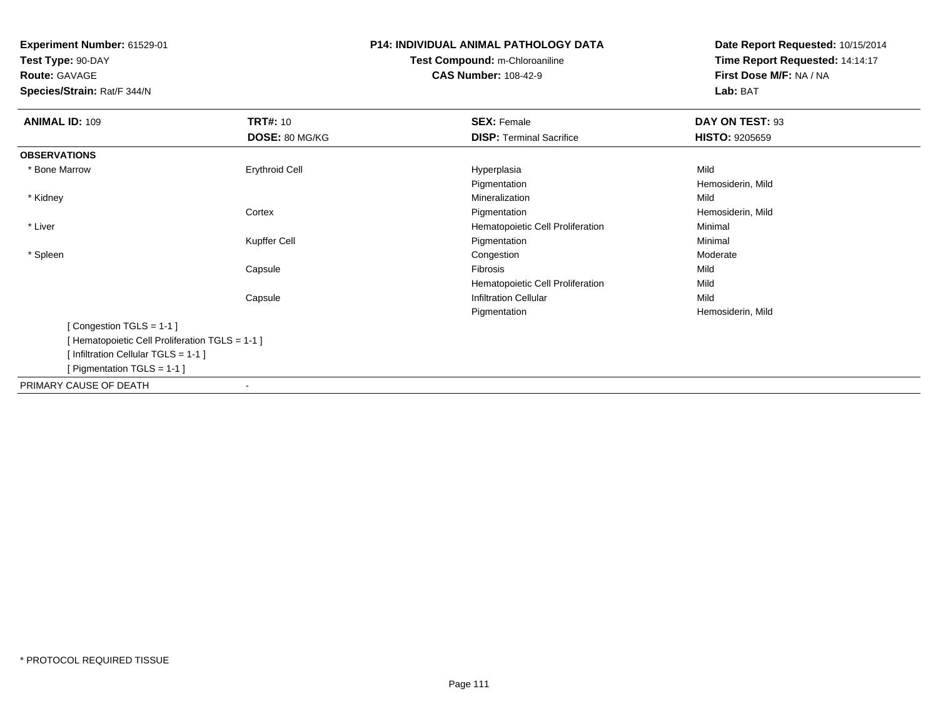**Test Type:** 90-DAY**Route:** GAVAGE

**Species/Strain:** Rat/F 344/N

## **P14: INDIVIDUAL ANIMAL PATHOLOGY DATATest Compound:** m-Chloroaniline**CAS Number:** 108-42-9

| <b>ANIMAL ID: 109</b>                         | <b>TRT#: 10</b>       | <b>SEX: Female</b>               | DAY ON TEST: 93       |  |
|-----------------------------------------------|-----------------------|----------------------------------|-----------------------|--|
|                                               |                       |                                  |                       |  |
|                                               | DOSE: 80 MG/KG        | <b>DISP: Terminal Sacrifice</b>  | <b>HISTO: 9205659</b> |  |
| <b>OBSERVATIONS</b>                           |                       |                                  |                       |  |
| * Bone Marrow                                 | <b>Erythroid Cell</b> | Hyperplasia                      | Mild                  |  |
|                                               |                       | Pigmentation                     | Hemosiderin, Mild     |  |
| * Kidney                                      |                       | Mineralization                   | Mild                  |  |
|                                               | Cortex                | Pigmentation                     | Hemosiderin, Mild     |  |
| * Liver                                       |                       | Hematopoietic Cell Proliferation | Minimal               |  |
|                                               | Kupffer Cell          | Pigmentation                     | Minimal               |  |
| * Spleen                                      |                       | Congestion                       | Moderate              |  |
|                                               | Capsule               | Fibrosis                         | Mild                  |  |
|                                               |                       | Hematopoietic Cell Proliferation | Mild                  |  |
|                                               | Capsule               | <b>Infiltration Cellular</b>     | Mild                  |  |
|                                               |                       | Pigmentation                     | Hemosiderin, Mild     |  |
| [Congestion TGLS = 1-1]                       |                       |                                  |                       |  |
| [Hematopoietic Cell Proliferation TGLS = 1-1] |                       |                                  |                       |  |
| [Infiltration Cellular TGLS = 1-1]            |                       |                                  |                       |  |
| [ Pigmentation TGLS = $1-1$ ]                 |                       |                                  |                       |  |
| PRIMARY CAUSE OF DEATH                        |                       |                                  |                       |  |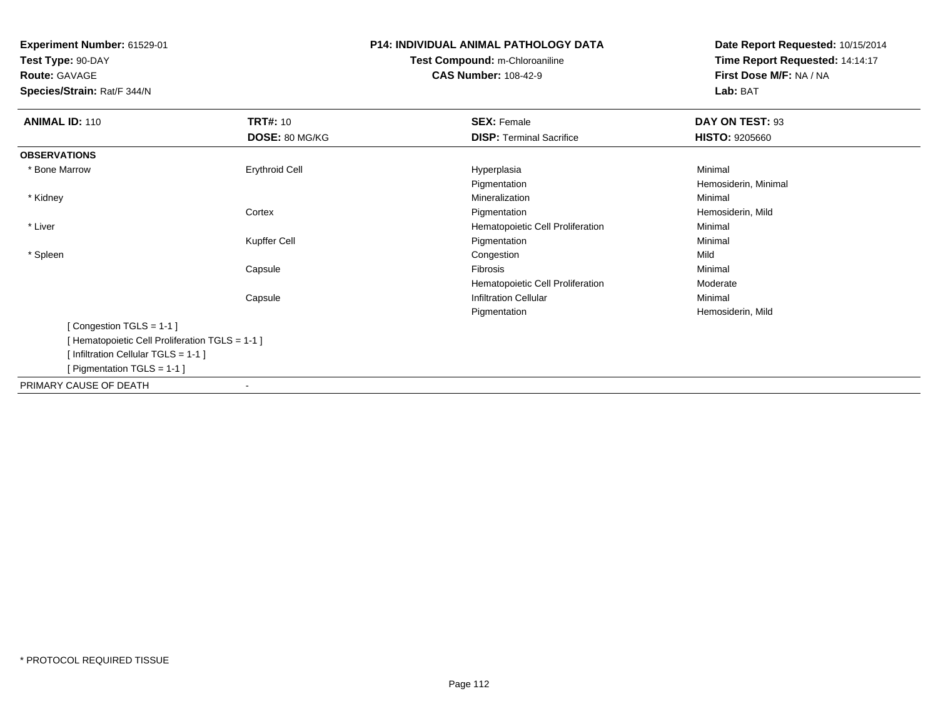**Test Type:** 90-DAY**Route:** GAVAGE

**Species/Strain:** Rat/F 344/N

## **P14: INDIVIDUAL ANIMAL PATHOLOGY DATATest Compound:** m-Chloroaniline**CAS Number:** 108-42-9

| <b>ANIMAL ID: 110</b>                          | <b>TRT#: 10</b>       | <b>SEX: Female</b>               | DAY ON TEST: 93       |  |
|------------------------------------------------|-----------------------|----------------------------------|-----------------------|--|
|                                                | DOSE: 80 MG/KG        | <b>DISP: Terminal Sacrifice</b>  | <b>HISTO: 9205660</b> |  |
|                                                |                       |                                  |                       |  |
| <b>OBSERVATIONS</b>                            |                       |                                  |                       |  |
| * Bone Marrow                                  | <b>Erythroid Cell</b> | Hyperplasia                      | Minimal               |  |
|                                                |                       | Pigmentation                     | Hemosiderin, Minimal  |  |
| * Kidney                                       |                       | Mineralization                   | Minimal               |  |
|                                                | Cortex                | Pigmentation                     | Hemosiderin, Mild     |  |
| * Liver                                        |                       | Hematopoietic Cell Proliferation | Minimal               |  |
|                                                | Kupffer Cell          | Pigmentation                     | Minimal               |  |
| * Spleen                                       |                       | Congestion                       | Mild                  |  |
|                                                | Capsule               | Fibrosis                         | Minimal               |  |
|                                                |                       | Hematopoietic Cell Proliferation | Moderate              |  |
|                                                | Capsule               | <b>Infiltration Cellular</b>     | Minimal               |  |
|                                                |                       | Pigmentation                     | Hemosiderin, Mild     |  |
| [Congestion TGLS = 1-1]                        |                       |                                  |                       |  |
| [Hematopoietic Cell Proliferation TGLS = 1-1 ] |                       |                                  |                       |  |
| [Infiltration Cellular TGLS = 1-1]             |                       |                                  |                       |  |
| [ Pigmentation TGLS = 1-1 ]                    |                       |                                  |                       |  |
| PRIMARY CAUSE OF DEATH                         |                       |                                  |                       |  |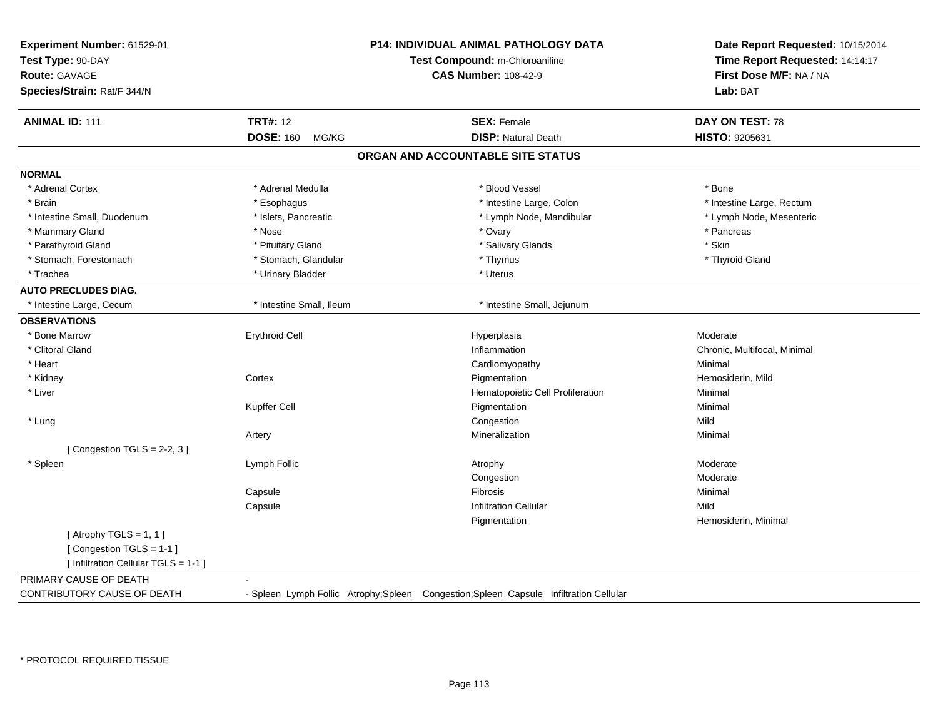| <b>TRT#: 12</b><br><b>ANIMAL ID: 111</b><br><b>SEX: Female</b><br>DAY ON TEST: 78<br><b>DISP: Natural Death</b><br><b>DOSE: 160</b><br>HISTO: 9205631<br>MG/KG<br>ORGAN AND ACCOUNTABLE SITE STATUS<br>* Adrenal Cortex<br>* Adrenal Medulla<br>* Blood Vessel<br>* Bone<br>* Intestine Large, Colon<br>* Intestine Large, Rectum<br>* Brain<br>* Esophagus<br>* Intestine Small, Duodenum<br>* Islets, Pancreatic<br>* Lymph Node, Mandibular<br>* Lymph Node, Mesenteric<br>* Pancreas<br>* Mammary Gland<br>* Nose<br>* Ovary<br>* Skin<br>* Parathyroid Gland<br>* Pituitary Gland<br>* Salivary Glands<br>* Stomach, Forestomach<br>* Stomach, Glandular<br>* Thymus<br>* Thyroid Gland<br>* Trachea<br>* Urinary Bladder<br>* Uterus<br>* Intestine Small, Ileum<br>* Intestine Small, Jejunum<br>* Intestine Large, Cecum<br><b>Erythroid Cell</b><br>Moderate<br>* Bone Marrow<br>Hyperplasia<br>Inflammation<br>* Clitoral Gland<br>Chronic, Multifocal, Minimal<br>Minimal<br>* Heart<br>Cardiomyopathy<br>* Kidney<br>Cortex<br>Pigmentation<br>Hemosiderin, Mild<br>Minimal<br>* Liver<br>Hematopoietic Cell Proliferation<br>Kupffer Cell<br>Minimal<br>Pigmentation<br>Mild<br>Congestion<br>* Lung<br>Mineralization<br>Minimal<br>Artery<br>[Congestion TGLS = $2-2$ , 3]<br>* Spleen<br>Lymph Follic<br>Moderate<br>Atrophy<br>Congestion<br>Moderate<br>Minimal<br>Capsule<br><b>Fibrosis</b><br><b>Infiltration Cellular</b><br>Mild<br>Capsule<br>Pigmentation<br>Hemosiderin, Minimal<br>[Atrophy TGLS = $1, 1$ ]<br>[Congestion TGLS = 1-1]<br>[ Infiltration Cellular TGLS = 1-1 ]<br>PRIMARY CAUSE OF DEATH | Experiment Number: 61529-01<br>Test Type: 90-DAY<br><b>Route: GAVAGE</b><br>Species/Strain: Rat/F 344/N | <b>P14: INDIVIDUAL ANIMAL PATHOLOGY DATA</b><br>Test Compound: m-Chloroaniline<br><b>CAS Number: 108-42-9</b> | Date Report Requested: 10/15/2014<br>Time Report Requested: 14:14:17<br>First Dose M/F: NA / NA<br>Lab: BAT |
|-------------------------------------------------------------------------------------------------------------------------------------------------------------------------------------------------------------------------------------------------------------------------------------------------------------------------------------------------------------------------------------------------------------------------------------------------------------------------------------------------------------------------------------------------------------------------------------------------------------------------------------------------------------------------------------------------------------------------------------------------------------------------------------------------------------------------------------------------------------------------------------------------------------------------------------------------------------------------------------------------------------------------------------------------------------------------------------------------------------------------------------------------------------------------------------------------------------------------------------------------------------------------------------------------------------------------------------------------------------------------------------------------------------------------------------------------------------------------------------------------------------------------------------------------------------------------------------------------------------------------------------|---------------------------------------------------------------------------------------------------------|---------------------------------------------------------------------------------------------------------------|-------------------------------------------------------------------------------------------------------------|
|                                                                                                                                                                                                                                                                                                                                                                                                                                                                                                                                                                                                                                                                                                                                                                                                                                                                                                                                                                                                                                                                                                                                                                                                                                                                                                                                                                                                                                                                                                                                                                                                                                     |                                                                                                         |                                                                                                               |                                                                                                             |
|                                                                                                                                                                                                                                                                                                                                                                                                                                                                                                                                                                                                                                                                                                                                                                                                                                                                                                                                                                                                                                                                                                                                                                                                                                                                                                                                                                                                                                                                                                                                                                                                                                     |                                                                                                         |                                                                                                               |                                                                                                             |
|                                                                                                                                                                                                                                                                                                                                                                                                                                                                                                                                                                                                                                                                                                                                                                                                                                                                                                                                                                                                                                                                                                                                                                                                                                                                                                                                                                                                                                                                                                                                                                                                                                     |                                                                                                         |                                                                                                               |                                                                                                             |
|                                                                                                                                                                                                                                                                                                                                                                                                                                                                                                                                                                                                                                                                                                                                                                                                                                                                                                                                                                                                                                                                                                                                                                                                                                                                                                                                                                                                                                                                                                                                                                                                                                     | <b>NORMAL</b>                                                                                           |                                                                                                               |                                                                                                             |
|                                                                                                                                                                                                                                                                                                                                                                                                                                                                                                                                                                                                                                                                                                                                                                                                                                                                                                                                                                                                                                                                                                                                                                                                                                                                                                                                                                                                                                                                                                                                                                                                                                     |                                                                                                         |                                                                                                               |                                                                                                             |
|                                                                                                                                                                                                                                                                                                                                                                                                                                                                                                                                                                                                                                                                                                                                                                                                                                                                                                                                                                                                                                                                                                                                                                                                                                                                                                                                                                                                                                                                                                                                                                                                                                     |                                                                                                         |                                                                                                               |                                                                                                             |
|                                                                                                                                                                                                                                                                                                                                                                                                                                                                                                                                                                                                                                                                                                                                                                                                                                                                                                                                                                                                                                                                                                                                                                                                                                                                                                                                                                                                                                                                                                                                                                                                                                     |                                                                                                         |                                                                                                               |                                                                                                             |
|                                                                                                                                                                                                                                                                                                                                                                                                                                                                                                                                                                                                                                                                                                                                                                                                                                                                                                                                                                                                                                                                                                                                                                                                                                                                                                                                                                                                                                                                                                                                                                                                                                     |                                                                                                         |                                                                                                               |                                                                                                             |
|                                                                                                                                                                                                                                                                                                                                                                                                                                                                                                                                                                                                                                                                                                                                                                                                                                                                                                                                                                                                                                                                                                                                                                                                                                                                                                                                                                                                                                                                                                                                                                                                                                     |                                                                                                         |                                                                                                               |                                                                                                             |
|                                                                                                                                                                                                                                                                                                                                                                                                                                                                                                                                                                                                                                                                                                                                                                                                                                                                                                                                                                                                                                                                                                                                                                                                                                                                                                                                                                                                                                                                                                                                                                                                                                     |                                                                                                         |                                                                                                               |                                                                                                             |
|                                                                                                                                                                                                                                                                                                                                                                                                                                                                                                                                                                                                                                                                                                                                                                                                                                                                                                                                                                                                                                                                                                                                                                                                                                                                                                                                                                                                                                                                                                                                                                                                                                     |                                                                                                         |                                                                                                               |                                                                                                             |
|                                                                                                                                                                                                                                                                                                                                                                                                                                                                                                                                                                                                                                                                                                                                                                                                                                                                                                                                                                                                                                                                                                                                                                                                                                                                                                                                                                                                                                                                                                                                                                                                                                     | <b>AUTO PRECLUDES DIAG.</b>                                                                             |                                                                                                               |                                                                                                             |
|                                                                                                                                                                                                                                                                                                                                                                                                                                                                                                                                                                                                                                                                                                                                                                                                                                                                                                                                                                                                                                                                                                                                                                                                                                                                                                                                                                                                                                                                                                                                                                                                                                     |                                                                                                         |                                                                                                               |                                                                                                             |
|                                                                                                                                                                                                                                                                                                                                                                                                                                                                                                                                                                                                                                                                                                                                                                                                                                                                                                                                                                                                                                                                                                                                                                                                                                                                                                                                                                                                                                                                                                                                                                                                                                     | <b>OBSERVATIONS</b>                                                                                     |                                                                                                               |                                                                                                             |
|                                                                                                                                                                                                                                                                                                                                                                                                                                                                                                                                                                                                                                                                                                                                                                                                                                                                                                                                                                                                                                                                                                                                                                                                                                                                                                                                                                                                                                                                                                                                                                                                                                     |                                                                                                         |                                                                                                               |                                                                                                             |
|                                                                                                                                                                                                                                                                                                                                                                                                                                                                                                                                                                                                                                                                                                                                                                                                                                                                                                                                                                                                                                                                                                                                                                                                                                                                                                                                                                                                                                                                                                                                                                                                                                     |                                                                                                         |                                                                                                               |                                                                                                             |
|                                                                                                                                                                                                                                                                                                                                                                                                                                                                                                                                                                                                                                                                                                                                                                                                                                                                                                                                                                                                                                                                                                                                                                                                                                                                                                                                                                                                                                                                                                                                                                                                                                     |                                                                                                         |                                                                                                               |                                                                                                             |
|                                                                                                                                                                                                                                                                                                                                                                                                                                                                                                                                                                                                                                                                                                                                                                                                                                                                                                                                                                                                                                                                                                                                                                                                                                                                                                                                                                                                                                                                                                                                                                                                                                     |                                                                                                         |                                                                                                               |                                                                                                             |
|                                                                                                                                                                                                                                                                                                                                                                                                                                                                                                                                                                                                                                                                                                                                                                                                                                                                                                                                                                                                                                                                                                                                                                                                                                                                                                                                                                                                                                                                                                                                                                                                                                     |                                                                                                         |                                                                                                               |                                                                                                             |
|                                                                                                                                                                                                                                                                                                                                                                                                                                                                                                                                                                                                                                                                                                                                                                                                                                                                                                                                                                                                                                                                                                                                                                                                                                                                                                                                                                                                                                                                                                                                                                                                                                     |                                                                                                         |                                                                                                               |                                                                                                             |
|                                                                                                                                                                                                                                                                                                                                                                                                                                                                                                                                                                                                                                                                                                                                                                                                                                                                                                                                                                                                                                                                                                                                                                                                                                                                                                                                                                                                                                                                                                                                                                                                                                     |                                                                                                         |                                                                                                               |                                                                                                             |
|                                                                                                                                                                                                                                                                                                                                                                                                                                                                                                                                                                                                                                                                                                                                                                                                                                                                                                                                                                                                                                                                                                                                                                                                                                                                                                                                                                                                                                                                                                                                                                                                                                     |                                                                                                         |                                                                                                               |                                                                                                             |
|                                                                                                                                                                                                                                                                                                                                                                                                                                                                                                                                                                                                                                                                                                                                                                                                                                                                                                                                                                                                                                                                                                                                                                                                                                                                                                                                                                                                                                                                                                                                                                                                                                     |                                                                                                         |                                                                                                               |                                                                                                             |
|                                                                                                                                                                                                                                                                                                                                                                                                                                                                                                                                                                                                                                                                                                                                                                                                                                                                                                                                                                                                                                                                                                                                                                                                                                                                                                                                                                                                                                                                                                                                                                                                                                     |                                                                                                         |                                                                                                               |                                                                                                             |
|                                                                                                                                                                                                                                                                                                                                                                                                                                                                                                                                                                                                                                                                                                                                                                                                                                                                                                                                                                                                                                                                                                                                                                                                                                                                                                                                                                                                                                                                                                                                                                                                                                     |                                                                                                         |                                                                                                               |                                                                                                             |
|                                                                                                                                                                                                                                                                                                                                                                                                                                                                                                                                                                                                                                                                                                                                                                                                                                                                                                                                                                                                                                                                                                                                                                                                                                                                                                                                                                                                                                                                                                                                                                                                                                     |                                                                                                         |                                                                                                               |                                                                                                             |
|                                                                                                                                                                                                                                                                                                                                                                                                                                                                                                                                                                                                                                                                                                                                                                                                                                                                                                                                                                                                                                                                                                                                                                                                                                                                                                                                                                                                                                                                                                                                                                                                                                     |                                                                                                         |                                                                                                               |                                                                                                             |
|                                                                                                                                                                                                                                                                                                                                                                                                                                                                                                                                                                                                                                                                                                                                                                                                                                                                                                                                                                                                                                                                                                                                                                                                                                                                                                                                                                                                                                                                                                                                                                                                                                     |                                                                                                         |                                                                                                               |                                                                                                             |
|                                                                                                                                                                                                                                                                                                                                                                                                                                                                                                                                                                                                                                                                                                                                                                                                                                                                                                                                                                                                                                                                                                                                                                                                                                                                                                                                                                                                                                                                                                                                                                                                                                     |                                                                                                         |                                                                                                               |                                                                                                             |
|                                                                                                                                                                                                                                                                                                                                                                                                                                                                                                                                                                                                                                                                                                                                                                                                                                                                                                                                                                                                                                                                                                                                                                                                                                                                                                                                                                                                                                                                                                                                                                                                                                     |                                                                                                         |                                                                                                               |                                                                                                             |
| - Spleen Lymph Follic Atrophy; Spleen Congestion; Spleen Capsule Infiltration Cellular                                                                                                                                                                                                                                                                                                                                                                                                                                                                                                                                                                                                                                                                                                                                                                                                                                                                                                                                                                                                                                                                                                                                                                                                                                                                                                                                                                                                                                                                                                                                              | CONTRIBUTORY CAUSE OF DEATH                                                                             |                                                                                                               |                                                                                                             |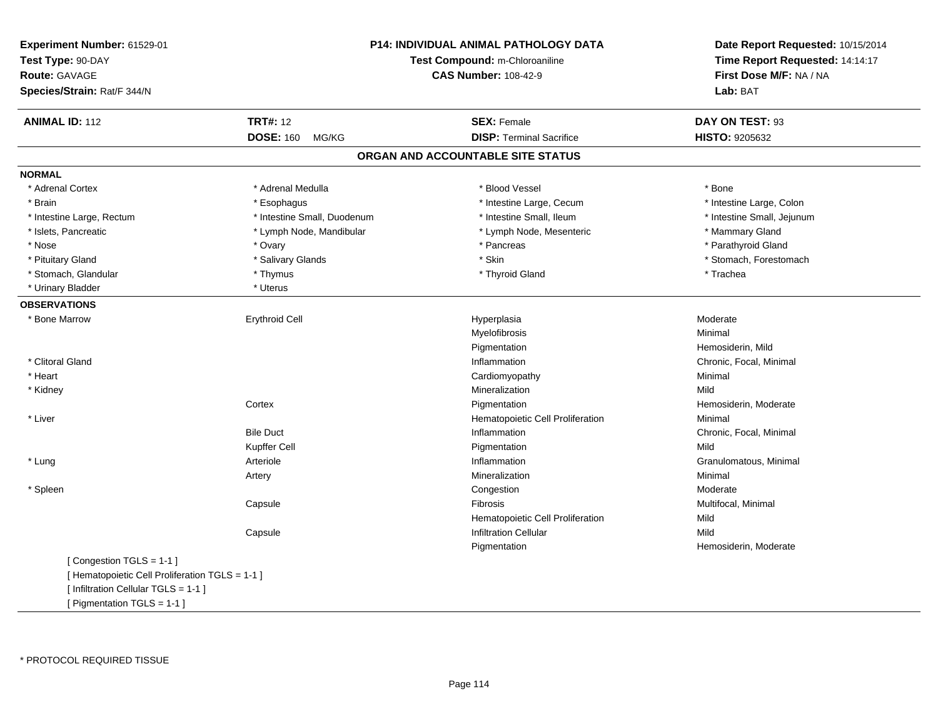| Experiment Number: 61529-01<br>Test Type: 90-DAY<br><b>Route: GAVAGE</b><br>Species/Strain: Rat/F 344/N |                             | <b>P14: INDIVIDUAL ANIMAL PATHOLOGY DATA</b><br>Test Compound: m-Chloroaniline<br><b>CAS Number: 108-42-9</b> | Date Report Requested: 10/15/2014<br>Time Report Requested: 14:14:17<br>First Dose M/F: NA / NA<br>Lab: BAT |  |
|---------------------------------------------------------------------------------------------------------|-----------------------------|---------------------------------------------------------------------------------------------------------------|-------------------------------------------------------------------------------------------------------------|--|
| <b>ANIMAL ID: 112</b>                                                                                   | <b>TRT#: 12</b>             | <b>SEX: Female</b>                                                                                            | DAY ON TEST: 93                                                                                             |  |
|                                                                                                         | <b>DOSE: 160</b><br>MG/KG   | <b>DISP: Terminal Sacrifice</b>                                                                               | HISTO: 9205632                                                                                              |  |
|                                                                                                         |                             | ORGAN AND ACCOUNTABLE SITE STATUS                                                                             |                                                                                                             |  |
| <b>NORMAL</b>                                                                                           |                             |                                                                                                               |                                                                                                             |  |
| * Adrenal Cortex                                                                                        | * Adrenal Medulla           | * Blood Vessel                                                                                                | * Bone                                                                                                      |  |
| * Brain                                                                                                 | * Esophagus                 | * Intestine Large, Cecum                                                                                      | * Intestine Large, Colon                                                                                    |  |
| * Intestine Large, Rectum                                                                               | * Intestine Small, Duodenum | * Intestine Small, Ileum                                                                                      | * Intestine Small, Jejunum                                                                                  |  |
| * Islets, Pancreatic                                                                                    | * Lymph Node, Mandibular    | * Lymph Node, Mesenteric                                                                                      | * Mammary Gland                                                                                             |  |
| * Nose                                                                                                  | * Ovary                     | * Pancreas                                                                                                    | * Parathyroid Gland                                                                                         |  |
| * Pituitary Gland                                                                                       | * Salivary Glands           | * Skin                                                                                                        | * Stomach, Forestomach                                                                                      |  |
| * Stomach, Glandular                                                                                    | * Thymus                    | * Thyroid Gland                                                                                               | * Trachea                                                                                                   |  |
| * Urinary Bladder                                                                                       | * Uterus                    |                                                                                                               |                                                                                                             |  |
| <b>OBSERVATIONS</b>                                                                                     |                             |                                                                                                               |                                                                                                             |  |
| * Bone Marrow                                                                                           | <b>Erythroid Cell</b>       | Hyperplasia                                                                                                   | Moderate                                                                                                    |  |
|                                                                                                         |                             | Myelofibrosis                                                                                                 | Minimal                                                                                                     |  |
|                                                                                                         |                             | Pigmentation                                                                                                  | Hemosiderin, Mild                                                                                           |  |
| * Clitoral Gland                                                                                        |                             | Inflammation                                                                                                  | Chronic, Focal, Minimal                                                                                     |  |
| * Heart                                                                                                 |                             | Cardiomyopathy                                                                                                | Minimal                                                                                                     |  |
| * Kidney                                                                                                |                             | Mineralization                                                                                                | Mild                                                                                                        |  |
|                                                                                                         | Cortex                      | Pigmentation                                                                                                  | Hemosiderin, Moderate                                                                                       |  |
| * Liver                                                                                                 |                             | Hematopoietic Cell Proliferation                                                                              | Minimal                                                                                                     |  |
|                                                                                                         | <b>Bile Duct</b>            | Inflammation                                                                                                  | Chronic, Focal, Minimal                                                                                     |  |
|                                                                                                         | Kupffer Cell                | Pigmentation                                                                                                  | Mild                                                                                                        |  |
| * Lung                                                                                                  | Arteriole                   | Inflammation                                                                                                  | Granulomatous, Minimal                                                                                      |  |
|                                                                                                         | Artery                      | Mineralization                                                                                                | Minimal                                                                                                     |  |
| * Spleen                                                                                                |                             | Congestion                                                                                                    | Moderate                                                                                                    |  |
|                                                                                                         | Capsule                     | <b>Fibrosis</b>                                                                                               | Multifocal, Minimal                                                                                         |  |
|                                                                                                         |                             | Hematopoietic Cell Proliferation                                                                              | Mild                                                                                                        |  |
|                                                                                                         | Capsule                     | <b>Infiltration Cellular</b>                                                                                  | Mild                                                                                                        |  |
|                                                                                                         |                             | Pigmentation                                                                                                  | Hemosiderin, Moderate                                                                                       |  |
| [Congestion TGLS = 1-1]                                                                                 |                             |                                                                                                               |                                                                                                             |  |
| [ Hematopoietic Cell Proliferation TGLS = 1-1 ]                                                         |                             |                                                                                                               |                                                                                                             |  |
| [ Infiltration Cellular TGLS = 1-1 ]                                                                    |                             |                                                                                                               |                                                                                                             |  |
| [ Pigmentation TGLS = 1-1 ]                                                                             |                             |                                                                                                               |                                                                                                             |  |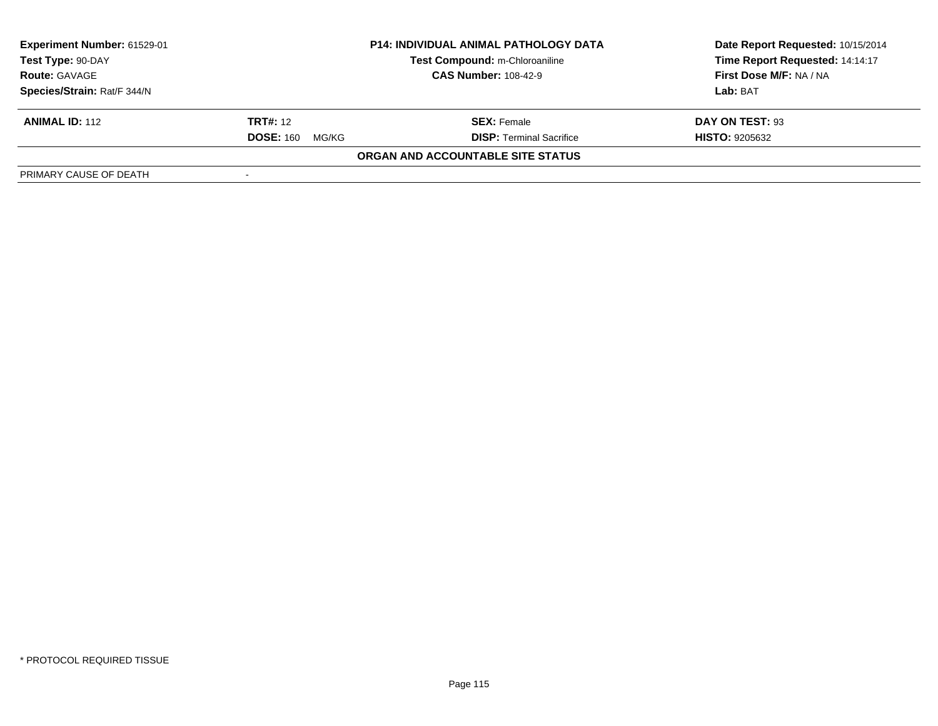| Experiment Number: 61529-01 | <b>P14: INDIVIDUAL ANIMAL PATHOLOGY DATA</b> |                                   | Date Report Requested: 10/15/2014 |
|-----------------------------|----------------------------------------------|-----------------------------------|-----------------------------------|
| Test Type: 90-DAY           |                                              | Test Compound: m-Chloroaniline    | Time Report Requested: 14:14:17   |
| <b>Route: GAVAGE</b>        | <b>CAS Number: 108-42-9</b>                  |                                   | <b>First Dose M/F: NA / NA</b>    |
| Species/Strain: Rat/F 344/N |                                              |                                   | Lab: BAT                          |
| <b>ANIMAL ID: 112</b>       | <b>TRT#:</b> 12                              | <b>SEX: Female</b>                | DAY ON TEST: 93                   |
|                             | <b>DOSE: 160</b><br>MG/KG                    | <b>DISP: Terminal Sacrifice</b>   | <b>HISTO: 9205632</b>             |
|                             |                                              | ORGAN AND ACCOUNTABLE SITE STATUS |                                   |
| PRIMARY CAUSE OF DEATH      |                                              |                                   |                                   |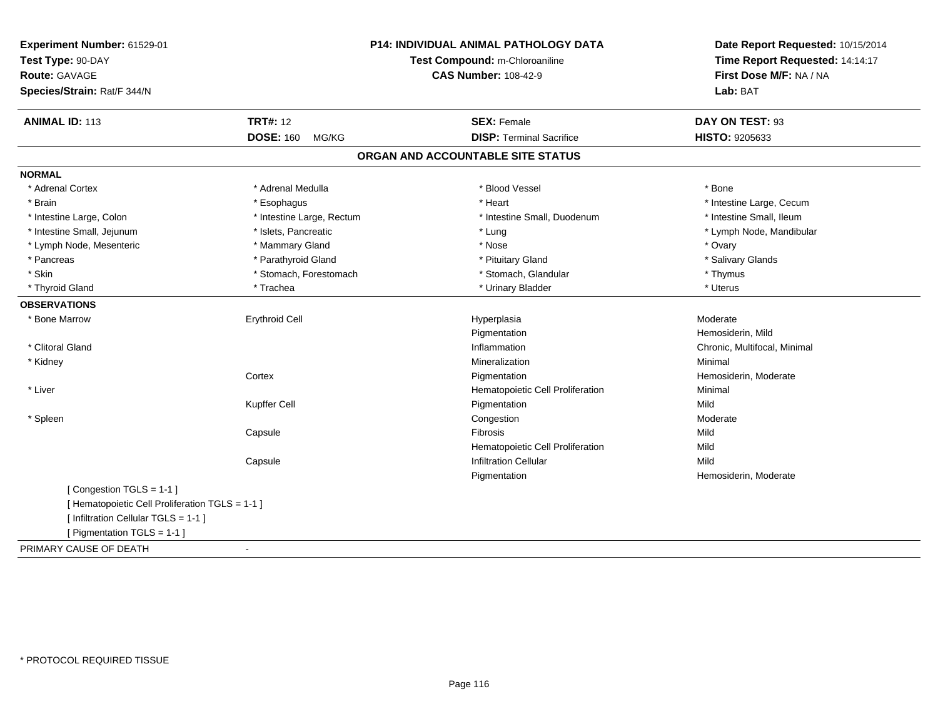| Experiment Number: 61529-01<br>Test Type: 90-DAY<br><b>Route: GAVAGE</b><br>Species/Strain: Rat/F 344/N |                           | P14: INDIVIDUAL ANIMAL PATHOLOGY DATA<br>Test Compound: m-Chloroaniline<br><b>CAS Number: 108-42-9</b> | Date Report Requested: 10/15/2014<br>Time Report Requested: 14:14:17<br>First Dose M/F: NA / NA<br>Lab: BAT |  |
|---------------------------------------------------------------------------------------------------------|---------------------------|--------------------------------------------------------------------------------------------------------|-------------------------------------------------------------------------------------------------------------|--|
| <b>ANIMAL ID: 113</b>                                                                                   | <b>TRT#: 12</b>           | <b>SEX: Female</b>                                                                                     | DAY ON TEST: 93                                                                                             |  |
|                                                                                                         | <b>DOSE: 160</b><br>MG/KG | <b>DISP: Terminal Sacrifice</b>                                                                        | HISTO: 9205633                                                                                              |  |
|                                                                                                         |                           | ORGAN AND ACCOUNTABLE SITE STATUS                                                                      |                                                                                                             |  |
| <b>NORMAL</b>                                                                                           |                           |                                                                                                        |                                                                                                             |  |
| * Adrenal Cortex                                                                                        | * Adrenal Medulla         | * Blood Vessel                                                                                         | * Bone                                                                                                      |  |
| * Brain                                                                                                 | * Esophagus               | * Heart                                                                                                | * Intestine Large, Cecum                                                                                    |  |
| * Intestine Large, Colon                                                                                | * Intestine Large, Rectum | * Intestine Small, Duodenum                                                                            | * Intestine Small, Ileum                                                                                    |  |
| * Intestine Small, Jejunum                                                                              | * Islets, Pancreatic      | * Lung                                                                                                 | * Lymph Node, Mandibular                                                                                    |  |
| * Lymph Node, Mesenteric                                                                                | * Mammary Gland           | * Nose                                                                                                 | * Ovary                                                                                                     |  |
| * Pancreas                                                                                              | * Parathyroid Gland       | * Pituitary Gland                                                                                      | * Salivary Glands                                                                                           |  |
| * Skin                                                                                                  | * Stomach, Forestomach    | * Stomach, Glandular                                                                                   | * Thymus                                                                                                    |  |
| * Thyroid Gland                                                                                         | * Trachea                 | * Urinary Bladder                                                                                      | * Uterus                                                                                                    |  |
| <b>OBSERVATIONS</b>                                                                                     |                           |                                                                                                        |                                                                                                             |  |
| * Bone Marrow                                                                                           | <b>Erythroid Cell</b>     | Hyperplasia                                                                                            | Moderate                                                                                                    |  |
|                                                                                                         |                           | Pigmentation                                                                                           | Hemosiderin, Mild                                                                                           |  |
| * Clitoral Gland                                                                                        |                           | Inflammation                                                                                           | Chronic, Multifocal, Minimal                                                                                |  |
| * Kidney                                                                                                |                           | Mineralization                                                                                         | Minimal                                                                                                     |  |
|                                                                                                         | Cortex                    | Pigmentation                                                                                           | Hemosiderin, Moderate                                                                                       |  |
| * Liver                                                                                                 |                           | Hematopoietic Cell Proliferation                                                                       | Minimal                                                                                                     |  |
|                                                                                                         | Kupffer Cell              | Pigmentation                                                                                           | Mild                                                                                                        |  |
| * Spleen                                                                                                |                           | Congestion                                                                                             | Moderate                                                                                                    |  |
|                                                                                                         | Capsule                   | <b>Fibrosis</b>                                                                                        | Mild                                                                                                        |  |
|                                                                                                         |                           | Hematopoietic Cell Proliferation                                                                       | Mild                                                                                                        |  |
|                                                                                                         | Capsule                   | <b>Infiltration Cellular</b>                                                                           | Mild                                                                                                        |  |
|                                                                                                         |                           | Pigmentation                                                                                           | Hemosiderin, Moderate                                                                                       |  |
| [Congestion TGLS = 1-1]                                                                                 |                           |                                                                                                        |                                                                                                             |  |
| [ Hematopoietic Cell Proliferation TGLS = 1-1 ]                                                         |                           |                                                                                                        |                                                                                                             |  |
| [ Infiltration Cellular TGLS = 1-1 ]                                                                    |                           |                                                                                                        |                                                                                                             |  |
| [ Pigmentation TGLS = 1-1 ]                                                                             |                           |                                                                                                        |                                                                                                             |  |
| PRIMARY CAUSE OF DEATH                                                                                  | $\blacksquare$            |                                                                                                        |                                                                                                             |  |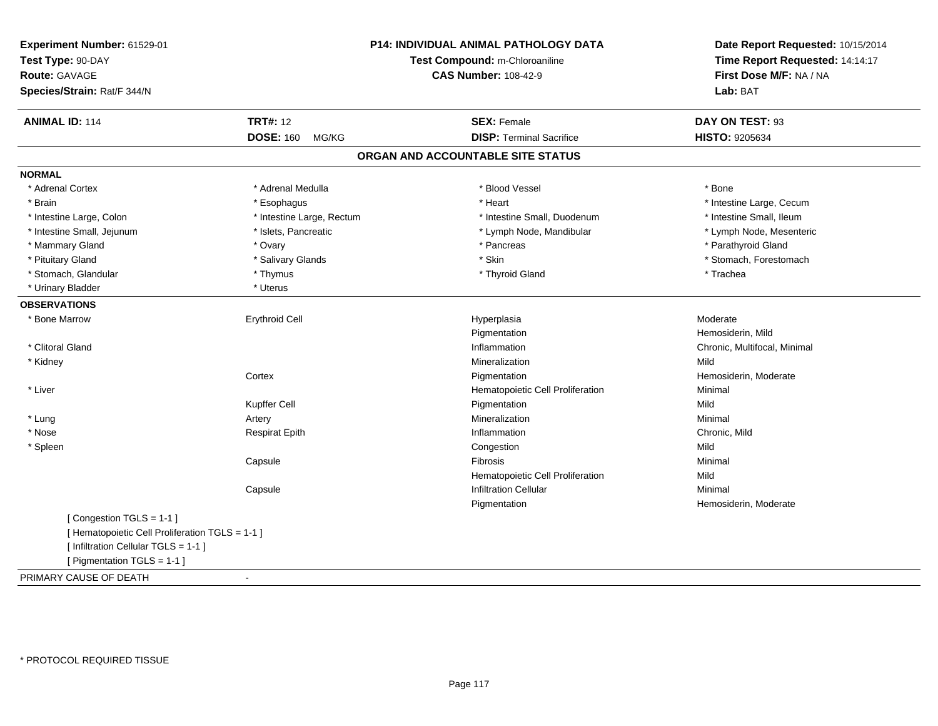| Experiment Number: 61529-01<br>Test Type: 90-DAY |                           | P14: INDIVIDUAL ANIMAL PATHOLOGY DATA<br>Test Compound: m-Chloroaniline | Date Report Requested: 10/15/2014<br>Time Report Requested: 14:14:17 |
|--------------------------------------------------|---------------------------|-------------------------------------------------------------------------|----------------------------------------------------------------------|
| Route: GAVAGE                                    |                           | <b>CAS Number: 108-42-9</b>                                             | First Dose M/F: NA / NA                                              |
| Species/Strain: Rat/F 344/N                      |                           |                                                                         | Lab: BAT                                                             |
| <b>ANIMAL ID: 114</b>                            | <b>TRT#: 12</b>           | <b>SEX: Female</b>                                                      | DAY ON TEST: 93                                                      |
|                                                  | <b>DOSE: 160</b><br>MG/KG | <b>DISP: Terminal Sacrifice</b>                                         | HISTO: 9205634                                                       |
|                                                  |                           | ORGAN AND ACCOUNTABLE SITE STATUS                                       |                                                                      |
| <b>NORMAL</b>                                    |                           |                                                                         |                                                                      |
| * Adrenal Cortex                                 | * Adrenal Medulla         | * Blood Vessel                                                          | * Bone                                                               |
| * Brain                                          | * Esophagus               | * Heart                                                                 | * Intestine Large, Cecum                                             |
| * Intestine Large, Colon                         | * Intestine Large, Rectum | * Intestine Small, Duodenum                                             | * Intestine Small, Ileum                                             |
| * Intestine Small, Jejunum                       | * Islets, Pancreatic      | * Lymph Node, Mandibular                                                | * Lymph Node, Mesenteric                                             |
| * Mammary Gland                                  | * Ovary                   | * Pancreas                                                              | * Parathyroid Gland                                                  |
| * Pituitary Gland                                | * Salivary Glands         | * Skin                                                                  | * Stomach, Forestomach                                               |
| * Stomach, Glandular                             | * Thymus                  | * Thyroid Gland                                                         | * Trachea                                                            |
| * Urinary Bladder                                | * Uterus                  |                                                                         |                                                                      |
| <b>OBSERVATIONS</b>                              |                           |                                                                         |                                                                      |
| * Bone Marrow                                    | <b>Erythroid Cell</b>     | Hyperplasia                                                             | Moderate                                                             |
|                                                  |                           | Pigmentation                                                            | Hemosiderin, Mild                                                    |
| * Clitoral Gland                                 |                           | Inflammation                                                            | Chronic, Multifocal, Minimal                                         |
| * Kidney                                         |                           | Mineralization                                                          | Mild                                                                 |
|                                                  | Cortex                    | Pigmentation                                                            | Hemosiderin, Moderate                                                |
| * Liver                                          |                           | Hematopoietic Cell Proliferation                                        | Minimal                                                              |
|                                                  | Kupffer Cell              | Pigmentation                                                            | Mild                                                                 |
| * Lung                                           | Artery                    | Mineralization                                                          | Minimal                                                              |
| * Nose                                           | <b>Respirat Epith</b>     | Inflammation                                                            | Chronic, Mild                                                        |
| * Spleen                                         |                           | Congestion                                                              | Mild                                                                 |
|                                                  | Capsule                   | Fibrosis                                                                | Minimal                                                              |
|                                                  |                           | Hematopoietic Cell Proliferation                                        | Mild                                                                 |
|                                                  | Capsule                   | <b>Infiltration Cellular</b>                                            | Minimal                                                              |
|                                                  |                           | Pigmentation                                                            | Hemosiderin, Moderate                                                |
| [Congestion TGLS = 1-1]                          |                           |                                                                         |                                                                      |
| [ Hematopoietic Cell Proliferation TGLS = 1-1 ]  |                           |                                                                         |                                                                      |
| [ Infiltration Cellular TGLS = 1-1 ]             |                           |                                                                         |                                                                      |
| [ Pigmentation TGLS = 1-1 ]                      |                           |                                                                         |                                                                      |
| PRIMARY CAUSE OF DEATH                           | $\blacksquare$            |                                                                         |                                                                      |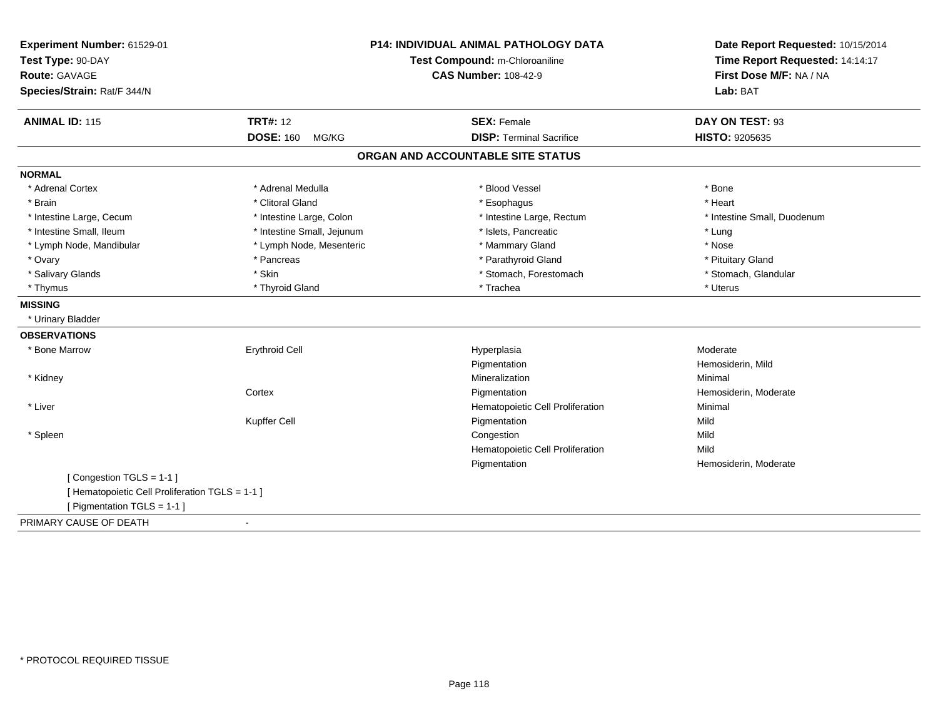| Experiment Number: 61529-01<br>Test Type: 90-DAY<br>Route: GAVAGE<br>Species/Strain: Rat/F 344/N | <b>P14: INDIVIDUAL ANIMAL PATHOLOGY DATA</b><br>Test Compound: m-Chloroaniline<br><b>CAS Number: 108-42-9</b> |                                   | Date Report Requested: 10/15/2014<br>Time Report Requested: 14:14:17<br>First Dose M/F: NA / NA<br>Lab: BAT |
|--------------------------------------------------------------------------------------------------|---------------------------------------------------------------------------------------------------------------|-----------------------------------|-------------------------------------------------------------------------------------------------------------|
| <b>ANIMAL ID: 115</b>                                                                            | <b>TRT#: 12</b>                                                                                               | <b>SEX: Female</b>                | DAY ON TEST: 93                                                                                             |
|                                                                                                  | <b>DOSE: 160</b><br>MG/KG                                                                                     | <b>DISP: Terminal Sacrifice</b>   | HISTO: 9205635                                                                                              |
|                                                                                                  |                                                                                                               | ORGAN AND ACCOUNTABLE SITE STATUS |                                                                                                             |
| <b>NORMAL</b>                                                                                    |                                                                                                               |                                   |                                                                                                             |
| * Adrenal Cortex                                                                                 | * Adrenal Medulla                                                                                             | * Blood Vessel                    | * Bone                                                                                                      |
| * Brain                                                                                          | * Clitoral Gland                                                                                              | * Esophagus                       | * Heart                                                                                                     |
| * Intestine Large, Cecum                                                                         | * Intestine Large, Colon                                                                                      | * Intestine Large, Rectum         | * Intestine Small, Duodenum                                                                                 |
| * Intestine Small. Ileum                                                                         | * Intestine Small, Jejunum                                                                                    | * Islets. Pancreatic              | * Lung                                                                                                      |
| * Lymph Node, Mandibular                                                                         | * Lymph Node, Mesenteric                                                                                      | * Mammary Gland                   | * Nose                                                                                                      |
| * Ovary                                                                                          | * Pancreas                                                                                                    | * Parathyroid Gland               | * Pituitary Gland                                                                                           |
| * Salivary Glands                                                                                | * Skin                                                                                                        | * Stomach, Forestomach            | * Stomach, Glandular                                                                                        |
| * Thymus                                                                                         | * Thyroid Gland                                                                                               | * Trachea                         | * Uterus                                                                                                    |
| <b>MISSING</b>                                                                                   |                                                                                                               |                                   |                                                                                                             |
| * Urinary Bladder                                                                                |                                                                                                               |                                   |                                                                                                             |
| <b>OBSERVATIONS</b>                                                                              |                                                                                                               |                                   |                                                                                                             |
| * Bone Marrow                                                                                    | <b>Erythroid Cell</b>                                                                                         | Hyperplasia                       | Moderate                                                                                                    |
|                                                                                                  |                                                                                                               | Pigmentation                      | Hemosiderin, Mild                                                                                           |
| * Kidney                                                                                         |                                                                                                               | Mineralization                    | Minimal                                                                                                     |
|                                                                                                  | Cortex                                                                                                        | Pigmentation                      | Hemosiderin, Moderate                                                                                       |
| * Liver                                                                                          |                                                                                                               | Hematopoietic Cell Proliferation  | Minimal                                                                                                     |
|                                                                                                  | Kupffer Cell                                                                                                  | Pigmentation                      | Mild                                                                                                        |
| * Spleen                                                                                         |                                                                                                               | Congestion                        | Mild                                                                                                        |
|                                                                                                  |                                                                                                               | Hematopoietic Cell Proliferation  | Mild                                                                                                        |
|                                                                                                  |                                                                                                               | Pigmentation                      | Hemosiderin, Moderate                                                                                       |
| [Congestion TGLS = 1-1]                                                                          |                                                                                                               |                                   |                                                                                                             |
| [Hematopoietic Cell Proliferation TGLS = 1-1]                                                    |                                                                                                               |                                   |                                                                                                             |
| [ Pigmentation TGLS = 1-1 ]                                                                      |                                                                                                               |                                   |                                                                                                             |
| PRIMARY CAUSE OF DEATH                                                                           | $\blacksquare$                                                                                                |                                   |                                                                                                             |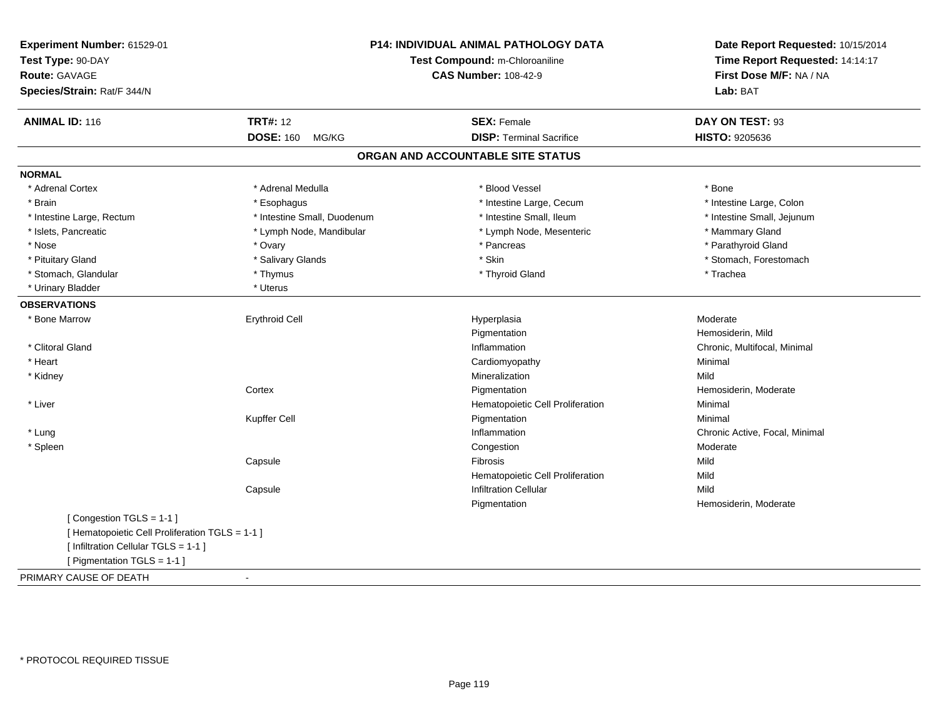| Experiment Number: 61529-01                     | <b>P14: INDIVIDUAL ANIMAL PATHOLOGY DATA</b><br>Test Compound: m-Chloroaniline<br><b>CAS Number: 108-42-9</b> |                                   | Date Report Requested: 10/15/2014 |  |
|-------------------------------------------------|---------------------------------------------------------------------------------------------------------------|-----------------------------------|-----------------------------------|--|
| Test Type: 90-DAY                               |                                                                                                               |                                   | Time Report Requested: 14:14:17   |  |
| <b>Route: GAVAGE</b>                            |                                                                                                               |                                   | First Dose M/F: NA / NA           |  |
| Species/Strain: Rat/F 344/N                     |                                                                                                               |                                   | Lab: BAT                          |  |
| <b>ANIMAL ID: 116</b>                           | <b>TRT#: 12</b>                                                                                               | <b>SEX: Female</b>                | DAY ON TEST: 93                   |  |
|                                                 | <b>DOSE: 160</b><br>MG/KG                                                                                     | <b>DISP: Terminal Sacrifice</b>   | HISTO: 9205636                    |  |
|                                                 |                                                                                                               | ORGAN AND ACCOUNTABLE SITE STATUS |                                   |  |
| <b>NORMAL</b>                                   |                                                                                                               |                                   |                                   |  |
| * Adrenal Cortex                                | * Adrenal Medulla                                                                                             | * Blood Vessel                    | * Bone                            |  |
| * Brain                                         | * Esophagus                                                                                                   | * Intestine Large, Cecum          | * Intestine Large, Colon          |  |
| * Intestine Large, Rectum                       | * Intestine Small, Duodenum                                                                                   | * Intestine Small, Ileum          | * Intestine Small, Jejunum        |  |
| * Islets, Pancreatic                            | * Lymph Node, Mandibular                                                                                      | * Lymph Node, Mesenteric          | * Mammary Gland                   |  |
| * Nose                                          | * Ovary                                                                                                       | * Pancreas                        | * Parathyroid Gland               |  |
| * Pituitary Gland                               | * Salivary Glands                                                                                             | * Skin                            | * Stomach, Forestomach            |  |
| * Stomach, Glandular                            | * Thymus                                                                                                      | * Thyroid Gland                   | * Trachea                         |  |
| * Urinary Bladder                               | * Uterus                                                                                                      |                                   |                                   |  |
| <b>OBSERVATIONS</b>                             |                                                                                                               |                                   |                                   |  |
| * Bone Marrow                                   | <b>Erythroid Cell</b>                                                                                         | Hyperplasia                       | Moderate                          |  |
|                                                 |                                                                                                               | Pigmentation                      | Hemosiderin, Mild                 |  |
| * Clitoral Gland                                |                                                                                                               | Inflammation                      | Chronic, Multifocal, Minimal      |  |
| * Heart                                         |                                                                                                               | Cardiomyopathy                    | Minimal                           |  |
| * Kidney                                        |                                                                                                               | Mineralization                    | Mild                              |  |
|                                                 | Cortex                                                                                                        | Pigmentation                      | Hemosiderin, Moderate             |  |
| * Liver                                         |                                                                                                               | Hematopoietic Cell Proliferation  | Minimal                           |  |
|                                                 | Kupffer Cell                                                                                                  | Pigmentation                      | Minimal                           |  |
| * Lung                                          |                                                                                                               | Inflammation                      | Chronic Active, Focal, Minimal    |  |
| * Spleen                                        |                                                                                                               | Congestion                        | Moderate                          |  |
|                                                 | Capsule                                                                                                       | Fibrosis                          | Mild                              |  |
|                                                 |                                                                                                               | Hematopoietic Cell Proliferation  | Mild                              |  |
|                                                 | Capsule                                                                                                       | <b>Infiltration Cellular</b>      | Mild                              |  |
|                                                 |                                                                                                               | Pigmentation                      | Hemosiderin, Moderate             |  |
| [Congestion TGLS = 1-1]                         |                                                                                                               |                                   |                                   |  |
| [ Hematopoietic Cell Proliferation TGLS = 1-1 ] |                                                                                                               |                                   |                                   |  |
| [ Infiltration Cellular TGLS = 1-1 ]            |                                                                                                               |                                   |                                   |  |
| [ Pigmentation TGLS = 1-1 ]                     |                                                                                                               |                                   |                                   |  |
| PRIMARY CAUSE OF DEATH                          | $\sim$                                                                                                        |                                   |                                   |  |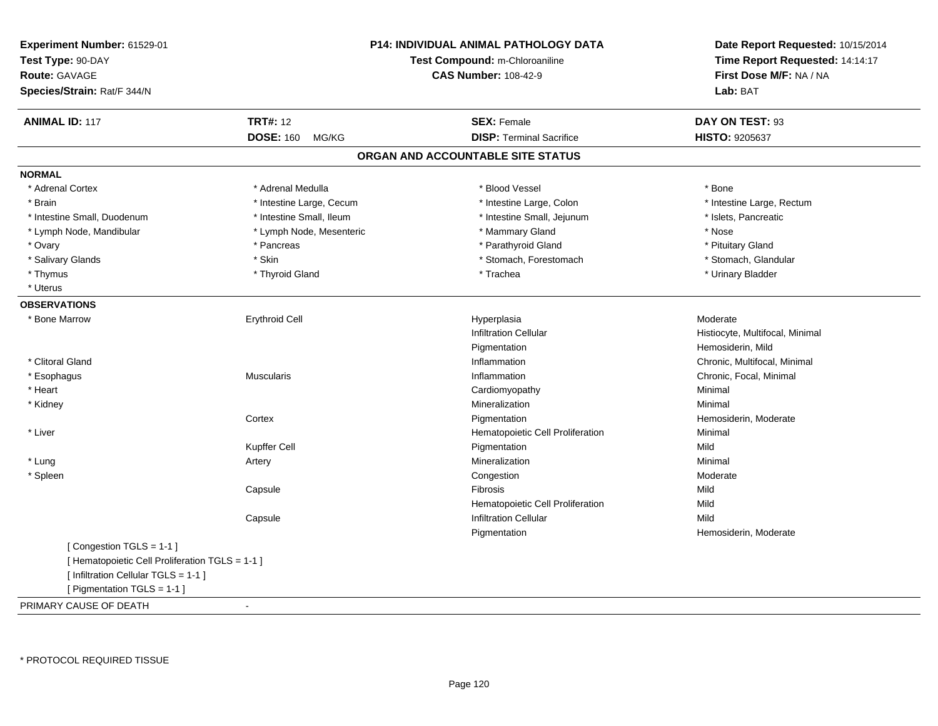| Experiment Number: 61529-01<br>Test Type: 90-DAY<br><b>Route: GAVAGE</b><br>Species/Strain: Rat/F 344/N            |                           | <b>P14: INDIVIDUAL ANIMAL PATHOLOGY DATA</b><br>Test Compound: m-Chloroaniline<br><b>CAS Number: 108-42-9</b> | Date Report Requested: 10/15/2014<br>Time Report Requested: 14:14:17<br>First Dose M/F: NA / NA<br>Lab: BAT |  |
|--------------------------------------------------------------------------------------------------------------------|---------------------------|---------------------------------------------------------------------------------------------------------------|-------------------------------------------------------------------------------------------------------------|--|
| <b>ANIMAL ID: 117</b>                                                                                              | <b>TRT#: 12</b>           | <b>SEX: Female</b>                                                                                            | DAY ON TEST: 93                                                                                             |  |
|                                                                                                                    | <b>DOSE: 160</b><br>MG/KG | <b>DISP: Terminal Sacrifice</b>                                                                               | HISTO: 9205637                                                                                              |  |
|                                                                                                                    |                           | ORGAN AND ACCOUNTABLE SITE STATUS                                                                             |                                                                                                             |  |
| <b>NORMAL</b>                                                                                                      |                           |                                                                                                               |                                                                                                             |  |
| * Adrenal Cortex                                                                                                   | * Adrenal Medulla         | * Blood Vessel                                                                                                | * Bone                                                                                                      |  |
| * Brain                                                                                                            | * Intestine Large, Cecum  | * Intestine Large, Colon                                                                                      | * Intestine Large, Rectum                                                                                   |  |
| * Intestine Small, Duodenum                                                                                        | * Intestine Small, Ileum  | * Intestine Small, Jejunum                                                                                    | * Islets, Pancreatic                                                                                        |  |
| * Lymph Node, Mandibular                                                                                           | * Lymph Node, Mesenteric  | * Mammary Gland                                                                                               | * Nose                                                                                                      |  |
| * Ovary                                                                                                            | * Pancreas                | * Parathyroid Gland                                                                                           | * Pituitary Gland                                                                                           |  |
| * Salivary Glands                                                                                                  | * Skin                    | * Stomach, Forestomach                                                                                        | * Stomach, Glandular                                                                                        |  |
| * Thymus                                                                                                           | * Thyroid Gland           | * Trachea                                                                                                     | * Urinary Bladder                                                                                           |  |
| * Uterus                                                                                                           |                           |                                                                                                               |                                                                                                             |  |
| <b>OBSERVATIONS</b>                                                                                                |                           |                                                                                                               |                                                                                                             |  |
| * Bone Marrow                                                                                                      | <b>Erythroid Cell</b>     | Hyperplasia                                                                                                   | Moderate                                                                                                    |  |
|                                                                                                                    |                           | <b>Infiltration Cellular</b>                                                                                  | Histiocyte, Multifocal, Minimal                                                                             |  |
|                                                                                                                    |                           | Pigmentation                                                                                                  | Hemosiderin, Mild                                                                                           |  |
| * Clitoral Gland                                                                                                   |                           | Inflammation                                                                                                  | Chronic, Multifocal, Minimal                                                                                |  |
| * Esophagus                                                                                                        | <b>Muscularis</b>         | Inflammation                                                                                                  | Chronic, Focal, Minimal                                                                                     |  |
| * Heart                                                                                                            |                           | Cardiomyopathy                                                                                                | Minimal                                                                                                     |  |
| * Kidney                                                                                                           |                           | Mineralization                                                                                                | Minimal                                                                                                     |  |
|                                                                                                                    | Cortex                    | Pigmentation                                                                                                  | Hemosiderin, Moderate                                                                                       |  |
| * Liver                                                                                                            |                           | Hematopoietic Cell Proliferation                                                                              | Minimal                                                                                                     |  |
|                                                                                                                    | Kupffer Cell              | Pigmentation                                                                                                  | Mild                                                                                                        |  |
| * Lung                                                                                                             | Artery                    | Mineralization                                                                                                | Minimal                                                                                                     |  |
| * Spleen                                                                                                           |                           | Congestion                                                                                                    | Moderate                                                                                                    |  |
|                                                                                                                    | Capsule                   | Fibrosis                                                                                                      | Mild                                                                                                        |  |
|                                                                                                                    |                           | Hematopoietic Cell Proliferation                                                                              | Mild                                                                                                        |  |
|                                                                                                                    | Capsule                   | <b>Infiltration Cellular</b>                                                                                  | Mild                                                                                                        |  |
|                                                                                                                    |                           | Pigmentation                                                                                                  | Hemosiderin, Moderate                                                                                       |  |
| [Congestion TGLS = 1-1]<br>[ Hematopoietic Cell Proliferation TGLS = 1-1 ]<br>[ Infiltration Cellular TGLS = 1-1 ] |                           |                                                                                                               |                                                                                                             |  |
| [ Pigmentation TGLS = 1-1 ]                                                                                        |                           |                                                                                                               |                                                                                                             |  |
| PRIMARY CAUSE OF DEATH                                                                                             | $\blacksquare$            |                                                                                                               |                                                                                                             |  |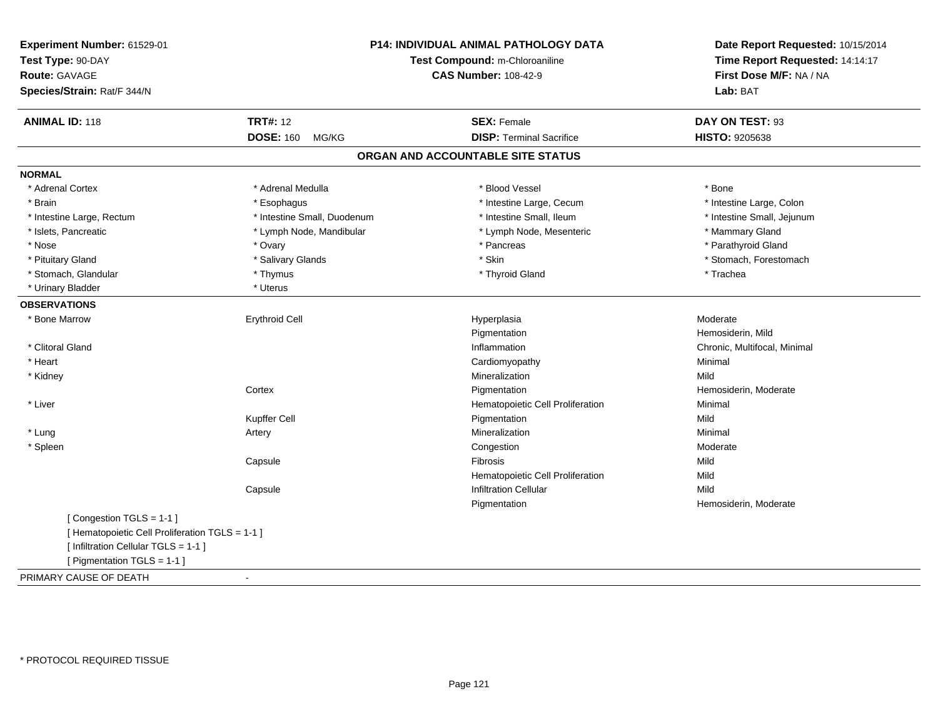| Experiment Number: 61529-01                     | <b>P14: INDIVIDUAL ANIMAL PATHOLOGY DATA</b><br>Test Compound: m-Chloroaniline<br><b>CAS Number: 108-42-9</b> |                                   | Date Report Requested: 10/15/2014<br>Time Report Requested: 14:14:17<br>First Dose M/F: NA / NA<br>Lab: BAT |
|-------------------------------------------------|---------------------------------------------------------------------------------------------------------------|-----------------------------------|-------------------------------------------------------------------------------------------------------------|
| Test Type: 90-DAY                               |                                                                                                               |                                   |                                                                                                             |
| <b>Route: GAVAGE</b>                            |                                                                                                               |                                   |                                                                                                             |
| Species/Strain: Rat/F 344/N                     |                                                                                                               |                                   |                                                                                                             |
| <b>ANIMAL ID: 118</b>                           | <b>TRT#: 12</b>                                                                                               | <b>SEX: Female</b>                | DAY ON TEST: 93                                                                                             |
|                                                 | <b>DOSE: 160</b><br>MG/KG                                                                                     | <b>DISP: Terminal Sacrifice</b>   | HISTO: 9205638                                                                                              |
|                                                 |                                                                                                               | ORGAN AND ACCOUNTABLE SITE STATUS |                                                                                                             |
| <b>NORMAL</b>                                   |                                                                                                               |                                   |                                                                                                             |
| * Adrenal Cortex                                | * Adrenal Medulla                                                                                             | * Blood Vessel                    | * Bone                                                                                                      |
| * Brain                                         | * Esophagus                                                                                                   | * Intestine Large, Cecum          | * Intestine Large, Colon                                                                                    |
| * Intestine Large, Rectum                       | * Intestine Small, Duodenum                                                                                   | * Intestine Small, Ileum          | * Intestine Small, Jejunum                                                                                  |
| * Islets, Pancreatic                            | * Lymph Node, Mandibular                                                                                      | * Lymph Node, Mesenteric          | * Mammary Gland                                                                                             |
| * Nose                                          | * Ovary                                                                                                       | * Pancreas                        | * Parathyroid Gland                                                                                         |
| * Pituitary Gland                               | * Salivary Glands                                                                                             | * Skin                            | * Stomach, Forestomach                                                                                      |
| * Stomach, Glandular                            | * Thymus                                                                                                      | * Thyroid Gland                   | * Trachea                                                                                                   |
| * Urinary Bladder                               | * Uterus                                                                                                      |                                   |                                                                                                             |
| <b>OBSERVATIONS</b>                             |                                                                                                               |                                   |                                                                                                             |
| * Bone Marrow                                   | <b>Erythroid Cell</b>                                                                                         | Hyperplasia                       | Moderate                                                                                                    |
|                                                 |                                                                                                               | Pigmentation                      | Hemosiderin, Mild                                                                                           |
| * Clitoral Gland                                |                                                                                                               | Inflammation                      | Chronic, Multifocal, Minimal                                                                                |
| * Heart                                         |                                                                                                               | Cardiomyopathy                    | Minimal                                                                                                     |
| * Kidney                                        |                                                                                                               | Mineralization                    | Mild                                                                                                        |
|                                                 | Cortex                                                                                                        | Pigmentation                      | Hemosiderin, Moderate                                                                                       |
| * Liver                                         |                                                                                                               | Hematopoietic Cell Proliferation  | Minimal                                                                                                     |
|                                                 | Kupffer Cell                                                                                                  | Pigmentation                      | Mild                                                                                                        |
| * Lung                                          | Artery                                                                                                        | Mineralization                    | Minimal                                                                                                     |
| * Spleen                                        |                                                                                                               | Congestion                        | Moderate                                                                                                    |
|                                                 | Capsule                                                                                                       | Fibrosis                          | Mild                                                                                                        |
|                                                 |                                                                                                               | Hematopoietic Cell Proliferation  | Mild                                                                                                        |
|                                                 | Capsule                                                                                                       | <b>Infiltration Cellular</b>      | Mild                                                                                                        |
|                                                 |                                                                                                               | Pigmentation                      | Hemosiderin, Moderate                                                                                       |
| [Congestion TGLS = 1-1]                         |                                                                                                               |                                   |                                                                                                             |
| [ Hematopoietic Cell Proliferation TGLS = 1-1 ] |                                                                                                               |                                   |                                                                                                             |
| [ Infiltration Cellular TGLS = 1-1 ]            |                                                                                                               |                                   |                                                                                                             |
| [ Pigmentation TGLS = 1-1 ]                     |                                                                                                               |                                   |                                                                                                             |
| PRIMARY CAUSE OF DEATH                          | $\blacksquare$                                                                                                |                                   |                                                                                                             |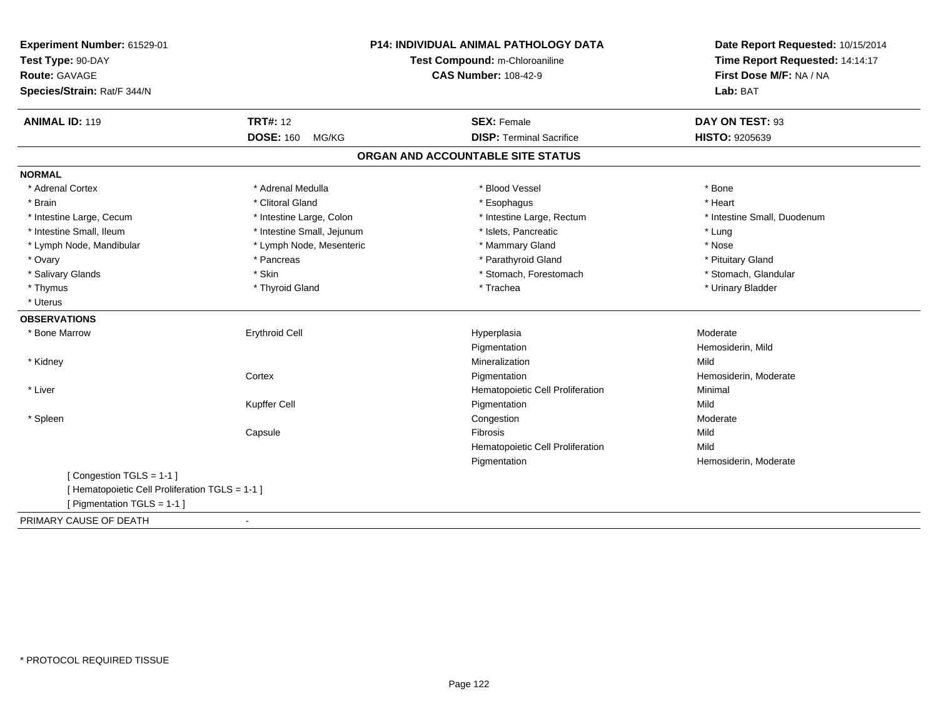| Experiment Number: 61529-01<br>Test Type: 90-DAY<br><b>Route: GAVAGE</b><br>Species/Strain: Rat/F 344/N | <b>P14: INDIVIDUAL ANIMAL PATHOLOGY DATA</b><br>Test Compound: m-Chloroaniline<br><b>CAS Number: 108-42-9</b> |                                   | Date Report Requested: 10/15/2014<br>Time Report Requested: 14:14:17<br>First Dose M/F: NA / NA<br>Lab: BAT |
|---------------------------------------------------------------------------------------------------------|---------------------------------------------------------------------------------------------------------------|-----------------------------------|-------------------------------------------------------------------------------------------------------------|
| <b>ANIMAL ID: 119</b>                                                                                   | <b>TRT#: 12</b>                                                                                               | <b>SEX: Female</b>                | DAY ON TEST: 93                                                                                             |
|                                                                                                         | <b>DOSE: 160</b><br>MG/KG                                                                                     | <b>DISP: Terminal Sacrifice</b>   | HISTO: 9205639                                                                                              |
|                                                                                                         |                                                                                                               | ORGAN AND ACCOUNTABLE SITE STATUS |                                                                                                             |
| <b>NORMAL</b>                                                                                           |                                                                                                               |                                   |                                                                                                             |
| * Adrenal Cortex                                                                                        | * Adrenal Medulla                                                                                             | * Blood Vessel                    | * Bone                                                                                                      |
| * Brain                                                                                                 | * Clitoral Gland                                                                                              | * Esophagus                       | * Heart                                                                                                     |
| * Intestine Large, Cecum                                                                                | * Intestine Large, Colon                                                                                      | * Intestine Large, Rectum         | * Intestine Small, Duodenum                                                                                 |
| * Intestine Small, Ileum                                                                                | * Intestine Small, Jejunum                                                                                    | * Islets, Pancreatic              | * Lung                                                                                                      |
| * Lymph Node, Mandibular                                                                                | * Lymph Node, Mesenteric                                                                                      | * Mammary Gland                   | * Nose                                                                                                      |
| * Ovary                                                                                                 | * Pancreas                                                                                                    | * Parathyroid Gland               | * Pituitary Gland                                                                                           |
| * Salivary Glands                                                                                       | * Skin                                                                                                        | * Stomach, Forestomach            | * Stomach, Glandular                                                                                        |
| * Thymus                                                                                                | * Thyroid Gland                                                                                               | * Trachea                         | * Urinary Bladder                                                                                           |
| * Uterus                                                                                                |                                                                                                               |                                   |                                                                                                             |
| <b>OBSERVATIONS</b>                                                                                     |                                                                                                               |                                   |                                                                                                             |
| * Bone Marrow                                                                                           | <b>Erythroid Cell</b>                                                                                         | Hyperplasia                       | Moderate                                                                                                    |
|                                                                                                         |                                                                                                               | Pigmentation                      | Hemosiderin, Mild                                                                                           |
| * Kidney                                                                                                |                                                                                                               | Mineralization                    | Mild                                                                                                        |
|                                                                                                         | Cortex                                                                                                        | Pigmentation                      | Hemosiderin, Moderate                                                                                       |
| * Liver                                                                                                 |                                                                                                               | Hematopoietic Cell Proliferation  | Minimal                                                                                                     |
|                                                                                                         | Kupffer Cell                                                                                                  | Pigmentation                      | Mild                                                                                                        |
| * Spleen                                                                                                |                                                                                                               | Congestion                        | Moderate                                                                                                    |
|                                                                                                         | Capsule                                                                                                       | Fibrosis                          | Mild                                                                                                        |
|                                                                                                         |                                                                                                               | Hematopoietic Cell Proliferation  | Mild                                                                                                        |
|                                                                                                         |                                                                                                               | Pigmentation                      | Hemosiderin, Moderate                                                                                       |
| [Congestion TGLS = 1-1]                                                                                 |                                                                                                               |                                   |                                                                                                             |
| [ Hematopoietic Cell Proliferation TGLS = 1-1 ]                                                         |                                                                                                               |                                   |                                                                                                             |
| [ Pigmentation TGLS = 1-1 ]                                                                             |                                                                                                               |                                   |                                                                                                             |
| PRIMARY CAUSE OF DEATH                                                                                  | $\blacksquare$                                                                                                |                                   |                                                                                                             |